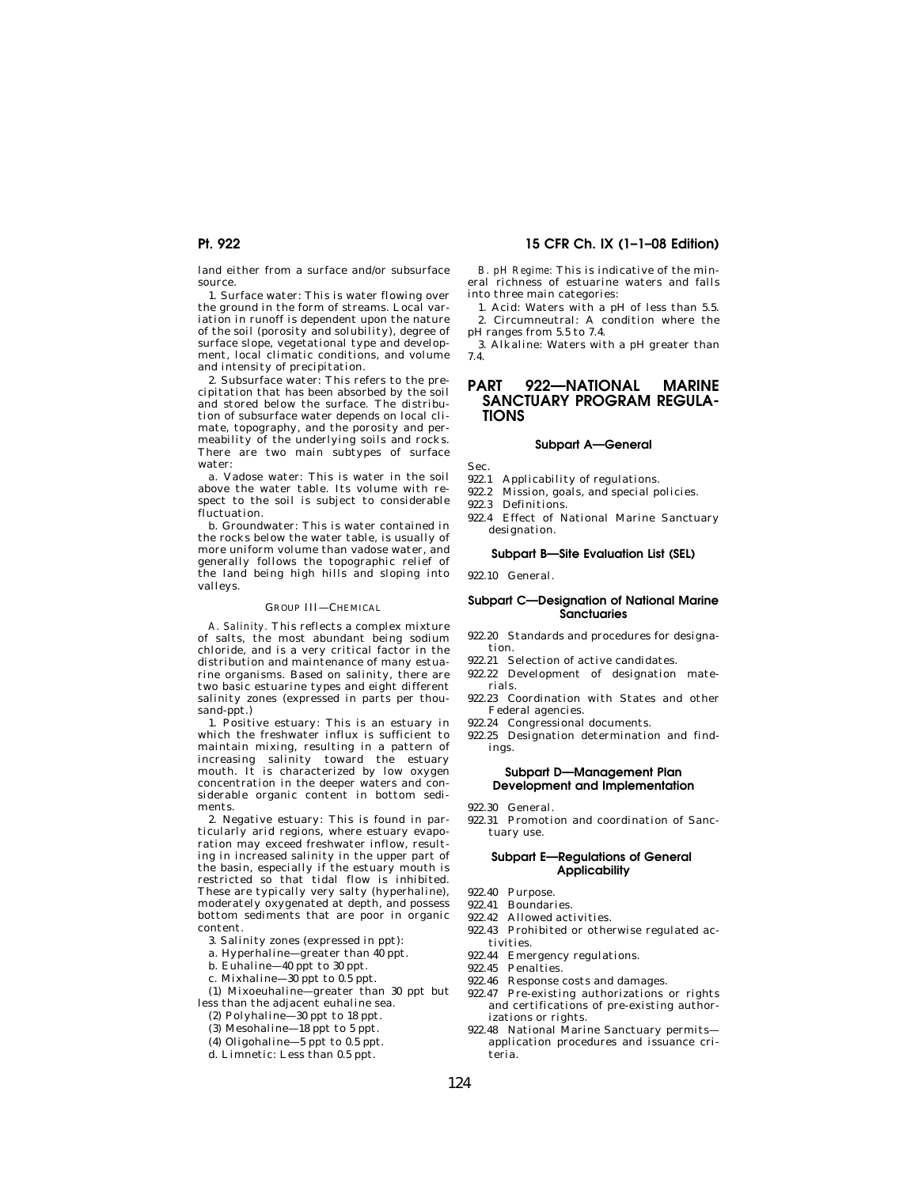land either from a surface and/or subsurface source.

1. Surface water: This is water flowing over the ground in the form of streams. Local variation in runoff is dependent upon the nature of the soil (porosity and solubility), degree of surface slope, vegetational type and development, local climatic conditions, and volume and intensity of precipitation.

2. Subsurface water: This refers to the precipitation that has been absorbed by the soil and stored below the surface. The distribution of subsurface water depends on local climate, topography, and the porosity and permeability of the underlying soils and rocks. There are two main subtypes of surface water:

a. Vadose water: This is water in the soil above the water table. Its volume with respect to the soil is subject to considerable fluctuation.

b. Groundwater: This is water contained in the rocks below the water table, is usually of more uniform volume than vadose water, and generally follows the topographic relief of the land being high hills and sloping into valleys.

#### GROUP III—CHEMICAL

*A. Salinity.* This reflects a complex mixture of salts, the most abundant being sodium chloride, and is a very critical factor in the distribution and maintenance of many estuarine organisms. Based on salinity, there are two basic estuarine types and eight different salinity zones (expressed in parts per thousand-ppt.)

1. Positive estuary: This is an estuary in which the freshwater influx is sufficient to maintain mixing, resulting in a pattern of increasing salinity toward the estuary mouth. It is characterized by low oxygen concentration in the deeper waters and considerable organic content in bottom sediments.

2. Negative estuary: This is found in particularly arid regions, where estuary evaporation may exceed freshwater inflow, resulting in increased salinity in the upper part of the basin, especially if the estuary mouth is restricted so that tidal flow is inhibited. These are typically very salty (hyperhaline), moderately oxygenated at depth, and possess bottom sediments that are poor in organic content.

- 3. Salinity zones (expressed in ppt):
- a. Hyperhaline—greater than 40 ppt.
- b. Euhaline—40 ppt to 30 ppt.
- c. Mixhaline—30 ppt to 0.5 ppt.

(1) Mixoeuhaline—greater than 30 ppt but less than the adjacent euhaline sea.

- (2) Polyhaline—30 ppt to 18 ppt.
- (3) Mesohaline—18 ppt to 5 ppt.
- (4) Oligohaline—5 ppt to 0.5 ppt.
- d. Limnetic: Less than 0.5 ppt.

# **Pt. 922 15 CFR Ch. IX (1–1–08 Edition)**

*B. pH Regime:* This is indicative of the mineral richness of estuarine waters and falls into three main categories:

1. Acid: Waters with a pH of less than 5.5. 2. Circumneutral: A condition where the

pH ranges from 5.5 to 7.4. 3. Alkaline: Waters with a pH greater than 7.4.

# **PART 922—NATIONAL MARINE SANCTUARY PROGRAM REGULA-TIONS**

## **Subpart A—General**

Sec.

- 922.1 Applicability of regulations.
- 922.2 Mission, goals, and special policies.
- 922.3 Definitions.
- 922.4 Effect of National Marine Sanctuary designation.

## **Subpart B—Site Evaluation List (SEL)**

922.10 General.

### **Subpart C—Designation of National Marine Sanctuaries**

- 922.20 Standards and procedures for designation.
- 922.21 Selection of active candidates.
- 922.22 Development of designation materials.
- 922.23 Coordination with States and other Federal agencies.
- 922.24 Congressional documents.
- 922.25 Designation determination and findings.

## **Subpart D—Management Plan Development and Implementation**

- 922.30 General.
- 922.31 Promotion and coordination of Sanctuary use.

## **Subpart E—Regulations of General Applicability**

- 922.40 Purpose.
- 922.41 Boundaries.
- 922.42 Allowed activities.
- 922.43 Prohibited or otherwise regulated activities.
- 922.44 Emergency regulations.
- 922.45 Penalties.
- 922.46 Response costs and damages.
- 922.47 Pre-existing authorizations or rights and certifications of pre-existing authorizations or rights.
- 922.48 National Marine Sanctuary permits application procedures and issuance criteria.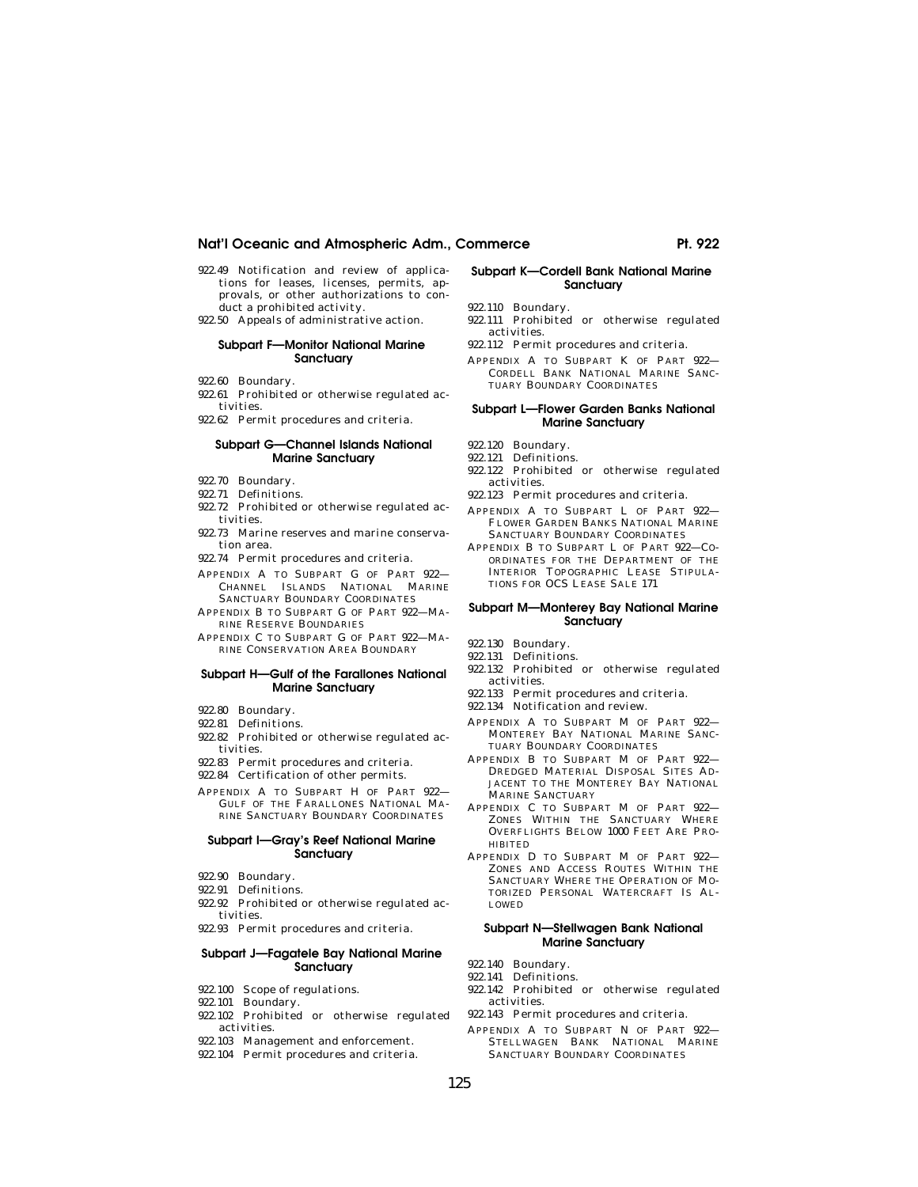922.49 Notification and review of applications for leases, licenses, permits, approvals, or other authorizations to conduct a prohibited activity.

922.50 Appeals of administrative action.

# **Subpart F—Monitor National Marine Sanctuary**

- 922.60 Boundary.
- 922.61 Prohibited or otherwise regulated activities.
- 922.62 Permit procedures and criteria.

# **Subpart G—Channel Islands National Marine Sanctuary**

- 922.70 Boundary.
- 922.71 Definitions.
- 922.72 Prohibited or otherwise regulated ac-
- tivities. 922.73 Marine reserves and marine conservation area.
- 922.74 Permit procedures and criteria.
- APPENDIX A TO SUBPART G OF PART 922— CHANNEL ISLANDS NATIONAL MARINE SANCTUARY BOUNDARY COORDINATES
- APPENDIX B TO SUBPART G OF PART 922—MA-RINE RESERVE BOUNDARIES
- APPENDIX C TO SUBPART G OF PART 922—MA-RINE CONSERVATION AREA BOUNDARY

## **Subpart H—Gulf of the Farallones National Marine Sanctuary**

- 922.80 Boundary.
- 922.81 Definitions.
- 922.82 Prohibited or otherwise regulated activities.
- 922.83 Permit procedures and criteria.
- 922.84 Certification of other permits.
- APPENDIX A TO SUBPART H OF PART 922— GULF OF THE FARALLONES NATIONAL MA-RINE SANCTUARY BOUNDARY COORDINATES

## **Subpart I—Gray's Reef National Marine Sanctuary**

- 922.90 Boundary.
- 922.91 Definitions.
- 922.92 Prohibited or otherwise regulated activities.
- 922.93 Permit procedures and criteria.

## **Subpart J—Fagatele Bay National Marine Sanctuary**

- 922.100 Scope of regulations.
- 922.101 Boundary.
- 922.102 Prohibited or otherwise regulated activities.
- 922.103 Management and enforcement.
- 922.104 Permit procedures and criteria.

### **Subpart K—Cordell Bank National Marine Sanctuary**

- 922.110 Boundary.
- 922.111 Prohibited or otherwise regulated activities.
- 922.112 Permit procedures and criteria.
- APPENDIX A TO SUBPART K OF PART 922— CORDELL BANK NATIONAL MARINE SANC-TUARY BOUNDARY COORDINATES

## **Subpart L—Flower Garden Banks National Marine Sanctuary**

- 922.120 Boundary.
- 922.121 Definitions.
- 922.122 Prohibited or otherwise regulated activities.
- 922.123 Permit procedures and criteria.
- APPENDIX A TO SUBPART L OF PART 922— FLOWER GARDEN BANKS NATIONAL MARINE SANCTUARY BOUNDARY COORDINATES
- APPENDIX B TO SUBPART L OF PART 922—CO-ORDINATES FOR THE DEPARTMENT OF THE INTERIOR TOPOGRAPHIC LEASE STIPULA-TIONS FOR OCS LEASE SALE 171

## **Subpart M—Monterey Bay National Marine Sanctuary**

- 922.130 Boundary.
- 922.131 Definitions.
- 922.132 Prohibited or otherwise regulated activities.
- 922.133 Permit procedures and criteria.
- 922.134 Notification and review.
- APPENDIX A TO SUBPART M OF PART 922— MONTEREY BAY NATIONAL MARINE SANC-TUARY BOUNDARY COORDINATES
- APPENDIX B TO SUBPART M OF PART 922— DREDGED MATERIAL DISPOSAL SITES AD-JACENT TO THE MONTEREY BAY NATIONAL MARINE SANCTUARY
- APPENDIX C TO SUBPART M OF PART 922— ZONES WITHIN THE SANCTUARY WHERE OVERFLIGHTS BELOW 1000 FEET ARE PRO-HIBITED
- APPENDIX D TO SUBPART M OF PART 922— ZONES AND ACCESS ROUTES WITHIN THE SANCTUARY WHERE THE OPERATION OF MO-TORIZED PERSONAL WATERCRAFT IS AL-LOWED

# **Subpart N—Stellwagen Bank National Marine Sanctuary**

- 922.140 Boundary.
- 922.141 Definitions.
- 922.142 Prohibited or otherwise regulated activities.
- 922.143 Permit procedures and criteria.
- APPENDIX A TO SUBPART N OF PART 922— STELLWAGEN BANK NATIONAL MARINE SANCTUARY BOUNDARY COORDINATES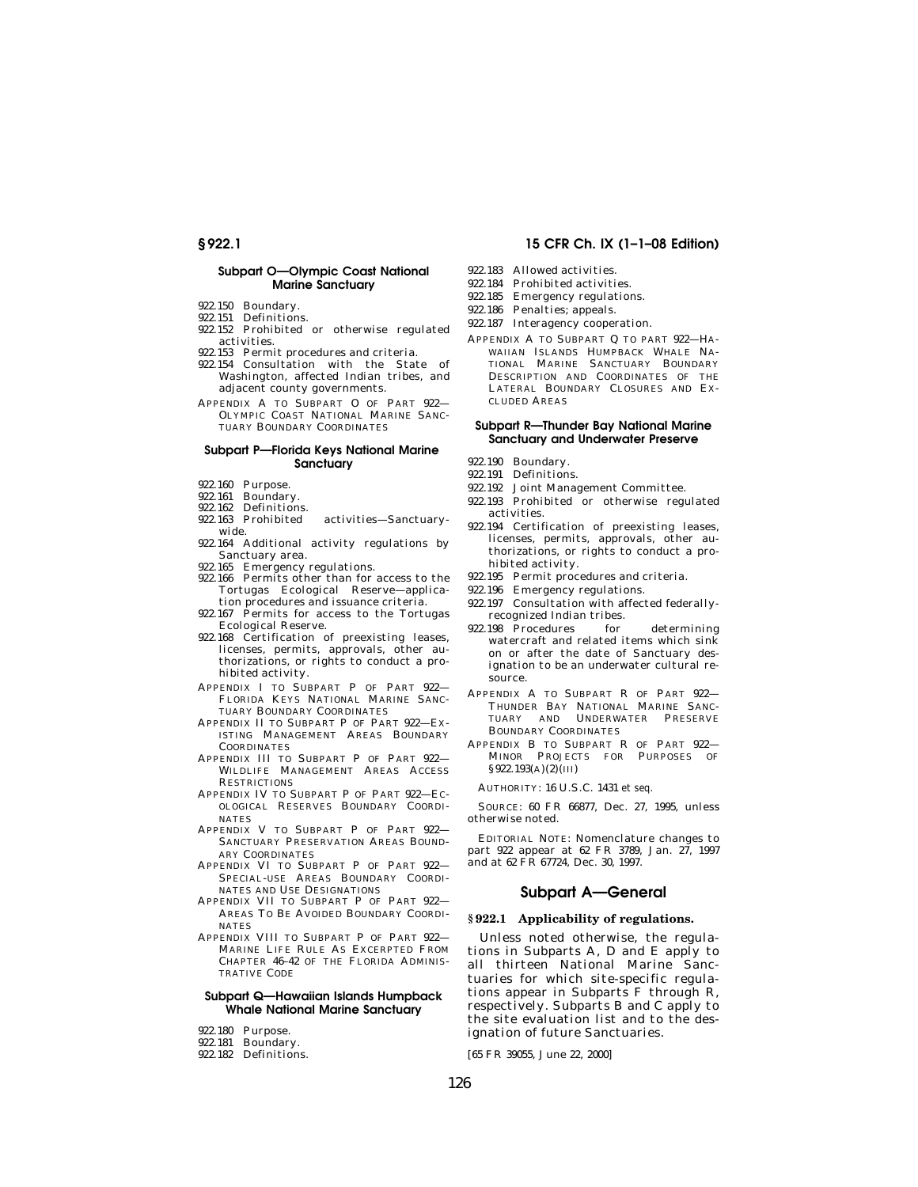## **Subpart O—Olympic Coast National Marine Sanctuary**

- 922.150 Boundary.
- 922.151 Definitions.
- 922.152 Prohibited or otherwise regulated activities.
- 922.153 Permit procedures and criteria.
- 922.154 Consultation with the State of Washington, affected Indian tribes, and adjacent county governments.
- APPENDIX A TO SUBPART O OF PART 922— OLYMPIC COAST NATIONAL MARINE SANC-TUARY BOUNDARY COORDINATES

## **Subpart P—Florida Keys National Marine Sanctuary**

- 922.160 Purpose.
- 922.161 Boundary.
- 922.162 Definitions
- 922.163 Prohibited activities—Sanctuarywide.
- 922.164 Additional activity regulations by Sanctuary area.
- 922.165 Emergency regulations.
- 922.166 Permits other than for access to the Tortugas Ecological Reserve—applica-
- tion procedures and issuance criteria. 922.167 Permits for access to the Tortugas Ecological Reserve.
- 922.168 Certification of preexisting leases, licenses, permits, approvals, other au-thorizations, or rights to conduct a prohibited activity.
- APPENDIX I TO SUBPART P OF PART 922— FLORIDA KEYS NATIONAL MARINE SANC-TUARY BOUNDARY COORDINATES
- APPENDIX II TO SUBPART P OF PART 922—EX-ISTING MANAGEMENT AREAS BOUNDARY COORDINATES
- APPENDIX III TO SUBPART P OF PART 922— WILDLIFE MANAGEMENT AREAS ACCESS **RESTRICTIONS**
- APPENDIX IV TO SUBPART P OF PART 922—EC-OLOGICAL RESERVES BOUNDARY COORDI-**NATES**
- APPENDIX V TO SUBPART P OF PART 922— SANCTUARY PRESERVATION AREAS BOUND-ARY COORDINATES
- APPENDIX VI TO SUBPART P OF PART 922— SPECIAL-USE AREAS BOUNDARY COORDI-NATES AND USE DESIGNATIONS
- APPENDIX VII TO SUBPART P OF PART 922— AREAS TO BE AVOIDED BOUNDARY COORDI-**NATES**
- APPENDIX VIII TO SUBPART P OF PART 922— MARINE LIFE RULE AS EXCERPTED FROM CHAPTER 46–42 OF THE FLORIDA ADMINIS-TRATIVE CODE

## **Subpart Q—Hawaiian Islands Humpback Whale National Marine Sanctuary**

- 922.180 Purpose.
- 922.181 Boundary. 922.182 Definitions.
- 

# **§ 922.1 15 CFR Ch. IX (1–1–08 Edition)**

- 922.183 Allowed activities.
- 922.184 Prohibited activities.
- 922.185 Emergency regulations.
- 922.186 Penalties; appeals.
- 922.187 Interagency cooperation.
- APPENDIX A TO SUBPART Q TO PART 922—HA-WAIIAN ISLANDS HUMPBACK WHALE NA-TIONAL MARINE SANCTUARY BOUNDARY DESCRIPTION AND COORDINATES OF THE LATERAL BOUNDARY CLOSURES AND EX-CLUDED AREAS

## **Subpart R—Thunder Bay National Marine Sanctuary and Underwater Preserve**

- 922.190 Boundary.
- 922.191 Definitions.
- 922.192 Joint Management Committee.
- 922.193 Prohibited or otherwise regulated activities.
- 922.194 Certification of preexisting leases, licenses, permits, approvals, other authorizations, or rights to conduct a prohibited activity.
- 922.195 Permit procedures and criteria.
- 922.196 Emergency regulations.
- 922.197 Consultation with affected federallyrecognized Indian tribes.
- 922.198 Procedures for determining watercraft and related items which sink on or after the date of Sanctuary designation to be an underwater cultural resource.
- APPENDIX A TO SUBPART R OF PART 922— THUNDER BAY NATIONAL MARINE SANC-TUARY AND UNDERWATER PRESERVE BOUNDARY COORDINATES
- APPENDIX B TO SUBPART R OF PART 922— MINOR PROJECTS FOR PURPOSES OF §922.193(A)(2)(III)

AUTHORITY: 16 U.S.C. 1431 *et seq.* 

SOURCE: 60 FR 66877, Dec. 27, 1995, unless otherwise noted.

EDITORIAL NOTE: Nomenclature changes to part 922 appear at 62 FR 3789, Jan. 27, 1997 and at 62 FR 67724, Dec. 30, 1997.

# **Subpart A—General**

# **§ 922.1 Applicability of regulations.**

Unless noted otherwise, the regulations in Subparts A, D and E apply to all thirteen National Marine Sanctuaries for which site-specific regulations appear in Subparts F through R, respectively. Subparts B and C apply to the site evaluation list and to the designation of future Sanctuaries.

[65 FR 39055, June 22, 2000]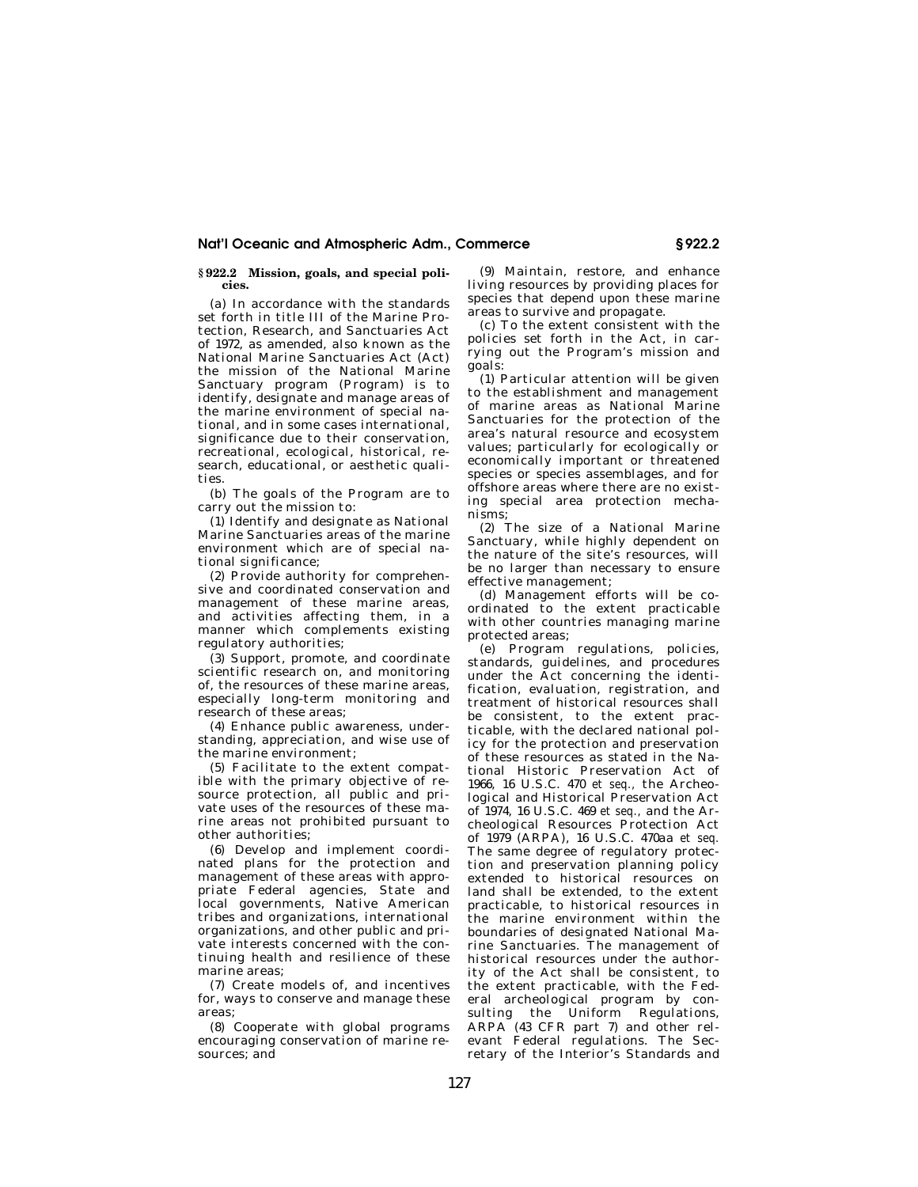## **§ 922.2 Mission, goals, and special policies.**

(a) In accordance with the standards set forth in title III of the Marine Protection, Research, and Sanctuaries Act of 1972, as amended, also known as the National Marine Sanctuaries Act (Act) the mission of the National Marine Sanctuary program (Program) is to identify, designate and manage areas of the marine environment of special national, and in some cases international, significance due to their conservation, recreational, ecological, historical, research, educational, or aesthetic qualities.

(b) The goals of the Program are to carry out the mission to:

(1) Identify and designate as National Marine Sanctuaries areas of the marine environment which are of special national significance;

(2) Provide authority for comprehensive and coordinated conservation and management of these marine areas, and activities affecting them, in a manner which complements existing regulatory authorities;

(3) Support, promote, and coordinate scientific research on, and monitoring of, the resources of these marine areas, especially long-term monitoring and research of these areas;

(4) Enhance public awareness, understanding, appreciation, and wise use of the marine environment;

(5) Facilitate to the extent compatible with the primary objective of resource protection, all public and private uses of the resources of these marine areas not prohibited pursuant to other authorities;

(6) Develop and implement coordinated plans for the protection and management of these areas with appropriate Federal agencies, State and local governments, Native American tribes and organizations, international organizations, and other public and private interests concerned with the continuing health and resilience of these marine areas;

(7) Create models of, and incentives for, ways to conserve and manage these areas;

(8) Cooperate with global programs encouraging conservation of marine resources; and

(9) Maintain, restore, and enhance living resources by providing places for species that depend upon these marine areas to survive and propagate.

(c) To the extent consistent with the policies set forth in the Act, in carrying out the Program's mission and goals:

(1) Particular attention will be given to the establishment and management of marine areas as National Marine Sanctuaries for the protection of the area's natural resource and ecosystem values; particularly for ecologically or economically important or threatened species or species assemblages, and for offshore areas where there are no existing special area protection mechanisms;

(2) The size of a National Marine Sanctuary, while highly dependent on the nature of the site's resources, will be no larger than necessary to ensure effective management;

(d) Management efforts will be coordinated to the extent practicable with other countries managing marine protected areas;

(e) Program regulations, policies, standards, guidelines, and procedures under the Act concerning the identification, evaluation, registration, and treatment of historical resources shall be consistent, to the extent practicable, with the declared national policy for the protection and preservation of these resources as stated in the National Historic Preservation Act of 1966, 16 U.S.C. 470 *et seq.,* the Archeological and Historical Preservation Act of 1974, 16 U.S.C. 469 *et seq.,* and the Archeological Resources Protection Act of 1979 (ARPA), 16 U.S.C. 470aa *et seq.*  The same degree of regulatory protection and preservation planning policy extended to historical resources on land shall be extended, to the extent practicable, to historical resources in the marine environment within the boundaries of designated National Marine Sanctuaries. The management of historical resources under the authority of the Act shall be consistent, to the extent practicable, with the Federal archeological program by consulting the Uniform Regulations, ARPA (43 CFR part 7) and other relevant Federal regulations. The Secretary of the Interior's Standards and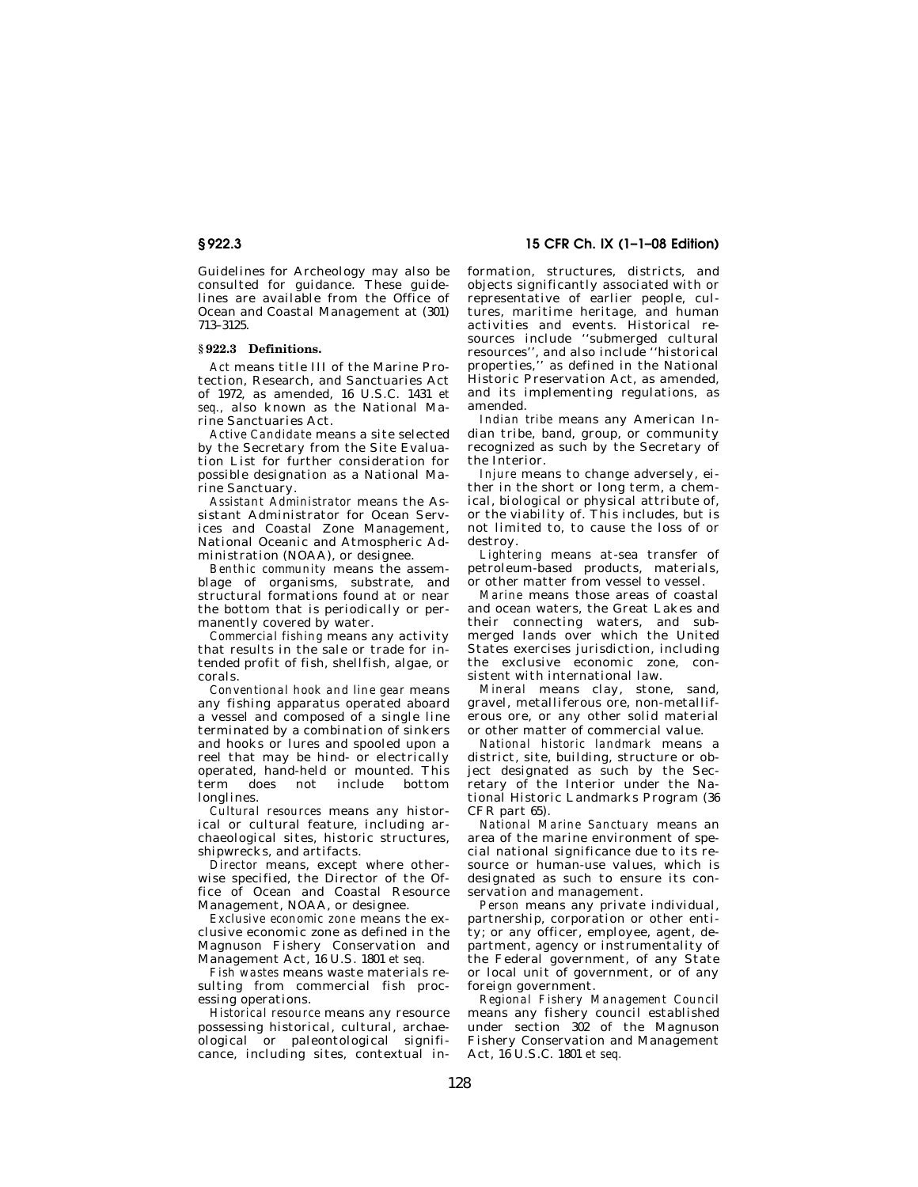Guidelines for Archeology may also be consulted for guidance. These guidelines are available from the Office of Ocean and Coastal Management at (301) 713–3125.

## **§ 922.3 Definitions.**

*Act* means title III of the Marine Protection, Research, and Sanctuaries Act of 1972, as amended, 16 U.S.C. 1431 *et seq.,* also known as the National Marine Sanctuaries Act.

*Active Candidate* means a site selected by the Secretary from the Site Evaluation List for further consideration for possible designation as a National Marine Sanctuary.

*Assistant Administrator* means the Assistant Administrator for Ocean Services and Coastal Zone Management, National Oceanic and Atmospheric Administration (NOAA), or designee.

*Benthic community* means the assemblage of organisms, substrate, and structural formations found at or near the bottom that is periodically or permanently covered by water.

*Commercial fishing* means any activity that results in the sale or trade for intended profit of fish, shellfish, algae, or corals.

*Conventional hook and line gear* means any fishing apparatus operated aboard a vessel and composed of a single line terminated by a combination of sinkers and hooks or lures and spooled upon a reel that may be hind- or electrically operated, hand-held or mounted. This term does not include bottom longlines.

*Cultural resources* means any historical or cultural feature, including archaeological sites, historic structures, shipwrecks, and artifacts.

*Director* means, except where otherwise specified, the Director of the Office of Ocean and Coastal Resource Management, NOAA, or designee.

*Exclusive economic zone* means the exclusive economic zone as defined in the Magnuson Fishery Conservation and Management Act, 16 U.S. 1801 *et seq.* 

*Fish wastes* means waste materials resulting from commercial fish processing operations.

*Historical resource* means any resource possessing historical, cultural, archaeological or paleontological significance, including sites, contextual in-

**§ 922.3 15 CFR Ch. IX (1–1–08 Edition)** 

formation, structures, districts, and objects significantly associated with or representative of earlier people, cultures, maritime heritage, and human activities and events. Historical resources include ''submerged cultural resources'', and also include ''historical properties,'' as defined in the National Historic Preservation Act, as amended, and its implementing regulations, as amended.

*Indian tribe* means any American Indian tribe, band, group, or community recognized as such by the Secretary of the Interior.

*Injure* means to change adversely, either in the short or long term, a chemical, biological or physical attribute of, or the viability of. This includes, but is not limited to, to cause the loss of or destroy.

*Lightering* means at-sea transfer of petroleum-based products, materials, or other matter from vessel to vessel.

*Marine* means those areas of coastal and ocean waters, the Great Lakes and their connecting waters, and submerged lands over which the United States exercises jurisdiction, including the exclusive economic zone, consistent with international law.

*Mineral* means clay, stone, sand, gravel, metalliferous ore, non-metalliferous ore, or any other solid material or other matter of commercial value.

*National historic landmark* means a district, site, building, structure or object designated as such by the Secretary of the Interior under the National Historic Landmarks Program (36 CFR part 65).

*National Marine Sanctuary* means an area of the marine environment of special national significance due to its resource or human-use values, which is designated as such to ensure its conservation and management.

*Person* means any private individual, partnership, corporation or other entity; or any officer, employee, agent, department, agency or instrumentality of the Federal government, of any State or local unit of government, or of any foreign government.

*Regional Fishery Management Council*  means any fishery council established under section 302 of the Magnuson Fishery Conservation and Management Act, 16 U.S.C. 1801 *et seq.*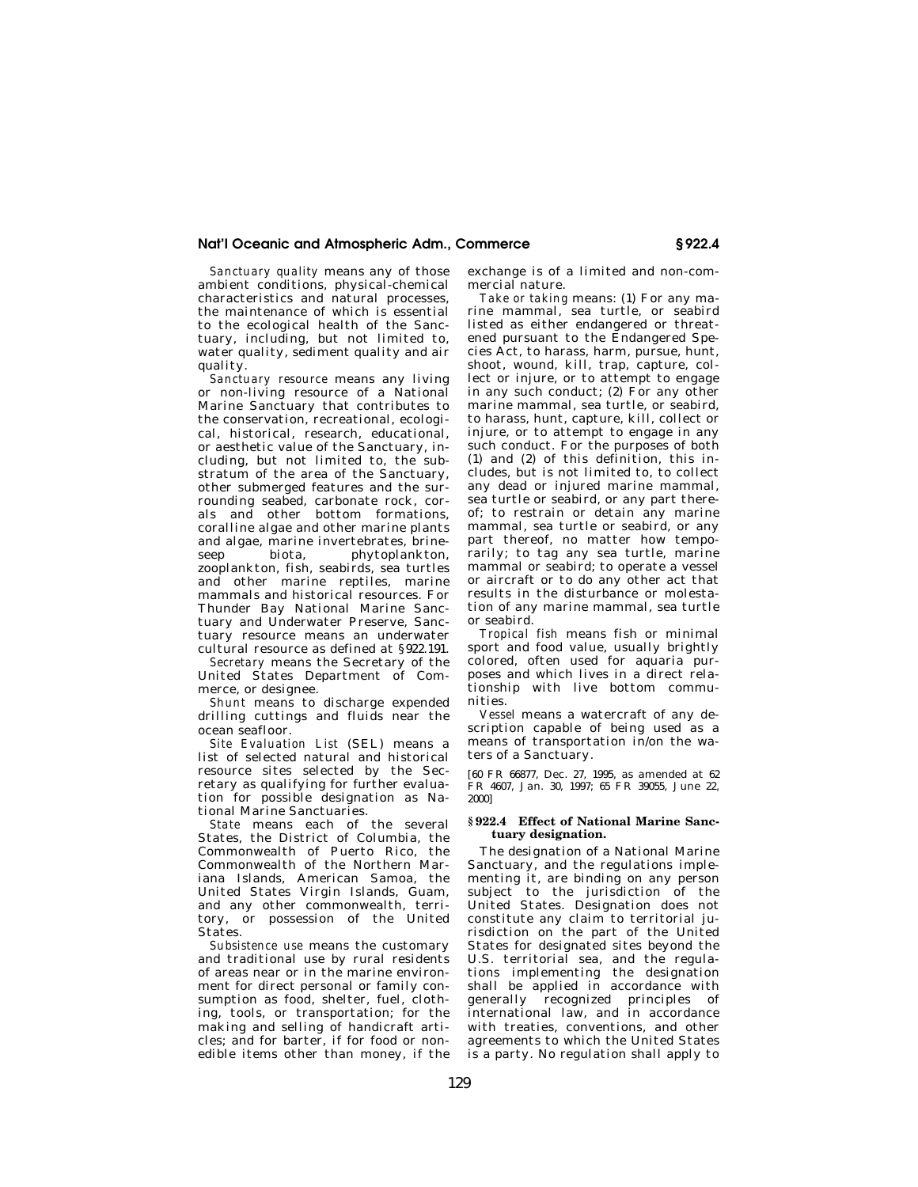*Sanctuary quality* means any of those ambient conditions, physical-chemical characteristics and natural processes, the maintenance of which is essential to the ecological health of the Sanctuary, including, but not limited to, water quality, sediment quality and air quality.

*Sanctuary resource* means any living or non-living resource of a National Marine Sanctuary that contributes to the conservation, recreational, ecological, historical, research, educational, or aesthetic value of the Sanctuary, including, but not limited to, the substratum of the area of the Sanctuary, other submerged features and the surrounding seabed, carbonate rock, corals and other bottom formations, coralline algae and other marine plants and algae, marine invertebrates, brine-<br>seep biota, phytoplankton, seep biota, phytoplankton, zooplankton, fish, seabirds, sea turtles and other marine reptiles, marine mammals and historical resources. For Thunder Bay National Marine Sanctuary and Underwater Preserve, Sanctuary resource means an underwater cultural resource as defined at §922.191.

*Secretary* means the Secretary of the United States Department of Commerce, or designee.

*Shunt* means to discharge expended drilling cuttings and fluids near the ocean seafloor.

*Site Evaluation List* (SEL) means a list of selected natural and historical resource sites selected by the Secretary as qualifying for further evaluation for possible designation as National Marine Sanctuaries.

*State* means each of the several States, the District of Columbia, the Commonwealth of Puerto Rico, the Commonwealth of the Northern Mariana Islands, American Samoa, the United States Virgin Islands, Guam, and any other commonwealth, territory, or possession of the United States.

*Subsistence use* means the customary and traditional use by rural residents of areas near or in the marine environment for direct personal or family consumption as food, shelter, fuel, clothing, tools, or transportation; for the making and selling of handicraft articles; and for barter, if for food or nonedible items other than money, if the

exchange is of a limited and non-commercial nature.

*Take or taking* means: (1) For any marine mammal, sea turtle, or seabird listed as either endangered or threatened pursuant to the Endangered Species Act, to harass, harm, pursue, hunt, shoot, wound, kill, trap, capture, collect or injure, or to attempt to engage in any such conduct; (2) For any other marine mammal, sea turtle, or seabird, to harass, hunt, capture, kill, collect or injure, or to attempt to engage in any such conduct. For the purposes of both (1) and (2) of this definition, this includes, but is not limited to, to collect any dead or injured marine mammal, sea turtle or seabird, or any part thereof; to restrain or detain any marine mammal, sea turtle or seabird, or any part thereof, no matter how temporarily; to tag any sea turtle, marine mammal or seabird; to operate a vessel or aircraft or to do any other act that results in the disturbance or molestation of any marine mammal, sea turtle or seabird.

*Tropical fish* means fish or minimal sport and food value, usually brightly colored, often used for aquaria purposes and which lives in a direct relationship with live bottom communities.

*Vessel* means a watercraft of any description capable of being used as a means of transportation in/on the waters of a Sanctuary.

[60 FR 66877, Dec. 27, 1995, as amended at 62 FR 4607, Jan. 30, 1997; 65 FR 39055, June 22, 2000]

## **§ 922.4 Effect of National Marine Sanctuary designation.**

The designation of a National Marine Sanctuary, and the regulations implementing it, are binding on any person subject to the jurisdiction of the United States. Designation does not constitute any claim to territorial jurisdiction on the part of the United States for designated sites beyond the U.S. territorial sea, and the regulations implementing the designation shall be applied in accordance with generally recognized principles of international law, and in accordance with treaties, conventions, and other agreements to which the United States is a party. No regulation shall apply to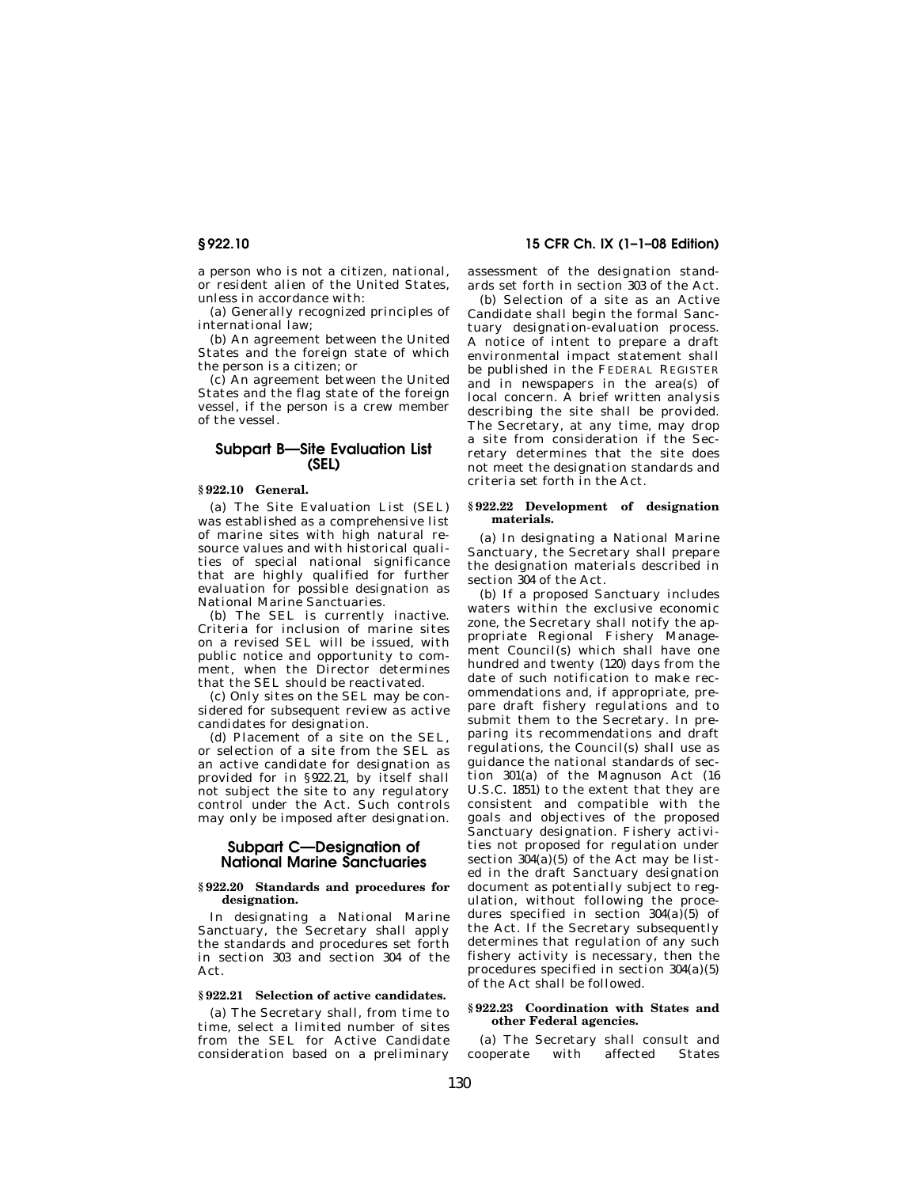a person who is not a citizen, national, or resident alien of the United States, unless in accordance with:

(a) Generally recognized principles of international law;

(b) An agreement between the United States and the foreign state of which the person is a citizen; or

(c) An agreement between the United States and the flag state of the foreign vessel, if the person is a crew member of the vessel.

# **Subpart B—Site Evaluation List (SEL)**

# **§ 922.10 General.**

(a) The Site Evaluation List (SEL) was established as a comprehensive list of marine sites with high natural resource values and with historical qualities of special national significance that are highly qualified for further evaluation for possible designation as National Marine Sanctuaries.

(b) The SEL is currently inactive. Criteria for inclusion of marine sites on a revised SEL will be issued, with public notice and opportunity to comment, when the Director determines that the SEL should be reactivated.

(c) Only sites on the SEL may be considered for subsequent review as active candidates for designation.

(d) Placement of a site on the SEL, or selection of a site from the SEL as an active candidate for designation as provided for in §922.21, by itself shall not subject the site to any regulatory control under the Act. Such controls may only be imposed after designation.

# **Subpart C—Designation of National Marine Sanctuaries**

## **§ 922.20 Standards and procedures for designation.**

In designating a National Marine Sanctuary, the Secretary shall apply the standards and procedures set forth in section 303 and section 304 of the Act.

## **§ 922.21 Selection of active candidates.**

(a) The Secretary shall, from time to time, select a limited number of sites from the SEL for Active Candidate consideration based on a preliminary

**§ 922.10 15 CFR Ch. IX (1–1–08 Edition)** 

assessment of the designation standards set forth in section 303 of the Act.

(b) Selection of a site as an Active Candidate shall begin the formal Sanctuary designation-evaluation process. A notice of intent to prepare a draft environmental impact statement shall be published in the FEDERAL REGISTER and in newspapers in the area(s) of local concern. A brief written analysis describing the site shall be provided. The Secretary, at any time, may drop a site from consideration if the Secretary determines that the site does not meet the designation standards and criteria set forth in the Act.

## **§ 922.22 Development of designation materials.**

(a) In designating a National Marine Sanctuary, the Secretary shall prepare the designation materials described in section 304 of the Act.

(b) If a proposed Sanctuary includes waters within the exclusive economic zone, the Secretary shall notify the appropriate Regional Fishery Management Council(s) which shall have one hundred and twenty (120) days from the date of such notification to make recommendations and, if appropriate, prepare draft fishery regulations and to submit them to the Secretary. In preparing its recommendations and draft regulations, the Council(s) shall use as guidance the national standards of section 301(a) of the Magnuson Act (16 U.S.C. 1851) to the extent that they are consistent and compatible with the goals and objectives of the proposed Sanctuary designation. Fishery activities not proposed for regulation under section  $304(a)(5)$  of the Act may be listed in the draft Sanctuary designation document as potentially subject to regulation, without following the procedures specified in section  $304(a)(5)$  of the Act. If the Secretary subsequently determines that regulation of any such fishery activity is necessary, then the procedures specified in section 304(a)(5) of the Act shall be followed.

## **§ 922.23 Coordination with States and other Federal agencies.**

(a) The Secretary shall consult and cooperate with affected States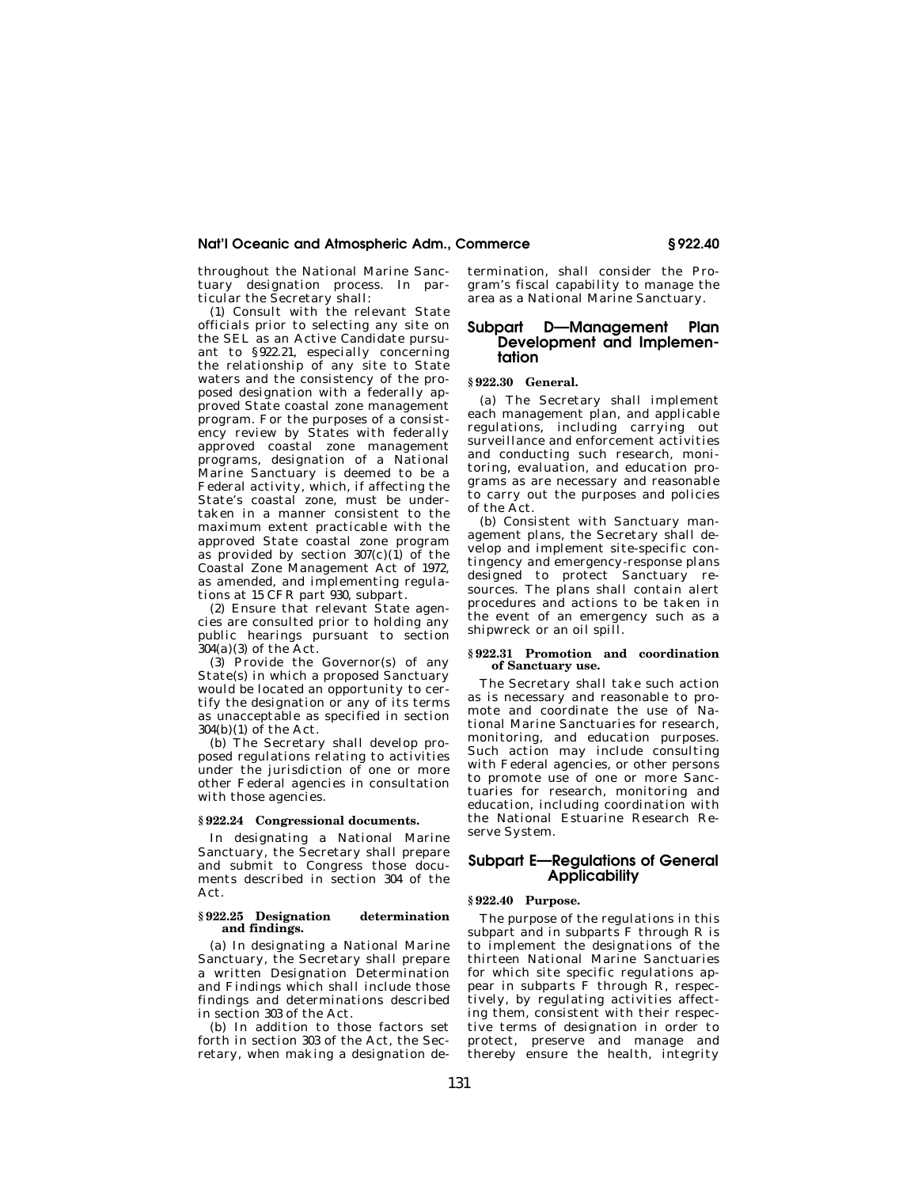throughout the National Marine Sanctuary designation process. In particular the Secretary shall:

(1) Consult with the relevant State officials prior to selecting any site on the SEL as an Active Candidate pursuant to §922.21, especially concerning the relationship of any site to State waters and the consistency of the proposed designation with a federally approved State coastal zone management program. For the purposes of a consistency review by States with federally approved coastal zone management programs, designation of a National Marine Sanctuary is deemed to be a Federal activity, which, if affecting the State's coastal zone, must be undertaken in a manner consistent to the maximum extent practicable with the approved State coastal zone program as provided by section  $307(c)(1)$  of the Coastal Zone Management Act of 1972, as amended, and implementing regulations at 15 CFR part 930, subpart.

(2) Ensure that relevant State agencies are consulted prior to holding any public hearings pursuant to section  $304(a)(3)$  of the Act.

(3) Provide the Governor(s) of any State(s) in which a proposed Sanctuary would be located an opportunity to certify the designation or any of its terms as unacceptable as specified in section 304(b)(1) of the Act.

(b) The Secretary shall develop proposed regulations relating to activities under the jurisdiction of one or more other Federal agencies in consultation with those agencies.

### **§ 922.24 Congressional documents.**

In designating a National Marine Sanctuary, the Secretary shall prepare and submit to Congress those documents described in section 304 of the Act.

# **§ 922.25 Designation determination and findings.**

(a) In designating a National Marine Sanctuary, the Secretary shall prepare a written Designation Determination and Findings which shall include those findings and determinations described in section 303 of the Act.

(b) In addition to those factors set forth in section 303 of the Act, the Secretary, when making a designation de-

termination, shall consider the Program's fiscal capability to manage the area as a National Marine Sanctuary.

# **Subpart D—Management Plan Development and Implementation**

#### **§ 922.30 General.**

(a) The Secretary shall implement each management plan, and applicable regulations, including carrying out surveillance and enforcement activities and conducting such research, monitoring, evaluation, and education programs as are necessary and reasonable to carry out the purposes and policies of the Act.

(b) Consistent with Sanctuary management plans, the Secretary shall develop and implement site-specific contingency and emergency-response plans designed to protect Sanctuary resources. The plans shall contain alert procedures and actions to be taken in the event of an emergency such as a shipwreck or an oil spill.

## **§ 922.31 Promotion and coordination of Sanctuary use.**

The Secretary shall take such action as is necessary and reasonable to promote and coordinate the use of National Marine Sanctuaries for research, monitoring, and education purposes. Such action may include consulting with Federal agencies, or other persons to promote use of one or more Sanctuaries for research, monitoring and education, including coordination with the National Estuarine Research Reserve System.

# **Subpart E—Regulations of General Applicability**

#### **§ 922.40 Purpose.**

The purpose of the regulations in this subpart and in subparts F through R is to implement the designations of the thirteen National Marine Sanctuaries for which site specific regulations appear in subparts F through R, respectively, by regulating activities affecting them, consistent with their respective terms of designation in order to protect, preserve and manage and thereby ensure the health, integrity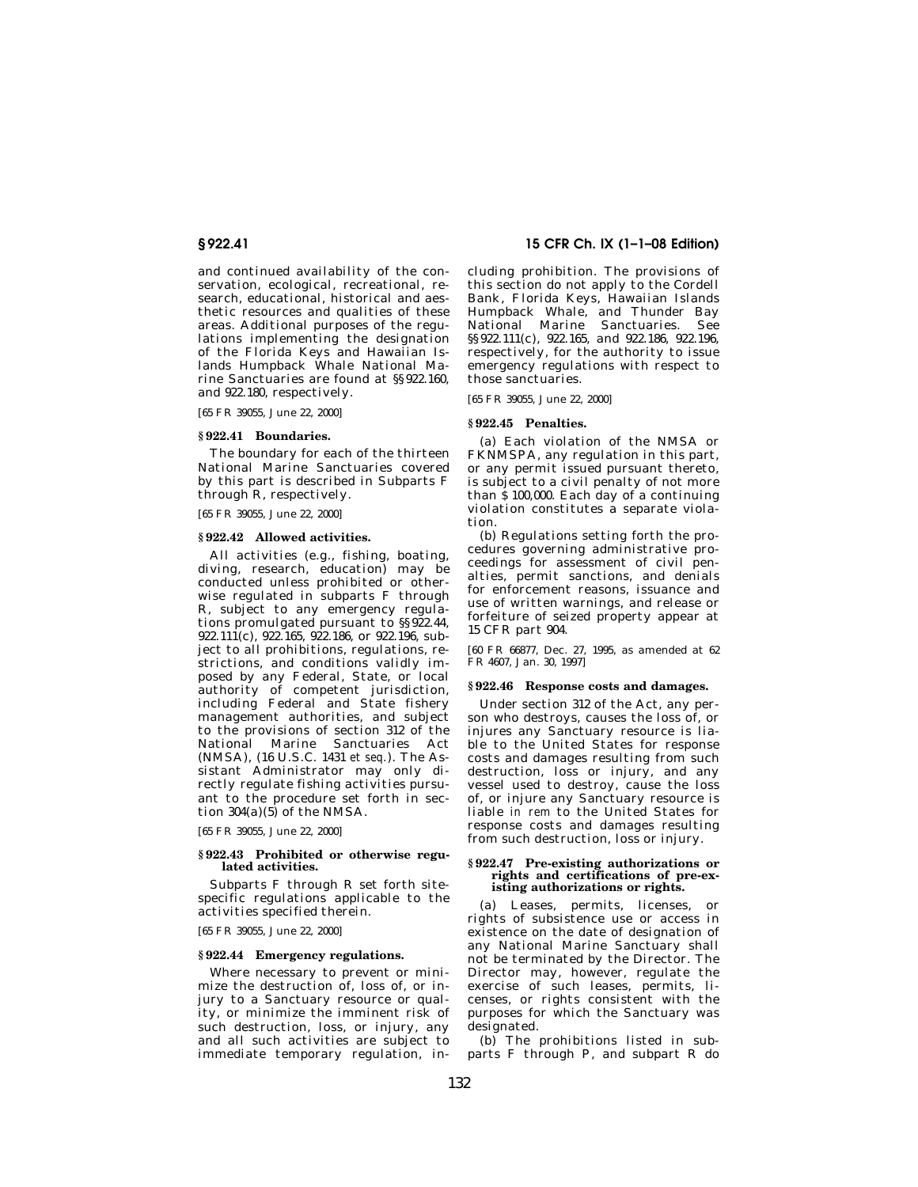and continued availability of the conservation, ecological, recreational, research, educational, historical and aesthetic resources and qualities of these areas. Additional purposes of the regulations implementing the designation of the Florida Keys and Hawaiian Islands Humpback Whale National Marine Sanctuaries are found at §§922.160, and 922.180, respectively.

[65 FR 39055, June 22, 2000]

#### **§ 922.41 Boundaries.**

The boundary for each of the thirteen National Marine Sanctuaries covered by this part is described in Subparts F through R, respectively.

[65 FR 39055, June 22, 2000]

## **§ 922.42 Allowed activities.**

All activities (e.g., fishing, boating, diving, research, education) may be conducted unless prohibited or otherwise regulated in subparts F through R, subject to any emergency regulations promulgated pursuant to §§922.44, 922.111(c), 922.165, 922.186, or 922.196, subject to all prohibitions, regulations, restrictions, and conditions validly imposed by any Federal, State, or local authority of competent jurisdiction, including Federal and State fishery management authorities, and subject to the provisions of section 312 of the National Marine Sanctuaries Act (NMSA), (16 U.S.C. 1431 *et seq.*). The Assistant Administrator may only directly regulate fishing activities pursuant to the procedure set forth in section  $304(a)(5)$  of the NMSA.

[65 FR 39055, June 22, 2000]

### **§ 922.43 Prohibited or otherwise regulated activities.**

Subparts F through R set forth sitespecific regulations applicable to the activities specified therein.

[65 FR 39055, June 22, 2000]

## **§ 922.44 Emergency regulations.**

Where necessary to prevent or minimize the destruction of, loss of, or injury to a Sanctuary resource or quality, or minimize the imminent risk of such destruction, loss, or injury, any and all such activities are subject to immediate temporary regulation, in-

**§ 922.41 15 CFR Ch. IX (1–1–08 Edition)** 

cluding prohibition. The provisions of this section do not apply to the Cordell Bank, Florida Keys, Hawaiian Islands Humpback Whale, and Thunder Bay National Marine Sanctuaries. §§922.111(c), 922.165, and 922.186, 922.196. respectively, for the authority to issue emergency regulations with respect to those sanctuaries.

[65 FR 39055, June 22, 2000]

## **§ 922.45 Penalties.**

(a) Each violation of the NMSA or FKNMSPA, any regulation in this part, or any permit issued pursuant thereto. is subject to a civil penalty of not more than  $\check{S}$  100,000. Each day of a continuing violation constitutes a separate violation.

(b) Regulations setting forth the procedures governing administrative proceedings for assessment of civil penalties, permit sanctions, and denials for enforcement reasons, issuance and use of written warnings, and release or forfeiture of seized property appear at 15 CFR part 904.

[60 FR 66877, Dec. 27, 1995, as amended at 62 FR 4607, Jan. 30, 1997]

## **§ 922.46 Response costs and damages.**

Under section 312 of the Act, any person who destroys, causes the loss of, or injures any Sanctuary resource is liable to the United States for response costs and damages resulting from such destruction, loss or injury, and any vessel used to destroy, cause the loss of, or injure any Sanctuary resource is liable *in rem* to the United States for response costs and damages resulting from such destruction, loss or injury.

#### **§ 922.47 Pre-existing authorizations or rights and certifications of pre-existing authorizations or rights.**

(a) Leases, permits, licenses, or rights of subsistence use or access in existence on the date of designation of any National Marine Sanctuary shall not be terminated by the Director. The Director may, however, regulate the exercise of such leases, permits, licenses, or rights consistent with the purposes for which the Sanctuary was designated.

(b) The prohibitions listed in subparts F through P, and subpart R do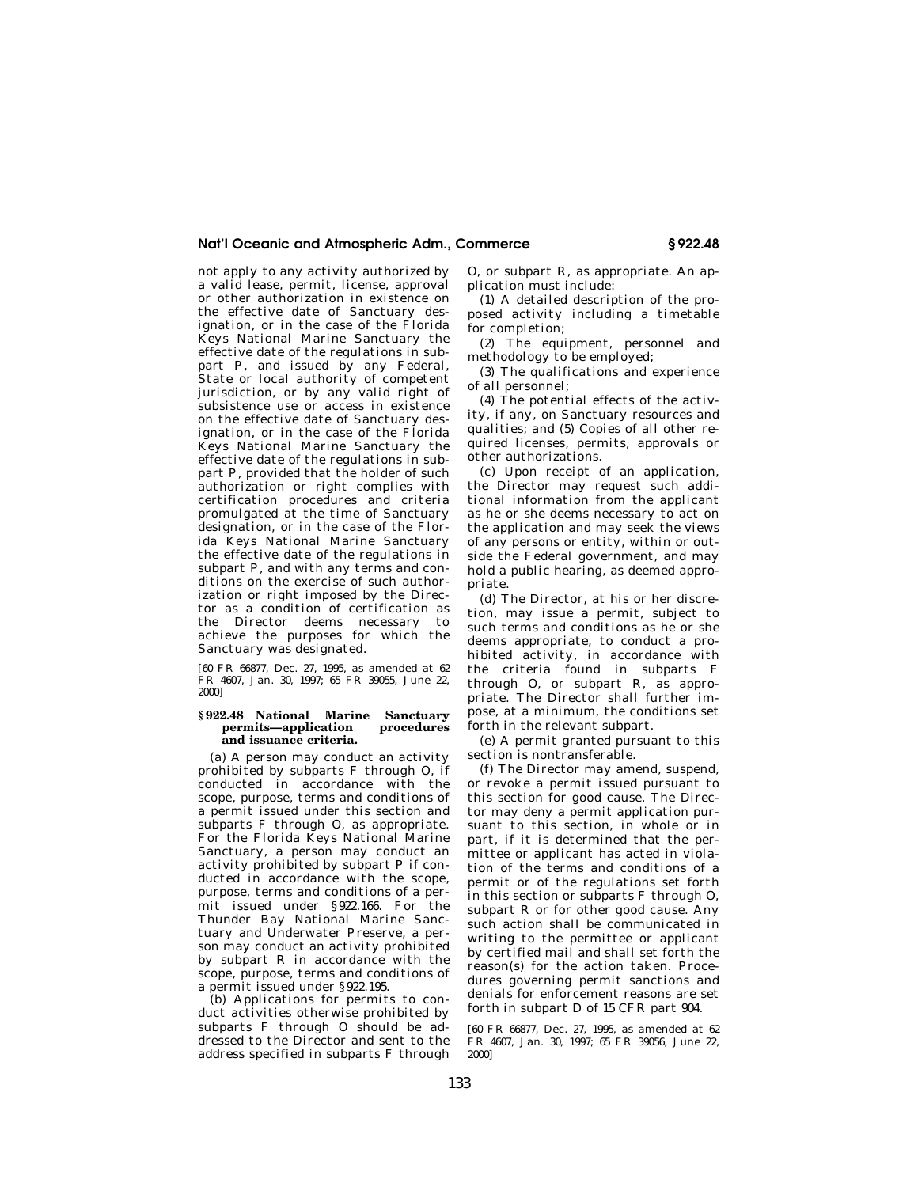not apply to any activity authorized by a valid lease, permit, license, approval or other authorization in existence on the effective date of Sanctuary designation, or in the case of the Florida Keys National Marine Sanctuary the effective date of the regulations in subpart P, and issued by any Federal, State or local authority of competent jurisdiction, or by any valid right of subsistence use or access in existence on the effective date of Sanctuary designation, or in the case of the Florida Keys National Marine Sanctuary the effective date of the regulations in subpart P, provided that the holder of such authorization or right complies with certification procedures and criteria promulgated at the time of Sanctuary designation, or in the case of the Florida Keys National Marine Sanctuary the effective date of the regulations in subpart P, and with any terms and conditions on the exercise of such authorization or right imposed by the Director as a condition of certification as the Director deems necessary to achieve the purposes for which the Sanctuary was designated.

[60 FR 66877, Dec. 27, 1995, as amended at 62 FR 4607, Jan. 30, 1997; 65 FR 39055, June 22, 2000]

#### **§ 922.48 National Marine Sanctuary**   $permits—application$ **and issuance criteria.**

(a) A person may conduct an activity prohibited by subparts F through O, if conducted in accordance with the scope, purpose, terms and conditions of a permit issued under this section and subparts F through O, as appropriate. For the Florida Keys National Marine Sanctuary, a person may conduct an activity prohibited by subpart P if conducted in accordance with the scope, purpose, terms and conditions of a permit issued under §922.166. For the Thunder Bay National Marine Sanctuary and Underwater Preserve, a person may conduct an activity prohibited by subpart R in accordance with the scope, purpose, terms and conditions of a permit issued under §922.195.

(b) Applications for permits to conduct activities otherwise prohibited by subparts F through O should be addressed to the Director and sent to the address specified in subparts F through O, or subpart R, as appropriate. An application must include:

(1) A detailed description of the proposed activity including a timetable for completion;

(2) The equipment, personnel and methodology to be employed;

(3) The qualifications and experience of all personnel;

(4) The potential effects of the activity, if any, on Sanctuary resources and qualities; and (5) Copies of all other required licenses, permits, approvals or other authorizations.

(c) Upon receipt of an application, the Director may request such additional information from the applicant as he or she deems necessary to act on the application and may seek the views of any persons or entity, within or outside the Federal government, and may hold a public hearing, as deemed appropriate.

(d) The Director, at his or her discretion, may issue a permit, subject to such terms and conditions as he or she deems appropriate, to conduct a prohibited activity, in accordance with the criteria found in subparts F through O, or subpart R, as appropriate. The Director shall further impose, at a minimum, the conditions set forth in the relevant subpart.

(e) A permit granted pursuant to this section is nontransferable.

(f) The Director may amend, suspend, or revoke a permit issued pursuant to this section for good cause. The Director may deny a permit application pursuant to this section, in whole or in part, if it is determined that the permittee or applicant has acted in violation of the terms and conditions of a permit or of the regulations set forth in this section or subparts F through O, subpart R or for other good cause. Any such action shall be communicated in writing to the permittee or applicant by certified mail and shall set forth the reason(s) for the action taken. Procedures governing permit sanctions and denials for enforcement reasons are set forth in subpart D of 15 CFR part 904.

[60 FR 66877, Dec. 27, 1995, as amended at 62 FR 4607, Jan. 30, 1997; 65 FR 39056, June 22, 2000]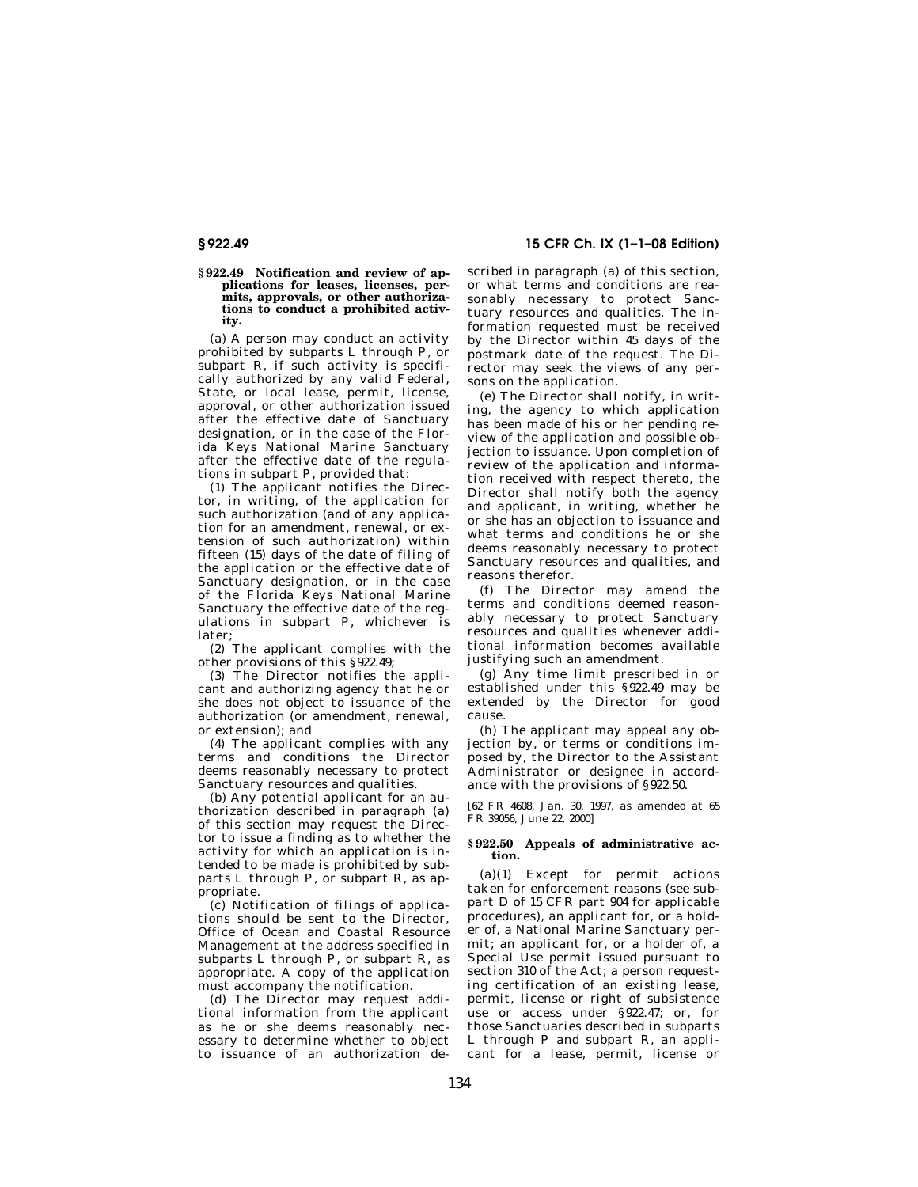### **§ 922.49 Notification and review of applications for leases, licenses, permits, approvals, or other authorizations to conduct a prohibited activity.**

(a) A person may conduct an activity prohibited by subparts L through P, or subpart R, if such activity is specifically authorized by any valid Federal, State, or local lease, permit, license, approval, or other authorization issued after the effective date of Sanctuary designation, or in the case of the Florida Keys National Marine Sanctuary after the effective date of the regulations in subpart P, provided that:

(1) The applicant notifies the Director, in writing, of the application for such authorization (and of any application for an amendment, renewal, or extension of such authorization) within fifteen (15) days of the date of filing of the application or the effective date of Sanctuary designation, or in the case of the Florida Keys National Marine Sanctuary the effective date of the regulations in subpart P, whichever is later;

(2) The applicant complies with the other provisions of this §922.49;

(3) The Director notifies the applicant and authorizing agency that he or she does not object to issuance of the authorization (or amendment, renewal, or extension); and

(4) The applicant complies with any terms and conditions the Director deems reasonably necessary to protect Sanctuary resources and qualities.

(b) Any potential applicant for an authorization described in paragraph (a) of this section may request the Director to issue a finding as to whether the activity for which an application is intended to be made is prohibited by subparts L through P, or subpart R, as appropriate.

(c) Notification of filings of applications should be sent to the Director, Office of Ocean and Coastal Resource Management at the address specified in subparts L through P, or subpart R, as appropriate. A copy of the application must accompany the notification.

(d) The Director may request additional information from the applicant as he or she deems reasonably necessary to determine whether to object to issuance of an authorization de-

**§ 922.49 15 CFR Ch. IX (1–1–08 Edition)** 

scribed in paragraph (a) of this section, or what terms and conditions are reasonably necessary to protect Sanctuary resources and qualities. The information requested must be received by the Director within 45 days of the postmark date of the request. The Director may seek the views of any persons on the application.

(e) The Director shall notify, in writing, the agency to which application has been made of his or her pending review of the application and possible objection to issuance. Upon completion of review of the application and information received with respect thereto, the Director shall notify both the agency and applicant, in writing, whether he or she has an objection to issuance and what terms and conditions he or she deems reasonably necessary to protect Sanctuary resources and qualities, and reasons therefor.

(f) The Director may amend the terms and conditions deemed reasonably necessary to protect Sanctuary resources and qualities whenever additional information becomes available justifying such an amendment.

(g) Any time limit prescribed in or established under this §922.49 may be extended by the Director for good cause.

(h) The applicant may appeal any objection by, or terms or conditions imposed by, the Director to the Assistant Administrator or designee in accordance with the provisions of §922.50.

[62 FR 4608, Jan. 30, 1997, as amended at 65 FR 39056, June 22, 2000]

## **§ 922.50 Appeals of administrative action.**

(a)(1) Except for permit actions taken for enforcement reasons (see subpart D of 15 CFR part 904 for applicable procedures), an applicant for, or a holder of, a National Marine Sanctuary permit; an applicant for, or a holder of, a Special Use permit issued pursuant to section 310 of the Act; a person requesting certification of an existing lease, permit, license or right of subsistence use or access under §922.47; or, for those Sanctuaries described in subparts L through P and subpart R, an applicant for a lease, permit, license or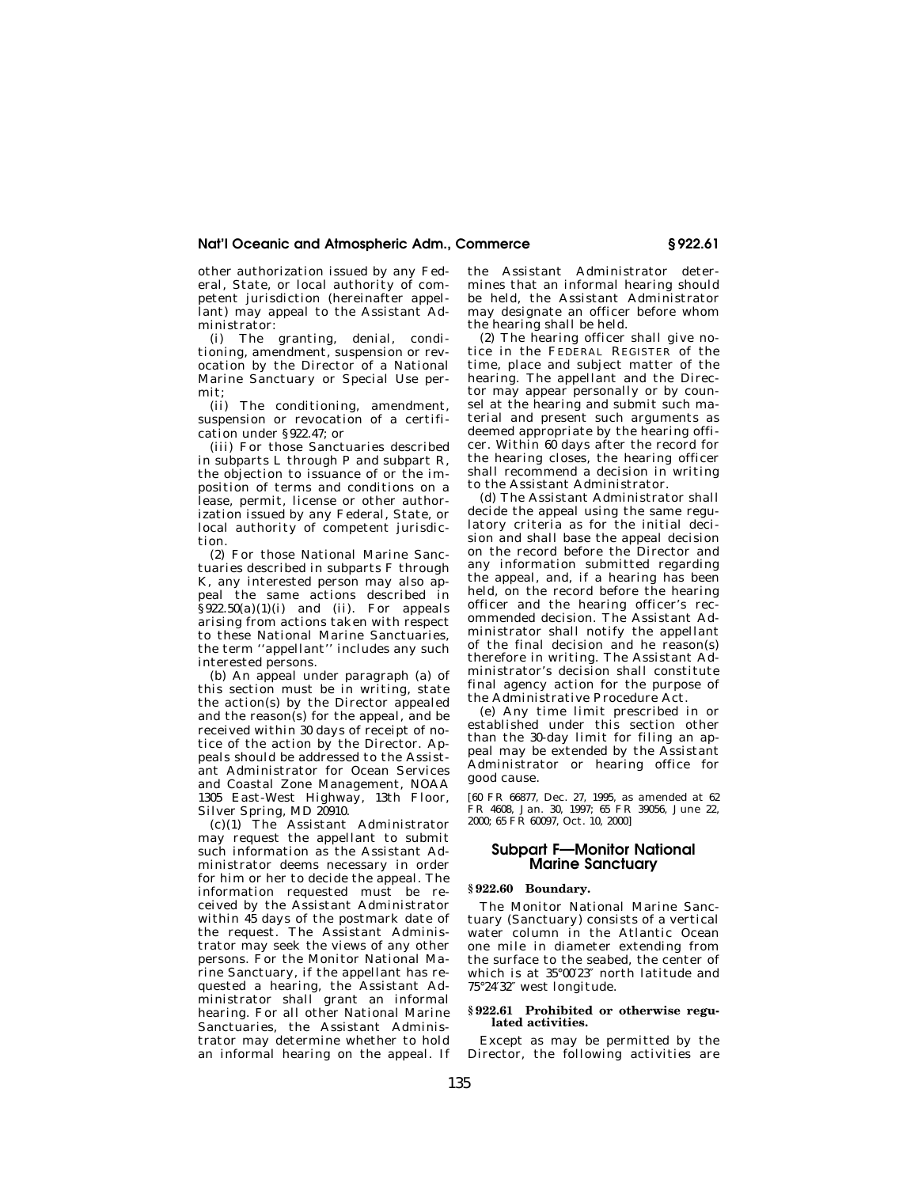other authorization issued by any Federal, State, or local authority of competent jurisdiction (hereinafter appellant) may appeal to the Assistant Administrator:

(i) The granting, denial, conditioning, amendment, suspension or revocation by the Director of a National Marine Sanctuary or Special Use permit;

(ii) The conditioning, amendment, suspension or revocation of a certifi $cation$  under  $$922.47$ ; or

(iii) For those Sanctuaries described in subparts L through P and subpart R, the objection to issuance of or the imposition of terms and conditions on a lease, permit, license or other authorization issued by any Federal, State, or local authority of competent jurisdiction.

(2) For those National Marine Sanctuaries described in subparts F through K, any interested person may also appeal the same actions described in  $\S 922.50(a)(1)(i)$  and (ii). For appeals arising from actions taken with respect to these National Marine Sanctuaries, the term ''appellant'' includes any such interested persons.

(b) An appeal under paragraph (a) of this section must be in writing, state the action(s) by the Director appealed and the reason(s) for the appeal, and be received within 30 days of receipt of notice of the action by the Director. Appeals should be addressed to the Assistant Administrator for Ocean Services and Coastal Zone Management, NOAA 1305 East-West Highway, 13th Floor, Silver Spring, MD 20910.

(c)(1) The Assistant Administrator may request the appellant to submit such information as the Assistant Administrator deems necessary in order for him or her to decide the appeal. The information requested must be received by the Assistant Administrator within 45 days of the postmark date of the request. The Assistant Administrator may seek the views of any other persons. For the Monitor National Ma-.<br>rine Sanctuary, if the appellant has requested a hearing, the Assistant Administrator shall grant an informal hearing. For all other National Marine Sanctuaries, the Assistant Administrator may determine whether to hold an informal hearing on the appeal. If

the Assistant Administrator determines that an informal hearing should be held, the Assistant Administrator may designate an officer before whom the hearing shall be held.

(2) The hearing officer shall give notice in the FEDERAL REGISTER of the time, place and subject matter of the hearing. The appellant and the Director may appear personally or by counsel at the hearing and submit such material and present such arguments as deemed appropriate by the hearing officer. Within 60 days after the record for the hearing closes, the hearing officer shall recommend a decision in writing to the Assistant Administrator.

(d) The Assistant Administrator shall decide the appeal using the same regulatory criteria as for the initial decision and shall base the appeal decision on the record before the Director and any information submitted regarding the appeal, and, if a hearing has been held, on the record before the hearing officer and the hearing officer's recommended decision. The Assistant Administrator shall notify the appellant of the final decision and he reason(s) therefore in writing. The Assistant Administrator's decision shall constitute final agency action for the purpose of the Administrative Procedure Act.

(e) Any time limit prescribed in or established under this section other than the 30-day limit for filing an appeal may be extended by the Assistant Administrator or hearing office for good cause.

[60 FR 66877, Dec. 27, 1995, as amended at 62 FR 4608, Jan. 30, 1997; 65 FR 39056, June 22, 2000; 65 FR 60097, Oct. 10, 2000]

# **Subpart F—Monitor National Marine Sanctuary**

# **§ 922.60 Boundary.**

The Monitor National Marine Sanctuary (Sanctuary) consists of a vertical water column in the Atlantic Ocean one mile in diameter extending from the surface to the seabed, the center of which is at 35°00′23″ north latitude and 75°24′32″ west longitude.

# **§ 922.61 Prohibited or otherwise regulated activities.**

Except as may be permitted by the Director, the following activities are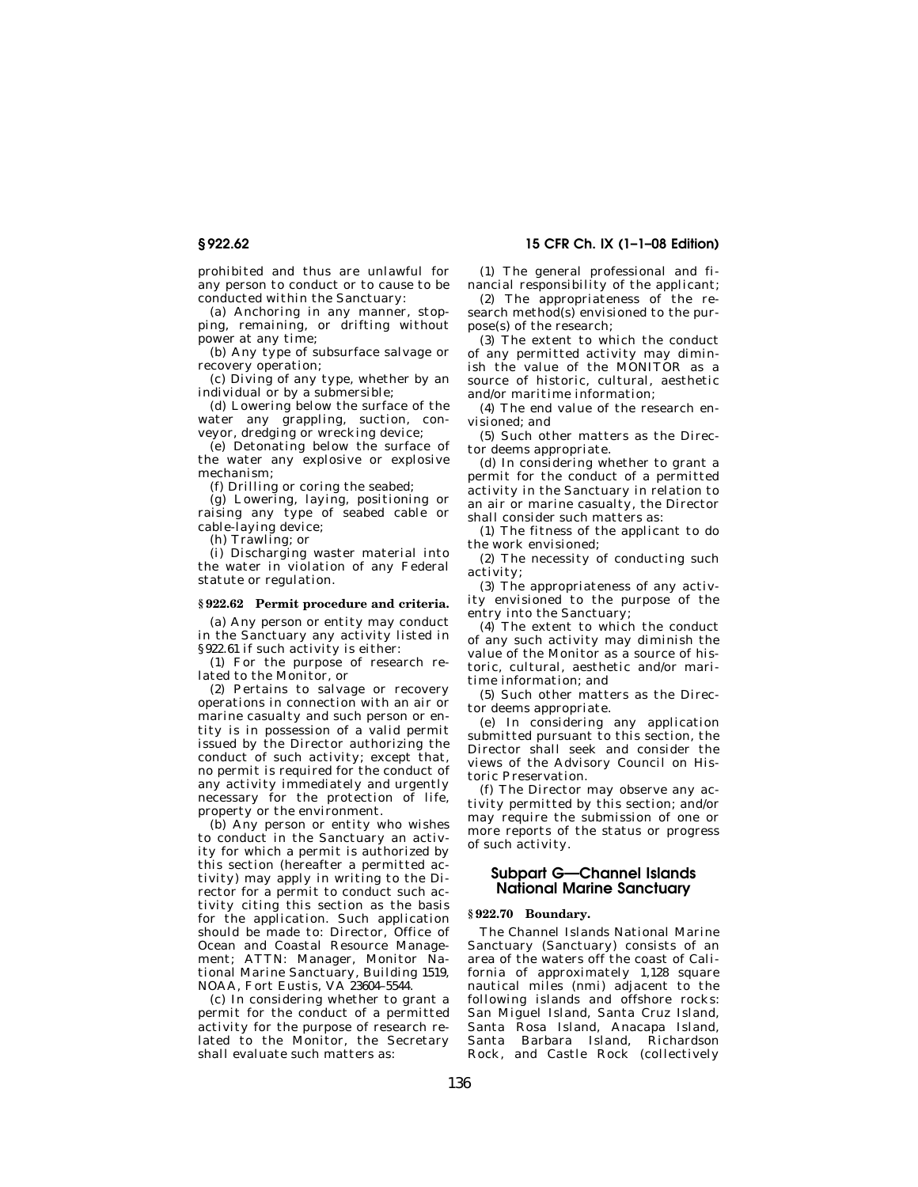prohibited and thus are unlawful for any person to conduct or to cause to be conducted within the Sanctuary:

(a) Anchoring in any manner, stopping, remaining, or drifting without power at any time;

(b) Any type of subsurface salvage or recovery operation;

(c) Diving of any type, whether by an individual or by a submersible;

(d) Lowering below the surface of the water any grappling, suction, conveyor, dredging or wrecking device;

(e) Detonating below the surface of the water any explosive or explosive mechanism;

(f) Drilling or coring the seabed;

(g) Lowering, laying, positioning or raising any type of seabed cable or cable-laying device;

(h) Trawling; or

(i) Discharging waster material into the water in violation of any Federal statute or regulation.

## **§ 922.62 Permit procedure and criteria.**

(a) Any person or entity may conduct in the Sanctuary any activity listed in §922.61 if such activity is either:

(1) For the purpose of research related to the Monitor, or

(2) Pertains to salvage or recovery operations in connection with an air or marine casualty and such person or entity is in possession of a valid permit issued by the Director authorizing the conduct of such activity; except that, no permit is required for the conduct of any activity immediately and urgently necessary for the protection of life, property or the environment.

(b) Any person or entity who wishes to conduct in the Sanctuary an activity for which a permit is authorized by this section (hereafter a permitted activity) may apply in writing to the Director for a permit to conduct such activity citing this section as the basis for the application. Such application should be made to: Director, Office of Ocean and Coastal Resource Management; ATTN: Manager, Monitor National Marine Sanctuary, Building 1519, NOAA, Fort Eustis, VA 23604–5544.

(c) In considering whether to grant a permit for the conduct of a permitted activity for the purpose of research related to the Monitor, the Secretary shall evaluate such matters as:

**§ 922.62 15 CFR Ch. IX (1–1–08 Edition)** 

(1) The general professional and financial responsibility of the applicant;

(2) The appropriateness of the research method(s) envisioned to the purpose(s) of the research;

(3) The extent to which the conduct of any permitted activity may diminish the value of the MONITOR as a source of historic, cultural, aesthetic and/or maritime information;

(4) The end value of the research envisioned; and

(5) Such other matters as the Director deems appropriate.

(d) In considering whether to grant a permit for the conduct of a permitted activity in the Sanctuary in relation to an air or marine casualty, the Director shall consider such matters as:

(1) The fitness of the applicant to do the work envisioned;

(2) The necessity of conducting such activity;

(3) The appropriateness of any activity envisioned to the purpose of the entry into the Sanctuary;

(4) The extent to which the conduct of any such activity may diminish the value of the Monitor as a source of historic, cultural, aesthetic and/or maritime information; and

(5) Such other matters as the Director deems appropriate.

(e) In considering any application submitted pursuant to this section, the Director shall seek and consider the views of the Advisory Council on Historic Preservation.

(f) The Director may observe any activity permitted by this section; and/or may require the submission of one or more reports of the status or progress of such activity.

# **Subpart G—Channel Islands National Marine Sanctuary**

# **§ 922.70 Boundary.**

The Channel Islands National Marine Sanctuary (Sanctuary) consists of an area of the waters off the coast of California of approximately 1,128 square nautical miles (nmi) adjacent to the following islands and offshore rocks: San Miguel Island, Santa Cruz Island, Santa Rosa Island, Anacapa Island, Santa Barbara Island, Richardson Rock, and Castle Rock (collectively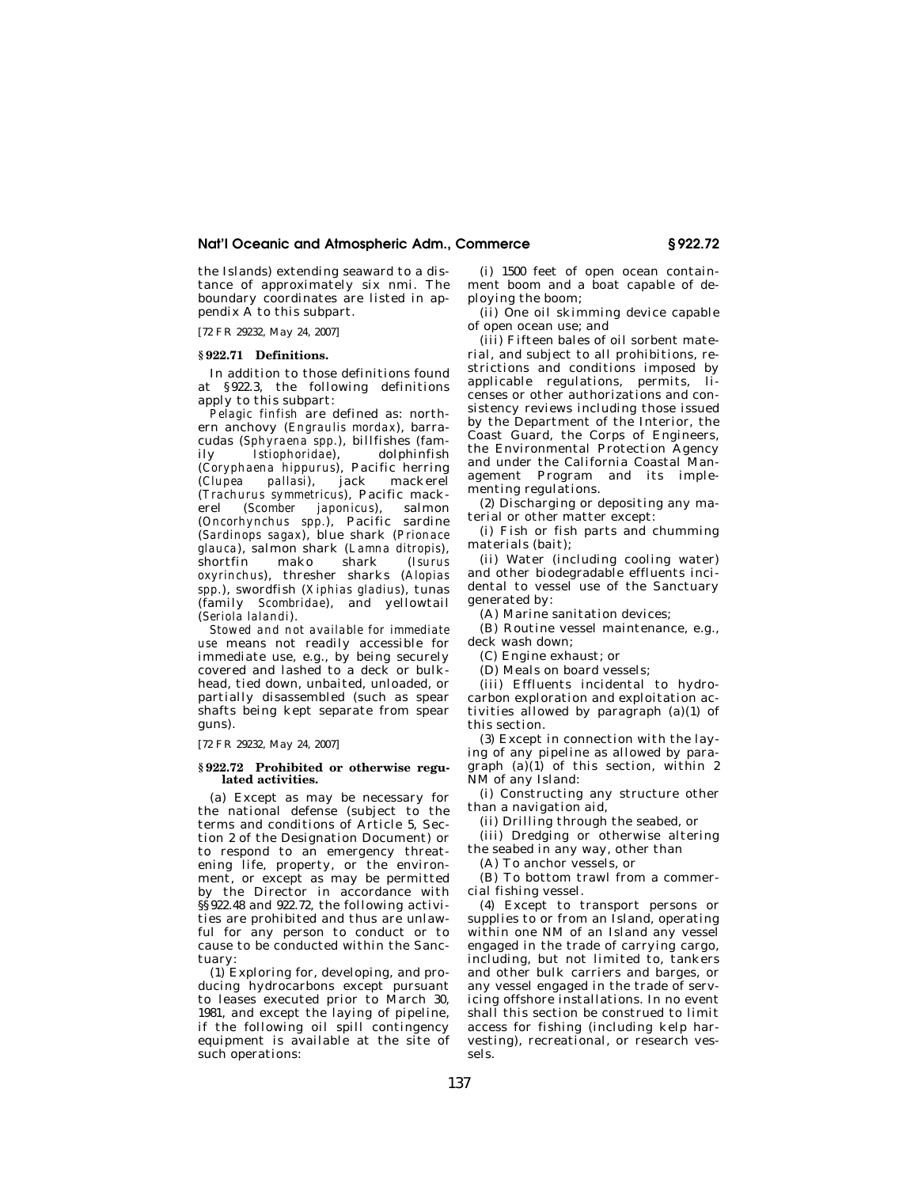the Islands) extending seaward to a distance of approximately six nmi. The boundary coordinates are listed in appendix  $\tilde{A}$  to this subpart.

[72 FR 29232, May 24, 2007]

# **§ 922.71 Definitions.**

In addition to those definitions found at §922.3, the following definitions apply to this subpart:

*Pelagic finfish* are defined as: northern anchovy (*Engraulis mordax*), barracudas (*Sphyraena spp.*), billfishes (family *Istiophoridae*), dolphinfish (*Coryphaena hippurus*), Pacific herring (*Clupea pallasi*), jack mackerel (*Trachurus symmetricus*), Pacific mackerel (*Scomber japonicus*), salmon (*Oncorhynchus spp.*), Pacific sardine (*Sardinops sagax*), blue shark (*Prionace glauca*), salmon shark (*Lamna ditropis*), shortfin mako shark (*Isurus oxyrinchus*), thresher sharks (*Alopias spp.*), swordfish (*Xiphias gladius*), tunas (family *Scombridae*), and yellowtail (*Seriola lalandi*).

*Stowed and not available for immediate use* means not readily accessible for immediate use, e.g., by being securely covered and lashed to a deck or bulkhead, tied down, unbaited, unloaded, or partially disassembled (such as spear shafts being kept separate from spear guns).

[72 FR 29232, May 24, 2007]

## **§ 922.72 Prohibited or otherwise regulated activities.**

(a) Except as may be necessary for the national defense (subject to the terms and conditions of Article 5, Section 2 of the Designation Document) or to respond to an emergency threatening life, property, or the environment, or except as may be permitted by the Director in accordance with §§922.48 and 922.72, the following activities are prohibited and thus are unlawful for any person to conduct or to cause to be conducted within the Sanctuary:

(1) Exploring for, developing, and producing hydrocarbons except pursuant to leases executed prior to March 30, 1981, and except the laying of pipeline, if the following oil spill contingency equipment is available at the site of such operations:

(i) 1500 feet of open ocean containment boom and a boat capable of deploying the boom;

(ii) One oil skimming device capable of open ocean use; and

(iii) Fifteen bales of oil sorbent material, and subject to all prohibitions, restrictions and conditions imposed by applicable regulations, permits, licenses or other authorizations and consistency reviews including those issued by the Department of the Interior, the Coast Guard, the Corps of Engineers, the Environmental Protection Agency and under the California Coastal Management Program and its implementing regulations.

(2) Discharging or depositing any material or other matter except:

(i) Fish or fish parts and chumming materials (bait);

(ii) Water (including cooling water) and other biodegradable effluents incidental to vessel use of the Sanctuary generated by:

(A) Marine sanitation devices;

(B) Routine vessel maintenance, e.g., deck wash down;

(C) Engine exhaust; or

(D) Meals on board vessels;

(iii) Effluents incidental to hydrocarbon exploration and exploitation activities allowed by paragraph (a)(1) of this section.

(3) Except in connection with the laying of any pipeline as allowed by paragraph  $(a)(1)$  of this section, within 2 NM of any Island:

(i) Constructing any structure other than a navigation aid,

(ii) Drilling through the seabed, or

(iii) Dredging or otherwise altering the seabed in any way, other than

(A) To anchor vessels, or

(B) To bottom trawl from a commercial fishing vessel.

(4) Except to transport persons or supplies to or from an Island, operating within one NM of an Island any vessel engaged in the trade of carrying cargo, including, but not limited to, tankers and other bulk carriers and barges, or any vessel engaged in the trade of servicing offshore installations. In no event shall this section be construed to limit access for fishing (including kelp harvesting), recreational, or research vessels.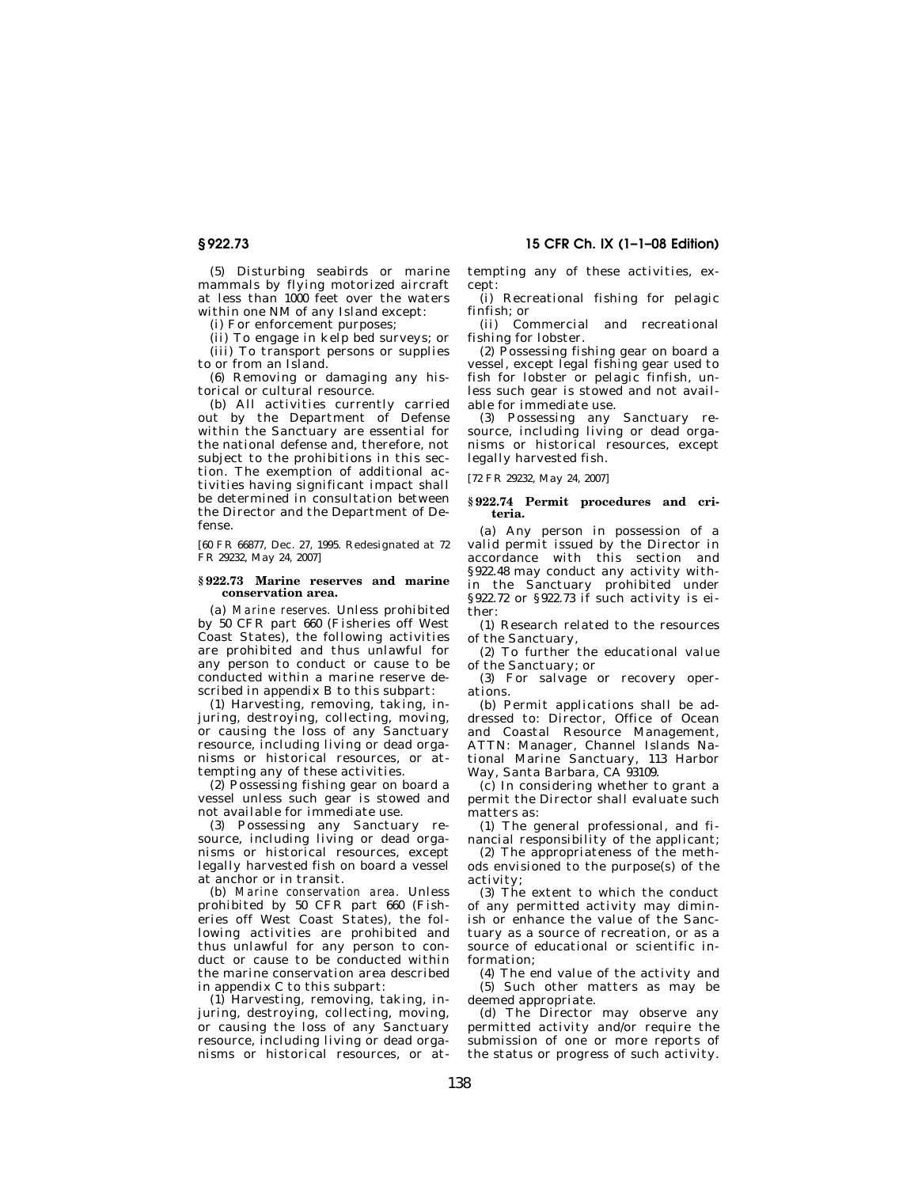**§ 922.73 15 CFR Ch. IX (1–1–08 Edition)** 

(5) Disturbing seabirds or marine mammals by flying motorized aircraft at less than 1000 feet over the waters within one NM of any Island except:

(i) For enforcement purposes;

(ii) To engage in kelp bed surveys; or (iii) To transport persons or supplies

to or from an Island. (6) Removing or damaging any his-

torical or cultural resource.

(b) All activities currently carried out by the Department of Defense within the Sanctuary are essential for the national defense and, therefore, not subject to the prohibitions in this section. The exemption of additional activities having significant impact shall be determined in consultation between the Director and the Department of Defense.

[60 FR 66877, Dec. 27, 1995. Redesignated at 72 FR 29232, May 24, 2007]

#### **§ 922.73 Marine reserves and marine conservation area.**

(a) *Marine reserves.* Unless prohibited by 50 CFR part 660 (Fisheries off West Coast States), the following activities are prohibited and thus unlawful for any person to conduct or cause to be conducted within a marine reserve described in appendix B to this subpart:

(1) Harvesting, removing, taking, injuring, destroying, collecting, moving, or causing the loss of any Sanctuary resource, including living or dead organisms or historical resources, or attempting any of these activities.

(2) Possessing fishing gear on board a vessel unless such gear is stowed and not available for immediate use.

(3) Possessing any Sanctuary resource, including living or dead organisms or historical resources, except legally harvested fish on board a vessel at anchor or in transit.

(b) *Marine conservation area.* Unless prohibited by 50 CFR part 660 (Fisheries off West Coast States), the following activities are prohibited and thus unlawful for any person to conduct or cause to be conducted within the marine conservation area described in appendix C to this subpart:

(1) Harvesting, removing, taking, injuring, destroying, collecting, moving, or causing the loss of any Sanctuary resource, including living or dead organisms or historical resources, or attempting any of these activities, except:

(i) Recreational fishing for pelagic finfish; or

(ii) Commercial and recreational fishing for lobster.

(2) Possessing fishing gear on board a vessel, except legal fishing gear used to fish for lobster or pelagic finfish, unless such gear is stowed and not available for immediate use.

(3) Possessing any Sanctuary resource, including living or dead organisms or historical resources, except legally harvested fish.

[72 FR 29232, May 24, 2007]

## **§ 922.74 Permit procedures and criteria.**

(a) Any person in possession of a valid permit issued by the Director in accordance with this section and §922.48 may conduct any activity within the Sanctuary prohibited under §922.72 or §922.73 if such activity is either:

(1) Research related to the resources of the Sanctuary,

(2) To further the educational value of the Sanctuary; or

(3) For salvage or recovery operations.

(b) Permit applications shall be addressed to: Director, Office of Ocean and Coastal Resource Management, ATTN: Manager, Channel Islands National Marine Sanctuary, 113 Harbor Way, Santa Barbara, CA 93109.

(c) In considering whether to grant a permit the Director shall evaluate such matters as:

(1) The general professional, and financial responsibility of the applicant;

(2) The appropriateness of the methods envisioned to the purpose(s) of the activity;

(3) The extent to which the conduct of any permitted activity may diminish or enhance the value of the Sanctuary as a source of recreation, or as a source of educational or scientific information;

(4) The end value of the activity and (5) Such other matters as may be deemed appropriate.

(d) The Director may observe any permitted activity and/or require the submission of one or more reports of the status or progress of such activity.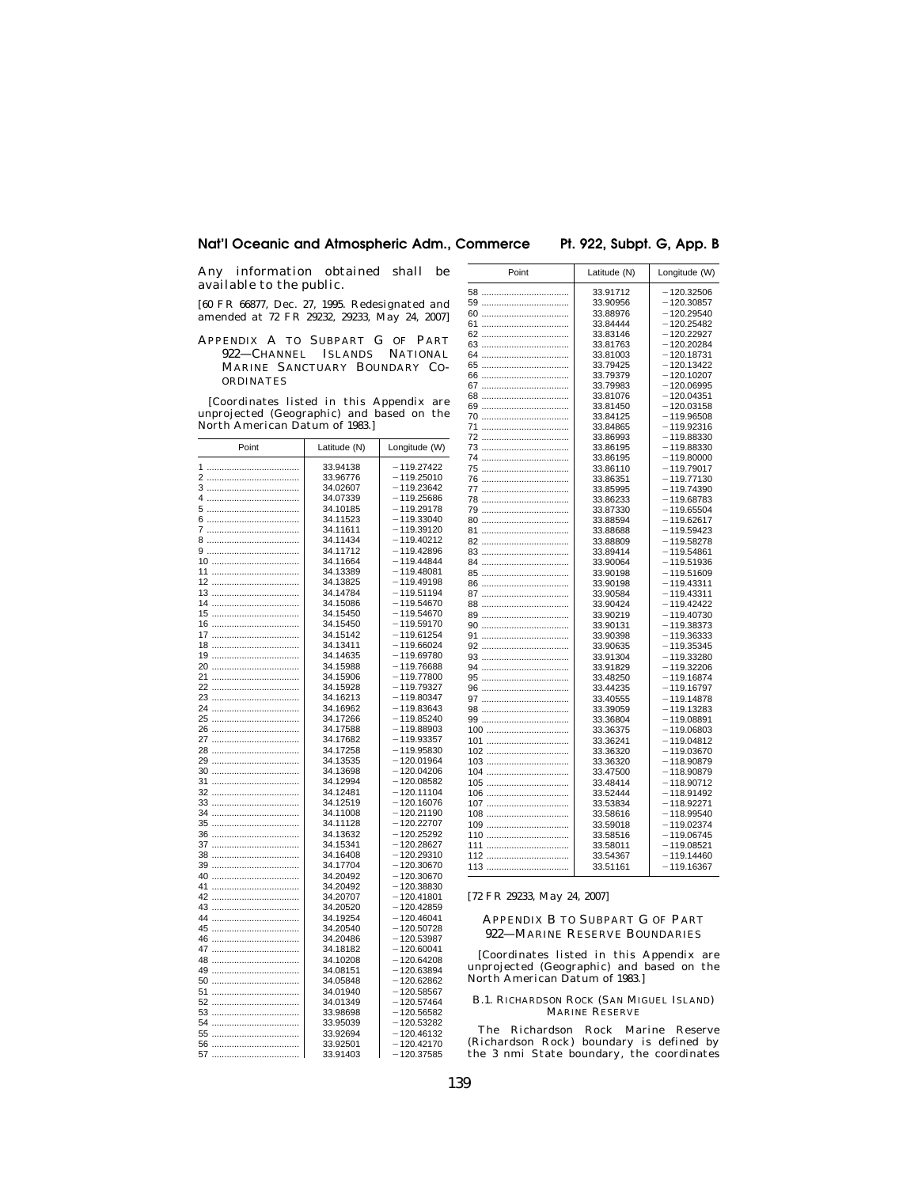# **Nat'l Oceanic and Atmospheric Adm., Commerce Pt. 922, Subpt. G, App. B**

Any information obtained shall be available to the public.

[60 FR 66877, Dec. 27, 1995. Redesignated and amended at 72 FR 29232, 29233, May 24, 2007]

## APPENDIX A TO SUBPART G OF PART 922—CHANNEL ISLANDS NATIONAL MARINE SANCTUARY BOUNDARY CO-ORDINATES

[Coordinates listed in this Appendix are unprojected (Geographic) and based on the North American Datum of 1983.]

| Point  | Latitude (N)         | Longitude (W)                |
|--------|----------------------|------------------------------|
| 1<br>  | 33.94138             | $-119.27422$                 |
| 2      | 33.96776             | $-119.25010$                 |
| 3<br>  | 34.02607             | $-119.23642$                 |
| 4<br>  | 34.07339             | $-119.25686$                 |
| 5<br>  | 34.10185             | – 119.29178                  |
| 6      | 34.11523             | $-119.33040$                 |
| 7<br>  | 34.11611             | $-119.39120$                 |
| 8      | 34.11434             | $-119.40212$                 |
|        | 34.11712             | – 119.42896                  |
|        | 34.11664             | - 119.44844                  |
|        | 34.13389             | – 119.48081                  |
|        | 34.13825             | $-119.49198$                 |
|        | 34.14784             | $-119.51194$                 |
|        | 34.15086             | - 119.54670                  |
|        | 34.15450             | $-119.54670$                 |
|        | 34.15450             | $-119.59170$                 |
|        | 34.15142             | $-119.61254$                 |
|        | 34.13411             | - 119.66024                  |
|        | 34.14635             | $-119.69780$                 |
|        | 34.15988             | - 119.76688                  |
|        | 34.15906             | - 119.77800                  |
|        | 34.15928             | $-119.79327$                 |
|        | 34.16213             | $-119.80347$                 |
|        | 34.16962             | $-119.83643$                 |
|        | 34.17266             | $-119.85240$                 |
|        | 34.17588             | $-119.88903$                 |
|        | 34.17682             | $-119.93357$                 |
|        | 34.17258             | $-119.95830$                 |
|        | 34.13535             | – 120.01964                  |
|        | 34.13698             | $-120.04206$                 |
| 31<br> | 34.12994             | $-120.08582$                 |
|        | 34.12481             | $-120.11104$                 |
|        | 34.12519             | $-120.16076$                 |
|        | 34.11008             | $-120.21190$                 |
|        | 34.11128             | $-120.22707$                 |
|        | 34.13632             | $-120.25292$                 |
|        | 34.15341             | $-120.28627$                 |
|        | 34.16408             | $-120.29310$                 |
|        | 34.17704             | $-120.30670$                 |
|        | 34.20492             | -120.30670                   |
|        | 34.20492             | - 120.38830                  |
|        | 34.20707             | $-120.41801$                 |
|        | 34.20520             | $-120.42859$                 |
|        | 34.19254             | $-120.46041$                 |
|        | 34.20540             | - 120.50728                  |
|        | 34.20486             | $-120.53987$                 |
|        | 34.18182             | - 120.60041                  |
|        | 34.10208             | $-120.64208$                 |
|        | 34.08151<br>34.05848 | $-120.63894$                 |
| 51     | 34.01940             | $-120.62862$<br>$-120.58567$ |
|        | 34.01349             | $-120.57464$                 |
|        | 33.98698             | $-120.56582$                 |
|        | 33.95039             | $-120.53282$                 |
|        | 33.92694             | - 120.46132                  |
|        | 33.92501             | $-120.42170$                 |
|        | 33.91403             | $-120.37585$                 |
|        |                      |                              |

| Point   | Latitude (N) | Longitude (W) |
|---------|--------------|---------------|
|         | 33.91712     | $-120.32506$  |
|         | 33.90956     | $-120.30857$  |
|         | 33.88976     | $-120.29540$  |
|         | 33.84444     | $-120.25482$  |
|         | 33.83146     | $-120.22927$  |
|         | 33.81763     | $-120.20284$  |
|         | 33.81003     | $-120.18731$  |
|         | 33.79425     | $-120.13422$  |
|         | 33.79379     | $-120.10207$  |
|         |              |               |
|         | 33.79983     | $-120.06995$  |
|         | 33.81076     | $-120.04351$  |
|         | 33.81450     | $-120.03158$  |
|         | 33.84125     | $-119.96508$  |
|         | 33.84865     | $-119.92316$  |
|         | 33.86993     | $-119.88330$  |
|         | 33.86195     | $-119.88330$  |
|         | 33.86195     | $-119.80000$  |
|         | 33.86110     | $-119.79017$  |
|         | 33.86351     | $-119.77130$  |
|         | 33.85995     | $-119.74390$  |
|         | 33.86233     | $-119.68783$  |
|         | 33.87330     | $-119.65504$  |
|         | 33.88594     | - 119.62617   |
|         | 33.88688     | $-119.59423$  |
|         | 33.88809     | $-119.58278$  |
|         | 33.89414     | $-119.54861$  |
|         | 33.90064     | $-119.51936$  |
|         | 33.90198     | $-119.51609$  |
|         | 33.90198     | $-119.43311$  |
|         | 33.90584     | $-119.43311$  |
|         | 33.90424     | $-119.42422$  |
|         | 33.90219     | $-119.40730$  |
|         | 33.90131     | $-119.38373$  |
|         | 33.90398     | – 119.36333   |
|         | 33.90635     | - 119.35345   |
|         | 33.91304     | $-119.33280$  |
|         | 33.91829     | $-119.32206$  |
|         | 33.48250     | - 119.16874   |
|         | 33.44235     | $-119.16797$  |
|         | 33.40555     | $-119.14878$  |
|         | 33.39059     | $-119.13283$  |
|         | 33.36804     | $-119.08891$  |
|         | 33.36375     | – 119.06803   |
|         | 33.36241     | $-119.04812$  |
|         | 33.36320     | $-119.03670$  |
|         | 33.36320     | $-118.90879$  |
| 104     | 33.47500     | $-118.90879$  |
|         | 33.48414     | $-118.90712$  |
|         | 33.52444     | $-118.91492$  |
| 107<br> | 33.53834     | $-118.92271$  |
|         | 33.58616     | $-118.99540$  |
|         | 33.59018     | $-119.02374$  |
| 110     | 33.58516     | $-119.06745$  |
| 111<br> | 33.58011     | $-119.08521$  |
|         | 33.54367     | $-119.14460$  |
|         | 33.51161     | $-119.16367$  |
|         |              |               |

[72 FR 29233, May 24, 2007]

APPENDIX B TO SUBPART G OF PART 922—MARINE RESERVE BOUNDARIES

[Coordinates listed in this Appendix are unprojected (Geographic) and based on the North American Datum of 1983.]

B.1. RICHARDSON ROCK (SAN MIGUEL ISLAND) MARINE RESERVE

The Richardson Rock Marine Reserve (Richardson Rock) boundary is defined by the 3 nmi State boundary, the coordinates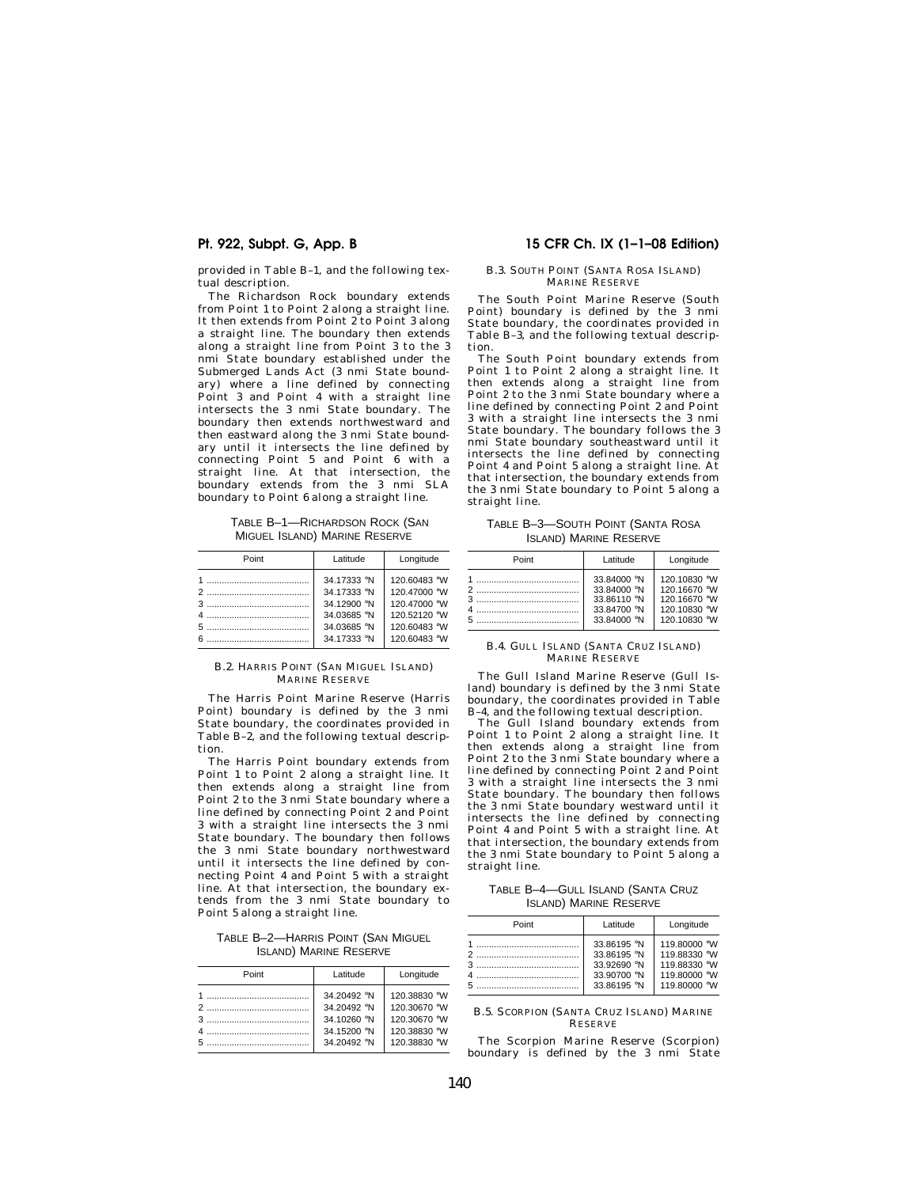provided in Table B–1, and the following textual description.

The Richardson Rock boundary extends from Point 1 to Point 2 along a straight line. It then extends from Point 2 to Point 3 along a straight line. The boundary then extends along a straight line from Point 3 to the 3 nmi State boundary established under the Submerged Lands Act (3 nmi State boundary) where a line defined by connecting Point 3 and Point 4 with a straight line intersects the 3 nmi State boundary. The boundary then extends northwestward and then eastward along the 3 nmi State boundary until it intersects the line defined by connecting Point 5 and Point 6 with a straight line. At that intersection, the boundary extends from the 3 nmi SLA boundary to Point 6 along a straight line.

TABLE B–1—RICHARDSON ROCK (SAN MIGUEL ISLAND) MARINE RESERVE

| Point                         | Latitude    | Longitude    |
|-------------------------------|-------------|--------------|
| $1 \quad \cdots \quad \cdots$ | 34.17333 °N | 120.60483 °W |
|                               | 34.17333 °N | 120.47000 °W |
|                               | 34.12900 °N | 120.47000 °W |
|                               | 34.03685 °N | 120.52120 °W |
|                               | 34.03685 °N | 120.60483 °W |
|                               | 34.17333 °N | 120.60483 °W |

#### B.2. HARRIS POINT (SAN MIGUEL ISLAND) MARINE RESERVE

The Harris Point Marine Reserve (Harris Point) boundary is defined by the 3 nmi State boundary, the coordinates provided in Table B–2, and the following textual description.

The Harris Point boundary extends from Point 1 to Point 2 along a straight line. It then extends along a straight line from Point 2 to the 3 nmi State boundary where a line defined by connecting Point 2 and Point 3 with a straight line intersects the 3 nmi State boundary. The boundary then follows the 3 nmi State boundary northwestward until it intersects the line defined by connecting Point 4 and Point 5 with a straight line. At that intersection, the boundary extends from the 3 nmi State boundary to Point 5 along a straight line.

TABLE B–2—HARRIS POINT (SAN MIGUEL ISLAND) MARINE RESERVE

| Point | Latitude                   | Longitude                    |  |
|-------|----------------------------|------------------------------|--|
|       | 34.20492 °N<br>34.20492 °N | 120.38830 °W<br>120.30670 °W |  |
|       | 34.10260 °N                | 120.30670 °W                 |  |
|       | 34.15200 °N<br>34.20492 °N | 120.38830 °W<br>120.38830 °W |  |

# **Pt. 922, Subpt. G, App. B 15 CFR Ch. IX (1–1–08 Edition)**

#### B.3. SOUTH POINT (SANTA ROSA ISLAND) MARINE RESERVE

The South Point Marine Reserve (South Point) boundary is defined by the 3 nmi State boundary, the coordinates provided in Table B–3, and the following textual description.

The South Point boundary extends from Point 1 to Point 2 along a straight line. It then extends along a straight line from Point 2 to the 3 nmi State boundary where a line defined by connecting Point 2 and Point 3 with a straight line intersects the 3 nmi State boundary. The boundary follows the 3 nmi State boundary southeastward until it intersects the line defined by connecting Point 4 and Point 5 along a straight line. At that intersection, the boundary extends from the 3 nmi State boundary to Point 5 along a straight line.

TABLE B–3—SOUTH POINT (SANTA ROSA ISLAND) MARINE RESERVE

| Point | Latitude    | Longitude    |
|-------|-------------|--------------|
|       | 33.84000 °N | 120.10830 °W |
|       | 33.84000 °N | 120.16670 °W |
|       | 33.86110 °N | 120.16670 °W |
|       | 33.84700 °N | 120.10830 °W |
|       | 33.84000 °N | 120.10830 °W |

#### B.4. GULL ISLAND (SANTA CRUZ ISLAND) MARINE RESERVE

The Gull Island Marine Reserve (Gull Island) boundary is defined by the 3 nmi State boundary, the coordinates provided in Table B–4, and the following textual description.

The Gull Island boundary extends from Point 1 to Point 2 along a straight line. It then extends along a straight line from Point 2 to the 3 nmi State boundary where a line defined by connecting Point 2 and Point 3 with a straight line intersects the 3 nmi State boundary. The boundary then follows the 3 nmi State boundary westward until it intersects the line defined by connecting Point 4 and Point 5 with a straight line. At that intersection, the boundary extends from the 3 nmi State boundary to Point 5 along a straight line.

TABLE B–4—GULL ISLAND (SANTA CRUZ ISLAND) MARINE RESERVE

| Point | Latitude    | Longitude    |
|-------|-------------|--------------|
|       | 33.86195 °N | 119.80000 °W |
|       | 33.86195 °N | 119.88330 °W |
|       | 33.92690 °N | 119.88330 °W |
|       | 33.90700 °N | 119.80000 °W |
|       | 33.86195 °N | 119.80000 °W |

B.5. SCORPION (SANTA CRUZ ISLAND) MARINE RESERVE

The Scorpion Marine Reserve (Scorpion) boundary is defined by the 3 nmi State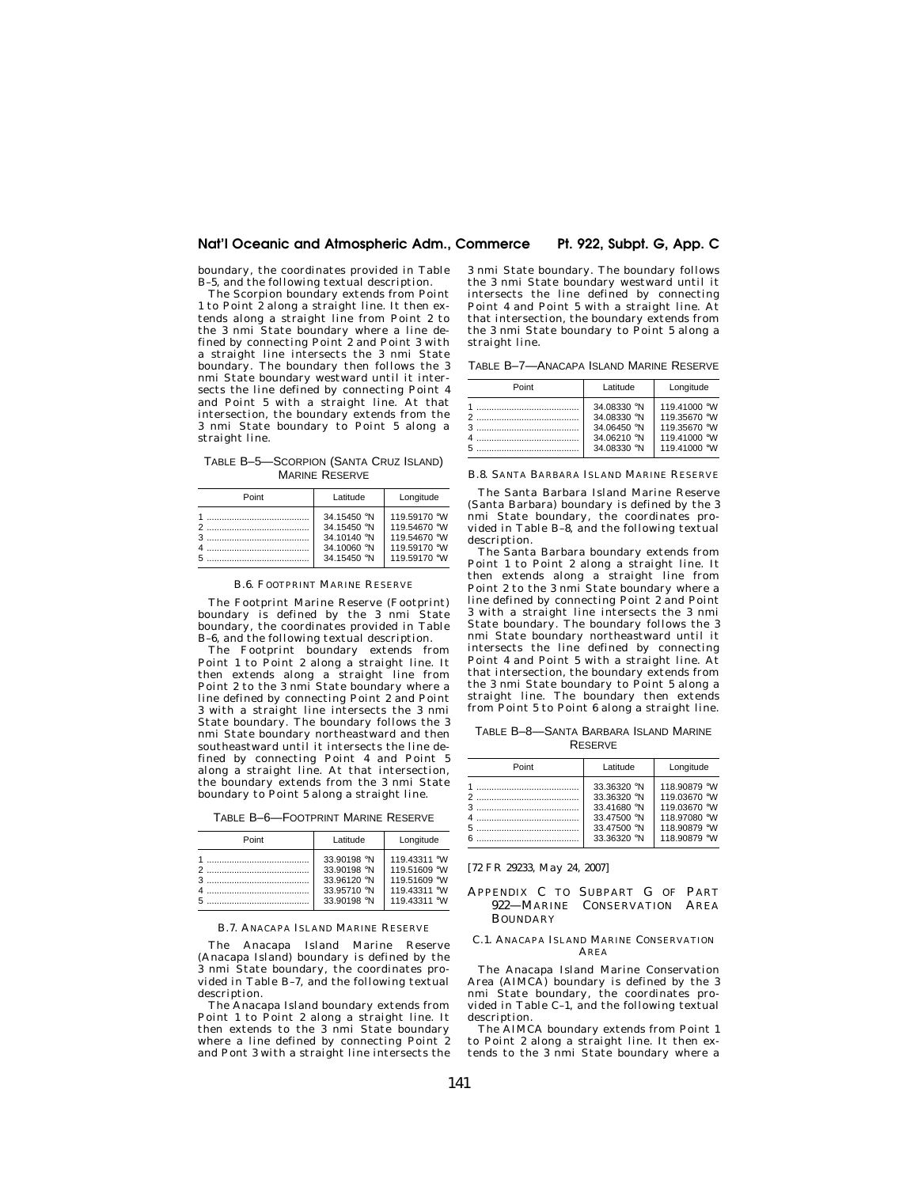# **Nat'l Oceanic and Atmospheric Adm., Commerce Pt. 922, Subpt. G, App. C**

boundary, the coordinates provided in Table B–5, and the following textual description.

The Scorpion boundary extends from Point 1 to Point 2 along a straight line. It then extends along a straight line from Point 2 to the 3 nmi State boundary where a line defined by connecting Point 2 and Point 3 with a straight line intersects the 3 nmi State boundary. The boundary then follows the 3 nmi State boundary westward until it intersects the line defined by connecting Point 4 and Point 5 with a straight line. At that intersection, the boundary extends from the 3 nmi State boundary to Point 5 along a straight line.

TABLE B–5—SCORPION (SANTA CRUZ ISLAND) MARINE RESERVE

| Point | Latitude    | Longitude    |
|-------|-------------|--------------|
|       | 34.15450 °N | 119.59170 °W |
|       | 34.15450 °N | 119.54670 °W |
|       | 34.10140 °N | 119.54670 °W |
|       | 34.10060 °N | 119.59170 °W |
|       | 34.15450 °N | 119.59170 °W |

### B.6. FOOTPRINT MARINE RESERVE

The Footprint Marine Reserve (Footprint) boundary is defined by the 3 nmi State boundary, the coordinates provided in Table B–6, and the following textual description.

The Footprint boundary extends from Point 1 to Point 2 along a straight line. It then extends along a straight line from Point 2 to the 3 nmi State boundary where a line defined by connecting Point 2 and Point 3 with a straight line intersects the 3 nmi State boundary. The boundary follows the 3 nmi State boundary northeastward and then southeastward until it intersects the line defined by connecting Point 4 and Point 5 along a straight line. At that intersection, the boundary extends from the 3 nmi State boundary to Point 5 along a straight line.

TABLE B–6—FOOTPRINT MARINE RESERVE

| Point | Latitude    | Longitude    |
|-------|-------------|--------------|
|       | 33.90198 °N | 119.43311 °W |
|       | 33.90198 °N | 119.51609 °W |
|       | 33.96120 °N | 119.51609 °W |
|       | 33.95710 °N | 119.43311 °W |
|       | 33.90198 °N | 119.43311 °W |

#### B.7. ANACAPA ISLAND MARINE RESERVE

The Anacapa Island Marine Reserve (Anacapa Island) boundary is defined by the 3 nmi State boundary, the coordinates provided in Table B–7, and the following textual description.

The Anacapa Island boundary extends from Point 1 to Point 2 along a straight line. It then extends to the 3 nmi State boundary where a line defined by connecting Point 2 and Pont 3 with a straight line intersects the 3 nmi State boundary. The boundary follows the 3 nmi State boundary westward until it intersects the line defined by connecting Point 4 and Point 5 with a straight line. At that intersection, the boundary extends from the 3 nmi State boundary to Point 5 along a straight line.

TABLE B–7—ANACAPA ISLAND MARINE RESERVE

| Point | Latitude                                                                | Longitude                                                                    |
|-------|-------------------------------------------------------------------------|------------------------------------------------------------------------------|
| 5     | 34.08330 °N<br>34.08330 °N<br>34.06450 °N<br>34.06210 °N<br>34.08330 °N | 119.41000 °W<br>119.35670 °W<br>119.35670 °W<br>119.41000 °W<br>119.41000 °W |

B.8. SANTA BARBARA ISLAND MARINE RESERVE

The Santa Barbara Island Marine Reserve (Santa Barbara) boundary is defined by the 3 nmi State boundary, the coordinates provided in Table B–8, and the following textual description.

The Santa Barbara boundary extends from Point 1 to Point 2 along a straight line. It then extends along a straight line from Point 2 to the 3 nmi State boundary where a line defined by connecting Point 2 and Point 3 with a straight line intersects the 3 nmi State boundary. The boundary follows the 3 nmi State boundary northeastward until it intersects the line defined by connecting Point 4 and Point 5 with a straight line. At that intersection, the boundary extends from the 3 nmi State boundary to Point 5 along a straight line. The boundary then extends from Point 5 to Point 6 along a straight line.

TABLE B–8—SANTA BARBARA ISLAND MARINE RESERVE

| Longitude                                                                                          |
|----------------------------------------------------------------------------------------------------|
| 118.90879 °W<br>119.03670 °W<br>119.03670 °W<br>118.97080 °W<br>118.90879 °W<br>118.90879 °W       |
| Latitude<br>33.36320 °N<br>33.36320 °N<br>33.41680 °N<br>33.47500 °N<br>33.47500 °N<br>33.36320 °N |

[72 FR 29233, May 24, 2007]

APPENDIX C TO SUBPART G OF PART 922—MARINE CONSERVATION AREA BOUNDARY

## C.1. ANACAPA ISLAND MARINE CONSERVATION AREA

The Anacapa Island Marine Conservation Area (AIMCA) boundary is defined by the 3 nmi State boundary, the coordinates provided in Table C–1, and the following textual description.

The AIMCA boundary extends from Point 1 to Point 2 along a straight line. It then extends to the 3 nmi State boundary where a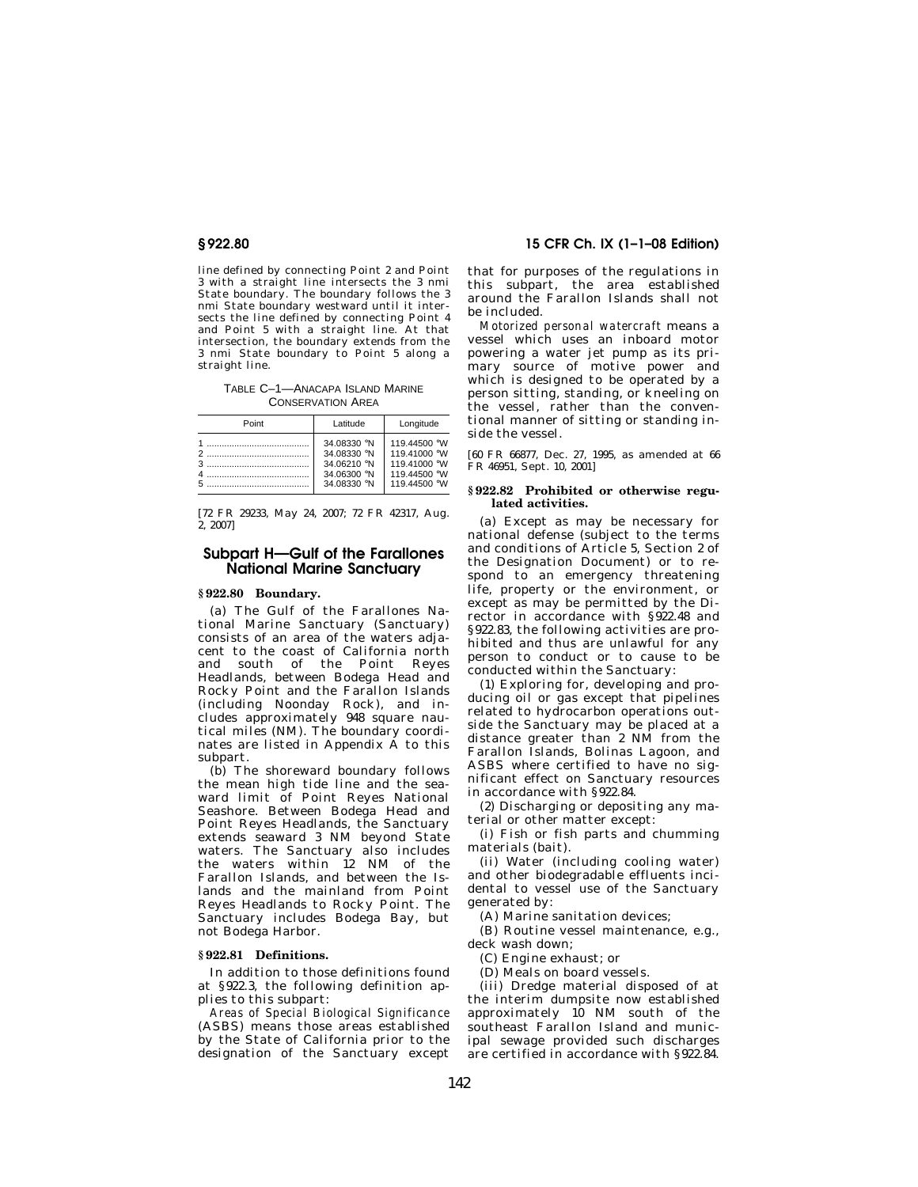line defined by connecting Point 2 and Point 3 with a straight line intersects the 3 nmi State boundary. The boundary follows the 3 nmi State boundary westward until it intersects the line defined by connecting Point 4 and Point 5 with a straight line. At that intersection, the boundary extends from the 3 nmi State boundary to Point 5 along a straight line.

TABLE C–1—ANACAPA ISLAND MARINE CONSERVATION AREA

| Point                                                                                                                                                                                                                                                                                            | Latitude    | Longitude    |
|--------------------------------------------------------------------------------------------------------------------------------------------------------------------------------------------------------------------------------------------------------------------------------------------------|-------------|--------------|
|                                                                                                                                                                                                                                                                                                  | 34.08330 °N | 119.44500 °W |
|                                                                                                                                                                                                                                                                                                  | 34.08330 °N | 119.41000 °W |
| $\mathbf{3}$ and $\mathbf{5}$ and $\mathbf{6}$ and $\mathbf{7}$ and $\mathbf{8}$ and $\mathbf{8}$ and $\mathbf{8}$ and $\mathbf{8}$ and $\mathbf{8}$ and $\mathbf{8}$ and $\mathbf{8}$ and $\mathbf{8}$ and $\mathbf{8}$ and $\mathbf{8}$ and $\mathbf{8}$ and $\mathbf{8}$ and $\mathbf{8}$ and | 34.06210 °N | 119.41000 °W |
|                                                                                                                                                                                                                                                                                                  | 34.06300 °N | 119.44500 °W |
|                                                                                                                                                                                                                                                                                                  | 34.08330 °N | 119.44500 °W |

[72 FR 29233, May 24, 2007; 72 FR 42317, Aug. 2, 2007]

# **Subpart H—Gulf of the Farallones National Marine Sanctuary**

# **§ 922.80 Boundary.**

(a) The Gulf of the Farallones National Marine Sanctuary (Sanctuary) consists of an area of the waters adjacent to the coast of California north and south of the Point Reyes Headlands, between Bodega Head and Rocky Point and the Farallon Islands (including Noonday Rock), and includes approximately 948 square nautical miles (NM). The boundary coordinates are listed in Appendix A to this subpart.

(b) The shoreward boundary follows the mean high tide line and the seaward limit of Point Reyes National Seashore. Between Bodega Head and Point Reyes Headlands, the Sanctuary extends seaward 3 NM beyond State waters. The Sanctuary also includes the waters within 12 NM of the Farallon Islands, and between the Islands and the mainland from Point Reyes Headlands to Rocky Point. The Sanctuary includes Bodega Bay, but not Bodega Harbor.

# **§ 922.81 Definitions.**

In addition to those definitions found at §922.3, the following definition applies to this subpart:

*Areas of Special Biological Significance*  (ASBS) means those areas established by the State of California prior to the designation of the Sanctuary except

# **§ 922.80 15 CFR Ch. IX (1–1–08 Edition)**

that for purposes of the regulations in this subpart, the area established around the Farallon Islands shall not be included.

*Motorized personal watercraft* means a vessel which uses an inboard motor powering a water jet pump as its primary source of motive power and which is designed to be operated by a person sitting, standing, or kneeling on the vessel, rather than the conventional manner of sitting or standing inside the vessel.

[60 FR 66877, Dec. 27, 1995, as amended at 66 FR 46951, Sept. 10, 2001]

## **§ 922.82 Prohibited or otherwise regulated activities.**

(a) Except as may be necessary for national defense (subject to the terms and conditions of Article 5, Section 2 of the Designation Document) or to respond to an emergency threatening life, property or the environment, or except as may be permitted by the Director in accordance with §922.48 and §922.83, the following activities are prohibited and thus are unlawful for any person to conduct or to cause to be conducted within the Sanctuary:

(1) Exploring for, developing and producing oil or gas except that pipelines related to hydrocarbon operations outside the Sanctuary may be placed at a distance greater than 2 NM from the Farallon Islands, Bolinas Lagoon, and ASBS where certified to have no significant effect on Sanctuary resources in accordance with §922.84.

(2) Discharging or depositing any material or other matter except:

(i) Fish or fish parts and chumming materials (bait).

(ii) Water (including cooling water) and other biodegradable effluents incidental to vessel use of the Sanctuary generated by:

(A) Marine sanitation devices;

(B) Routine vessel maintenance, e.g., deck wash down;

(C) Engine exhaust; or

(D) Meals on board vessels.

(iii) Dredge material disposed of at the interim dumpsite now established approximately  $10$  NM south of the southeast Farallon Island and municipal sewage provided such discharges are certified in accordance with §922.84.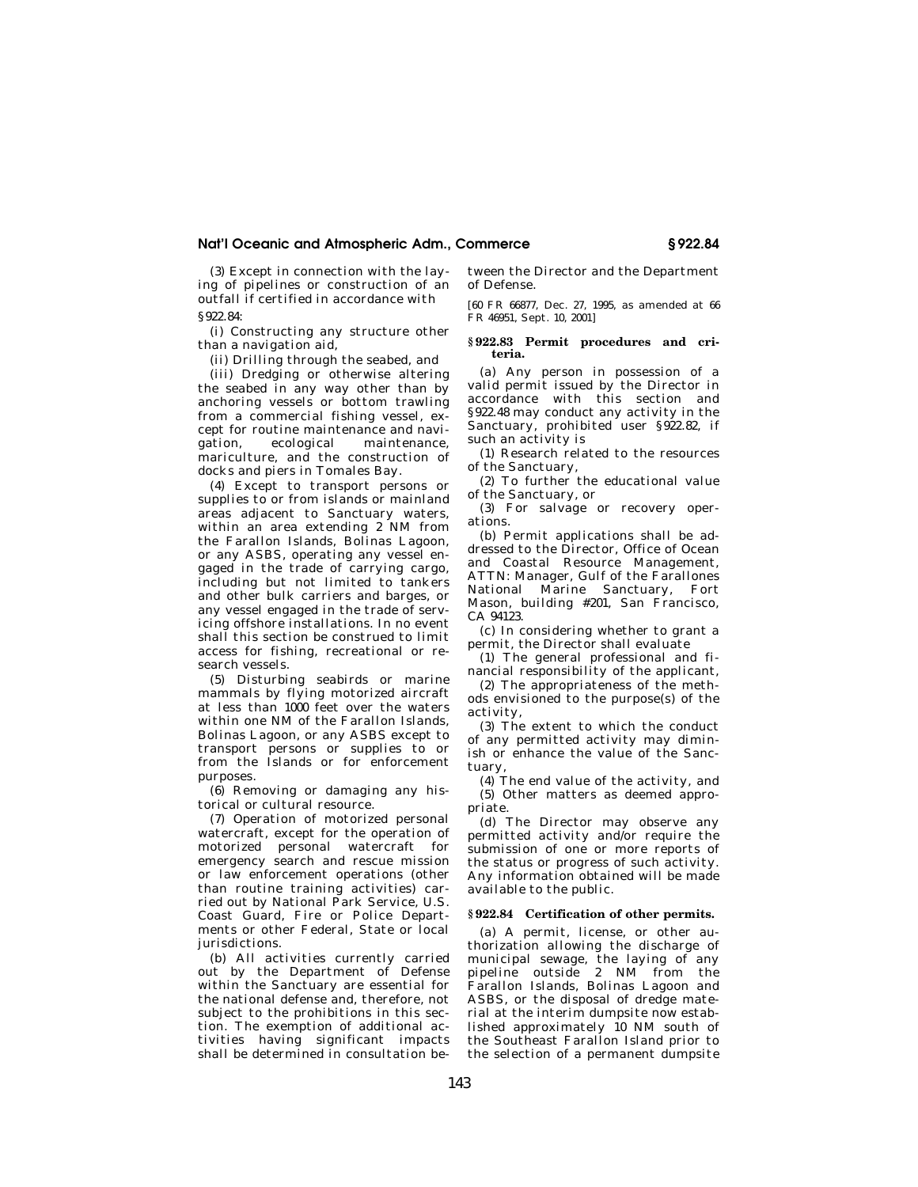(3) Except in connection with the laying of pipelines or construction of an outfall if certified in accordance with §922.84:

(i) Constructing any structure other than a navigation aid,

(ii) Drilling through the seabed, and

(iii) Dredging or otherwise altering the seabed in any way other than by anchoring vessels or bottom trawling from a commercial fishing vessel, except for routine maintenance and navigation, ecological maintenance, maintenance, mariculture, and the construction of docks and piers in Tomales Bay.

(4) Except to transport persons or supplies to or from islands or mainland areas adjacent to Sanctuary waters, within an area extending 2 NM from the Farallon Islands, Bolinas Lagoon, or any ASBS, operating any vessel engaged in the trade of carrying cargo, including but not limited to tankers and other bulk carriers and barges, or any vessel engaged in the trade of servicing offshore installations. In no event shall this section be construed to limit access for fishing, recreational or research vessels.

(5) Disturbing seabirds or marine mammals by flying motorized aircraft at less than 1000 feet over the waters within one NM of the Farallon Islands, Bolinas Lagoon, or any ASBS except to transport persons or supplies to or from the Islands or for enforcement purposes.

(6) Removing or damaging any historical or cultural resource.

(7) Operation of motorized personal watercraft, except for the operation of motorized personal watercraft for emergency search and rescue mission or law enforcement operations (other than routine training activities) carried out by National Park Service, U.S. Coast Guard, Fire or Police Departments or other Federal, State or local jurisdictions.

(b) All activities currently carried out by the Department of Defense within the Sanctuary are essential for the national defense and, therefore, not subject to the prohibitions in this section. The exemption of additional activities having significant impacts shall be determined in consultation between the Director and the Department of Defense.

[60 FR 66877, Dec. 27, 1995, as amended at 66 FR 46951, Sept. 10, 2001]

## **§ 922.83 Permit procedures and criteria.**

(a) Any person in possession of a valid permit issued by the Director in accordance with this section and §922.48 may conduct any activity in the Sanctuary, prohibited user §922.82, if such an activity is

(1) Research related to the resources of the Sanctuary,

(2) To further the educational value of the Sanctuary, or

(3) For salvage or recovery operations.

(b) Permit applications shall be addressed to the Director, Office of Ocean and Coastal Resource Management, ATTN: Manager, Gulf of the Farallones National Marine Sanctuary, Fort Mason, building #201, San Francisco, CA 94123.

(c) In considering whether to grant a permit, the Director shall evaluate

(1) The general professional and financial responsibility of the applicant,

(2) The appropriateness of the methods envisioned to the purpose(s) of the activity,

(3) The extent to which the conduct of any permitted activity may diminish or enhance the value of the Sanctuary,

(4) The end value of the activity, and (5) Other matters as deemed appropriate.

(d) The Director may observe any permitted activity and/or require the submission of one or more reports of the status or progress of such activity. Any information obtained will be made available to the public.

# **§ 922.84 Certification of other permits.**

(a) A permit, license, or other authorization allowing the discharge of municipal sewage, the laying of any pipeline outside 2 NM from the Farallon Islands, Bolinas Lagoon and ASBS, or the disposal of dredge material at the interim dumpsite now established approximately 10 NM south of the Southeast Farallon Island prior to the selection of a permanent dumpsite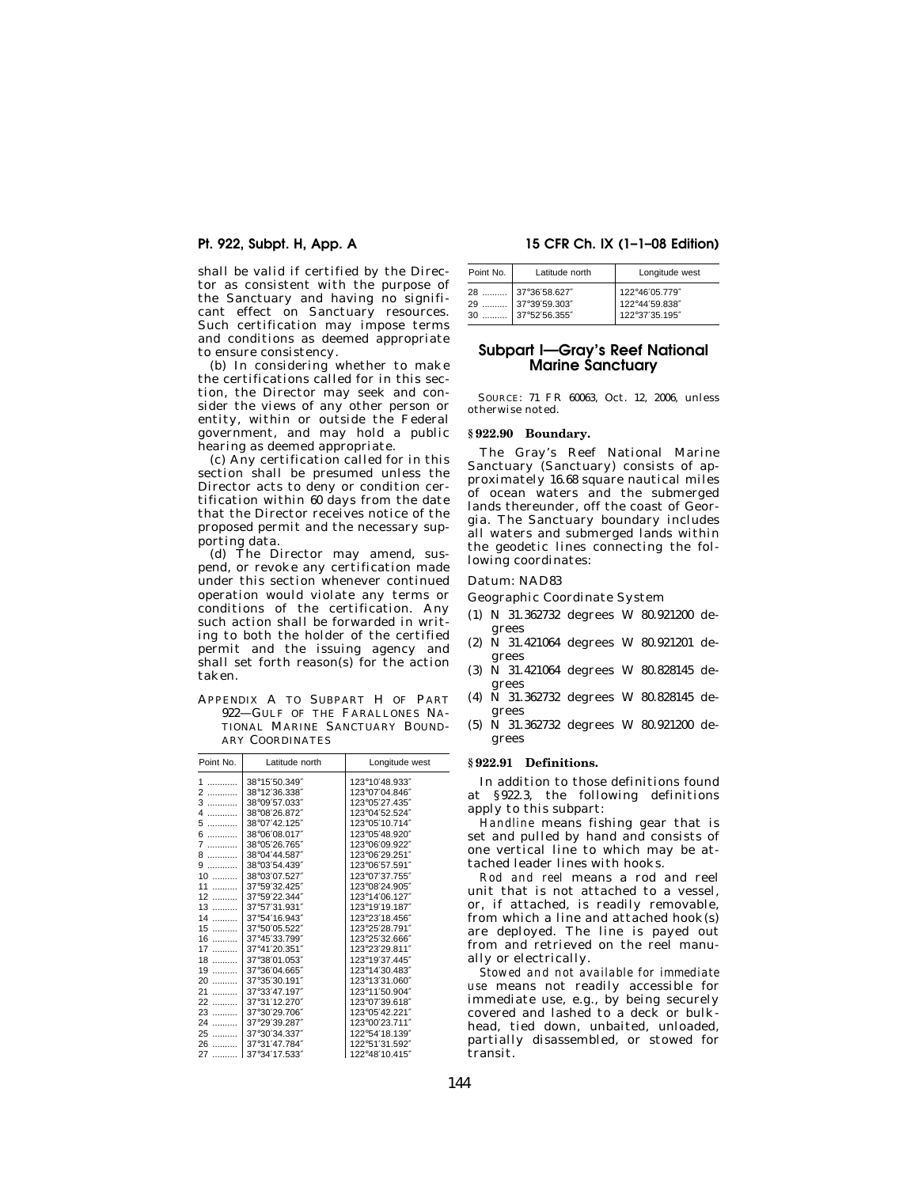shall be valid if certified by the Director as consistent with the purpose of the Sanctuary and having no significant effect on Sanctuary resources. Such certification may impose terms and conditions as deemed appropriate to ensure consistency.

(b) In considering whether to make the certifications called for in this section, the Director may seek and consider the views of any other person or entity, within or outside the Federal government, and may hold a public hearing as deemed appropriate.

(c) Any certification called for in this section shall be presumed unless the Director acts to deny or condition certification within 60 days from the date that the Director receives notice of the proposed permit and the necessary supporting data.

(d) The Director may amend, suspend, or revoke any certification made under this section whenever continued operation would violate any terms or conditions of the certification. Any such action shall be forwarded in writing to both the holder of the certified permit and the issuing agency and shall set forth reason(s) for the action taken.

APPENDIX A TO SUBPART H OF PART 922—GULF OF THE FARALLONES NA-TIONAL MARINE SANCTUARY BOUND-ARY COORDINATES

| Point No.           | Latitude north | Longitude west |
|---------------------|----------------|----------------|
| 1<br>               | 38°15'50.349"  | 123°10'48.933" |
| $\overline{2}$<br>. | 38°12'36.338"  | 123°07'04.846" |
| 3                   | 38°09'57.033"  | 123°05'27.435" |
| 4<br>.              | 38°08'26.872"  | 123°04'52.524" |
| 5<br>.              | 38°07'42.125"  | 123°05'10.714" |
| 6<br>.              | 38°06'08.017"  | 123°05'48.920" |
| 7<br>.              | 38°05'26.765"  | 123°06'09.922" |
| 8<br>.              | 38°04'44.587"  | 123°06'29.251" |
| 9<br>.              | 38°03'54.439"  | 123°06'57.591" |
| $10$                | 38°03'07.527"  | 123°07'37.755" |
| 11                  | 37°59'32.425"  | 123°08'24.905" |
| $12$                | 37°59'22.344"  | 123°14'06.127" |
| $13$                | 37°57'31.931"  | 123°19'19.187" |
| $14$                | 37°54'16.943"  | 123°23'18.456" |
| $15$                | 37°50'05.522"  | 123°25'28.791" |
| $16$                | 37°45'33.799"  | 123°25'32.666" |
| $17$                | 37°41'20.351"  | 123°23'29.811" |
| 18                  | 37°38'01.053"  | 123°19'37.445" |
| $19$                | 37°36'04.665"  | 123°14'30.483" |
| $20$                | 37°35'30.191"  | 123°13'31.060" |
| 21                  | 37°33'47.197"  | 123°11'50.904" |
| 22                  | 37°31'12.270"  | 123°07'39.618" |
| $23$                | 37°30'29.706"  | 123°05'42.221" |
| 24<br>.             | 37°29'39.287"  | 123°00'23.711" |
| $25$                | 37°30'34.337"  | 122°54'18.139" |
| 26                  | 37°31'47.784"  | 122°51'31.592" |
| 27<br>.             | 37°34'17.533"  | 122°48'10.415" |

# **Pt. 922, Subpt. H, App. A 15 CFR Ch. IX (1–1–08 Edition)**

| Point No. | Latitude north                     | Longitude west                   |
|-----------|------------------------------------|----------------------------------|
| 29        | 28  37°36′58.627″<br>37°39'59.303" | 122°46'05.779"<br>122°44'59.838" |
| $30$      | 37°52'56.355"                      | 122°37'35.195"                   |

# **Subpart I—Gray's Reef National Marine Sanctuary**

SOURCE: 71 FR 60063, Oct. 12, 2006, unless otherwise noted.

# **§ 922.90 Boundary.**

The Gray's Reef National Marine Sanctuary (Sanctuary) consists of approximately 16.68 square nautical miles of ocean waters and the submerged lands thereunder, off the coast of Georgia. The Sanctuary boundary includes all waters and submerged lands within the geodetic lines connecting the following coordinates:

#### Datum: NAD83

Geographic Coordinate System

- (1) N 31.362732 degrees W 80.921200 degrees
- (2)  $\overline{N}$  31.421064 degrees W 80.921201 degrees
- (3) N 31.421064 degrees W 80.828145 degrees
- (4) N 31.362732 degrees W 80.828145 degrees
- (5) N 31.362732 degrees W 80.921200 degrees

## **§ 922.91 Definitions.**

In addition to those definitions found at §922.3, the following definitions apply to this subpart:

*Handline* means fishing gear that is set and pulled by hand and consists of one vertical line to which may be attached leader lines with hooks.

*Rod and reel* means a rod and reel unit that is not attached to a vessel, or, if attached, is readily removable, from which a line and attached hook(s) are deployed. The line is payed out from and retrieved on the reel manually or electrically.

*Stowed and not available for immediate use* means not readily accessible for immediate use, e.g., by being securely covered and lashed to a deck or bulkhead, tied down, unbaited, unloaded, partially disassembled, or stowed for transit.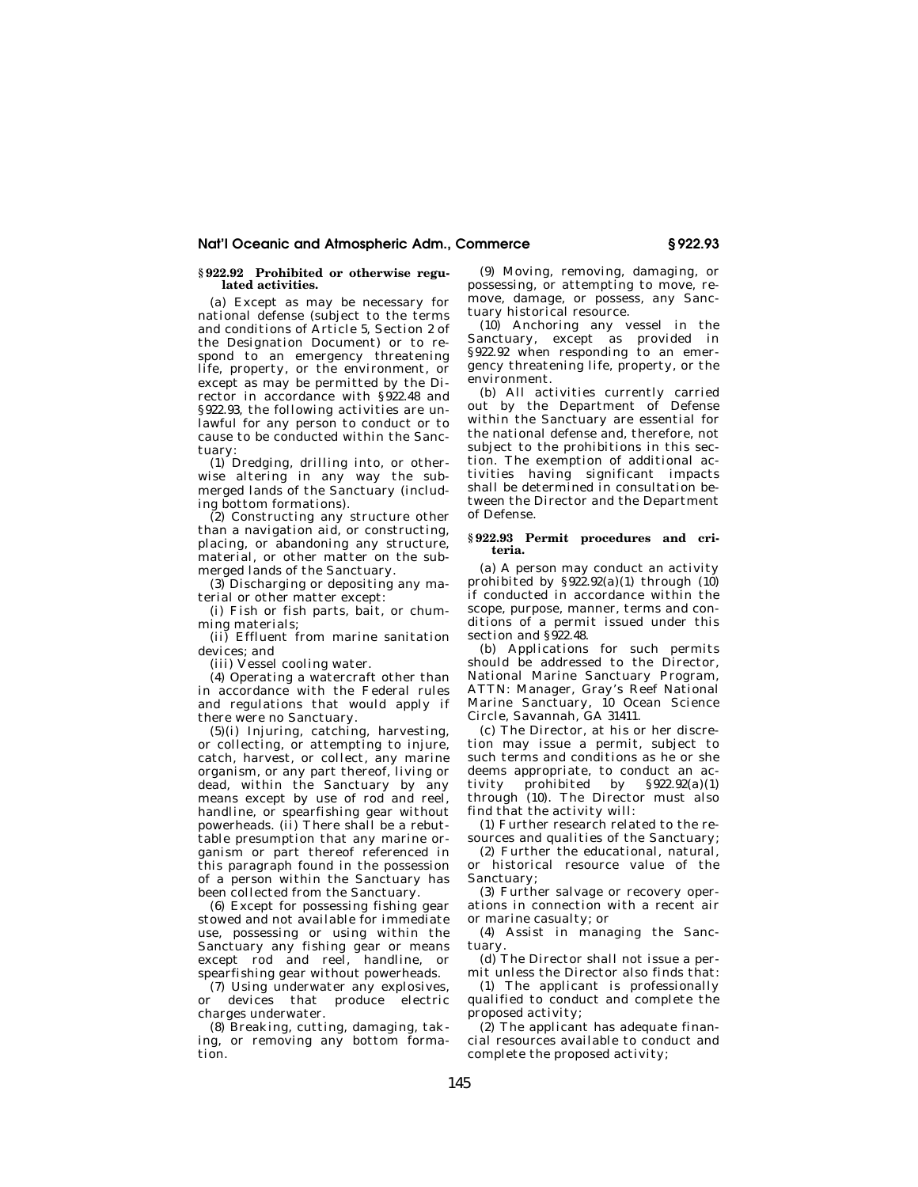## **§ 922.92 Prohibited or otherwise regulated activities.**

(a) Except as may be necessary for national defense (subject to the terms and conditions of Article 5, Section 2 of the Designation Document) or to respond to an emergency threatening life, property, or the environment, or except as may be permitted by the Director in accordance with §922.48 and §922.93, the following activities are unlawful for any person to conduct or to cause to be conducted within the Sanctuary:

(1) Dredging, drilling into, or otherwise altering in any way the submerged lands of the Sanctuary (including bottom formations).

(2) Constructing any structure other than a navigation aid, or constructing, placing, or abandoning any structure, material, or other matter on the submerged lands of the Sanctuary.

(3) Discharging or depositing any material or other matter except:

(i) Fish or fish parts, bait, or chumming materials;

(ii) Effluent from marine sanitation devices; and

(iii) Vessel cooling water.

(4) Operating a watercraft other than in accordance with the Federal rules and regulations that would apply if there were no Sanctuary.

(5)(i) Injuring, catching, harvesting, or collecting, or attempting to injure, catch, harvest, or collect, any marine organism, or any part thereof, living or dead, within the Sanctuary by any means except by use of rod and reel, handline, or spearfishing gear without powerheads. (ii) There shall be a rebuttable presumption that any marine organism or part thereof referenced in this paragraph found in the possession of a person within the Sanctuary has been collected from the Sanctuary.

(6) Except for possessing fishing gear stowed and not available for immediate use, possessing or using within the Sanctuary any fishing gear or means except rod and reel, handline, or spearfishing gear without powerheads.

(7) Using underwater any explosives, or devices that produce electric charges underwater.

(8) Breaking, cutting, damaging, taking, or removing any bottom formation.

(9) Moving, removing, damaging, or possessing, or attempting to move, remove, damage, or possess, any Sanctuary historical resource.

(10) Anchoring any vessel in the Sanctuary, except as provided in §922.92 when responding to an emergency threatening life, property, or the environment.

(b) All activities currently carried out by the Department of Defense within the Sanctuary are essential for the national defense and, therefore, not subject to the prohibitions in this section. The exemption of additional activities having significant impacts shall be determined in consultation between the Director and the Department of Defense.

#### **§ 922.93 Permit procedures and criteria.**

(a) A person may conduct an activity prohibited by  $\S 922.92(a)(1)$  through  $(10)$ if conducted in accordance within the scope, purpose, manner, terms and conditions of a permit issued under this section and §922.48.

(b) Applications for such permits should be addressed to the Director, National Marine Sanctuary Program, ATTN: Manager, Gray's Reef National Marine Sanctuary, 10 Ocean Science Circle, Savannah, GA 31411.

(c) The Director, at his or her discretion may issue a permit, subject to such terms and conditions as he or she deems appropriate, to conduct an activity prohibited by  $\S 922.92(a)(1)$ tivity prohibited by through (10). The Director must also find that the activity will:

(1) Further research related to the resources and qualities of the Sanctuary;

(2) Further the educational, natural, or historical resource value of the Sanctuary;

(3) Further salvage or recovery operations in connection with a recent air or marine casualty; or

(4) Assist in managing the Sanctuary.

(d) The Director shall not issue a permit unless the Director also finds that:

(1) The applicant is professionally qualified to conduct and complete the proposed activity;

(2) The applicant has adequate financial resources available to conduct and complete the proposed activity;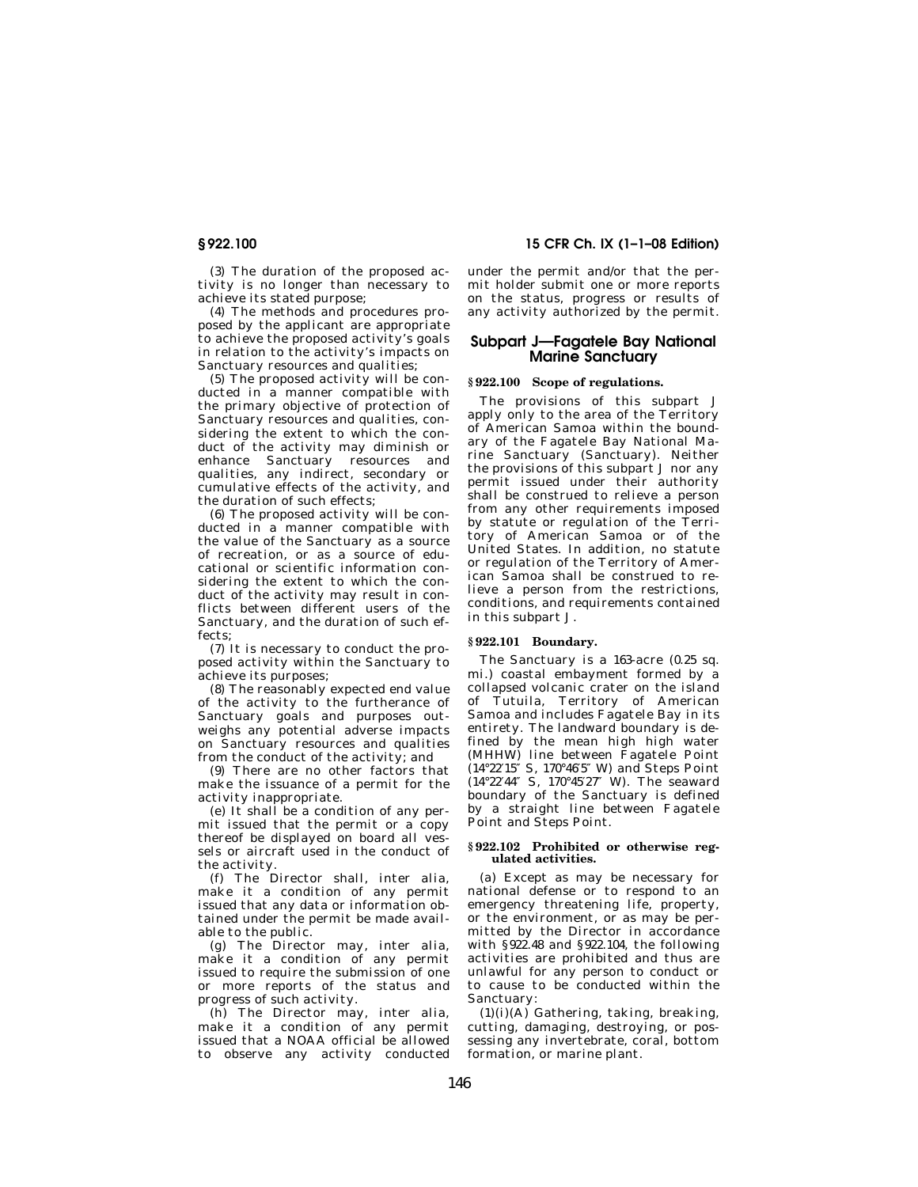(3) The duration of the proposed activity is no longer than necessary to achieve its stated purpose;

(4) The methods and procedures proposed by the applicant are appropriate to achieve the proposed activity's goals in relation to the activity's impacts on Sanctuary resources and qualities;

(5) The proposed activity will be conducted in a manner compatible with the primary objective of protection of Sanctuary resources and qualities, considering the extent to which the conduct of the activity may diminish or enhance Sanctuary resources and qualities, any indirect, secondary or cumulative effects of the activity, and the duration of such effects;

(6) The proposed activity will be conducted in a manner compatible with the value of the Sanctuary as a source of recreation, or as a source of educational or scientific information considering the extent to which the conduct of the activity may result in conflicts between different users of the Sanctuary, and the duration of such effects;

(7) It is necessary to conduct the proposed activity within the Sanctuary to achieve its purposes;

(8) The reasonably expected end value of the activity to the furtherance of Sanctuary goals and purposes outweighs any potential adverse impacts on Sanctuary resources and qualities from the conduct of the activity; and

(9) There are no other factors that make the issuance of a permit for the activity inappropriate.

(e) It shall be a condition of any permit issued that the permit or a copy thereof be displayed on board all vessels or aircraft used in the conduct of the activity.

(f) The Director shall, inter alia, make it a condition of any permit issued that any data or information obtained under the permit be made available to the public.

(g) The Director may, inter alia, make it a condition of any permit issued to require the submission of one or more reports of the status and progress of such activity.

(h) The Director may, inter alia, make it a condition of any permit issued that a NOAA official be allowed to observe any activity conducted

# **§ 922.100 15 CFR Ch. IX (1–1–08 Edition)**

under the permit and/or that the permit holder submit one or more reports on the status, progress or results of any activity authorized by the permit.

# **Subpart J—Fagatele Bay National Marine Sanctuary**

### **§ 922.100 Scope of regulations.**

The provisions of this subpart J apply only to the area of the Territory of American Samoa within the boundary of the Fagatele Bay National Marine Sanctuary (Sanctuary). Neither the provisions of this subpart J nor any permit issued under their authority shall be construed to relieve a person from any other requirements imposed by statute or regulation of the Territory of American Samoa or of the United States. In addition, no statute or regulation of the Territory of American Samoa shall be construed to relieve a person from the restrictions, conditions, and requirements contained in this subpart J.

## **§ 922.101 Boundary.**

The Sanctuary is a 163-acre (0.25 sq. mi.) coastal embayment formed by a collapsed volcanic crater on the island of Tutuila, Territory of American Samoa and includes Fagatele Bay in its entirety. The landward boundary is defined by the mean high high water (MHHW) line between Fagatele Point (14°22′15″ S, 170°46′5″ W) and Steps Point (14°22′44″ S, 170°45′27″ W). The seaward boundary of the Sanctuary is defined by a straight line between Fagatele Point and Steps Point.

### **§ 922.102 Prohibited or otherwise regulated activities.**

(a) Except as may be necessary for national defense or to respond to an emergency threatening life, property, or the environment, or as may be permitted by the Director in accordance with §922.48 and §922.104, the following activities are prohibited and thus are unlawful for any person to conduct or to cause to be conducted within the Sanctuary:

 $(1)(i)(A)$  Gathering, taking, breaking, cutting, damaging, destroying, or possessing any invertebrate, coral, bottom formation, or marine plant.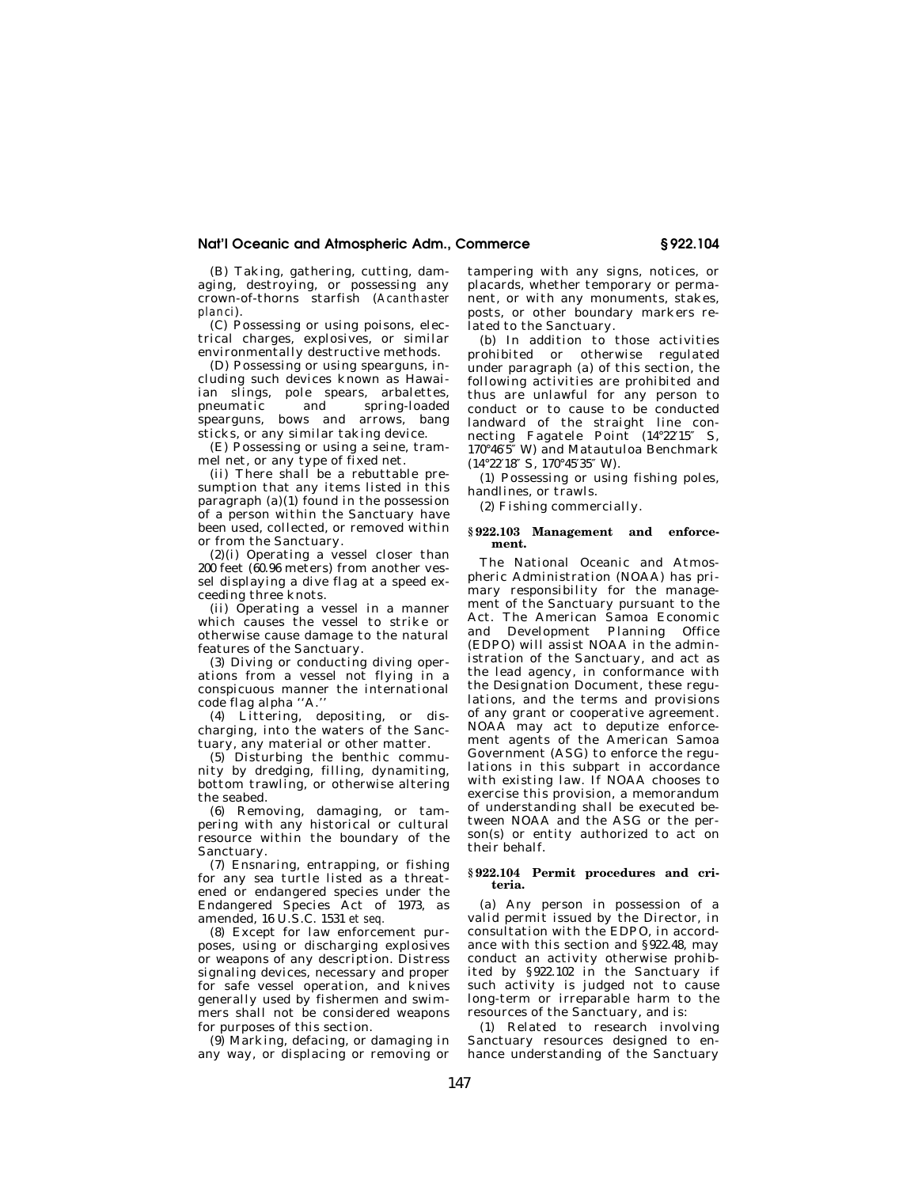(B) Taking, gathering, cutting, damaging, destroying, or possessing any crown-of-thorns starfish (*Acanthaster planci*).

(C) Possessing or using poisons, electrical charges, explosives, or similar environmentally destructive methods.

(D) Possessing or using spearguns, including such devices known as Hawaiian slings, pole spears, arbalettes, pneumatic and spring-loaded spearguns, bows and arrows, bang sticks, or any similar taking device.

(E) Possessing or using a seine, trammel net, or any type of fixed net.

(ii) There shall be a rebuttable presumption that any items listed in this paragraph  $(a)(1)$  found in the possession of a person within the Sanctuary have been used, collected, or removed within or from the Sanctuary.

 $(2)(i)$  Operating a vessel closer than 200 feet (60.96 meters) from another vessel displaying a dive flag at a speed exceeding three knots.

(ii) Operating a vessel in a manner which causes the vessel to strike or otherwise cause damage to the natural features of the Sanctuary.

(3) Diving or conducting diving operations from a vessel not flying in a conspicuous manner the international code flag alpha ''A.''

(4) Littering, depositing, or discharging, into the waters of the Sanctuary, any material or other matter.

(5) Disturbing the benthic community by dredging, filling, dynamiting, bottom trawling, or otherwise altering the seabed.

(6) Removing, damaging, or tampering with any historical or cultural resource within the boundary of the Sanctuary.

(7) Ensnaring, entrapping, or fishing for any sea turtle listed as a threatened or endangered species under the Endangered Species Act of 1973, as amended, 16 U.S.C. 1531 *et seq.* 

(8) Except for law enforcement purposes, using or discharging explosives or weapons of any description. Distress signaling devices, necessary and proper for safe vessel operation, and knives generally used by fishermen and swimmers shall not be considered weapons for purposes of this section.

(9) Marking, defacing, or damaging in any way, or displacing or removing or

tampering with any signs, notices, or placards, whether temporary or permanent, or with any monuments, stakes, posts, or other boundary markers related to the Sanctuary.

(b) In addition to those activities prohibited or otherwise regulated under paragraph (a) of this section, the following activities are prohibited and thus are unlawful for any person to conduct or to cause to be conducted landward of the straight line connecting Fagatele Point (14°22′15″ S, 170°46′5″ W) and Matautuloa Benchmark (14°22′18″ S, 170°45′35″ W).

(1) Possessing or using fishing poles, handlines, or trawls.

(2) Fishing commercially.

# **§ 922.103 Management and enforcement.**

The National Oceanic and Atmospheric Administration (NOAA) has primary responsibility for the management of the Sanctuary pursuant to the Act. The American Samoa Economic and Development Planning Office (EDPO) will assist NOAA in the administration of the Sanctuary, and act as the lead agency, in conformance with the Designation Document, these regulations, and the terms and provisions of any grant or cooperative agreement. NOAA may act to deputize enforcement agents of the American Samoa Government (ASG) to enforce the regulations in this subpart in accordance with existing law. If NOAA chooses to exercise this provision, a memorandum of understanding shall be executed between NOAA and the ASG or the person(s) or entity authorized to act on their behalf.

## **§ 922.104 Permit procedures and criteria.**

(a) Any person in possession of a valid permit issued by the Director, in consultation with the EDPO, in accordance with this section and §922.48, may conduct an activity otherwise prohibited by §922.102 in the Sanctuary if such activity is judged not to cause long-term or irreparable harm to the resources of the Sanctuary, and is:

(1) Related to research involving Sanctuary resources designed to enhance understanding of the Sanctuary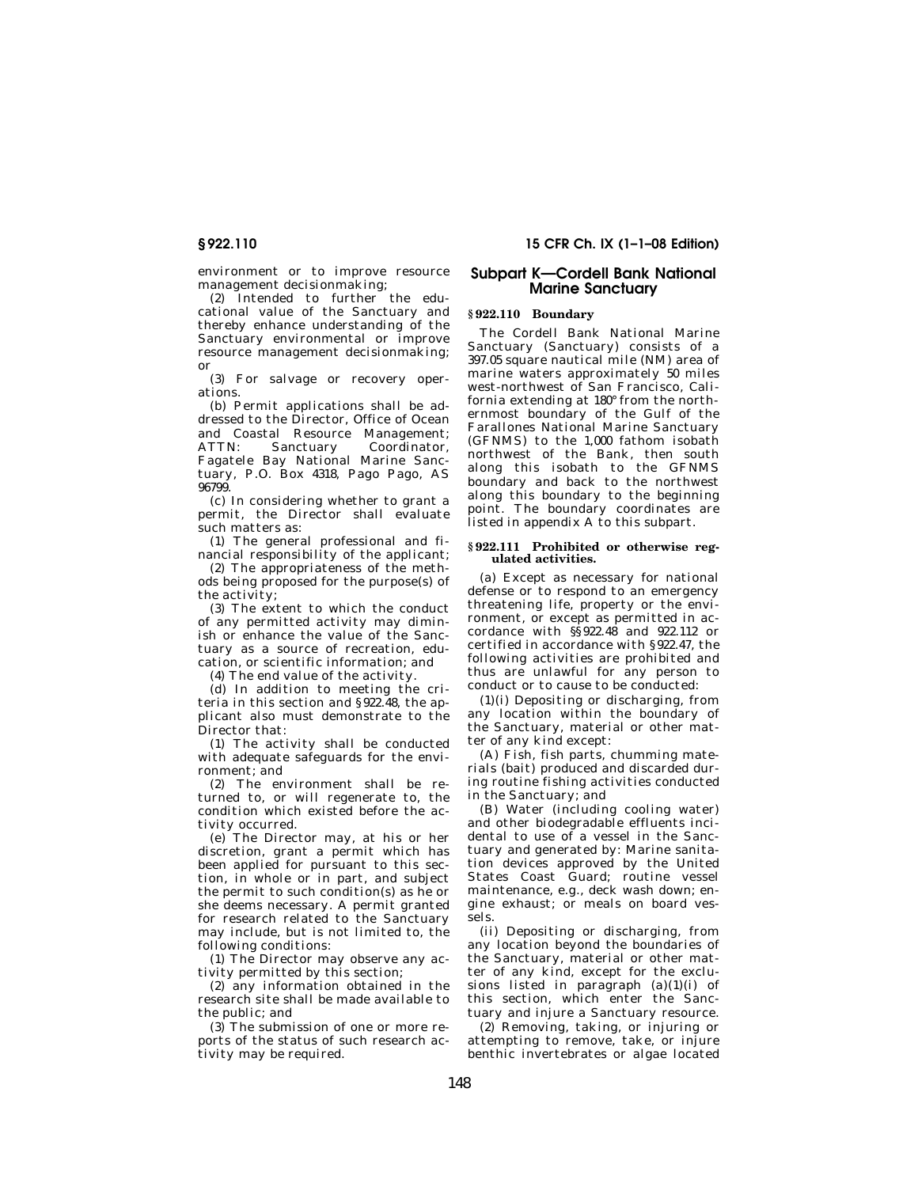environment or to improve resource management decisionmaking;

(2) Intended to further the educational value of the Sanctuary and thereby enhance understanding of the Sanctuary environmental or improve resource management decisionmaking; or

(3) For salvage or recovery operations.

(b) Permit applications shall be addressed to the Director, Office of Ocean and Coastal Resource Management;<br>ATTN: Sanctuary Coordinator, Sanctuary Coordinator, Fagatele Bay National Marine Sanctuary, P.O. Box 4318, Pago Pago, AS 96799.

(c) In considering whether to grant a permit, the Director shall evaluate such matters as:

(1) The general professional and financial responsibility of the applicant;

(2) The appropriateness of the methods being proposed for the purpose(s) of the activity;

(3) The extent to which the conduct of any permitted activity may diminish or enhance the value of the Sanctuary as a source of recreation, education, or scientific information; and

(4) The end value of the activity.

(d) In addition to meeting the criteria in this section and §922.48, the applicant also must demonstrate to the Director that:

(1) The activity shall be conducted with adequate safeguards for the environment; and

(2) The environment shall be returned to, or will regenerate to, the condition which existed before the activity occurred.

(e) The Director may, at his or her discretion, grant a permit which has been applied for pursuant to this section, in whole or in part, and subject the permit to such condition(s) as he or she deems necessary. A permit granted for research related to the Sanctuary may include, but is not limited to, the following conditions:

(1) The Director may observe any activity permitted by this section;

(2) any information obtained in the research site shall be made available to the public; and

(3) The submission of one or more reports of the status of such research activity may be required.

# **§ 922.110 15 CFR Ch. IX (1–1–08 Edition)**

# **Subpart K—Cordell Bank National Marine Sanctuary**

# **§ 922.110 Boundary**

The Cordell Bank National Marine Sanctuary (Sanctuary) consists of a 397.05 square nautical mile (NM) area of marine waters approximately 50 miles west-northwest of San Francisco, California extending at 180° from the northernmost boundary of the Gulf of the Farallones National Marine Sanctuary (GFNMS) to the 1,000 fathom isobath northwest of the Bank, then south along this isobath to the GFNMS boundary and back to the northwest along this boundary to the beginning point. The boundary coordinates are listed in appendix A to this subpart.

### **§ 922.111 Prohibited or otherwise regulated activities.**

(a) Except as necessary for national defense or to respond to an emergency threatening life, property or the environment, or except as permitted in accordance with §§922.48 and 922.112 or certified in accordance with §922.47, the following activities are prohibited and thus are unlawful for any person to conduct or to cause to be conducted:

(1)(i) Depositing or discharging, from any location within the boundary of the Sanctuary, material or other matter of any kind except:

(A) Fish, fish parts, chumming materials (bait) produced and discarded during routine fishing activities conducted in the Sanctuary; and

(B) Water (including cooling water) and other biodegradable effluents incidental to use of a vessel in the Sanctuary and generated by: Marine sanitation devices approved by the United States Coast Guard; routine vessel maintenance, e.g., deck wash down; engine exhaust; or meals on board vessels.

(ii) Depositing or discharging, from any location beyond the boundaries of the Sanctuary, material or other matter of any kind, except for the exclusions listed in paragraph  $(a)(1)(i)$  of this section, which enter the Sanctuary and injure a Sanctuary resource.

(2) Removing, taking, or injuring or attempting to remove, take, or injure benthic invertebrates or algae located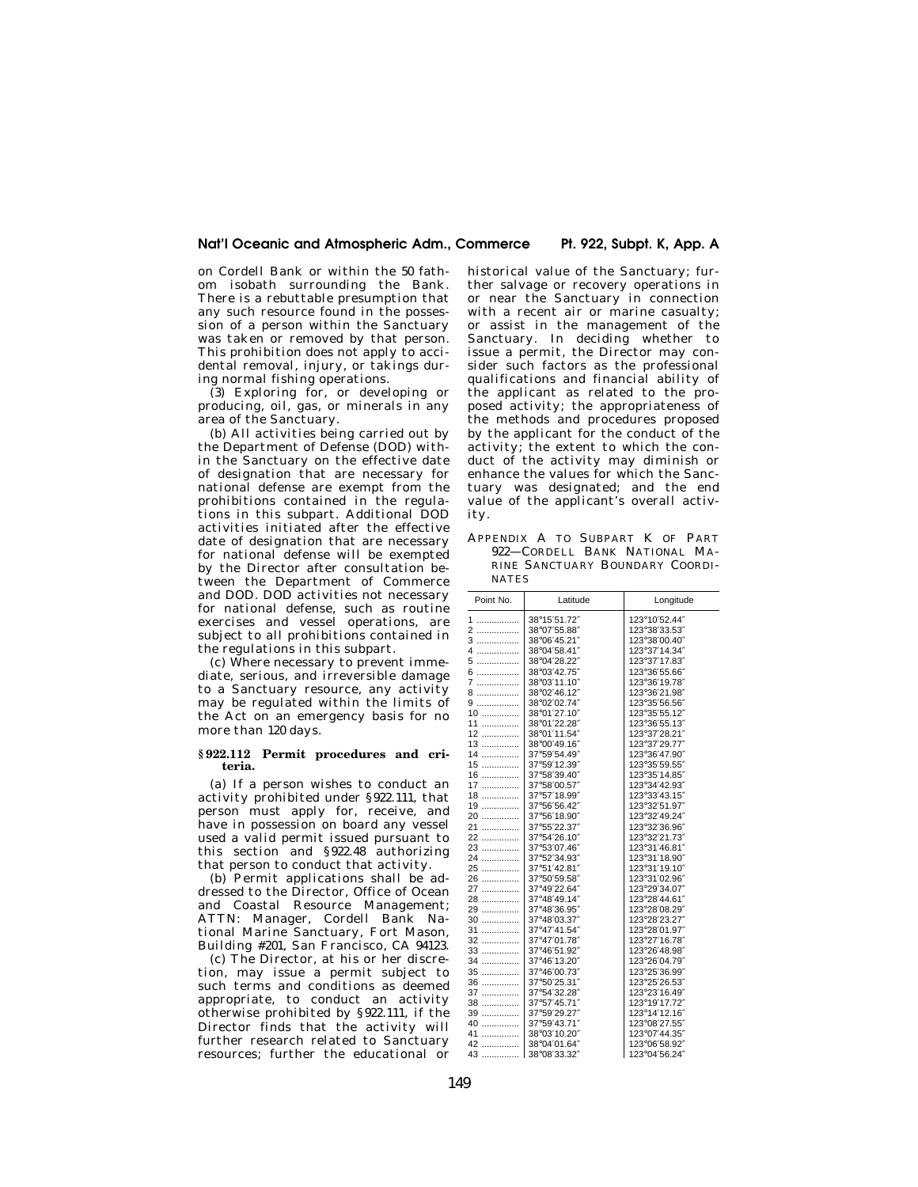# **Nat'l Oceanic and Atmospheric Adm., Commerce Pt. 922, Subpt. K, App. A**

on Cordell Bank or within the 50 fathom isobath surrounding the Bank. There is a rebuttable presumption that any such resource found in the possession of a person within the Sanctuary was taken or removed by that person. This prohibition does not apply to accidental removal, injury, or takings during normal fishing operations.

(3) Exploring for, or developing or producing, oil, gas, or minerals in any area of the Sanctuary.

(b) All activities being carried out by the Department of Defense (DOD) within the Sanctuary on the effective date of designation that are necessary for national defense are exempt from the prohibitions contained in the regulations in this subpart. Additional DOD activities initiated after the effective date of designation that are necessary for national defense will be exempted by the Director after consultation between the Department of Commerce and DOD. DOD activities not necessary for national defense, such as routine exercises and vessel operations, are subject to all prohibitions contained in the regulations in this subpart.

(c) Where necessary to prevent immediate, serious, and irreversible damage to a Sanctuary resource, any activity may be regulated within the limits of the Act on an emergency basis for no more than 120 days.

### **§ 922.112 Permit procedures and criteria.**

(a) If a person wishes to conduct an activity prohibited under §922.111, that person must apply for, receive, and have in possession on board any vessel used a valid permit issued pursuant to this section and §922.48 authorizing that person to conduct that activity.

(b) Permit applications shall be addressed to the Director, Office of Ocean and Coastal Resource Management; ATTN: Manager, Cordell Bank National Marine Sanctuary, Fort Mason, Building #201, San Francisco, CA 94123.

(c) The Director, at his or her discretion, may issue a permit subject to such terms and conditions as deemed appropriate, to conduct an activity otherwise prohibited by §922.111, if the Director finds that the activity will further research related to Sanctuary resources; further the educational or historical value of the Sanctuary; further salvage or recovery operations in or near the Sanctuary in connection with a recent air or marine casualty; or assist in the management of the Sanctuary. In deciding whether to issue a permit, the Director may consider such factors as the professional qualifications and financial ability of the applicant as related to the  $pro$ posed activity; the appropriateness of the methods and procedures proposed by the applicant for the conduct of the activity; the extent to which the conduct of the activity may diminish or enhance the values for which the Sanctuary was designated; and the end value of the applicant's overall activity.

APPENDIX A TO SUBPART K OF PART 922—CORDELL BANK NATIONAL MA-RINE SANCTUARY BOUNDARY COORDI-**NATES** 

| Point No. | Latitude     | Longitude     |
|-----------|--------------|---------------|
| 1         | 38°15'51.72" | 123°10'52.44" |
| 2<br>.    | 38°07'55.88" | 123°38'33.53" |
| 3         | 38°06'45.21" | 123°38'00.40" |
| 4<br>.    | 38°04'58.41" | 123°37'14.34" |
| 5<br>.    | 38°04'28.22" | 123°37'17.83" |
| 6         | 38°03'42.75" | 123°36'55.66" |
| 7<br>.    | 38°03'11.10" | 123°36'19.78" |
| 8<br>.    | 38°02'46.12" | 123°36'21.98" |
| 9         | 38°02'02.74" | 123°35'56.56" |
| 10        | 38°01'27.10" | 123°35'55.12" |
| 11<br>.   | 38°01'22.28" | 123°36'55.13" |
| 12        | 38°01'11.54" | 123°37'28.21" |
| 13        | 38°00'49.16" | 123°37'29.77" |
| 14        | 37°59'54.49" | 123°36'47.90" |
| 15        | 37°59'12.39" | 123°35'59.55" |
| 16        | 37°58'39.40" | 123°35'14.85" |
| 17        | 37°58'00.57" | 123°34'42.93" |
| 18        | 37°57'18.99" | 123°33'43.15" |
| $19$      | 37°56'56.42" | 123°32'51.97" |
| 20        | 37°56'18.90" | 123°32'49.24" |
| 21        | 37°55'22.37" | 123°32'36.96" |
| 22        | 37°54'26.10" | 123°32'21.73" |
| 23        | 37°53'07.46" | 123°31'46.81" |
| 24        | 37°52'34.93" | 123°31'18.90" |
| 25        | 37°51'42.81" | 123°31'19.10" |
| 26        | 37°50'59.58" | 123°31'02.96" |
| 27<br>.   | 37°49'22.64" | 123°29'34.07" |
| 28        | 37°48'49.14" | 123°28'44.61" |
| 29        | 37°48'36.95" | 123°28'08.29" |
| 30        | 37°48'03.37" | 123°28'23.27" |
| 31        | 37°47'41.54" | 123°28'01.97" |
| $32$      | 37°47'01.78" | 123°27'16.78" |
| $33$      | 37°46'51.92" | 123°26'48.98" |
| 34        | 37°46'13.20" | 123°26'04.79" |
| $35$      | 37°46'00.73" | 123°25'36.99" |
| $36$      | 37°50'25.31" | 123°25'26.53" |
| 37<br>.   | 37°54'32.28" | 123°23'16.49" |
| $38$      | 37°57'45.71" | 123°19'17.72" |
| $39$      | 37°59'29.27" | 123°14'12.16" |
| 40<br>.   | 37°59'43.71" | 123°08'27.55" |
| 41<br>.   | 38°03'10.20" | 123°07'44.35" |
| 42        | 38°04'01.64" | 123°06'58.92" |
| $43$      | 38°08'33.32" | 123°04'56.24" |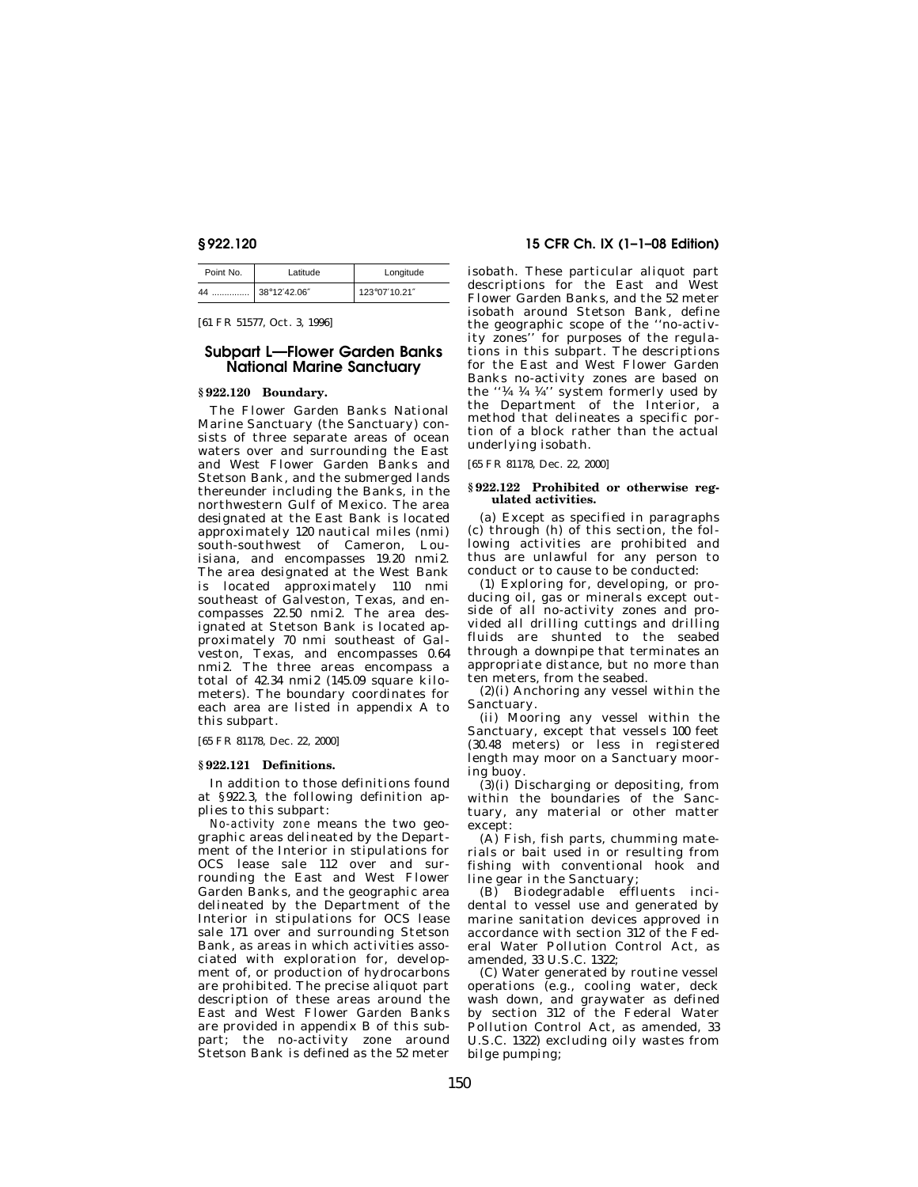| Point No. | Latitude     | Longitude     |
|-----------|--------------|---------------|
|           | 38°12'42.06" | 123°07'10.21" |

[61 FR 51577, Oct. 3, 1996]

# **Subpart L—Flower Garden Banks National Marine Sanctuary**

# **§ 922.120 Boundary.**

The Flower Garden Banks National Marine Sanctuary (the Sanctuary) consists of three separate areas of ocean waters over and surrounding the East and West Flower Garden Banks and Stetson Bank, and the submerged lands thereunder including the Banks, in the northwestern Gulf of Mexico. The area designated at the East Bank is located approximately 120 nautical miles (nmi) south-southwest of Cameron, Louisiana, and encompasses 19.20 nmi2. The area designated at the West Bank is located approximately 110 nmi southeast of Galveston, Texas, and encompasses 22.50 nmi2. The area designated at Stetson Bank is located approximately 70 nmi southeast of Galveston, Texas, and encompasses 0.64 nmi2. The three areas encompass a total of 42.34 nmi2 (145.09 square kilometers). The boundary coordinates for each area are listed in appendix A to this subpart.

[65 FR 81178, Dec. 22, 2000]

# **§ 922.121 Definitions.**

In addition to those definitions found at §922.3, the following definition applies to this subpart:

*No-activity zone* means the two geographic areas delineated by the Department of the Interior in stipulations for OCS lease sale 112 over and surrounding the East and West Flower Garden Banks, and the geographic area delineated by the Department of the Interior in stipulations for OCS lease sale 171 over and surrounding Stetson Bank, as areas in which activities associated with exploration for, development of, or production of hydrocarbons are prohibited. The precise aliquot part description of these areas around the East and West Flower Garden Banks are provided in appendix B of this subpart; the no-activity zone around Stetson Bank is defined as the 52 meter

# **§ 922.120 15 CFR Ch. IX (1–1–08 Edition)**

isobath. These particular aliquot part descriptions for the East and West Flower Garden Banks, and the 52 meter isobath around Stetson Bank, define the geographic scope of the ''no-activity zones'' for purposes of the regulations in this subpart. The descriptions for the East and West Flower Garden Banks no-activity zones are based on the " $\frac{1}{4}$   $\frac{1}{4}$   $\frac{1}{4}$ " system formerly used by the Department of the Interior, a method that delineates a specific portion of a block rather than the actual underlying isobath.

[65 FR 81178, Dec. 22, 2000]

## **§ 922.122 Prohibited or otherwise regulated activities.**

(a) Except as specified in paragraphs (c) through (h) of this section, the following activities are prohibited and thus are unlawful for any person to conduct or to cause to be conducted:

(1) Exploring for, developing, or producing oil, gas or minerals except outside of all no-activity zones and provided all drilling cuttings and drilling fluids are shunted to the seabed through a downpipe that terminates an appropriate distance, but no more than ten meters, from the seabed.

(2)(i) Anchoring any vessel within the Sanctuary.

(ii) Mooring any vessel within the Sanctuary, except that vessels 100 feet (30.48 meters) or less in registered length may moor on a Sanctuary mooring buoy.

(3)(i) Discharging or depositing, from within the boundaries of the Sanctuary, any material or other matter except:

(A) Fish, fish parts, chumming materials or bait used in or resulting from fishing with conventional hook and line gear in the Sanctuary;

(B) Biodegradable effluents incidental to vessel use and generated by marine sanitation devices approved in accordance with section 312 of the Federal Water Pollution Control Act, as amended, 33 U.S.C. 1322;

(C) Water generated by routine vessel operations (e.g., cooling water, deck wash down, and graywater as defined by section 312 of the Federal Water Pollution Control Act, as amended, 33 U.S.C. 1322) excluding oily wastes from bilge pumping;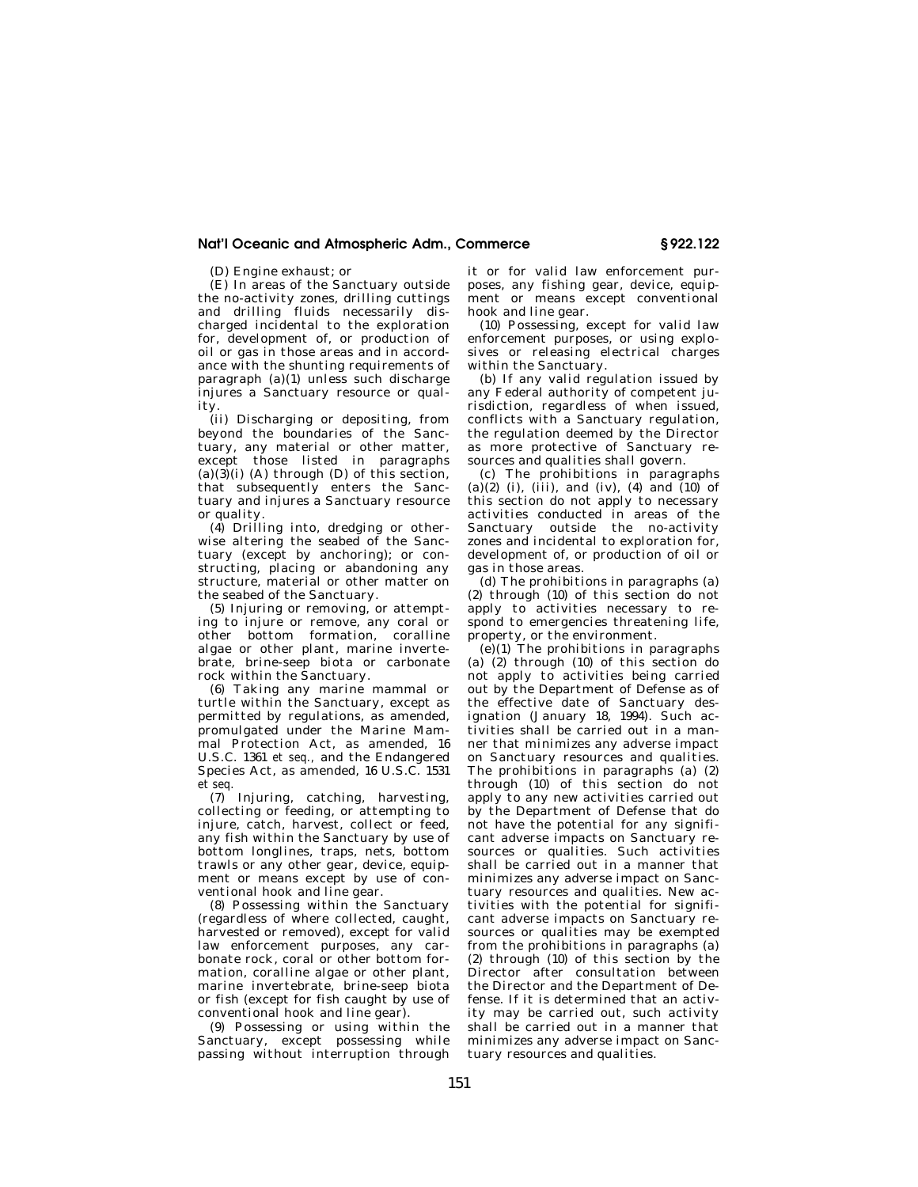(D) Engine exhaust; or

(E) In areas of the Sanctuary outside the no-activity zones, drilling cuttings and drilling fluids necessarily discharged incidental to the exploration for, development of, or production of oil or gas in those areas and in accordance with the shunting requirements of paragraph (a)(1) unless such discharge injures a Sanctuary resource or quality.

(ii) Discharging or depositing, from beyond the boundaries of the Sanctuary, any material or other matter, except those listed in paragraphs  $(a)(3)(i)$  (A) through (D) of this section, that subsequently enters the Sanctuary and injures a Sanctuary resource or quality.

(4) Drilling into, dredging or otherwise altering the seabed of the Sanctuary (except by anchoring); or constructing, placing or abandoning any structure, material or other matter on the seabed of the Sanctuary.

(5) Injuring or removing, or attempting to injure or remove, any coral or other bottom formation, coralline algae or other plant, marine invertebrate, brine-seep biota or carbonate rock within the Sanctuary.

(6) Taking any marine mammal or turtle within the Sanctuary, except as permitted by regulations, as amended, promulgated under the Marine Mam-.<br>mal Protection Act, as amended, 16 U.S.C. 1361 *et seq.,* and the Endangered Species Act, as amended, 16 U.S.C. 1531 *et seq.* 

(7) Injuring, catching, harvesting, collecting or feeding, or attempting to injure, catch, harvest, collect or feed, any fish within the Sanctuary by use of bottom longlines, traps, nets, bottom trawls or any other gear, device, equipment or means except by use of conventional hook and line gear.

(8) Possessing within the Sanctuary (regardless of where collected, caught, harvested or removed), except for valid law enforcement purposes, any carbonate rock, coral or other bottom formation, coralline algae or other plant, marine invertebrate brine-seep biota or fish (except for fish caught by use of conventional hook and line gear).

(9) Possessing or using within the Sanctuary, except possessing while passing without interruption through it or for valid law enforcement purposes, any fishing gear, device, equipment or means except conventional hook and line gear.

(10) Possessing, except for valid law enforcement purposes, or using explosives or releasing electrical charges within the Sanctuary.

(b) If any valid regulation issued by any Federal authority of competent jurisdiction, regardless of when issued, conflicts with a Sanctuary regulation, the regulation deemed by the Director as more protective of Sanctuary resources and qualities shall govern.

(c) The prohibitions in paragraphs (a)(2) (i), (iii), and (iv), (4) and  $(10)$  of this section do not apply to necessary activities conducted in areas of the Sanctuary outside the no-activity zones and incidental to exploration for, development of, or production of oil or gas in those areas.

(d) The prohibitions in paragraphs (a) (2) through (10) of this section do not apply to activities necessary to respond to emergencies threatening life, property, or the environment.

 $(e)(1)$  The prohibitions in paragraphs (a) (2) through (10) of this section do not apply to activities being carried out by the Department of Defense as of the effective date of Sanctuary designation (January 18, 1994). Such activities shall be carried out in a manner that minimizes any adverse impact on Sanctuary resources and qualities. The prohibitions in paragraphs (a) (2) through (10) of this section do not apply to any new activities carried out by the Department of Defense that do not have the potential for any significant adverse impacts on Sanctuary resources or qualities. Such activities shall be carried out in a manner that minimizes any adverse impact on Sanctuary resources and qualities. New activities with the potential for significant adverse impacts on Sanctuary resources or qualities may be exempted from the prohibitions in paragraphs (a) (2) through (10) of this section by the Director after consultation between the Director and the Department of Defense. If it is determined that an activity may be carried out, such activity shall be carried out in a manner that minimizes any adverse impact on Sanctuary resources and qualities.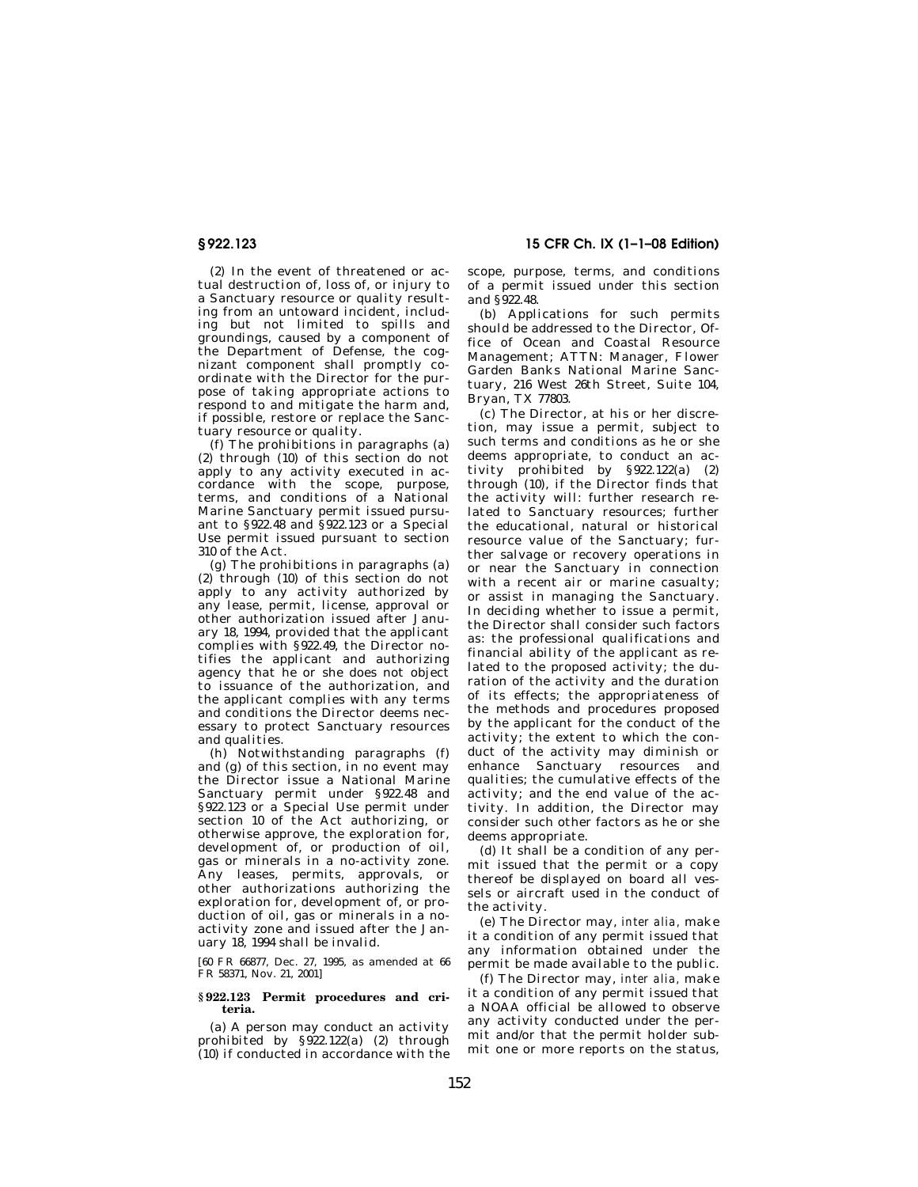**§ 922.123 15 CFR Ch. IX (1–1–08 Edition)** 

(2) In the event of threatened or actual destruction of, loss of, or injury to a Sanctuary resource or quality resulting from an untoward incident, including but not limited to spills and groundings, caused by a component of the Department of Defense, the cognizant component shall promptly coordinate with the Director for the purpose of taking appropriate actions to respond to and mitigate the harm and, if possible, restore or replace the Sanctuary resource or quality.

(f) The prohibitions in paragraphs (a) (2) through (10) of this section do not apply to any activity executed in accordance with the scope, purpose, terms, and conditions of a National Marine Sanctuary permit issued pursuant to §922.48 and §922.123 or a Special Use permit issued pursuant to section 310 of the Act.

(g) The prohibitions in paragraphs (a) (2) through (10) of this section do not apply to any activity authorized by any lease, permit, license, approval or other authorization issued after January 18, 1994, provided that the applicant complies with §922.49, the Director notifies the applicant and authorizing agency that he or she does not object to issuance of the authorization, and the applicant complies with any terms and conditions the Director deems necessary to protect Sanctuary resources and qualities.

(h) Notwithstanding paragraphs (f) and (g) of this section, in no event may the Director issue a National Marine Sanctuary permit under §922.48 and §922.123 or a Special Use permit under section 10 of the Act authorizing, or otherwise approve, the exploration for, development of, or production of oil, gas or minerals in a no-activity zone. Any leases, permits, approvals, or other authorizations authorizing the exploration for, development of, or production of oil, gas or minerals in a noactivity zone and issued after the January 18, 1994 shall be invalid.

[60 FR 66877, Dec. 27, 1995, as amended at 66 FR 58371, Nov. 21, 2001]

## **§ 922.123 Permit procedures and criteria.**

(a) A person may conduct an activity prohibited by §922.122(a) (2) through (10) if conducted in accordance with the scope, purpose, terms, and conditions of a permit issued under this section and §922.48.

(b) Applications for such permits should be addressed to the Director, Office of Ocean and Coastal Resource Management; ATTN: Manager, Flower Garden Banks National Marine Sanctuary, 216 West 26th Street, Suite 104, Bryan, TX 77803.

(c) The Director, at his or her discretion, may issue a permit, subject to such terms and conditions as he or she deems appropriate, to conduct an activity prohibited by §922.122(a) (2) through (10), if the Director finds that the activity will: further research related to Sanctuary resources; further the educational, natural or historical resource value of the Sanctuary; further salvage or recovery operations in or near the Sanctuary in connection with a recent air or marine casualty; or assist in managing the Sanctuary. In deciding whether to issue a permit, the Director shall consider such factors as: the professional qualifications and financial ability of the applicant as related to the proposed activity; the duration of the activity and the duration of its effects; the appropriateness of the methods and procedures proposed by the applicant for the conduct of the activity; the extent to which the conduct of the activity may diminish or enhance Sanctuary resources and qualities; the cumulative effects of the activity; and the end value of the activity. In addition, the Director may consider such other factors as he or she deems appropriate.

(d) It shall be a condition of any permit issued that the permit or a copy thereof be displayed on board all vessels or aircraft used in the conduct of the activity.

(e) The Director may, *inter alia,* make it a condition of any permit issued that any information obtained under the permit be made available to the public.

(f) The Director may, *inter alia,* make it a condition of any permit issued that a NOAA official be allowed to observe any activity conducted under the permit and/or that the permit holder submit one or more reports on the status,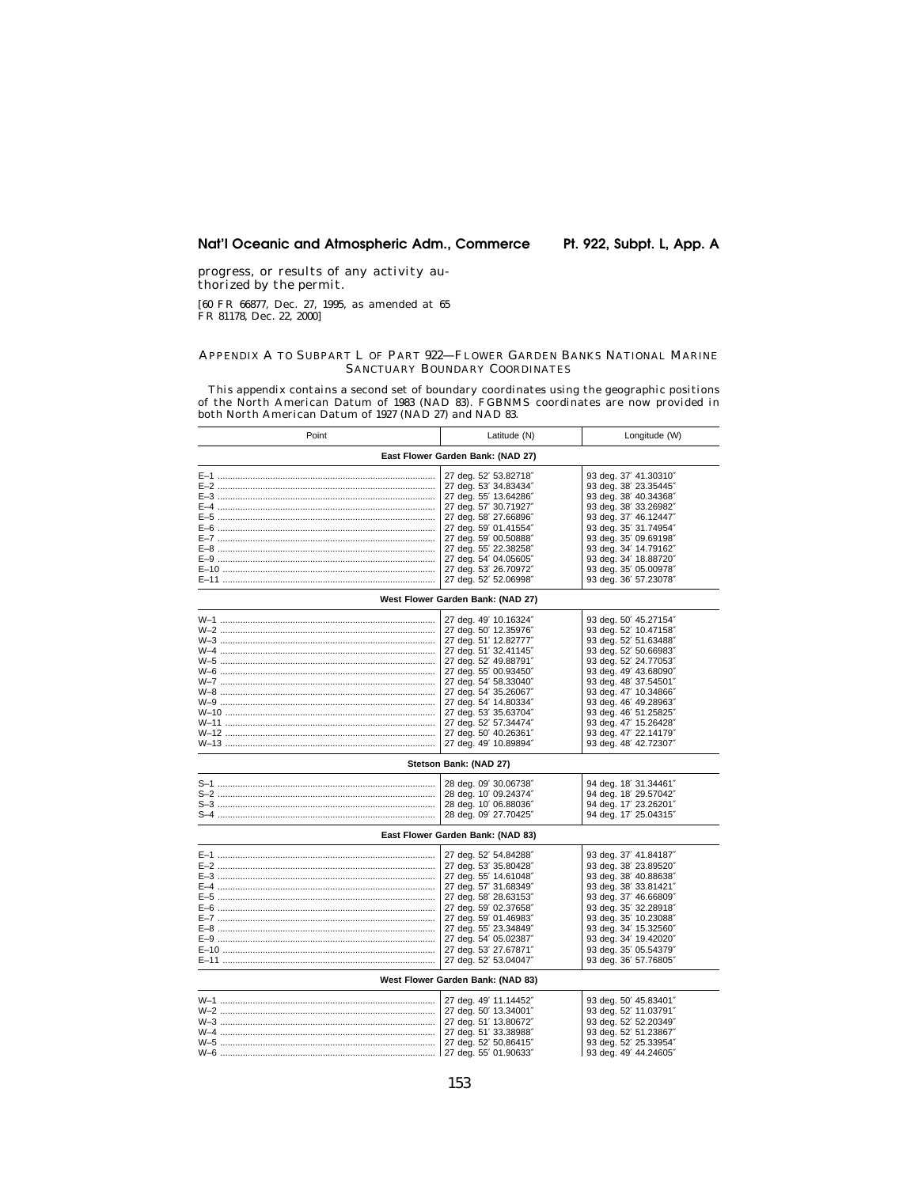# Nat'l Oceanic and Atmospheric Adm., Commerce Pt. 922, Subpt. L, App. A

progress, or results of any activity authorized by the permit. [60 FR 66877, Dec. 27, 1995, as amended at 65 FR 81178, Dec. 22, 2000]

## APPENDIX A TO SUBPART L OF PART 922—FLOWER GARDEN BANKS NATIONAL MARINE SANCTUARY BOUNDARY COORDINATES

This appendix contains a second set of boundary coordinates using the geographic positions of the North American Datum of 1983 (NAD 83). FGBNMS coordinates are now provided in both North American Datum of 1927 (NAD 27) and NAD 83.

| Point                             | Latitude (N)                      | Longitude (W)         |
|-----------------------------------|-----------------------------------|-----------------------|
| East Flower Garden Bank: (NAD 27) |                                   |                       |
|                                   | 27 deg. 52' 53.82718"             | 93 deg. 37' 41.30310" |
|                                   | 27 deg. 53' 34.83434"             | 93 deg. 38' 23.35445" |
|                                   | 27 deg. 55' 13.64286"             | 93 deg. 38' 40.34368" |
|                                   | 27 deg. 57' 30.71927"             | 93 deg. 38' 33.26982" |
|                                   | 27 deg. 58' 27.66896"             | 93 deg. 37' 46.12447" |
|                                   | 27 deg. 59' 01.41554"             | 93 deg. 35' 31.74954" |
|                                   | 27 deg. 59' 00.50888"             | 93 deg. 35' 09.69198" |
|                                   | 27 deg. 55' 22.38258"             | 93 deg. 34' 14.79162" |
|                                   | 27 deg. 54' 04.05605"             | 93 deg. 34' 18.88720" |
|                                   | 27 deg. 53' 26.70972"             | 93 deg. 35' 05.00978" |
|                                   | 27 deg. 52' 52.06998"             | 93 deg. 36' 57.23078" |
|                                   | West Flower Garden Bank: (NAD 27) |                       |
|                                   | 27 deg. 49' 10.16324"             | 93 deg. 50' 45.27154" |
|                                   | 27 deg. 50' 12.35976"             | 93 deg. 52' 10.47158" |
|                                   | 27 deg. 51' 12.82777"             | 93 deg. 52' 51.63488" |
|                                   | 27 deg. 51' 32.41145"             | 93 deg. 52' 50.66983" |
|                                   | 27 deg. 52' 49.88791"             | 93 deg. 52' 24.77053" |
|                                   | 27 deg. 55' 00.93450"             | 93 deg. 49' 43.68090" |
|                                   | 27 deg. 54' 58.33040"             | 93 deg. 48' 37.54501" |
|                                   | 27 deg. 54' 35.26067"             | 93 deg. 47' 10.34866" |
|                                   | 27 deg. 54' 14.80334"             | 93 deg. 46' 49.28963" |
|                                   | 27 deg. 53' 35.63704"             | 93 deg. 46' 51.25825" |
|                                   | 27 deg. 52' 57.34474"             | 93 deg. 47' 15.26428" |
|                                   | 27 deg. 50' 40.26361"             | 93 deg. 47' 22.14179" |
|                                   | 27 deg. 49' 10.89894"             | 93 deg. 48' 42.72307" |
| Stetson Bank: (NAD 27)            |                                   |                       |
|                                   | 28 deg. 09' 30.06738"             | 94 deg. 18' 31.34461" |
|                                   | 28 deg. 10' 09.24374"             | 94 deg. 18' 29.57042" |
|                                   | 28 deg. 10' 06.88036"             | 94 deg. 17' 23.26201" |
|                                   | 28 deg. 09' 27.70425"             | 94 deg. 17' 25.04315" |
|                                   |                                   |                       |
|                                   | East Flower Garden Bank: (NAD 83) |                       |
|                                   | 27 deg. 52' 54.84288"             | 93 deg. 37' 41.84187" |
|                                   | 27 deg. 53' 35.80428"             | 93 deg. 38' 23.89520" |
|                                   | 27 deg. 55' 14.61048"             | 93 deg. 38' 40.88638" |
|                                   | 27 deg. 57' 31.68349"             | 93 deg. 38' 33.81421" |
|                                   | 27 deg. 58' 28.63153"             | 93 deg. 37' 46.66809" |
|                                   | 27 deg. 59' 02.37658"             | 93 deg. 35' 32.28918" |
|                                   | 27 deg. 59' 01.46983"             | 93 deg. 35' 10.23088" |
|                                   | 27 deg. 55' 23.34849"             | 93 deg. 34' 15.32560" |
|                                   | 27 deg. 54' 05.02387"             | 93 deg. 34' 19.42020" |
|                                   | 27 deg. 53' 27.67871"             | 93 deg. 35' 05.54379" |
|                                   | 27 deg. 52' 53.04047"             | 93 deg. 36' 57.76805" |
| West Flower Garden Bank: (NAD 83) |                                   |                       |
|                                   | 27 deg. 49' 11.14452"             | 93 deg. 50' 45.83401" |
|                                   | 27 deg. 50' 13.34001"             | 93 deg. 52' 11.03791" |
|                                   | 27 deg. 51' 13.80672"             | 93 deg. 52' 52.20349" |
|                                   | 27 deg. 51' 33.38988"             | 93 deg. 52' 51.23867" |
|                                   | 27 deg. 52' 50.86415"             | 93 deg. 52' 25.33954" |
|                                   | 27 deg. 55' 01.90633"             | 93 deg. 49' 44.24605" |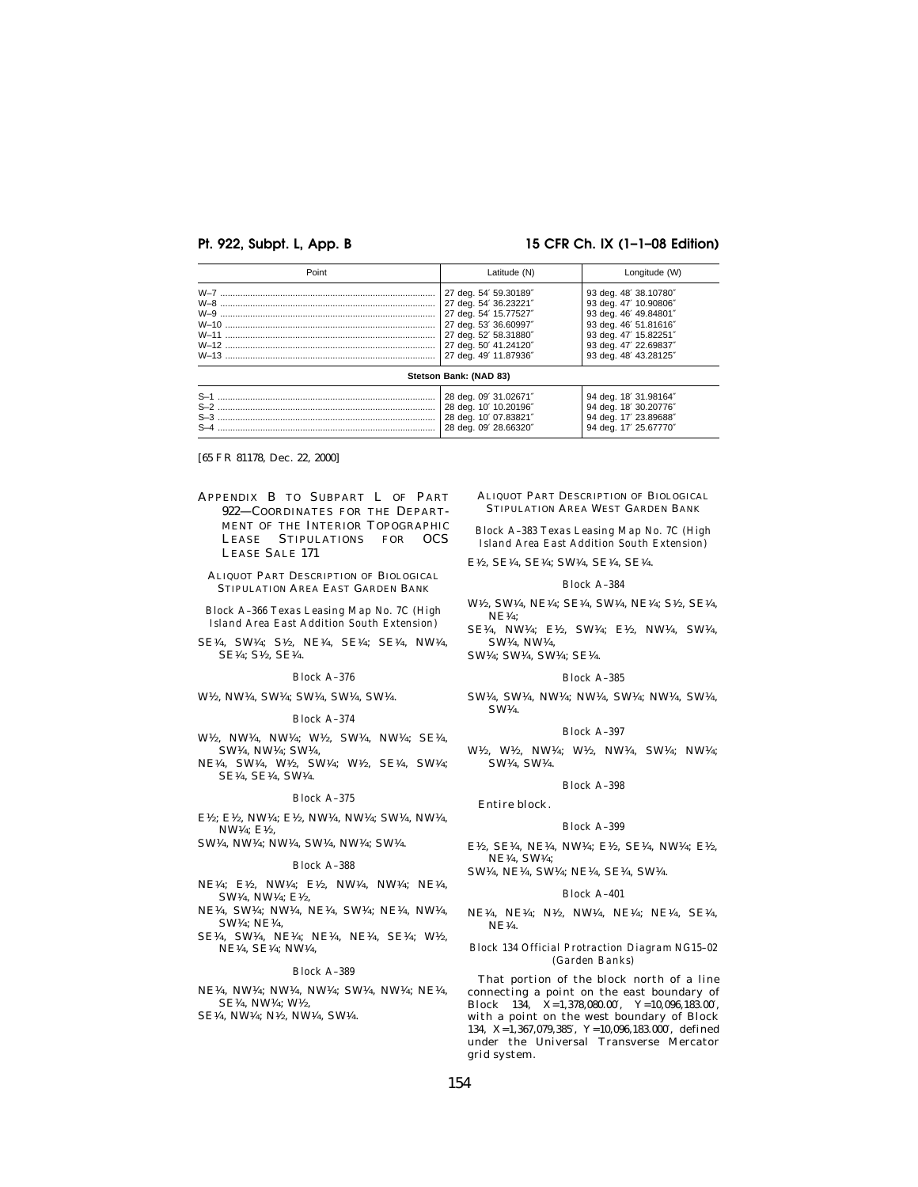# **Pt. 922, Subpt. L, App. B 15 CFR Ch. IX (1–1–08 Edition)**

| Point | Latitude (N)                                                                                                                                                                | Longitude (W)                                                                                                                                                               |
|-------|-----------------------------------------------------------------------------------------------------------------------------------------------------------------------------|-----------------------------------------------------------------------------------------------------------------------------------------------------------------------------|
|       | 27 deg. 54' 59.30189"<br>27 deg. 54' 36.23221"<br>27 deg. 54' 15.77527"<br>27 deg. 53' 36.60997"<br>27 deg. 52' 58.31880"<br>27 deg. 50' 41.24120"<br>27 deg. 49' 11.87936" | 93 deg. 48' 38.10780"<br>93 deg. 47' 10.90806"<br>93 deg. 46' 49.84801"<br>93 deg. 46' 51.81616"<br>93 deg. 47' 15.82251"<br>93 deg. 47' 22.69837"<br>93 deg. 48' 43.28125" |
|       | Stetson Bank: (NAD 83)                                                                                                                                                      |                                                                                                                                                                             |
|       | 28 deg. 09' 31.02671"<br>28 deg. 10' 10.20196"<br>28 deg. 10' 07.83821"<br>28 deg. 09' 28.66320"                                                                            | 94 deg. 18' 31.98164"<br>94 deg. 18' 30.20776"<br>94 deg. 17' 23.89688"<br>94 deg. 17' 25.67770"                                                                            |

[65 FR 81178, Dec. 22, 2000]

APPENDIX B TO SUBPART L OF PART 922—COORDINATES FOR THE DEPART-MENT OF THE INTERIOR TOPOGRAPHIC LEASE STIPULATIONS FOR OCS LEASE SALE 171

ALIQUOT PART DESCRIPTION OF BIOLOGICAL STIPULATION AREA EAST GARDEN BANK

*Block A–366 Texas Leasing Map No. 7C (High Island Area East Addition South Extension)* 

 $SE^{1/4}$ , SW<sup>1</sup>/4; S<sup>1</sup>/2, NE<sup>1</sup>/4, SE<sup>1</sup>/4; SE<sup>1</sup>/4, NW<sup>1</sup>/4, SE1⁄4; S1⁄2, SE1⁄4.

*Block A–376* 

W1⁄2, NW1⁄4, SW1⁄4; SW1⁄4, SW1⁄4, SW1⁄4.

### *Block A–374*

- W<sup>1</sup>/2, NW<sup>1</sup>/4, NW<sup>1</sup>/4; W<sup>1</sup>/2, SW<sup>1</sup>/4, NW<sup>1</sup>/4; SE<sup>1</sup>/4, SW1⁄4, NW1⁄4; SW1⁄4,
- NE1⁄4, SW1⁄4, W1⁄2, SW1⁄4; W1⁄2, SE1⁄4, SW1⁄4; SE1⁄4, SE1⁄4, SW1⁄4.

### *Block A–375*

E1⁄2; E1⁄2, NW1⁄4; E1⁄2, NW1⁄4, NW1⁄4; SW1⁄4, NW1⁄4, NW1⁄4; E1⁄2,

SW1⁄4, NW1⁄4; NW1⁄4, SW1⁄4, NW1⁄4; SW1⁄4.

### *Block A–388*

NE1⁄4; E1⁄2, NW1⁄4; E1⁄2, NW1⁄4, NW1⁄4; NE1⁄4, SW1⁄4, NW1⁄4; E1⁄2,

- NE1⁄4, SW1⁄4; NW1⁄4, NE1⁄4, SW1⁄4; NE1⁄4, NW1⁄4, SW1⁄4; NE1⁄4,
- SE1⁄4, SW1⁄4, NE1⁄4; NE1⁄4, NE1⁄4, SE1⁄4; W1⁄2, NE1⁄4, SE1⁄4; NW1⁄4,

#### *Block A–389*

NE1⁄4, NW1⁄4; NW1⁄4, NW1⁄4; SW1⁄4, NW1⁄4; NE1⁄4, SE1⁄4, NW1⁄4; W1⁄2,

SE1⁄4, NW1⁄4; N1⁄2, NW1⁄4, SW1⁄4.

ALIQUOT PART DESCRIPTION OF BIOLOGICAL STIPULATION AREA WEST GARDEN BANK

*Block A–383 Texas Leasing Map No. 7C (High Island Area East Addition South Extension)* 

E1⁄2, SE1⁄4, SE1⁄4; SW1⁄4, SE1⁄4, SE1⁄4.

# *Block A–384*

W1⁄2, SW1⁄4, NE1⁄4; SE1⁄4, SW1⁄4, NE1⁄4; S1⁄2, SE1⁄4, NE1⁄4;

SE1⁄4, NW1⁄4; E1⁄2, SW1⁄4; E1⁄2, NW1⁄4, SW1⁄4, SW1⁄4, NW1⁄4,

SW1⁄4; SW1⁄4, SW1⁄4; SE1⁄4.

# *Block A–385*

SW1⁄4, SW1⁄4, NW1⁄4; NW1⁄4, SW1⁄4; NW1⁄4, SW1⁄4, SW1⁄4.

# *Block A–397*

W1⁄2, W1⁄2, NW1⁄4; W1⁄2, NW1⁄4, SW1⁄4; NW1⁄4; SW1⁄4, SW1⁄4.

## *Block A–398*

#### Entire block.

### *Block A–399*

E1⁄2, SE1⁄4, NE1⁄4, NW1⁄4; E1⁄2, SE1⁄4, NW1⁄4; E1⁄2, NE1⁄4, SW1⁄4;

SW1⁄4, NE1⁄4, SW1⁄4; NE1⁄4, SE1⁄4, SW1⁄4.

#### *Block A–401*

NE1⁄4, NE1⁄4; N1⁄2, NW1⁄4, NE1⁄4; NE1⁄4, SE1⁄4, NE1⁄4.

### *Block 134 Official Protraction Diagram NG15–02 (Garden Banks)*

That portion of the block north of a line connecting a point on the east boundary of Block 134, X=1,378,080.00′, Y=10,096,183.00′, with a point on the west boundary of Block 134, X=1,367,079,385′, Y=10,096,183.000′, defined under the Universal Transverse Mercator grid system.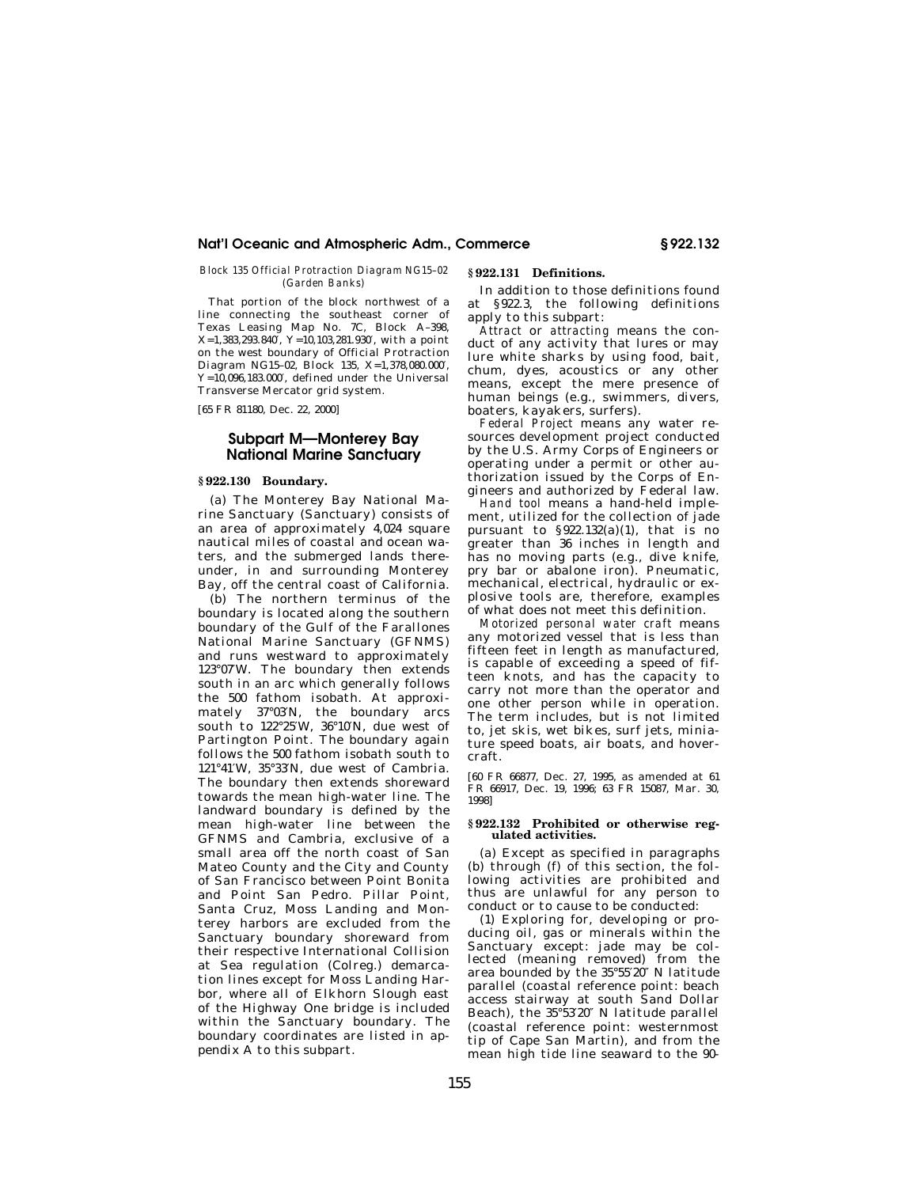#### *Block 135 Official Protraction Diagram NG15–02 (Garden Banks)*

That portion of the block northwest of a line connecting the southeast corner of Texas Leasing Map No. 7C, Block A–398, X=1,383,293.840′, Y=10,103,281.930′, with a point on the west boundary of Official Protraction Diagram NG15–02, Block 135, X=1,378,080.000′, Y=10,096,183.000′, defined under the Universal Transverse Mercator grid system.

[65 FR 81180, Dec. 22, 2000]

# **Subpart M—Monterey Bay National Marine Sanctuary**

## **§ 922.130 Boundary.**

(a) The Monterey Bay National Marine Sanctuary (Sanctuary) consists of an area of approximately 4,024 square nautical miles of coastal and ocean waters, and the submerged lands thereunder, in and surrounding Monterey Bay, off the central coast of California.

(b) The northern terminus of the boundary is located along the southern boundary of the Gulf of the Farallones National Marine Sanctuary (GFNMS) and runs westward to approximately 123°07′W. The boundary then extends south in an arc which generally follows the 500 fathom isobath. At approximately 37°03′N, the boundary arcs south to 122°25′W, 36°10′N, due west of Partington Point. The boundary again follows the 500 fathom isobath south to 121°41′W, 35°33′N, due west of Cambria. The boundary then extends shoreward towards the mean high-water line. The landward boundary is defined by the mean high-water line between the GFNMS and Cambria, exclusive of a small area off the north coast of San Mateo County and the City and County of San Francisco between Point Bonita and Point San Pedro. Pillar Point, Santa Cruz, Moss Landing and Monterey harbors are excluded from the Sanctuary boundary shoreward from their respective International Collision at Sea regulation (Colreg.) demarcation lines except for Moss Landing Harbor, where all of Elkhorn Slough east of the Highway One bridge is included within the Sanctuary boundary. The boundary coordinates are listed in appendix A to this subpart.

# **§ 922.131 Definitions.**

In addition to those definitions found at §922.3, the following definitions apply to this subpart:

*Attract* or *attracting* means the conduct of any activity that lures or may lure white sharks by using food, bait, chum, dyes, acoustics or any other means, except the mere presence of human beings (e.g., swimmers, divers, boaters, kayakers, surfers).

*Federal Project* means any water resources development project conducted by the U.S. Army Corps of Engineers or operating under a permit or other authorization issued by the Corps of Engineers and authorized by Federal law.

*Hand tool* means a hand-held implement, utilized for the collection of jade pursuant to §922.132(a)(1), that is no greater than 36 inches in length and has no moving parts (e.g., dive knife, pry bar or abalone iron). Pneumatic, mechanical, electrical, hydraulic or explosive tools are, therefore, examples of what does not meet this definition.

*Motorized personal water craft* means any motorized vessel that is less than fifteen feet in length as manufactured, is capable of exceeding a speed of fifteen knots, and has the capacity to carry not more than the operator and one other person while in operation. The term includes, but is not limited to, jet skis, wet bikes, surf jets, miniature speed boats, air boats, and hovercraft.

[60 FR 66877, Dec. 27, 1995, as amended at 61 FR 66917, Dec. 19, 1996; 63 FR 15087, Mar. 30, 1998]

## **§ 922.132 Prohibited or otherwise regulated activities.**

(a) Except as specified in paragraphs (b) through (f) of this section, the following activities are prohibited and thus are unlawful for any person to conduct or to cause to be conducted:

(1) Exploring for, developing or producing oil, gas or minerals within the Sanctuary except: jade may be collected (meaning removed) from the area bounded by the 35°55′20″ N latitude parallel (coastal reference point: beach access stairway at south Sand Dollar Beach), the 35°53′20″ N latitude parallel (coastal reference point: westernmost tip of Cape San Martin), and from the mean high tide line seaward to the 90-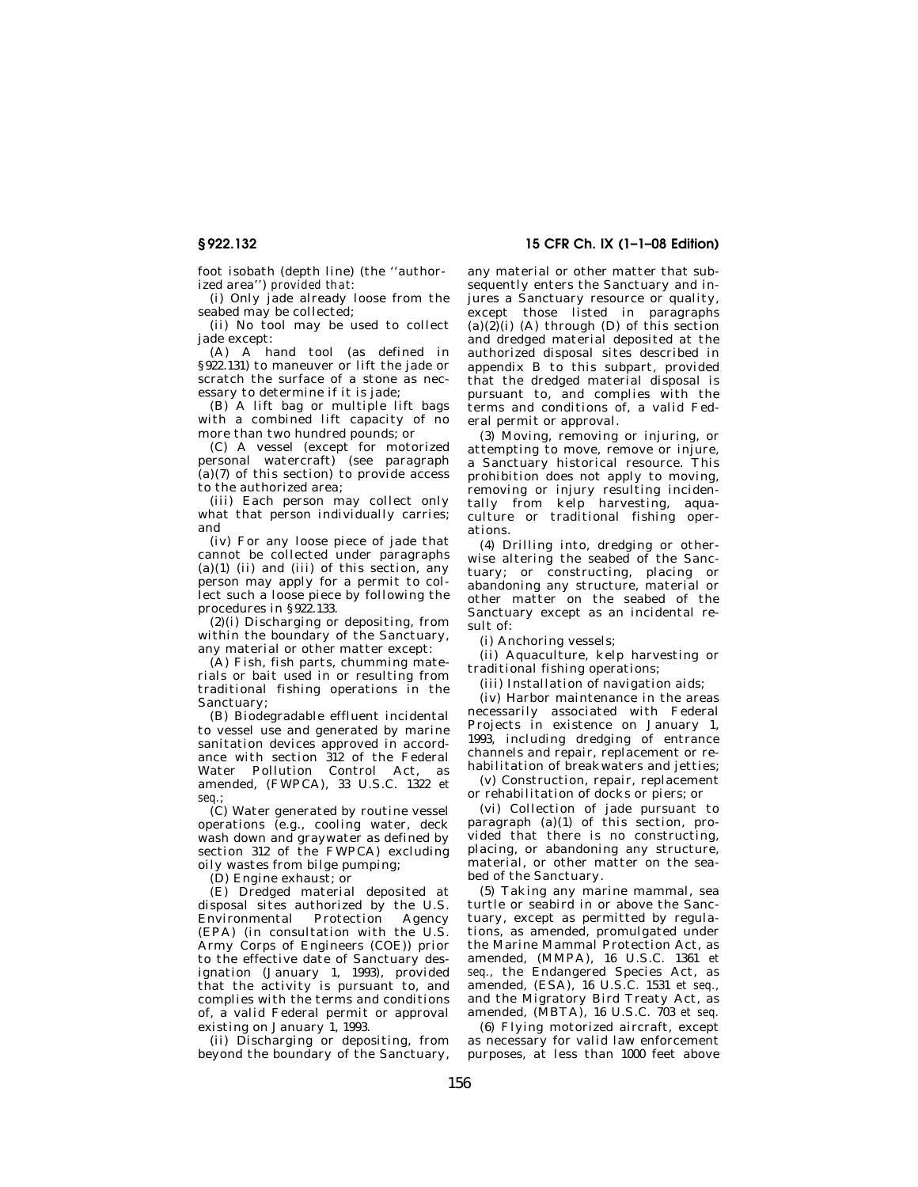foot isobath (depth line) (the ''authorized area'') *provided that*:

(i) Only jade already loose from the seabed may be collected;

(ii) No tool may be used to collect jade except:

(A) A hand tool (as defined in §922.131) to maneuver or lift the jade or scratch the surface of a stone as necessary to determine if it is jade;

(B) A lift bag or multiple lift bags with a combined lift capacity of no more than two hundred pounds; or

(C) A vessel (except for motorized personal watercraft) (see paragraph  $(a)(7)$  of this section) to provide access to the authorized area;

(iii) Each person may collect only what that person individually carries; and

(iv) For any loose piece of jade that cannot be collected under paragraphs  $(a)(1)$  (ii) and (iii) of this section, any person may apply for a permit to collect such a loose piece by following the procedures in §922.133.

(2)(i) Discharging or depositing, from within the boundary of the Sanctuary, any material or other matter except:

(A) Fish, fish parts, chumming materials or bait used in or resulting from traditional fishing operations in the Sanctuary;

(B) Biodegradable effluent incidental to vessel use and generated by marine sanitation devices approved in accordance with section 312 of the Federal Water Pollution Control Act, as amended, (FWPCA), 33 U.S.C. 1322 *et seq.*;

(C) Water generated by routine vessel operations (e.g., cooling water, deck wash down and graywater as defined by section 312 of the FWPCA) excluding oily wastes from bilge pumping;

(D) Engine exhaust; or

(E) Dredged material deposited at disposal sites authorized by the U.S.<br>Environmental Protection Agency Environmental Protection (EPA) (in consultation with the U.S. Army Corps of Engineers (COE)) prior to the effective date of Sanctuary designation (January 1, 1993), provided that the activity is pursuant to, and complies with the terms and conditions of, a valid Federal permit or approval existing on January 1, 1993.

(ii) Discharging or depositing, from beyond the boundary of the Sanctuary,

**§ 922.132 15 CFR Ch. IX (1–1–08 Edition)** 

any material or other matter that subsequently enters the Sanctuary and injures a Sanctuary resource or quality, except those listed in paragraphs  $(a)(2)(i)$  (A) through (D) of this section and dredged material deposited at the authorized disposal sites described in appendix B to this subpart, provided that the dredged material disposal is pursuant to, and complies with the terms and conditions of, a valid Federal permit or approval.

(3) Moving, removing or injuring, or attempting to move, remove or injure, a Sanctuary historical resource. This prohibition does not apply to moving, removing or injury resulting incidentally from kelp harvesting, aquaculture or traditional fishing operations.

(4) Drilling into, dredging or otherwise altering the seabed of the Sanctuary; or constructing, placing or abandoning any structure, material or other matter on the seabed of the Sanctuary except as an incidental result of:

(i) Anchoring vessels;

(ii) Aquaculture, kelp harvesting or traditional fishing operations;

(iii) Installation of navigation aids;

(iv) Harbor maintenance in the areas necessarily associated with Federal Projects in existence on January 1, 1993, including dredging of entrance channels and repair, replacement or rehabilitation of breakwaters and jetties;

(v) Construction, repair, replacement or rehabilitation of docks or piers; or

(vi) Collection of jade pursuant to paragraph (a)(1) of this section, provided that there is no constructing, placing, or abandoning any structure, material, or other matter on the seabed of the Sanctuary.

(5) Taking any marine mammal, sea turtle or seabird in or above the Sanctuary, except as permitted by regulations, as amended, promulgated under the Marine Mammal Protection Act, as amended, (MMPA), 16 U.S.C. 1361 *et seq.,* the Endangered Species Act, as amended, (ESA), 16 U.S.C. 1531 *et seq.,*  and the Migratory Bird Treaty Act, as amended, (MBTA), 16 U.S.C. 703 *et seq.* 

(6) Flying motorized aircraft, except as necessary for valid law enforcement purposes, at less than 1000 feet above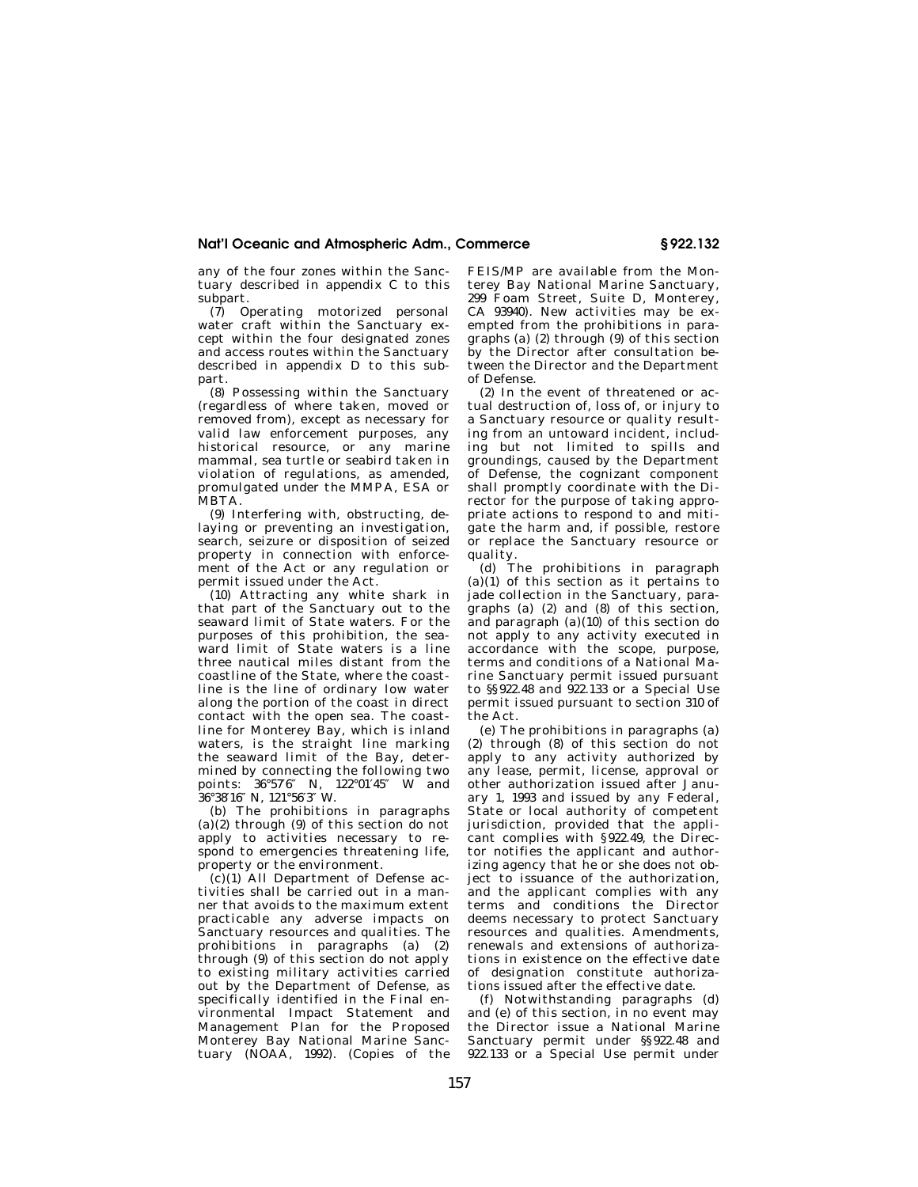any of the four zones within the Sanctuary described in appendix C to this subpart.

(7) Operating motorized personal water craft within the Sanctuary except within the four designated zones and access routes within the Sanctuary described in appendix D to this subpart.

(8) Possessing within the Sanctuary (regardless of where taken, moved or removed from), except as necessary for valid law enforcement purposes, any historical resource, or any marine mammal, sea turtle or seabird taken in violation of regulations, as amended, promulgated under the MMPA, ESA or MBTA.

(9) Interfering with, obstructing, delaying or preventing an investigation, search, seizure or disposition of seized property in connection with enforcement of the Act or any regulation or permit issued under the Act.

(10) Attracting any white shark in that part of the Sanctuary out to the seaward limit of State waters. For the purposes of this prohibition, the seaward limit of State waters is a line three nautical miles distant from the coastline of the State, where the coastline is the line of ordinary low water along the portion of the coast in direct contact with the open sea. The coastline for Monterey Bay, which is inland waters, is the straight line marking the seaward limit of the Bay, determined by connecting the following two points: 36°57′6″ N, 122°01′45″ W and 36°38′16″ N, 121°56′3″ W.

(b) The prohibitions in paragraphs (a)(2) through (9) of this section do not apply to activities necessary to respond to emergencies threatening life, property or the environment.

 $(c)(1)$  All Department of Defense activities shall be carried out in a manner that avoids to the maximum extent practicable any adverse impacts on Sanctuary resources and qualities. The prohibitions in paragraphs (a) (2) through (9) of this section do not apply to existing military activities carried out by the Department of Defense, as specifically identified in the Final environmental Impact Statement and Management Plan for the Proposed Monterey Bay National Marine Sanctuary (NOAA, 1992). (Copies of the

FEIS/MP are available from the Monterey Bay National Marine Sanctuary, 299 Foam Street, Suite D, Monterey, CA 93940). New activities may be exempted from the prohibitions in paragraphs (a) (2) through (9) of this section by the Director after consultation between the Director and the Department of Defense.

(2) In the event of threatened or actual destruction of, loss of, or injury to a Sanctuary resource or quality resulting from an untoward incident, including but not limited to spills and groundings, caused by the Department of Defense, the cognizant component shall promptly coordinate with the Director for the purpose of taking appropriate actions to respond to and mitigate the harm and, if possible, restore or replace the Sanctuary resource or quality.

(d) The prohibitions in paragraph  $(a)(1)$  of this section as it pertains to jade collection in the Sanctuary, paragraphs (a) (2) and (8) of this section, and paragraph  $(a)(10)$  of this section do not apply to any activity executed in accordance with the scope, purpose, terms and conditions of a National Marine Sanctuary permit issued pursuant to §§922.48 and 922.133 or a Special Use permit issued pursuant to section 310 of the Act.

(e) The prohibitions in paragraphs (a) (2) through (8) of this section do not apply to any activity authorized by any lease, permit, license, approval or other authorization issued after January 1, 1993 and issued by any Federal, State or local authority of competent jurisdiction, provided that the applicant complies with §922.49, the Director notifies the applicant and authorizing agency that he or she does not object to issuance of the authorization, and the applicant complies with any terms and conditions the Director deems necessary to protect Sanctuary resources and qualities. Amendments, renewals and extensions of authorizations in existence on the effective date of designation constitute authorizations issued after the effective date.

(f) Notwithstanding paragraphs (d) and (e) of this section, in no event may the Director issue a National Marine Sanctuary permit under §§922.48 and 922.133 or a Special Use permit under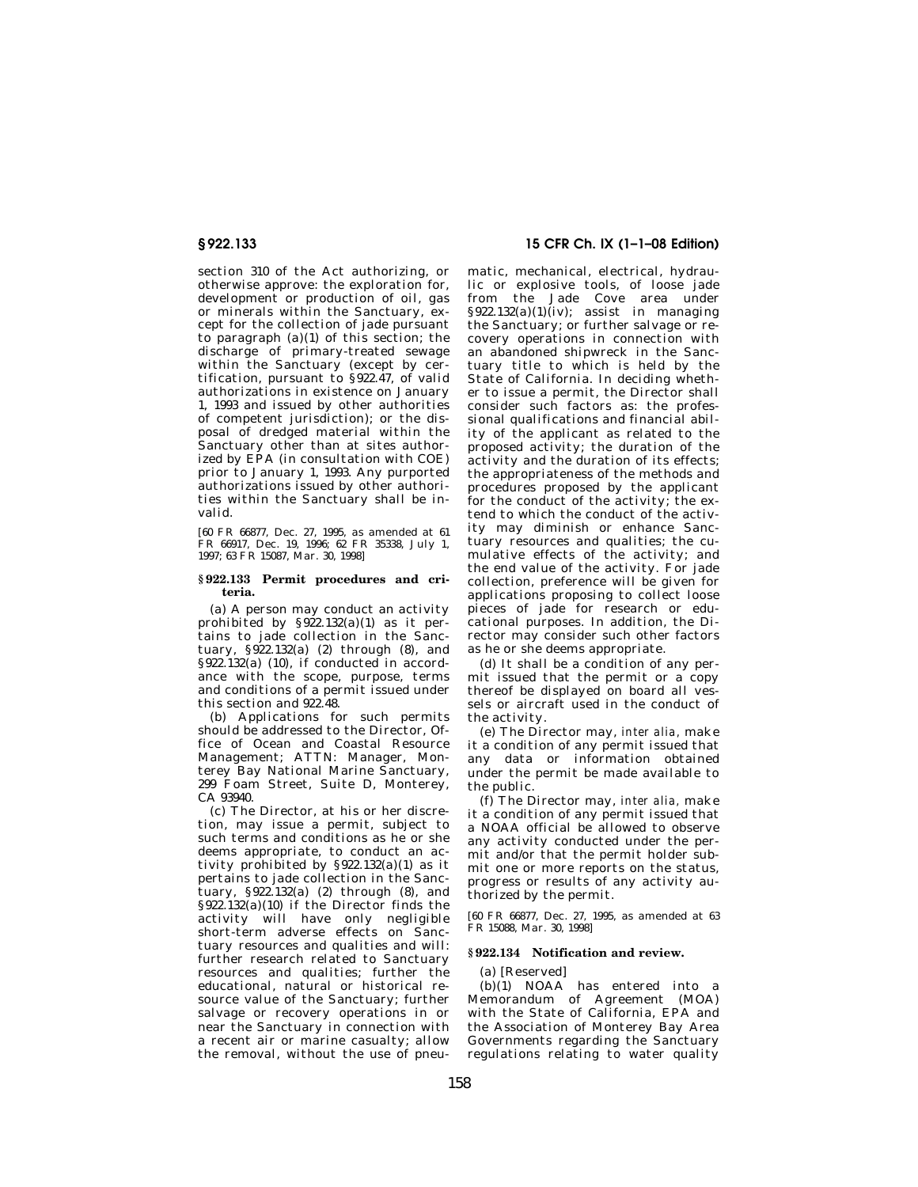section 310 of the Act authorizing, or otherwise approve: the exploration for, development or production of oil, gas or minerals within the Sanctuary, except for the collection of jade pursuant to paragraph (a)(1) of this section; the discharge of primary-treated sewage within the Sanctuary (except by certification, pursuant to §922.47, of valid authorizations in existence on January 1, 1993 and issued by other authorities of competent jurisdiction); or the disposal of dredged material within the Sanctuary other than at sites authorized by EPA (in consultation with COE) prior to January 1, 1993. Any purported authorizations issued by other authorities within the Sanctuary shall be invalid.

[60 FR 66877, Dec. 27, 1995, as amended at 61 FR 66917, Dec. 19, 1996; 62 FR 35338, July 1, 1997; 63 FR 15087, Mar. 30, 1998]

## **§ 922.133 Permit procedures and criteria.**

(a) A person may conduct an activity prohibited by  $$922.132(a)(1)$  as it pertains to jade collection in the Sanctuary,  $\S 922.132(a)$  (2) through  $(8)$ , and §922.132(a) (10), if conducted in accordance with the scope, purpose, terms and conditions of a permit issued under this section and 922.48.

(b) Applications for such permits should be addressed to the Director, Office of Ocean and Coastal Resource Management; ATTN: Manager, Monterey Bay National Marine Sanctuary, 299 Foam Street, Suite D, Monterey, CA 93940.

(c) The Director, at his or her discretion, may issue a permit, subject to such terms and conditions as he or she deems appropriate, to conduct an activity prohibited by §922.132(a)(1) as it pertains to jade collection in the Sanctuary, §922.132(a) (2) through (8), and §922.132(a)(10) if the Director finds the activity will have only negligible short-term adverse effects on Sanctuary resources and qualities and will: further research related to Sanctuary resources and qualities; further the educational, natural or historical resource value of the Sanctuary; further salvage or recovery operations in or near the Sanctuary in connection with a recent air or marine casualty; allow the removal, without the use of pneu-

**§ 922.133 15 CFR Ch. IX (1–1–08 Edition)** 

matic, mechanical, electrical, hydraulic or explosive tools, of loose jade from the Jade Cove area under §922.132(a)(1)(iv); assist in managing the Sanctuary; or further salvage or recovery operations in connection with an abandoned shipwreck in the Sanctuary title to which is held by the State of California. In deciding whether to issue a permit, the Director shall consider such factors as: the professional qualifications and financial ability of the applicant as related to the proposed activity; the duration of the activity and the duration of its effects; the appropriateness of the methods and procedures proposed by the applicant for the conduct of the activity; the extend to which the conduct of the activity may diminish or enhance Sanctuary resources and qualities; the cumulative effects of the activity; and the end value of the activity. For jade collection, preference will be given for applications proposing to collect loose pieces of jade for research or educational purposes. In addition, the Director may consider such other factors as he or she deems appropriate.

(d) It shall be a condition of any permit issued that the permit or a copy thereof be displayed on board all vessels or aircraft used in the conduct of the activity.

(e) The Director may, *inter alia,* make it a condition of any permit issued that any data or information obtained under the permit be made available to the public.

(f) The Director may, *inter alia,* make it a condition of any permit issued that a NOAA official be allowed to observe any activity conducted under the permit and/or that the permit holder submit one or more reports on the status, progress or results of any activity authorized by the permit.

[60 FR 66877, Dec. 27, 1995, as amended at 63 FR 15088, Mar. 30, 1998]

## **§ 922.134 Notification and review.**

(a) [Reserved]

(b)(1) NOAA has entered into a Memorandum of Agreement (MOA) with the State of California, EPA and the Association of Monterey Bay Area Governments regarding the Sanctuary regulations relating to water quality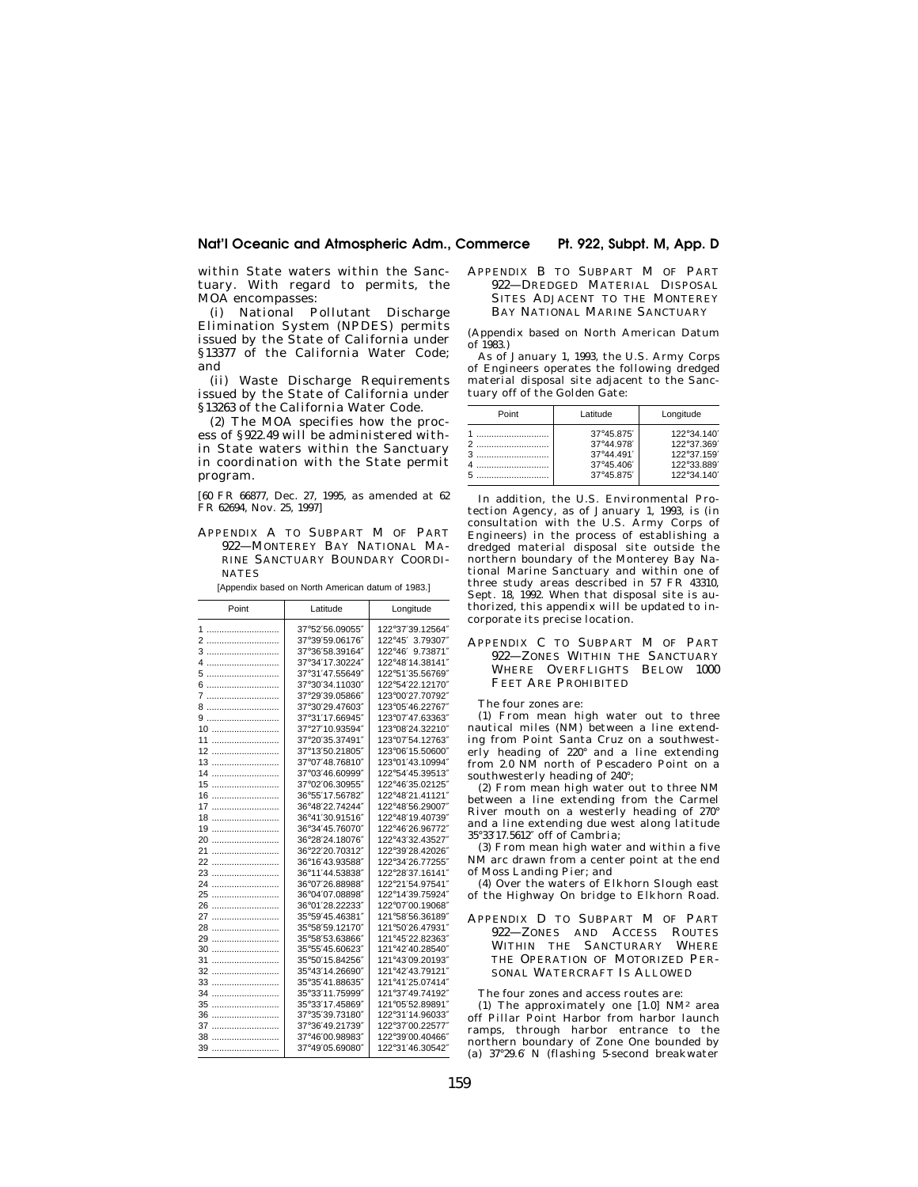# Nat'l Oceanic and Atmospheric Adm., Commerce Pt. 922, Subpt. M, App. D

within State waters within the Sanctuary. With regard to permits, the MOA encompasses:

(i) National Pollutant Discharge Elimination System (NPDES) permits issued by the State of California under §13377 of the California Water Code; and

(ii) Waste Discharge Requirements issued by the State of California under §13263 of the California Water Code.

(2) The MOA specifies how the process of §922.49 will be administered within State waters within the Sanctuary in coordination with the State permit program.

[60 FR 66877, Dec. 27, 1995, as amended at 62 FR 62694, Nov. 25, 1997]

APPENDIX A TO SUBPART M OF PART 922—MONTEREY BAY NATIONAL MA-RINE SANCTUARY BOUNDARY COORDI-**NATES** 

[Appendix based on North American datum of 1983.]

| Point     | Latitude        | Longitude        |
|-----------|-----------------|------------------|
|           | 37°52'56.09055" | 122°37'39.12564" |
|           | 37°39'59.06176" | 122°45' 3.79307" |
|           | 37°36'58.39164" | 122°46' 9.73871" |
|           | 37°34'17.30224" | 122°48'14.38141" |
| 5         | 37°31'47.55649" | 122°51'35.56769" |
| 6         | 37°30'34.11030" | 122°54'22.12170" |
|           | 37°29'39.05866" | 123°00'27.70792" |
|           | 37°30'29.47603" | 123°05'46.22767" |
| 9         | 37°31'17.66945" | 123°07'47.63363" |
| 10        | 37°27'10.93594" | 123°08'24.32210" |
| 11        | 37°20'35.37491" | 123°07'54.12763" |
| 12        | 37°13'50.21805" | 123°06'15.50600" |
|           | 37°07'48.76810" | 123°01'43.10994" |
| 14        | 37°03'46.60999" | 122°54'45.39513" |
|           | 37°02'06.30955" | 122°46'35.02125" |
| 16        | 36°55'17.56782" | 122°48'21.41121" |
| 17        | 36°48'22.74244" | 122°48'56.29007" |
| 18        | 36°41'30.91516" | 122°48'19.40739" |
| 19        | 36°34'45.76070" | 122°46'26.96772" |
| $20 - 20$ | 36°28'24.18076" | 122°43'32.43527" |
| 21        | 36°22'20.70312" | 122°39'28.42026" |
| 22        | 36°16'43.93588" | 122°34'26.77255" |
| 23        | 36°11'44.53838" | 122°28'37.16141" |
| 24        | 36°07'26.88988" | 122°21'54.97541" |
| 25        | 36°04'07.08898" | 122°14'39.75924" |
| 26        | 36°01'28.22233" | 122°07'00.19068" |
| 27<br>    | 35°59'45.46381" | 121°58'56.36189" |
| 28        | 35°58'59.12170" | 121°50'26.47931" |
| 29        | 35°58'53.63866" | 121°45'22.82363" |
| 30        | 35°55'45.60623" | 121°42'40.28540" |
| 31        | 35°50'15.84256" | 121°43'09.20193" |
| 32        | 35°43'14.26690" | 121°42'43.79121" |
| 33        | 35°35'41.88635" | 121°41'25.07414" |
| 34        | 35°33'11.75999" | 121°37'49.74192" |
| 35        | 35°33'17.45869" | 121°05'52.89891" |
| 36        | 37°35'39.73180" | 122°31'14.96033" |
| 37<br>    | 37°36'49.21739" | 122°37'00.22577" |
| 38        | 37°46'00.98983" | 122°39'00.40466" |
|           | 37°49'05.69080" | 122°31'46.30542" |

APPENDIX B TO SUBPART M OF PART 922—DREDGED MATERIAL DISPOSAL SITES ADJACENT TO THE MONTEREY BAY NATIONAL MARINE SANCTUARY

(Appendix based on North American Datum of 1983.)

As of January 1, 1993, the U.S. Army Corps of Engineers operates the following dredged material disposal site adjacent to the Sanctuary off of the Golden Gate:

| Point | Latitude                                                           | Longitude                                                               |
|-------|--------------------------------------------------------------------|-------------------------------------------------------------------------|
|       | 37°45.875'<br>37°44.978'<br>37°44.491'<br>37°45.406'<br>37°45.875' | 122°34.140'<br>122°37.369'<br>122°37.159'<br>122°33.889'<br>122°34.140' |

In addition, the U.S. Environmental Protection Agency, as of January 1, 1993, is (in consultation with the U.S. Army Corps of Engineers) in the process of establishing a dredged material disposal site outside the northern boundary of the Monterey Bay National Marine Sanctuary and within one of three study areas described in 57 FR 43310, Sept. 18, 1992. When that disposal site is authorized, this appendix will be updated to incorporate its precise location.

## APPENDIX C TO SUBPART M OF PART 922—ZONES WITHIN THE SANCTUARY WHERE OVERFLIGHTS BELOW 1000 FEET ARE PROHIBITED

The four zones are:

(1) From mean high water out to three nautical miles (NM) between a line extending from Point Santa Cruz on a southwesterly heading of 220° and a line extending from 2.0 NM north of Pescadero Point on a southwesterly heading of 240°;

(2) From mean high water out to three NM between a line extending from the Carmel River mouth on a westerly heading of 270° and a line extending due west along latitude 35°33′17.5612″ off of Cambria;

(3) From mean high water and within a five NM arc drawn from a center point at the end of Moss Landing Pier; and

(4) Over the waters of Elkhorn Slough east of the Highway On bridge to Elkhorn Road.

APPENDIX D TO SUBPART M OF PART 922—ZONES AND ACCESS ROUTES WITHIN THE SANCTURARY WHERE THE OPERATION OF MOTORIZED PER-SONAL WATERCRAFT IS ALLOWED

The four zones and access routes are:

(1) The approximately one [1.0] NM2 area off Pillar Point Harbor from harbor launch ramps, through harbor entrance to the northern boundary of Zone One bounded by (a) 37°29.6′ N (flashing 5-second breakwater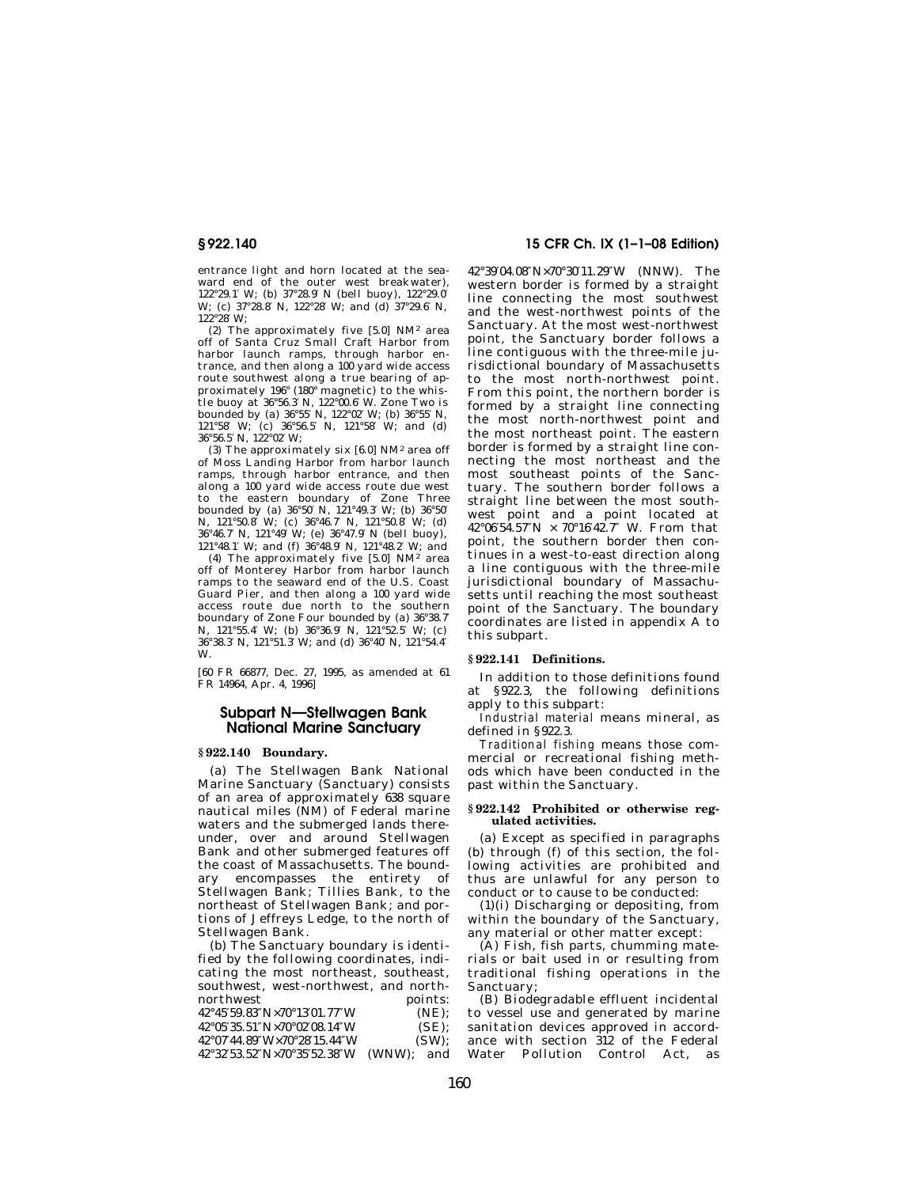entrance light and horn located at the seaward end of the outer west breakwater), 122°29.1′ W; (b) 37°28.9′ N (bell buoy), 122°29.0′ W; (c) 37°28.8′ N, 122°28′ W; and (d) 37°29.6′ N, 122°28′ W;

(2) The approximately five [5.0] NM2 area off of Santa Cruz Small Craft Harbor from harbor launch ramps, through harbor entrance, and then along a 100 yard wide access route southwest along a true bearing of approximately 196° (180° magnetic) to the whistle buoy at  $36^{\circ}56.3'$  N,  $122^{\circ}00.6'$  W. Zone Two is bounded by (a) 36°55′ N, 122°02′ W; (b) 36°55′ N, 121°58′ W; (c) 36°56.5′ N, 121°58′ W; and (d) 36°56.5′ N, 122°02′ W;

(3) The approximately six [6.0] NM2 area off of Moss Landing Harbor from harbor launch ramps, through harbor entrance, and then along a 100 yard wide access route due west to the eastern boundary of Zone Three bounded by (a) 36°50′ N, 121°49.3′ W; (b) 36°50′ N, 121°50.8′ W; (c) 36°46.7′ N, 121°50.8′ W; (d) 36°46.7′ N, 121°49′ W; (e) 36°47.9′ N (bell buoy), 121°48.1′ W; and (f) 36°48.9′ N, 121°48.2′ W; and

(4) The approximately five  $[5.0]$  NM<sup>2</sup> area off of Monterey Harbor from harbor launch ramps to the seaward end of the U.S. Coast Guard Pier, and then along a 100 yard wide access route due north to the southern boundary of Zone Four bounded by (a) 36°38.7′ N, 121°55.4′ W; (b) 36°36.9′ N, 121°52.5′ W; (c) 36°38.3′ N, 121°51.3′ W; and (d) 36°40′ N, 121°54.4′ W.

[60 FR 66877, Dec. 27, 1995, as amended at 61 FR 14964, Apr. 4, 1996]

# **Subpart N—Stellwagen Bank National Marine Sanctuary**

# **§ 922.140 Boundary.**

(a) The Stellwagen Bank National Marine Sanctuary (Sanctuary) consists of an area of approximately 638 square nautical miles (NM) of Federal marine waters and the submerged lands thereunder, over and around Stellwagen Bank and other submerged features off the coast of Massachusetts. The boundary encompasses the entirety of Stellwagen Bank; Tillies Bank, to the northeast of Stellwagen Bank; and portions of Jeffreys Ledge, to the north of Stellwagen Bank.

(b) The Sanctuary boundary is identified by the following coordinates, indicating the most northeast, southeast, southwest, west-northwest, and northnorthwest points:

| 42°45′59.83″N×70°13′01.77″W                          | (NE):        |
|------------------------------------------------------|--------------|
| $42^{\circ}05'35.51''N\times70^{\circ}02'08.14''W$   | (SE)         |
| $42^{\circ}07'44.89''W \times 70^{\circ}28'15.44''W$ | $(SW)$ :     |
| $42^{\circ}32'53.52''$ N $\times$ 70°35′52.38″W      | $(WNW):$ and |

# **§ 922.140 15 CFR Ch. IX (1–1–08 Edition)**

42°39′04.08″N×70°30′11.29″W (NNW). The western border is formed by a straight line connecting the most southwest and the west-northwest points of the Sanctuary. At the most west-northwest point, the Sanctuary border follows a line contiguous with the three-mile jurisdictional boundary of Massachusetts to the most north-northwest point. From this point, the northern border is formed by a straight line connecting the most north-northwest point and the most northeast point. The eastern border is formed by a straight line connecting the most northeast and the most southeast points of the Sanctuary. The southern border follows a straight line between the most southwest point and a point located at 42°06′54.57″N × 70°16′42.7″ W. From that point, the southern border then continues in a west-to-east direction along a line contiguous with the three-mile jurisdictional boundary of Massachusetts until reaching the most southeast point of the Sanctuary. The boundary coordinates are listed in appendix A to this subpart.

# **§ 922.141 Definitions.**

In addition to those definitions found at §922.3, the following definitions apply to this subpart:

*Industrial material* means mineral, as defined in §922.3.

*Traditional fishing* means those commercial or recreational fishing methods which have been conducted in the past within the Sanctuary.

# **§ 922.142 Prohibited or otherwise regulated activities.**

(a) Except as specified in paragraphs (b) through (f) of this section, the following activities are prohibited and thus are unlawful for any person to conduct or to cause to be conducted:

(1)(i) Discharging or depositing, from within the boundary of the Sanctuary, any material or other matter except:

(A) Fish, fish parts, chumming materials or bait used in or resulting from traditional fishing operations in the Sanctuary;

(B) Biodegradable effluent incidental to vessel use and generated by marine sanitation devices approved in accordance with section 312 of the Federal Water Pollution Control Act, as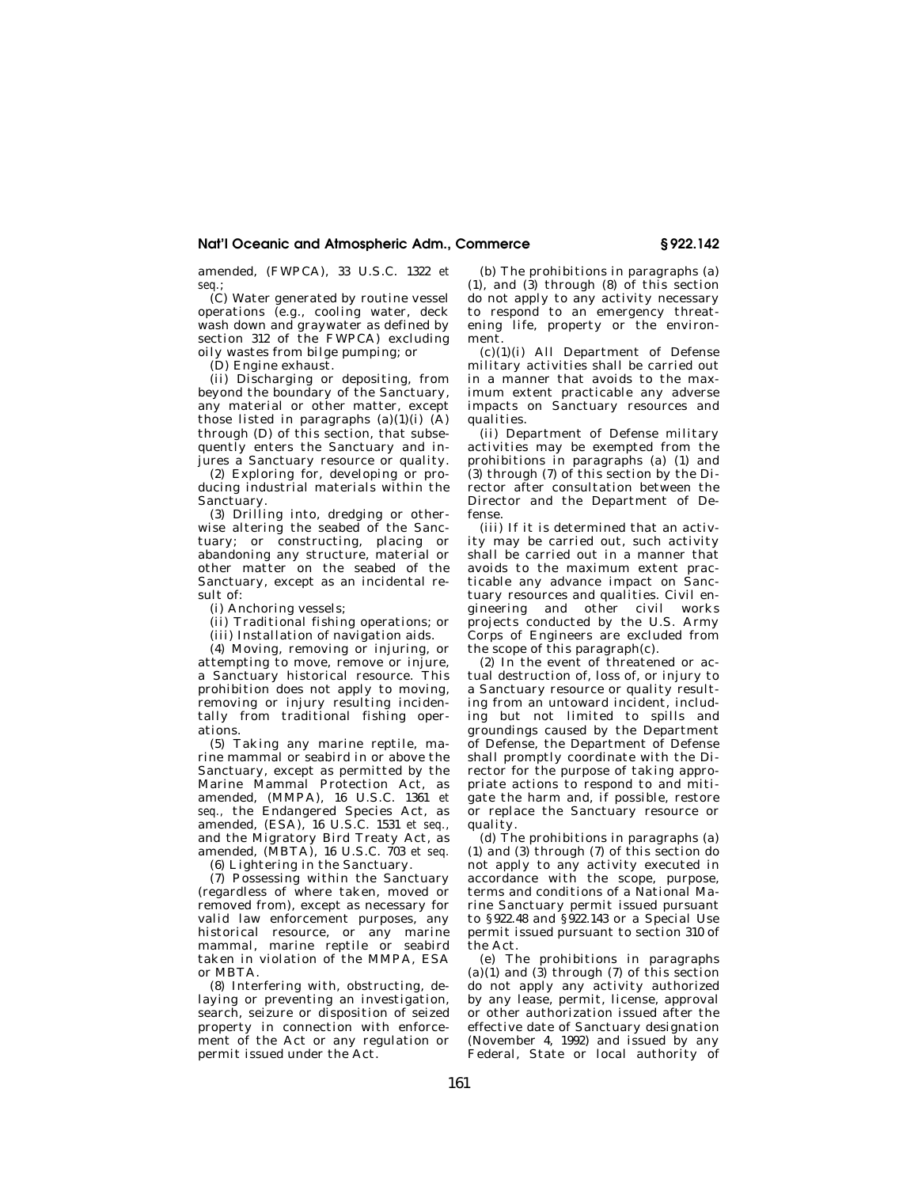amended, (FWPCA), 33 U.S.C. 1322 *et seq.*;

(C) Water generated by routine vessel operations (e.g., cooling water, deck wash down and graywater as defined by section 312 of the FWPCA) excluding oily wastes from bilge pumping; or

(D) Engine exhaust.

(ii) Discharging or depositing, from beyond the boundary of the Sanctuary. any material or other matter, except those listed in paragraphs  $(a)(1)(i)$   $(A)$ through (D) of this section, that subsequently enters the Sanctuary and injures a Sanctuary resource or quality.

(2) Exploring for, developing or producing industrial materials within the Sanctuary.

(3) Drilling into, dredging or otherwise altering the seabed of the Sanctuary; or constructing, placing or abandoning any structure, material or other matter on the seabed of the Sanctuary, except as an incidental result of:

(i) Anchoring vessels;

(ii) Traditional fishing operations; or

(iii) Installation of navigation aids.

(4) Moving, removing or injuring, or attempting to move, remove or injure, a Sanctuary historical resource. This prohibition does not apply to moving, removing or injury resulting incidentally from traditional fishing operations.

(5) Taking any marine reptile, marine mammal or seabird in or above the Sanctuary, except as permitted by the Marine Mammal Protection Act, as amended, (MMPA), 16 U.S.C. 1361 *et seq.,* the Endangered Species Act, as amended, (ESA), 16 U.S.C. 1531 *et seq.,*  and the Migratory Bird Treaty Act, as amended, (MBTA), 16 U.S.C. 703 *et seq.* 

(6) Lightering in the Sanctuary.

(7) Possessing within the Sanctuary (regardless of where taken, moved or removed from), except as necessary for valid law enforcement purposes, any historical resource, or any marine mammal, marine reptile or seabird taken in violation of the MMPA, ESA or MBTA.

(8) Interfering with, obstructing, delaying or preventing an investigation, search, seizure or disposition of seized property in connection with enforcement of the Act or any regulation or permit issued under the Act.

(b) The prohibitions in paragraphs (a)  $(1)$ , and  $(3)$  through  $(8)$  of this section do not apply to any activity necessary to respond to an emergency threatening life, property or the environment.

 $(c)(1)(i)$  All Department of Defense military activities shall be carried out in a manner that avoids to the maximum extent practicable any adverse impacts on Sanctuary resources and qualities.

(ii) Department of Defense military activities may be exempted from the prohibitions in paragraphs (a) (1) and (3) through (7) of this section by the Director after consultation between the Director and the Department of Defense.

(iii) If it is determined that an activity may be carried out, such activity shall be carried out in a manner that avoids to the maximum extent practicable any advance impact on Sanctuary resources and qualities. Civil engineering and other civil works projects conducted by the U.S. Army Corps of Engineers are excluded from the scope of this paragraph(c).

(2) In the event of threatened or actual destruction of, loss of, or injury to a Sanctuary resource or quality resulting from an untoward incident, including but not limited to spills and groundings caused by the Department of Defense, the Department of Defense shall promptly coordinate with the Director for the purpose of taking appropriate actions to respond to and mitigate the harm and, if possible, restore or replace the Sanctuary resource or quality.

(d) The prohibitions in paragraphs (a)  $(1)$  and  $(3)$  through  $(7)$  of this section do not apply to any activity executed in accordance with the scope, purpose, terms and conditions of a National Marine Sanctuary permit issued pursuant to  $$922.48$  and  $$922.143$  or a Special Use permit issued pursuant to section 310 of the Act.

(e) The prohibitions in paragraphs  $(a)(1)$  and  $(\overline{3})$  through  $(7)$  of this section do not apply any activity authorized by any lease, permit, license, approval or other authorization issued after the effective date of Sanctuary designation (November 4, 1992) and issued by any Federal, State or local authority of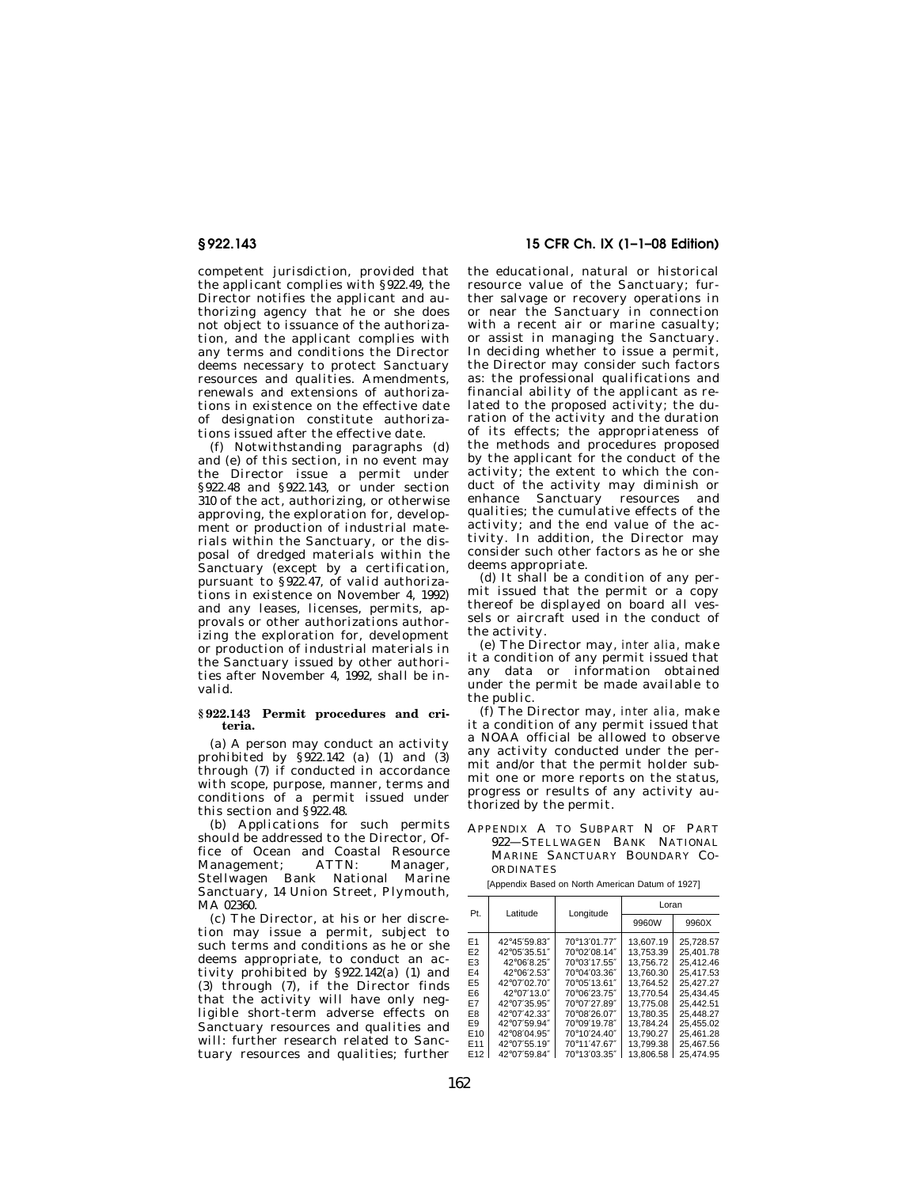competent jurisdiction, provided that the applicant complies with §922.49, the Director notifies the applicant and authorizing agency that he or she does not object to issuance of the authorization, and the applicant complies with any terms and conditions the Director deems necessary to protect Sanctuary resources and qualities. Amendments, renewals and extensions of authorizations in existence on the effective date of designation constitute authorizations issued after the effective date.

(f) Notwithstanding paragraphs (d) and (e) of this section, in no event may the Director issue a permit under §922.48 and §922.143, or under section 310 of the act, authorizing, or otherwise approving, the exploration for, development or production of industrial materials within the Sanctuary, or the disposal of dredged materials within the Sanctuary (except by a certification, pursuant to §922.47, of valid authorizations in existence on November 4, 1992) and any leases, licenses, permits, approvals or other authorizations authorizing the exploration for, development or production of industrial materials in the Sanctuary issued by other authorities after November 4, 1992, shall be invalid.

## **§ 922.143 Permit procedures and criteria.**

(a) A person may conduct an activity prohibited by  $\S 922.142$  (a) (1) and (3) through (7) if conducted in accordance with scope, purpose, manner, terms and conditions of a permit issued under this section and  $\S$ 922.48.

(b) Applications for such permits should be addressed to the Director, Office of Ocean and Coastal Resource Management; ATTN: Manager, Stellwagen Bank National Marine Sanctuary, 14 Union Street, Plymouth, MA 02360.

(c) The Director, at his or her discretion may issue a permit, subject to such terms and conditions as he or she deems appropriate, to conduct an activity prohibited by §922.142(a) (1) and (3) through (7), if the Director finds that the activity will have only negligible short-term adverse effects on Sanctuary resources and qualities and will: further research related to Sanctuary resources and qualities; further

# **§ 922.143 15 CFR Ch. IX (1–1–08 Edition)**

the educational, natural or historical resource value of the Sanctuary; further salvage or recovery operations in or near the Sanctuary in connection with a recent air or marine casualty; or assist in managing the Sanctuary. In deciding whether to issue a permit, the Director may consider such factors as: the professional qualifications and financial ability of the applicant as related to the proposed activity; the duration of the activity and the duration of its effects; the appropriateness of the methods and procedures proposed by the applicant for the conduct of the activity; the extent to which the conduct of the activity may diminish or enhance Sanctuary resources and qualities; the cumulative effects of the activity; and the end value of the activity. In addition, the Director may consider such other factors as he or she deems appropriate.

(d) It shall be a condition of any permit issued that the permit or a copy thereof be displayed on board all vessels or aircraft used in the conduct of the activity.

(e) The Director may, *inter alia,* make it a condition of any permit issued that any data or information obtained under the permit be made available to the public.

(f) The Director may, *inter alia,* make it a condition of any permit issued that a NOAA official be allowed to observe any activity conducted under the permit and/or that the permit holder submit one or more reports on the status, progress or results of any activity authorized by the permit.

APPENDIX A TO SUBPART N OF PART 922—STELLWAGEN BANK NATIONAL MARINE SANCTUARY BOUNDARY CO-ORDINATES

| [Appendix Based on North American Datum of 1927] |  |  |
|--------------------------------------------------|--|--|
|--------------------------------------------------|--|--|

| Pt.             | Latitude     | Longitude    | Loran     |           |
|-----------------|--------------|--------------|-----------|-----------|
|                 |              |              | 9960W     | 9960X     |
| E1              | 42°45'59.83" | 70°13'01.77" | 13.607.19 | 25.728.57 |
| E2              | 42°05'35.51" | 70°02'08.14" | 13.753.39 | 25.401.78 |
| E <sub>3</sub>  | 42°06'8.25"  | 70°03'17.55" | 13.756.72 | 25.412.46 |
| E4              | 42°06'2.53"  | 70°04'03.36" | 13.760.30 | 25.417.53 |
| E <sub>5</sub>  | 42°07'02.70" | 70°05'13.61" | 13.764.52 | 25.427.27 |
| E6              | 42°07'13.0"  | 70°06'23.75" | 13.770.54 | 25.434.45 |
| E7              | 42°07'35.95" | 70°07'27.89" | 13.775.08 | 25.442.51 |
| E8              | 42°07'42.33" | 70°08'26.07" | 13.780.35 | 25.448.27 |
| E9              | 42°07'59.94" | 70°09'19.78" | 13.784.24 | 25.455.02 |
| E <sub>10</sub> | 42°08'04.95" | 70°10'24.40" | 13.790.27 | 25.461.28 |
| E <sub>11</sub> | 42°07'55.19" | 70°11'47.67" | 13.799.38 | 25.467.56 |
| E <sub>12</sub> | 42°07'59.84" | 70°13'03.35" | 13.806.58 | 25.474.95 |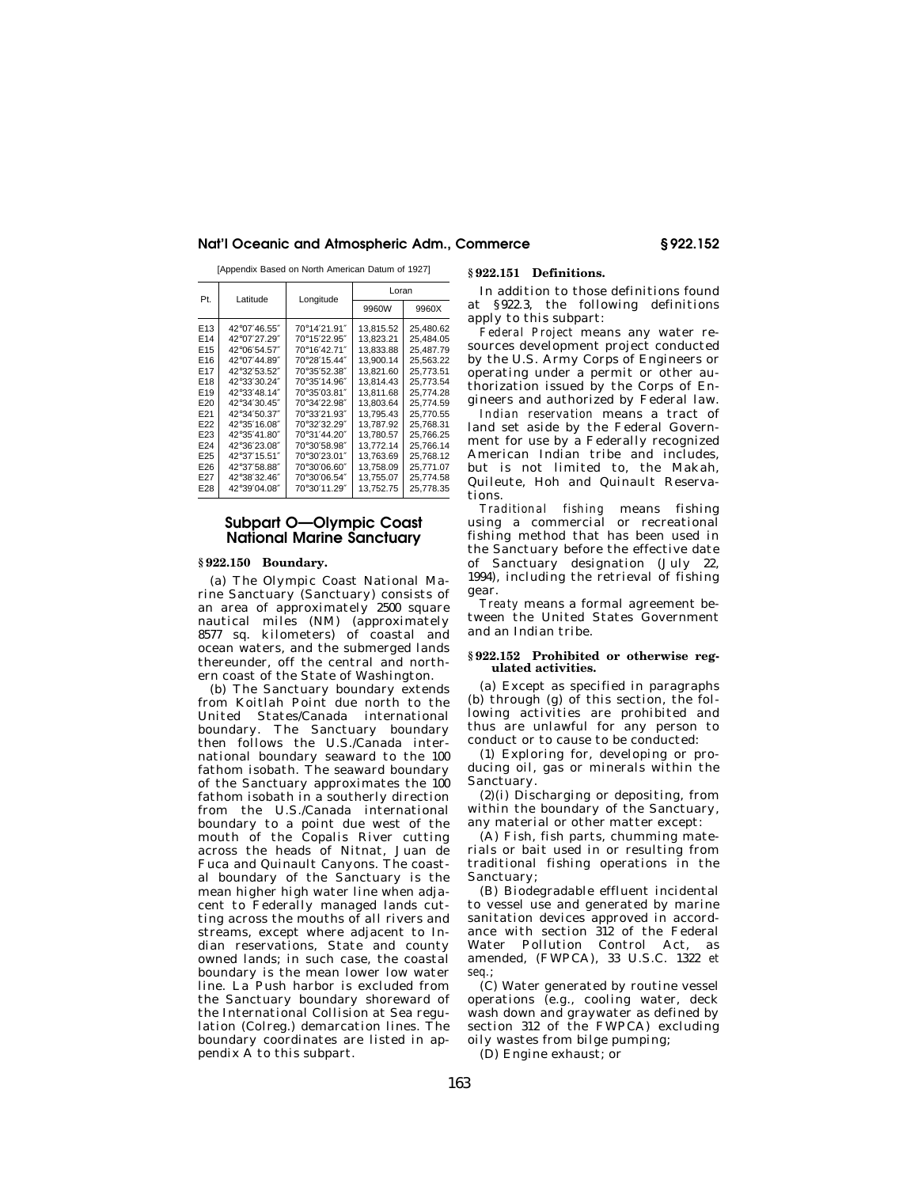| Pt.             | Latitude     |              | Loran     |           |
|-----------------|--------------|--------------|-----------|-----------|
|                 |              | Longitude    | 9960W     | 9960X     |
| E <sub>13</sub> | 42°07'46.55" | 70°14'21.91" | 13.815.52 | 25,480.62 |
| E <sub>14</sub> | 42°07'27.29" | 70°15'22.95" | 13.823.21 | 25.484.05 |
| E <sub>15</sub> | 42°06'54.57" | 70°16'42.71" | 13.833.88 | 25.487.79 |
| E <sub>16</sub> | 42°07'44.89" | 70°28'15.44" | 13.900.14 | 25.563.22 |
| E <sub>17</sub> | 42°32'53.52" | 70°35'52.38" | 13,821.60 | 25.773.51 |
| E <sub>18</sub> | 42°33'30.24" | 70°35'14.96" | 13.814.43 | 25.773.54 |
| E <sub>19</sub> | 42°33'48.14" | 70°35'03.81" | 13.811.68 | 25.774.28 |
| E <sub>20</sub> | 42°34'30.45" | 70°34'22.98" | 13.803.64 | 25.774.59 |
| E21             | 42°34'50.37" | 70°33'21.93" | 13.795.43 | 25.770.55 |
| E <sub>22</sub> | 42°35'16.08" | 70°32'32.29" | 13.787.92 | 25.768.31 |
| E <sub>23</sub> | 42°35'41.80" | 70°31'44.20" | 13.780.57 | 25.766.25 |
| E24             | 42°36'23.08" | 70°30'58.98" | 13.772.14 | 25.766.14 |
| E <sub>25</sub> | 42°37'15.51" | 70°30'23.01" | 13.763.69 | 25.768.12 |
| E26             | 42°37'58.88" | 70°30'06.60" | 13.758.09 | 25,771.07 |
| E27             | 42°38'32.46" | 70°30'06.54" | 13.755.07 | 25,774.58 |
| E28             | 42°39'04.08" | 70°30'11.29" | 13.752.75 | 25.778.35 |

[Appendix Based on North American Datum of 1927]

# **Subpart O—Olympic Coast National Marine Sanctuary**

### **§ 922.150 Boundary.**

(a) The Olympic Coast National Marine Sanctuary (Sanctuary) consists of an area of approximately 2500 square nautical miles (NM) (approximately 8577 sq. kilometers) of coastal and ocean waters, and the submerged lands thereunder, off the central and northern coast of the State of Washington.

(b) The Sanctuary boundary extends from Koitlah Point due north to the United States/Canada international boundary. The Sanctuary boundary then follows the U.S./Canada international boundary seaward to the 100 fathom isobath. The seaward boundary of the Sanctuary approximates the 100 fathom isobath in a southerly direction from the U.S./Canada international boundary to a point due west of the mouth of the Copalis River cutting across the heads of Nitnat, Juan de Fuca and Quinault Canyons. The coastal boundary of the Sanctuary is the mean higher high water line when adjacent to Federally managed lands cutting across the mouths of all rivers and streams, except where adjacent to Indian reservations, State and county owned lands; in such case, the coastal boundary is the mean lower low water line. La Push harbor is excluded from the Sanctuary boundary shoreward of the International Collision at Sea regulation (Colreg.) demarcation lines. The boundary coordinates are listed in appendix  $\check{A}$  to this subpart.

# **§ 922.151 Definitions.**

In addition to those definitions found at §922.3, the following definitions apply to this subpart:

*Federal Project* means any water resources development project conducted by the U.S. Army Corps of Engineers or operating under a permit or other authorization issued by the Corps of Engineers and authorized by Federal law.

*Indian reservation* means a tract of land set aside by the Federal Government for use by a Federally recognized American Indian tribe and includes, but is not limited to, the Makah, Quileute, Hoh and Quinault Reservations.

*Traditional fishing* means fishing using a commercial or recreational fishing method that has been used in the Sanctuary before the effective date of Sanctuary designation (July 22, 1994), including the retrieval of fishing gear.

*Treaty* means a formal agreement between the United States Government and an Indian tribe.

## **§ 922.152 Prohibited or otherwise regulated activities.**

(a) Except as specified in paragraphs (b) through (g) of this section, the following activities are prohibited and thus are unlawful for any person to conduct or to cause to be conducted:

(1) Exploring for, developing or producing oil, gas or minerals within the Sanctuary.

 $(2)(i)$  Discharging or depositing, from within the boundary of the Sanctuary, any material or other matter except:

(A) Fish, fish parts, chumming materials or bait used in or resulting from traditional fishing operations in the Sanctuary;

(B) Biodegradable effluent incidental to vessel use and generated by marine sanitation devices approved in accordance with section 312 of the Federal Water Pollution Control Act, as amended, (FWPCA), 33 U.S.C. 1322 *et seq.*;

(C) Water generated by routine vessel operations (e.g., cooling water, deck wash down and graywater as defined by section 312 of the FWPCA) excluding oily wastes from bilge pumping;

(D) Engine exhaust; or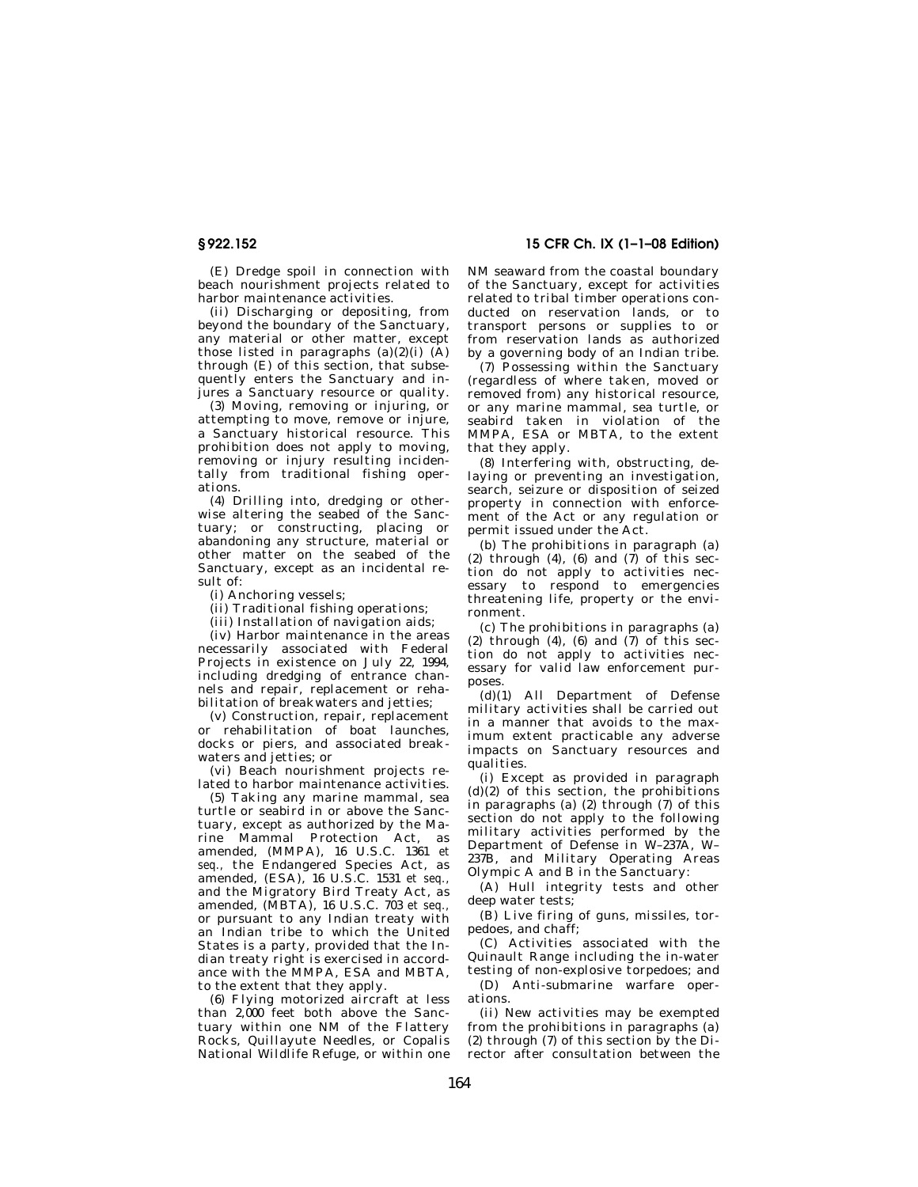**§ 922.152 15 CFR Ch. IX (1–1–08 Edition)** 

(E) Dredge spoil in connection with beach nourishment projects related to harbor maintenance activities.

(ii) Discharging or depositing, from beyond the boundary of the Sanctuary, any material or other matter, except those listed in paragraphs  $(a)(2)(i)$   $(A)$ through (E) of this section, that subsequently enters the Sanctuary and injures a Sanctuary resource or quality.

(3) Moving, removing or injuring, or attempting to move, remove or injure, a Sanctuary historical resource. This prohibition does not apply to moving, removing or injury resulting incidentally from traditional fishing operations.

(4) Drilling into, dredging or otherwise altering the seabed of the Sanctuary; or constructing, placing or abandoning any structure, material or other matter on the seabed of the Sanctuary, except as an incidental result of:

(i) Anchoring vessels;

- (ii) Traditional fishing operations;
- (iii) Installation of navigation aids;

(iv) Harbor maintenance in the areas necessarily associated with Federal Projects in existence on July 22, 1994, including dredging of entrance channels and repair, replacement or rehabilitation of breakwaters and jetties;

(v) Construction, repair, replacement or rehabilitation of boat launches, docks or piers, and associated breakwaters and jetties; or

(vi) Beach nourishment projects related to harbor maintenance activities.

(5) Taking any marine mammal, sea turtle or seabird in or above the Sanctuary, except as authorized by the Marine Mammal Protection Act, as amended, (MMPA), 16 U.S.C. 1361 *et seq.,* the Endangered Species Act, as amended, (ESA), 16 U.S.C. 1531 *et seq.,*  and the Migratory Bird Treaty Act, as amended, (MBTA), 16 U.S.C. 703 *et seq.,*  or pursuant to any Indian treaty with an Indian tribe to which the United States is a party, provided that the Indian treaty right is exercised in accordance with the MMPA, ESA and MBTA, to the extent that they apply.

(6) Flying motorized aircraft at less than 2,000 feet both above the Sanctuary within one NM of the Flattery Rocks, Quillayute Needles, or Copalis National Wildlife Refuge, or within one NM seaward from the coastal boundary of the Sanctuary, except for activities related to tribal timber operations conducted on reservation lands, or to transport persons or supplies to or from reservation lands as authorized by a governing body of an Indian tribe.

(7) Possessing within the Sanctuary (regardless of where taken, moved or removed from) any historical resource, or any marine mammal, sea turtle, or seabird taken in violation of the MMPA, ESA or MBTA, to the extent that they apply.

(8) Interfering with, obstructing, delaying or preventing an investigation, search, seizure or disposition of seized property in connection with enforcement of the Act or any regulation or permit issued under the Act.

(b) The prohibitions in paragraph (a) (2) through  $(4)$ ,  $(6)$  and  $(7)$  of this section do not apply to activities necessary to respond to emergencies threatening life, property or the environment.

(c) The prohibitions in paragraphs (a) (2) through (4), (6) and  $(7)$  of this section do not apply to activities necessary for valid law enforcement purposes.

(d)(1) All Department of Defense military activities shall be carried out in a manner that avoids to the maximum extent practicable any adverse impacts on Sanctuary resources and qualities.

(i) Except as provided in paragraph  $(d)(2)$  of this section, the prohibitions in paragraphs (a) (2) through (7) of this section do not apply to the following military activities performed by the Department of Defense in W–237A, W– 237B, and Military Operating Areas Olympic A and B in the Sanctuary:

(A) Hull integrity tests and other deep water tests;

(B) Live firing of guns, missiles, torpedoes, and chaff;

(C) Activities associated with the Quinault Range including the in-water testing of non-explosive torpedoes; and

(D) Anti-submarine warfare operations.

(ii) New activities may be exempted from the prohibitions in paragraphs (a) (2) through (7) of this section by the Director after consultation between the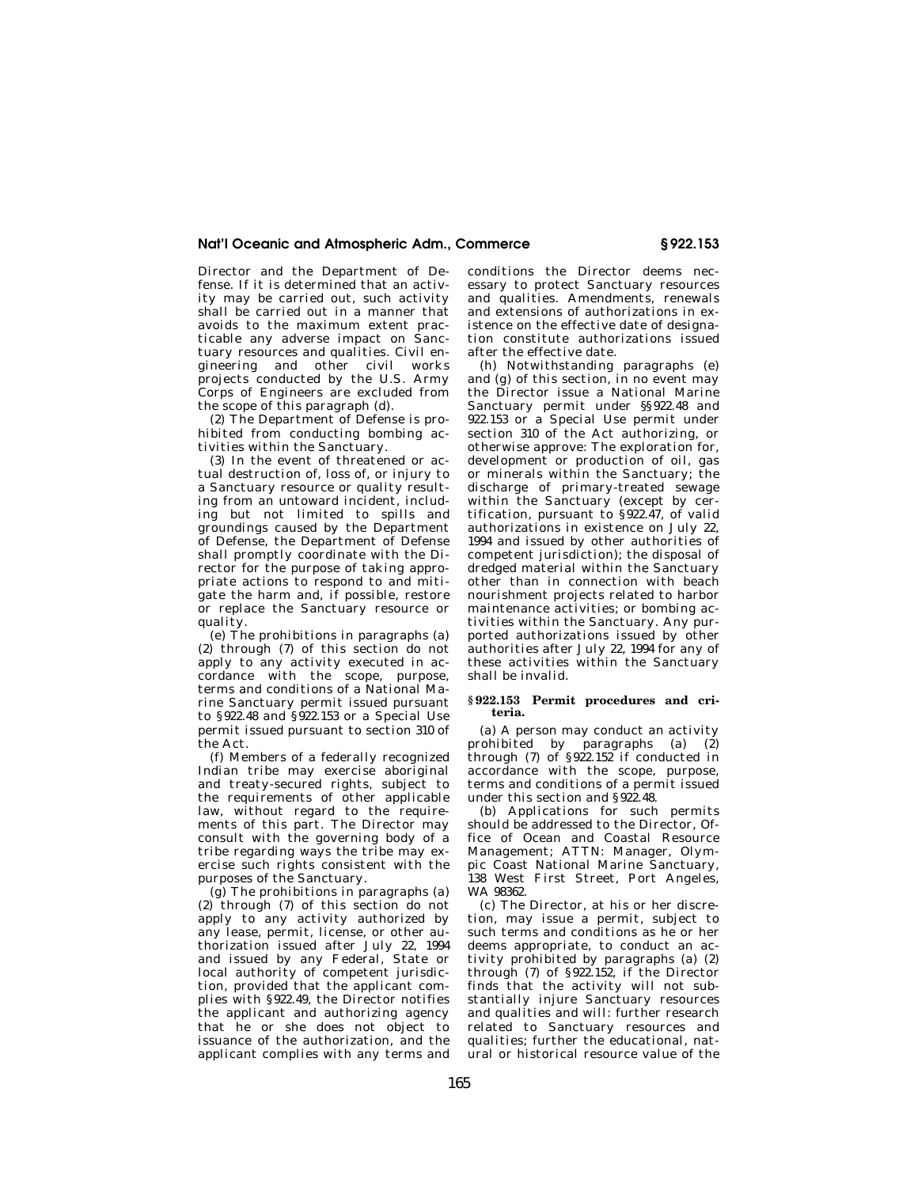Director and the Department of Defense. If it is determined that an activity may be carried out, such activity shall be carried out in a manner that avoids to the maximum extent practicable any adverse impact on Sanctuary resources and qualities. Civil engineering and other civil works projects conducted by the U.S. Army Corps of Engineers are excluded from the scope of this paragraph (d).

(2) The Department of Defense is prohibited from conducting bombing activities within the Sanctuary.

(3) In the event of threatened or actual destruction of, loss of, or injury to a Sanctuary resource or quality resulting from an untoward incident, including but not limited to spills and groundings caused by the Department of Defense, the Department of Defense shall promptly coordinate with the Director for the purpose of taking appropriate actions to respond to and mitigate the harm and, if possible, restore or replace the Sanctuary resource or quality.

(e) The prohibitions in paragraphs (a) (2) through (7) of this section do not apply to any activity executed in accordance with the scope, purpose, terms and conditions of a National Marine Sanctuary permit issued pursuant to §922.48 and §922.153 or a Special Use permit issued pursuant to section 310 of the Act.

(f) Members of a federally recognized Indian tribe may exercise aboriginal and treaty-secured rights, subject to the requirements of other applicable law, without regard to the requirements of this part. The Director may consult with the governing body of a tribe regarding ways the tribe may exercise such rights consistent with the purposes of the Sanctuary.

(g) The prohibitions in paragraphs (a) (2) through (7) of this section do not apply to any activity authorized by any lease, permit, license, or other authorization issued after July 22, 1994 and issued by any Federal, State or local authority of competent jurisdiction, provided that the applicant complies with §922.49, the Director notifies .<br>the applicant and authorizing agency that he or she does not object to issuance of the authorization, and the applicant complies with any terms and

conditions the Director deems necessary to protect Sanctuary resources and qualities. Amendments, renewals and extensions of authorizations in existence on the effective date of designation constitute authorizations issued after the effective date.

(h) Notwithstanding paragraphs (e) and (g) of this section, in no event may the Director issue a National Marine Sanctuary permit under §§922.48 and 922.153 or a Special Use permit under section 310 of the Act authorizing, or otherwise approve: The exploration for, development or production of oil, gas or minerals within the Sanctuary; the discharge of primary-treated sewage within the Sanctuary (except by certification, pursuant to §922.47, of valid authorizations in existence on July 22, 1994 and issued by other authorities of competent jurisdiction); the disposal of dredged material within the Sanctuary other than in connection with beach nourishment projects related to harbor maintenance activities; or bombing activities within the Sanctuary. Any purported authorizations issued by other authorities after July 22, 1994 for any of these activities within the Sanctuary shall be invalid.

### **§ 922.153 Permit procedures and criteria.**

(a) A person may conduct an activity prohibited by paragraphs (a)  $(2)$ through (7) of  $\S 922.152$  if conducted in accordance with the scope, purpose, terms and conditions of a permit issued under this section and §922.48.

(b) Applications for such permits should be addressed to the Director, Office of Ocean and Coastal Resource Management; ATTN: Manager, Olympic Coast National Marine Sanctuary, 138 West First Street, Port Angeles, WA 98362.

(c) The Director, at his or her discretion, may issue a permit, subject to such terms and conditions as he or her deems appropriate, to conduct an activity prohibited by paragraphs (a) (2) through (7) of §922.152, if the Director finds that the activity will not substantially injure Sanctuary resources and qualities and will: further research related to Sanctuary resources and qualities; further the educational, natural or historical resource value of the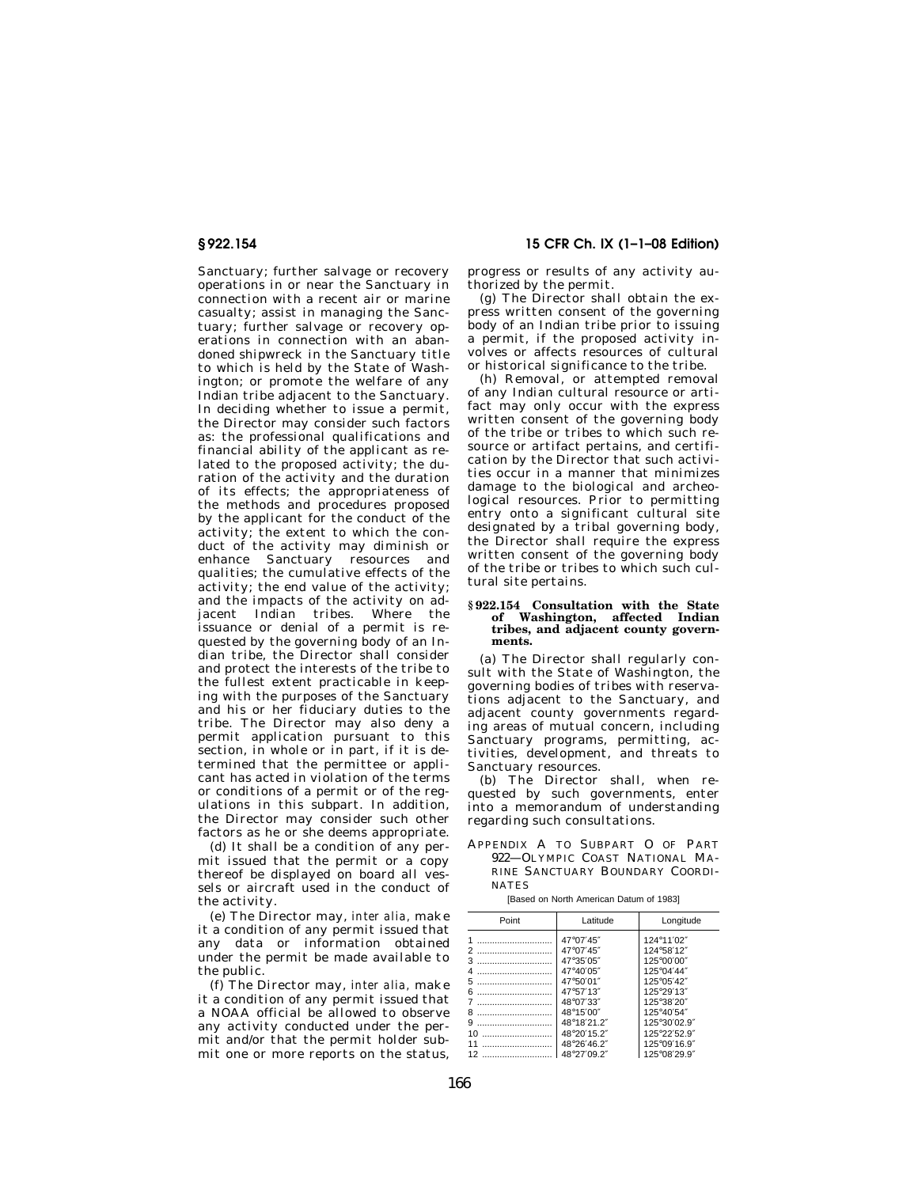Sanctuary; further salvage or recovery operations in or near the Sanctuary in connection with a recent air or marine casualty; assist in managing the Sanctuary; further salvage or recovery operations in connection with an abandoned shipwreck in the Sanctuary title to which is held by the State of Washington; or promote the welfare of any Indian tribe adjacent to the Sanctuary. In deciding whether to issue a permit, the Director may consider such factors as: the professional qualifications and financial ability of the applicant as related to the proposed activity; the duration of the activity and the duration of its effects; the appropriateness of the methods and procedures proposed by the applicant for the conduct of the activity; the extent to which the conduct of the activity may diminish or enhance Sanctuary resources and qualities; the cumulative effects of the activity; the end value of the activity; and the impacts of the activity on adjacent Indian tribes. Where the issuance or denial of a permit is requested by the governing body of an Indian tribe, the Director shall consider and protect the interests of the tribe to the fullest extent practicable in keeping with the purposes of the Sanctuary and his or her fiduciary duties to the tribe. The Director may also deny a permit application pursuant to this section, in whole or in part, if it is determined that the permittee or applicant has acted in violation of the terms or conditions of a permit or of the regulations in this subpart. In addition, the Director may consider such other factors as he or she deems appropriate.

(d) It shall be a condition of any permit issued that the permit or a copy thereof be displayed on board all vessels or aircraft used in the conduct of the activity.

(e) The Director may, *inter alia,* make it a condition of any permit issued that any data or information obtained under the permit be made available to the public.

(f) The Director may, *inter alia,* make it a condition of any permit issued that a NOAA official be allowed to observe any activity conducted under the permit and/or that the permit holder submit one or more reports on the status,

**§ 922.154 15 CFR Ch. IX (1–1–08 Edition)** 

progress or results of any activity authorized by the permit.

(g) The Director shall obtain the express written consent of the governing body of an Indian tribe prior to issuing a permit, if the proposed activity involves or affects resources of cultural or historical significance to the tribe.

(h) Removal, or attempted removal of any Indian cultural resource or artifact may only occur with the express written consent of the governing body of the tribe or tribes to which such resource or artifact pertains, and certification by the Director that such activities occur in a manner that minimizes damage to the biological and archeological resources. Prior to permitting entry onto a significant cultural site designated by a tribal governing body, the Director shall require the express written consent of the governing body of the tribe or tribes to which such cultural site pertains.

## **§ 922.154 Consultation with the State of Washington, affected Indian tribes, and adjacent county governments.**

(a) The Director shall regularly consult with the State of Washington, the governing bodies of tribes with reservations adjacent to the Sanctuary, and adjacent county governments regarding areas of mutual concern, including Sanctuary programs, permitting, activities, development, and threats to Sanctuary resources.

(b) The Director shall, when requested by such governments, enter into a memorandum of understanding regarding such consultations.

APPENDIX A TO SUBPART O OF PART 922—OLYMPIC COAST NATIONAL MA-RINE SANCTUARY BOUNDARY COORDI-**NATES** 

[Based on North American Datum of 1983]

| Point | Latitude    | Longitude    |
|-------|-------------|--------------|
|       | 47°07'45"   | 124°11'02"   |
|       | 47°07'45"   | 124°58'12"   |
| 3     | 47°35'05"   | 125°00'00"   |
|       | 47°40'05"   | 125°04'44"   |
| 5     | 47°50'01"   | 125°05'42"   |
| ค     | 47°57'13"   | 125°29'13"   |
|       | 48°07'33"   | 125°38'20"   |
|       | 48°15'00"   | 125°40'54"   |
| g     | 48°18'21.2" | 125°30'02.9" |
| 10    | 48°20'15.2" | 125°22'52.9" |
| .     | 48°26'46.2" | 125°09'16.9" |
| 12    | 48°27'09.2" | 125°08'29.9" |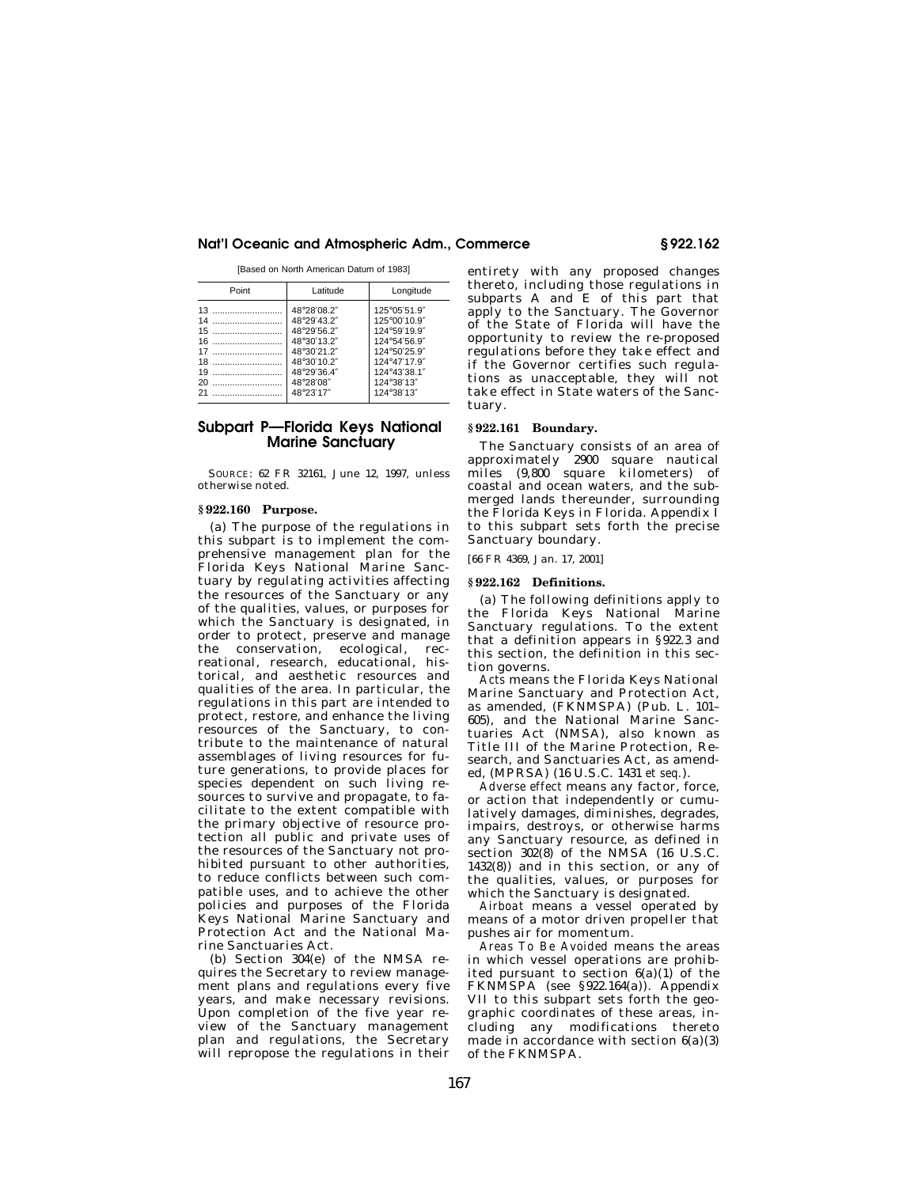| Nat'l Oceanic and Atmospheric Adm., Commerce |  |
|----------------------------------------------|--|
|----------------------------------------------|--|

| Point<br>Latitude<br>Longitude<br>48°28'08.2"<br>125°05'51.9"<br>13<br>48°29'43.2"<br>125°00'10.9"<br>14                                                                                                     |             |              |
|--------------------------------------------------------------------------------------------------------------------------------------------------------------------------------------------------------------|-------------|--------------|
|                                                                                                                                                                                                              |             |              |
| 48°30'13.2"<br>124°54'56.9"<br>16<br>48°30'21.2"<br>124°50'25.9"<br>48°30'10.2"<br>124°47'17.9"<br>18<br>124°43'38.1"<br>48°29'36.4"<br>19<br>48°28'08"<br>124°38'13"<br>20<br>48°23'17"<br>124°38'13"<br>21 | 48°29'56.2" | 124°59'19.9" |

[Based on North American Datum of 1983]

# **Subpart P—Florida Keys National Marine Sanctuary**

SOURCE: 62 FR 32161, June 12, 1997, unless otherwise noted.

# **§ 922.160 Purpose.**

(a) The purpose of the regulations in this subpart is to implement the comprehensive management plan for the Florida Keys National Marine Sanctuary by regulating activities affecting the resources of the Sanctuary or any of the qualities, values, or purposes for which the Sanctuary is designated, in order to protect, preserve and manage the conservation, ecological, recreational, research, educational, historical, and aesthetic resources and qualities of the area. In particular, the regulations in this part are intended to protect, restore, and enhance the living resources of the Sanctuary, to contribute to the maintenance of natural assemblages of living resources for future generations, to provide places for species dependent on such living resources to survive and propagate, to facilitate to the extent compatible with the primary objective of resource protection all public and private uses of the resources of the Sanctuary not prohibited pursuant to other authorities, to reduce conflicts between such compatible uses, and to achieve the other policies and purposes of the Florida Keys National Marine Sanctuary and Protection Act and the National Marine Sanctuaries Act.

(b) Section 304(e) of the NMSA requires the Secretary to review management plans and regulations every five years, and make necessary revisions. Upon completion of the five year review of the Sanctuary management plan and regulations, the Secretary will repropose the regulations in their

entirety with any proposed changes thereto, including those regulations in subparts A and E of this part that apply to the Sanctuary. The Governor of the State of Florida will have the opportunity to review the re-proposed regulations before they take effect and if the Governor certifies such regulations as unacceptable, they will not take effect in State waters of the Sanctuary.

# **§ 922.161 Boundary.**

The Sanctuary consists of an area of approximately 2900 square nautical miles (9,800 square kilometers) of coastal and ocean waters, and the submerged lands thereunder, surrounding the Florida Keys in Florida. Appendix I to this subpart sets forth the precise Sanctuary boundary.

[66 FR 4369, Jan. 17, 2001]

# **§ 922.162 Definitions.**

(a) The following definitions apply to the Florida Keys National Marine Sanctuary regulations. To the extent that a definition appears in §922.3 and this section, the definition in this section governs.

*Acts* means the Florida Keys National Marine Sanctuary and Protection Act, as amended, (FKNMSPA) (Pub. L. 101– 605), and the National Marine Sanctuaries Act (NMSA), also known as Title III of the Marine Protection, Research, and Sanctuaries Act, as amended, (MPRSA) (16 U.S.C. 1431 *et seq.*).

*Adverse effect* means any factor, force, or action that independently or cumulatively damages, diminishes, degrades, impairs, destroys, or otherwise harms any Sanctuary resource, as defined in section 302(8) of the NMSA (16 U.S.C. 1432(8)) and in this section, or any of the qualities, values, or purposes for which the Sanctuary is designated.

*Airboat* means a vessel operated by means of a motor driven propeller that pushes air for momentum.

*Areas To Be Avoided* means the areas in which vessel operations are prohibited pursuant to section  $6(a)(1)$  of the FKNMSPA (see §922.164(a)). Appendix VII to this subpart sets forth the geographic coordinates of these areas, including any modifications thereto made in accordance with section  $6(a)(3)$ of the FKNMSPA.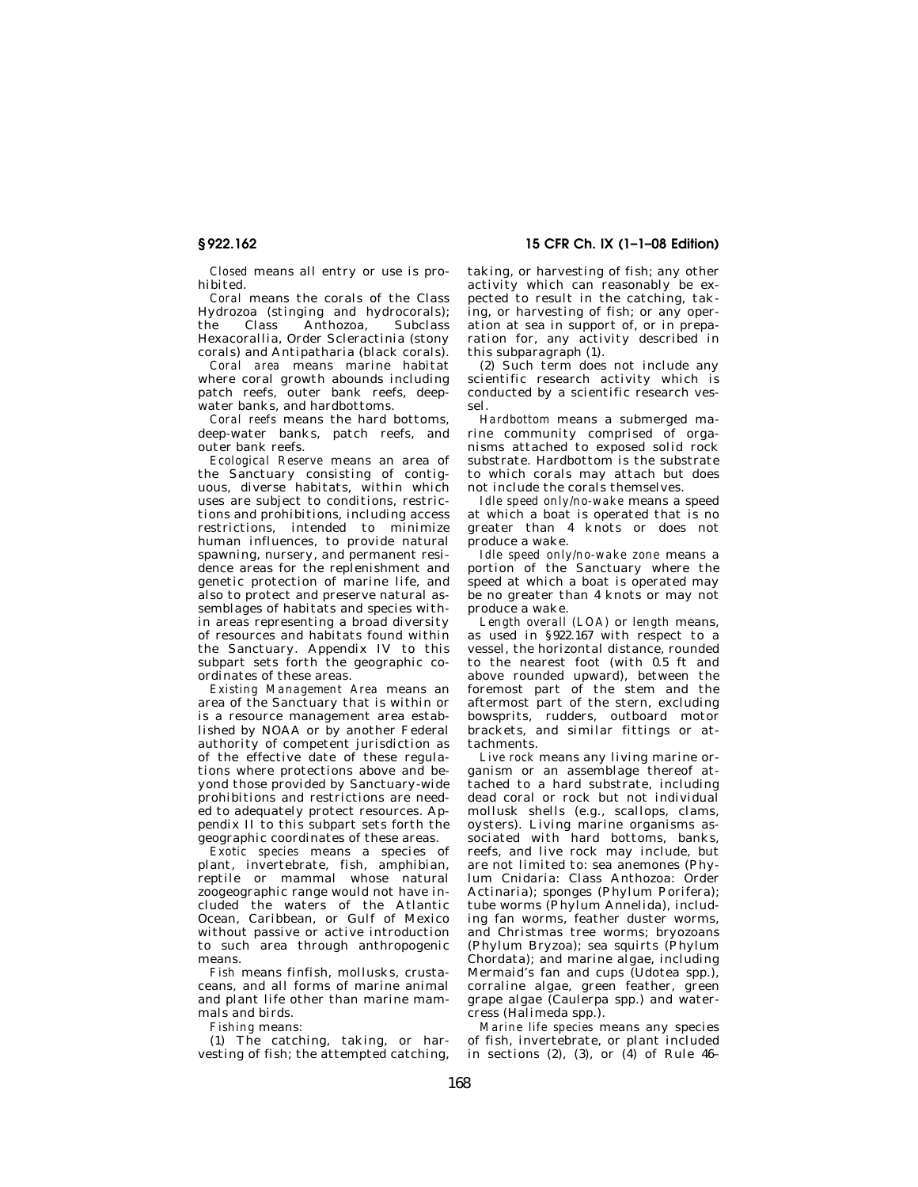**§ 922.162 15 CFR Ch. IX (1–1–08 Edition)** 

*Closed* means all entry or use is prohibited.

*Coral* means the corals of the Class Hydrozoa (stinging and hydrocorals); the Class Anthozoa, Hexacorallia, Order Scleractinia (stony corals) and Antipatharia (black corals).

*Coral area* means marine habitat where coral growth abounds including patch reefs, outer bank reefs, deepwater banks, and hardbottoms.

*Coral reefs* means the hard bottoms, deep-water banks, patch reefs, and outer bank reefs.

*Ecological Reserve* means an area of the Sanctuary consisting of contiguous, diverse habitats, within which uses are subject to conditions, restrictions and prohibitions, including access restrictions, intended to minimize human influences, to provide natural spawning, nursery, and permanent residence areas for the replenishment and genetic protection of marine life, and also to protect and preserve natural assemblages of habitats and species within areas representing a broad diversity of resources and habitats found within the Sanctuary. Appendix IV to this subpart sets forth the geographic coordinates of these areas.

*Existing Management Area* means an area of the Sanctuary that is within or is a resource management area established by NOAA or by another Federal authority of competent jurisdiction as of the effective date of these regulations where protections above and beyond those provided by Sanctuary-wide prohibitions and restrictions are needed to adequately protect resources. Appendix II to this subpart sets forth the geographic coordinates of these areas.

*Exotic species* means a species of plant, invertebrate, fish, amphibian, reptile or mammal whose natural zoogeographic range would not have included the waters of the Atlantic Ocean, Caribbean, or Gulf of Mexico without passive or active introduction to such area through anthropogenic means.

*Fish* means finfish, mollusks, crustaceans, and all forms of marine animal and plant life other than marine mammals and birds.

*Fishing* means:

(1) The catching, taking, or harvesting of fish; the attempted catching,

taking, or harvesting of fish; any other activity which can reasonably be expected to result in the catching, taking, or harvesting of fish; or any operation at sea in support of, or in preparation for, any activity described in this subparagraph (1).

(2) Such term does not include any scientific research activity which is conducted by a scientific research vessel.

*Hardbottom* means a submerged marine community comprised of organisms attached to exposed solid rock substrate. Hardbottom is the substrate to which corals may attach but does not include the corals themselves.

*Idle speed only/no-wake* means a speed at which a boat is operated that is no greater than 4 knots or does not produce a wake.

*Idle speed only/no-wake zone* means a portion of the Sanctuary where the speed at which a boat is operated may be no greater than 4 knots or may not produce a wake.

*Length overall (LOA)* or *length* means, as used in §922.167 with respect to a vessel, the horizontal distance, rounded to the nearest foot (with 0.5 ft and above rounded upward), between the foremost part of the stem and the aftermost part of the stern, excluding bowsprits, rudders, outboard motor brackets, and similar fittings or attachments.

*Live rock* means any living marine organism or an assemblage thereof attached to a hard substrate, including dead coral or rock but not individual mollusk shells (e.g., scallops, clams, oysters). Living marine organisms associated with hard bottoms, banks, reefs, and live rock may include, but are not limited to: sea anemones (Phylum Cnidaria: Class Anthozoa: Order Actinaria); sponges (Phylum Porifera); tube worms (Phylum Annelida), including fan worms, feather duster worms, and Christmas tree worms; bryozoans (Phylum Bryzoa); sea squirts (Phylum Chordata); and marine algae, including Mermaid's fan and cups (Udotea spp.), corraline algae, green feather, green grape algae (Caulerpa spp.) and watercress (Halimeda spp.).

*Marine life species* means any species of fish, invertebrate, or plant included in sections  $(2)$ ,  $(3)$ , or  $(4)$  of Rule 46-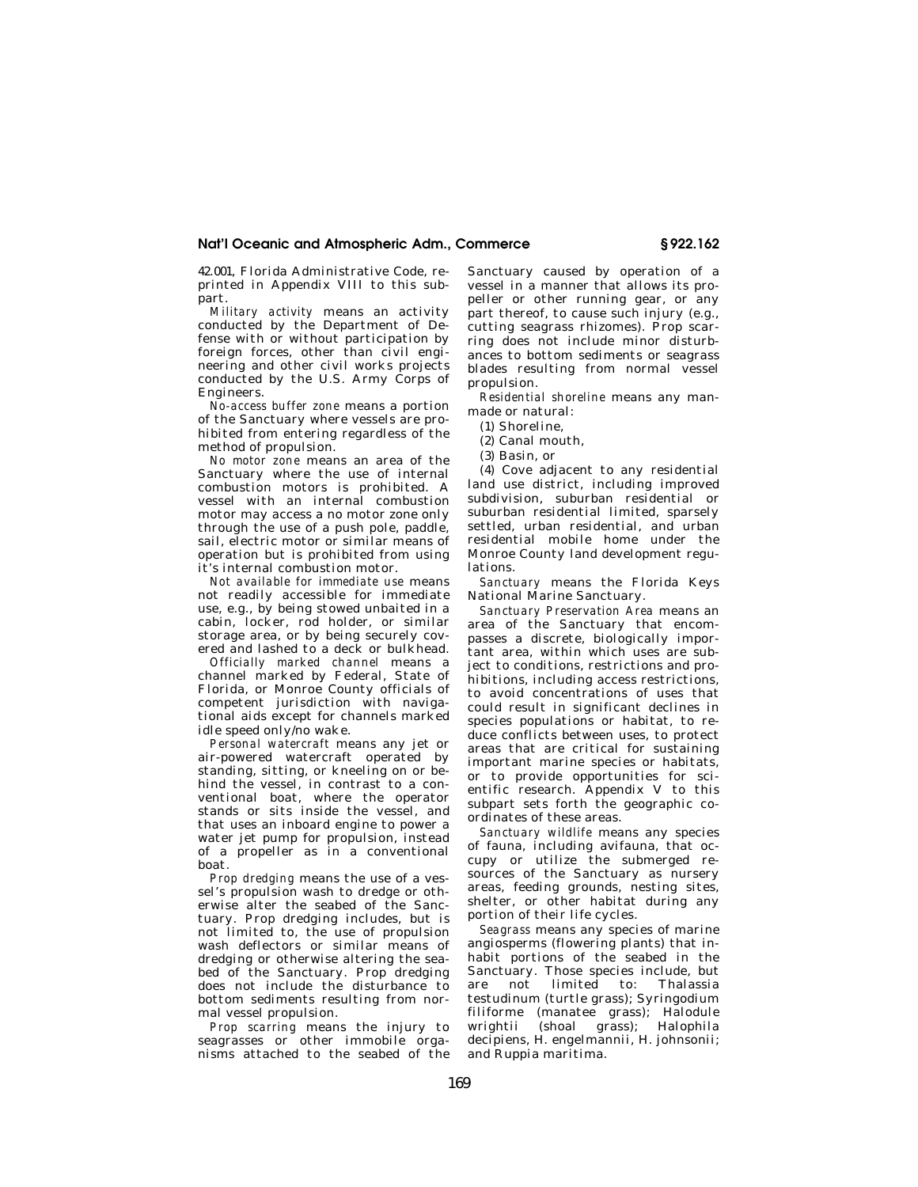42.001, Florida Administrative Code, reprinted in Appendix VIII to this subpart.

*Military activity* means an activity conducted by the Department of Defense with or without participation by foreign forces, other than civil engineering and other civil works projects conducted by the U.S. Army Corps of Engineers.

*No-access buffer zone* means a portion of the Sanctuary where vessels are prohibited from entering regardless of the method of propulsion.

*No motor zone* means an area of the Sanctuary where the use of internal combustion motors is prohibited. A vessel with an internal combustion motor may access a no motor zone only through the use of a push pole, paddle, sail, electric motor or similar means of operation but is prohibited from using it's internal combustion motor.

*Not available for immediate use* means not readily accessible for immediate use, e.g., by being stowed unbaited in a cabin, locker, rod holder, or similar storage area, or by being securely covered and lashed to a deck or bulkhead.

*Officially marked channel* means a channel marked by Federal, State of Florida, or Monroe County officials of competent jurisdiction with navigational aids except for channels marked idle speed only/no wake.

*Personal watercraft* means any jet or air-powered watercraft operated by standing, sitting, or kneeling on or behind the vessel, in contrast to a conventional boat, where the operator stands or sits inside the vessel, and that uses an inboard engine to power a water jet pump for propulsion, instead of a propeller as in a conventional boat.

*Prop dredging* means the use of a vessel's propulsion wash to dredge or otherwise alter the seabed of the Sanctuary. Prop dredging includes, but is not limited to, the use of propulsion wash deflectors or similar means of dredging or otherwise altering the seabed of the Sanctuary. Prop dredging does not include the disturbance to bottom sediments resulting from normal vessel propulsion.

*Prop scarring* means the injury to seagrasses or other immobile organisms attached to the seabed of the Sanctuary caused by operation of a vessel in a manner that allows its propeller or other running gear, or any part thereof, to cause such injury (e.g., cutting seagrass rhizomes). Prop scarring does not include minor disturbances to bottom sediments or seagrass blades resulting from normal vessel propulsion.

*Residential shoreline* means any manmade or natural:

(1) Shoreline,

(2) Canal mouth,

(3) Basin, or

(4) Cove adjacent to any residential land use district, including improved subdivision, suburban residential or suburban residential limited, sparsely settled, urban residential, and urban residential mobile home under the Monroe County land development regulations.

*Sanctuary* means the Florida Keys National Marine Sanctuary.

*Sanctuary Preservation Area* means an area of the Sanctuary that encompasses a discrete, biologically important area, within which uses are subject to conditions, restrictions and prohibitions, including access restrictions, to avoid concentrations of uses that could result in significant declines in species populations or habitat, to reduce conflicts between uses, to protect areas that are critical for sustaining important marine species or habitats, or to provide opportunities for scientific research. Appendix V to this subpart sets forth the geographic coordinates of these areas.

*Sanctuary wildlife* means any species of fauna, including avifauna, that occupy or utilize the submerged resources of the Sanctuary as nursery areas, feeding grounds, nesting sites, shelter, or other habitat during any portion of their life cycles.

*Seagrass* means any species of marine angiosperms (flowering plants) that inhabit portions of the seabed in the Sanctuary. Those species include, but are not limited to: Thalassia testudinum (turtle grass); Syringodium filiforme (manatee grass); Halodule wrightii (shoal grass); Halophila decipiens, H. engelmannii, H. johnsonii; and Ruppia maritima.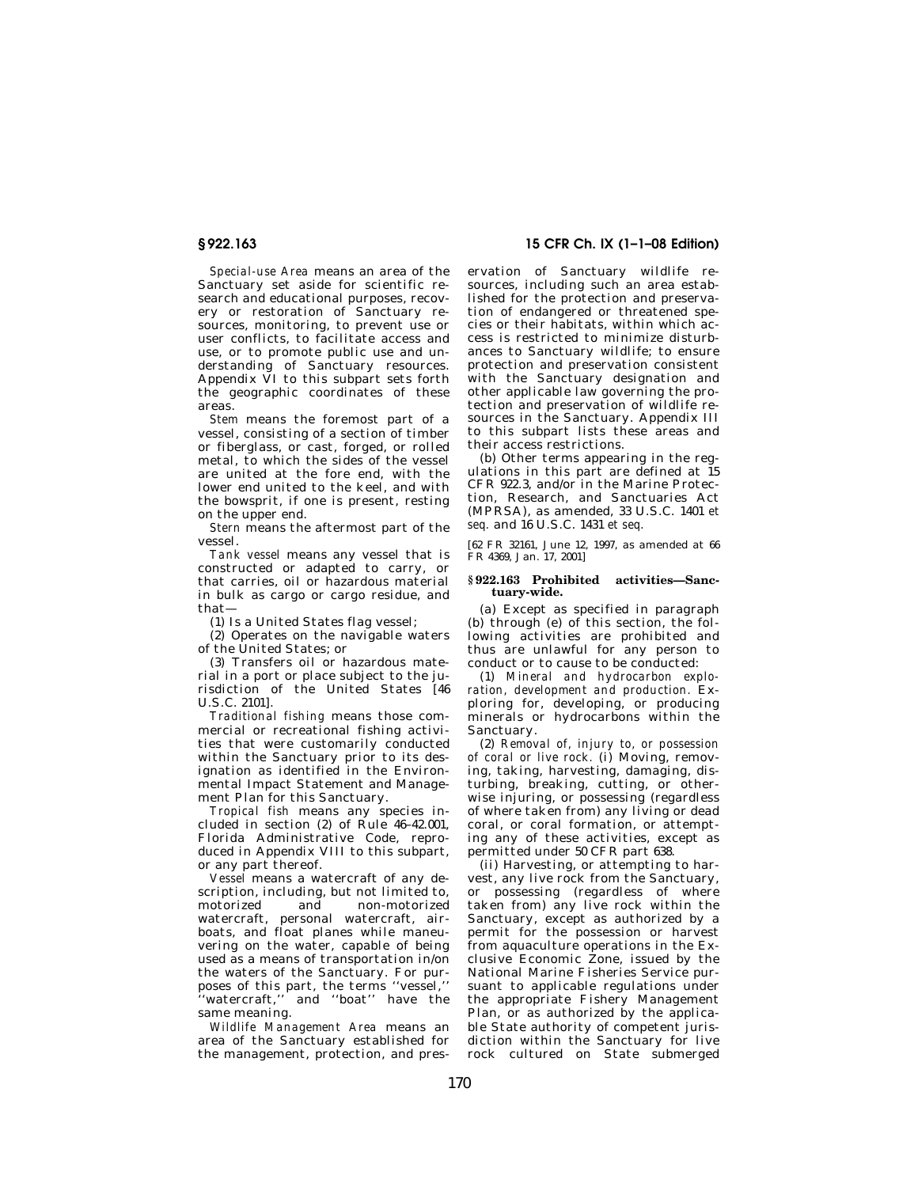*Special-use Area* means an area of the Sanctuary set aside for scientific research and educational purposes, recovery or restoration of Sanctuary resources, monitoring, to prevent use or user conflicts, to facilitate access and use, or to promote public use and understanding of Sanctuary resources. Appendix VI to this subpart sets forth the geographic coordinates of these areas.

*Stem* means the foremost part of a vessel, consisting of a section of timber or fiberglass, or cast, forged, or rolled metal, to which the sides of the vessel are united at the fore end, with the lower end united to the keel, and with the bowsprit, if one is present, resting on the upper end.

*Stern* means the aftermost part of the vessel.

*Tank vessel* means any vessel that is constructed or adapted to carry, or that carries, oil or hazardous material in bulk as cargo or cargo residue, and that—

(1) Is a United States flag vessel;

(2) Operates on the navigable waters of the United States; or

(3) Transfers oil or hazardous material in a port or place subject to the jurisdiction of the United States [46 U.S.C. 2101].

*Traditional fishing* means those commercial or recreational fishing activities that were customarily conducted within the Sanctuary prior to its designation as identified in the Environmental Impact Statement and Management Plan for this Sanctuary.

*Tropical fish* means any species included in section  $(2)$  of Rule  $46-42.001$ , Florida Administrative Code, reproduced in Appendix VIII to this subpart, or any part thereof.

*Vessel* means a watercraft of any description, including, but not limited to, non-motorized watercraft, personal watercraft, airboats, and float planes while maneuvering on the water, capable of being used as a means of transportation in/on the waters of the Sanctuary. For purposes of this part, the terms ''vessel,'' 'watercraft," and "boat" have the same meaning.

*Wildlife Management Area* means an area of the Sanctuary established for the management, protection, and pres-

# **§ 922.163 15 CFR Ch. IX (1–1–08 Edition)**

ervation of Sanctuary wildlife resources, including such an area established for the protection and preservation of endangered or threatened species or their habitats, within which access is restricted to minimize disturbances to Sanctuary wildlife; to ensure protection and preservation consistent with the Sanctuary designation and other applicable law governing the protection and preservation of wildlife resources in the Sanctuary. Appendix III to this subpart lists these areas and their access restrictions.

(b) Other terms appearing in the regulations in this part are defined at 15 CFR 922.3, and/or in the Marine Protection, Research, and Sanctuaries Act (MPRSA), as amended, 33 U.S.C. 1401 *et seq.* and 16 U.S.C. 1431 *et seq.* 

[62 FR 32161, June 12, 1997, as amended at 66 FR 4369, Jan. 17, 2001]

### **§ 922.163 Prohibited activities—Sanctuary-wide.**

(a) Except as specified in paragraph (b) through (e) of this section, the following activities are prohibited and thus are unlawful for any person to conduct or to cause to be conducted:

(1) *Mineral and hydrocarbon exploration, development and production.* Exploring for, developing, or producing minerals or hydrocarbons within the Sanctuary.

(2) *Removal of, injury to, or possession of coral or live rock.* (i) Moving, removing, taking, harvesting, damaging, disturbing, breaking, cutting, or otherwise injuring, or possessing (regardless of where taken from) any living or dead coral, or coral formation, or attempting any of these activities, except as permitted under 50 CFR part 638.

(ii) Harvesting, or attempting to harvest, any live rock from the Sanctuary, or possessing (regardless of where taken from) any live rock within the Sanctuary, except as authorized by a permit for the possession or harvest from aquaculture operations in the Exclusive Economic Zone, issued by the National Marine Fisheries Service pursuant to applicable regulations under the appropriate Fishery Management Plan, or as authorized by the applicable State authority of competent jurisdiction within the Sanctuary for live rock cultured on State submerged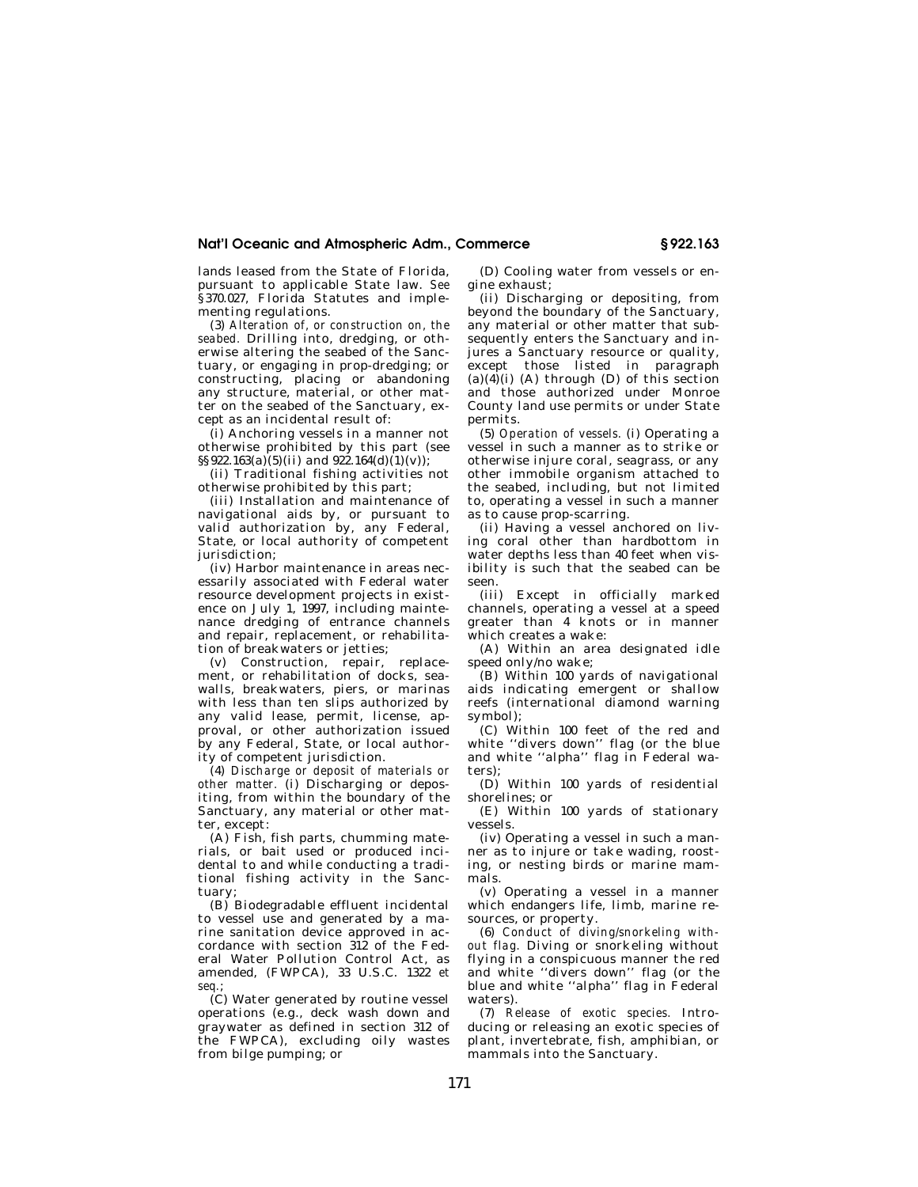lands leased from the State of Florida, pursuant to applicable State law. *See*  §370.027, Florida Statutes and implementing regulations.

(3) *Alteration of, or construction on, the seabed.* Drilling into, dredging, or otherwise altering the seabed of the Sanctuary, or engaging in prop-dredging; or constructing, placing or abandoning any structure, material, or other matter on the seabed of the Sanctuary, except as an incidental result of:

(i) Anchoring vessels in a manner not otherwise prohibited by this part (see  $\S$ §922.163(a)(5)(ii) and 922.164(d)(1)(v));

(ii) Traditional fishing activities not otherwise prohibited by this part;

(iii) Installation and maintenance of navigational aids by, or pursuant to valid authorization by, any Federal, State, or local authority of competent jurisdiction;

(iv) Harbor maintenance in areas necessarily associated with Federal water resource development projects in existence on July 1, 1997, including maintenance dredging of entrance channels and repair, replacement, or rehabilitation of breakwaters or jetties;

(v) Construction, repair, replacement, or rehabilitation of docks, seawalls, breakwaters, piers, or marinas with less than ten slips authorized by any valid lease, permit, license, approval, or other authorization issued by any Federal, State, or local authority of competent jurisdiction.

(4) *Discharge or deposit of materials or other matter.* (i) Discharging or depositing, from within the boundary of the Sanctuary, any material or other matter, except:

(A) Fish, fish parts, chumming materials, or bait used or produced incidental to and while conducting a traditional fishing activity in the Sanctuary;

(B) Biodegradable effluent incidental to vessel use and generated by a marine sanitation device approved in accordance with section 312 of the Federal Water Pollution Control Act, as amended, (FWPCA), 33 U.S.C. 1322 *et seq.*;

(C) Water generated by routine vessel operations (e.g., deck wash down and graywater as defined in section 312 of the FWPCA), excluding oily wastes from bilge pumping; or

(D) Cooling water from vessels or engine exhaust;

(ii) Discharging or depositing, from beyond the boundary of the Sanctuary, any material or other matter that subsequently enters the Sanctuary and injures a Sanctuary resource or quality, except those listed in paragraph  $(a)(4)(i)$  (A) through (D) of this section and those authorized under Monroe County land use permits or under State permits.

(5) *Operation of vessels.* (i) Operating a vessel in such a manner as to strike or otherwise injure coral, seagrass, or any other immobile organism attached to the seabed, including, but not limited to, operating a vessel in such a manner as to cause prop-scarring.

(ii) Having a vessel anchored on living coral other than hardbottom in water depths less than 40 feet when visibility is such that the seabed can be seen.

(iii) Except in officially marked channels, operating a vessel at a speed greater than 4 knots or in manner which creates a wake:

(A) Within an area designated idle speed only/no wake;

(B) Within 100 yards of navigational aids indicating emergent or shallow reefs (international diamond warning symbol);

(C) Within 100 feet of the red and white ''divers down'' flag (or the blue and white ''alpha'' flag in Federal waters);

(D) Within 100 yards of residential shorelines; or

(E) Within 100 yards of stationary vessels.

(iv) Operating a vessel in such a manner as to injure or take wading, roosting, or nesting birds or marine mammals.

(v) Operating a vessel in a manner which endangers life, limb, marine resources, or property.

(6) *Conduct of diving/snorkeling without flag.* Diving or snorkeling without flying in a conspicuous manner the red and white ''divers down'' flag (or the blue and white ''alpha'' flag in Federal waters).

(7) *Release of exotic species.* Introducing or releasing an exotic species of plant, invertebrate, fish, amphibian, or mammals into the Sanctuary.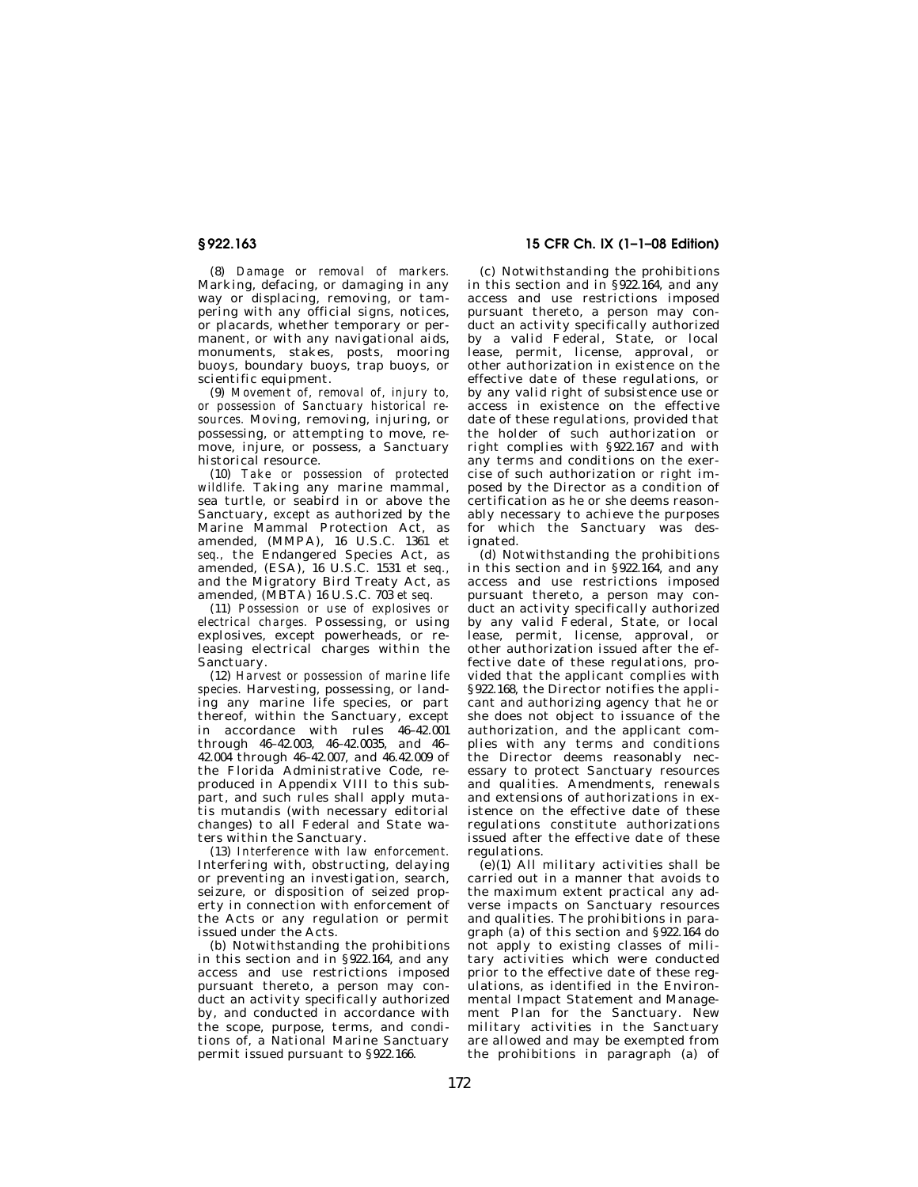(8) *Damage or removal of markers.*  Marking, defacing, or damaging in any way or displacing, removing, or tampering with any official signs, notices, or placards, whether temporary or permanent, or with any navigational aids, monuments, stakes, posts, mooring buoys, boundary buoys, trap buoys, or scientific equipment.

(9) *Movement of, removal of, injury to, or possession of Sanctuary historical resources.* Moving, removing, injuring, or possessing, or attempting to move, remove, injure, or possess, a Sanctuary historical resource.

(10) *Take or possession of protected wildlife*. Taking any marine mammal, sea turtle, or seabird in or above the Sanctuary, *except* as authorized by the Marine Mammal Protection Act, as amended, (MMPA), 16 U.S.C. 1361 *et seq.,* the Endangered Species Act, as amended, (ESA), 16 U.S.C. 1531 *et seq.,*  and the Migratory Bird Treaty Act, as amended, (MBTA) 16 U.S.C. 703 *et seq.* 

(11) *Possession or use of explosives or electrical charges.* Possessing, or using explosives, except powerheads, or releasing electrical charges within the Sanctuary.

(12) *Harvest or possession of marine life species.* Harvesting, possessing, or landing any marine life species, or part thereof, within the Sanctuary, except in accordance with rules 46–42.001 through 46–42.003, 46–42.0035, and 46– 42.004 through 46–42.007, and 46.42.009 of the Florida Administrative Code, reproduced in Appendix VIII to this subpart, and such rules shall apply mutatis mutandis (with necessary editorial changes) to all Federal and State waters within the Sanctuary.

(13) *Interference with law enforcement.*  Interfering with, obstructing, delaying or preventing an investigation, search, seizure, or disposition of seized property in connection with enforcement of the Acts or any regulation or permit issued under the Acts.

(b) Notwithstanding the prohibitions in this section and in §922.164, and any access and use restrictions imposed pursuant thereto, a person may conduct an activity specifically authorized by, and conducted in accordance with the scope, purpose, terms, and conditions of, a National Marine Sanctuary permit issued pursuant to §922.166.

# **§ 922.163 15 CFR Ch. IX (1–1–08 Edition)**

(c) Notwithstanding the prohibitions in this section and in §922.164, and any access and use restrictions imposed pursuant thereto, a person may conduct an activity specifically authorized by a valid Federal, State, or local lease, permit, license, approval, or other authorization in existence on the effective date of these regulations, or by any valid right of subsistence use or access in existence on the effective date of these regulations, provided that the holder of such authorization or right complies with §922.167 and with any terms and conditions on the exercise of such authorization or right imposed by the Director as a condition of certification as he or she deems reasonably necessary to achieve the purposes for which the Sanctuary was designated.

(d) Notwithstanding the prohibitions in this section and in §922.164, and any access and use restrictions imposed pursuant thereto, a person may conduct an activity specifically authorized by any valid Federal, State, or local lease, permit, license, approval, or other authorization issued after the effective date of these regulations, provided that the applicant complies with §922.168, the Director notifies the applicant and authorizing agency that he or she does not object to issuance of the authorization, and the applicant complies with any terms and conditions the Director deems reasonably necessary to protect Sanctuary resources and qualities. Amendments, renewals and extensions of authorizations in existence on the effective date of these regulations constitute authorizations issued after the effective date of these regulations.

(e)(1) All military activities shall be carried out in a manner that avoids to the maximum extent practical any adverse impacts on Sanctuary resources and qualities. The prohibitions in paragraph (a) of this section and §922.164 do not apply to existing classes of military activities which were conducted prior to the effective date of these regulations, as identified in the Environmental Impact Statement and Management Plan for the Sanctuary. New military activities in the Sanctuary are allowed and may be exempted from the prohibitions in paragraph (a) of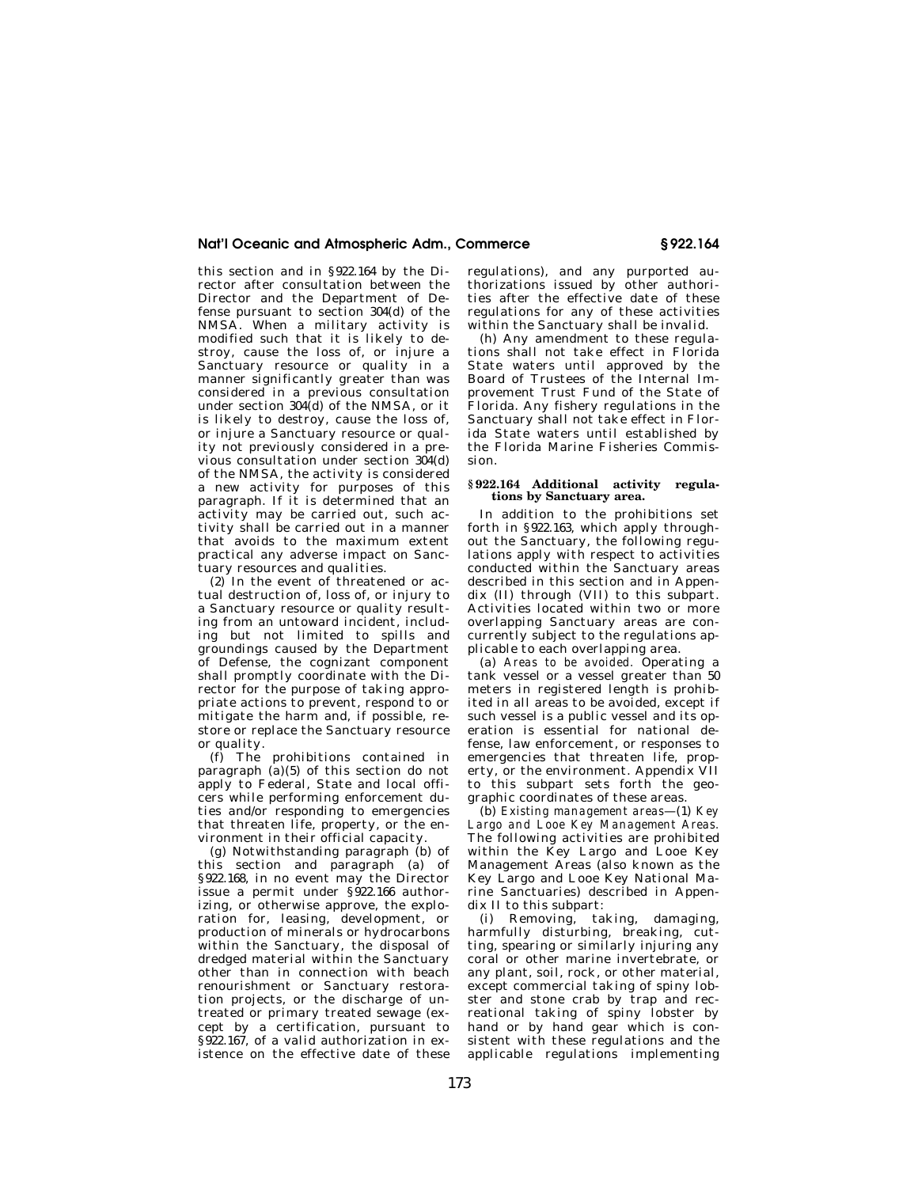this section and in §922.164 by the Director after consultation between the Director and the Department of Defense pursuant to section 304(d) of the NMSA. When a military activity is modified such that it is likely to destroy, cause the loss of, or injure a Sanctuary resource or quality in a manner significantly greater than was considered in a previous consultation under section 304(d) of the NMSA, or it is likely to destroy, cause the loss of, or injure a Sanctuary resource or quality not previously considered in a previous consultation under section 304(d) of the NMSA, the activity is considered a new activity for purposes of this paragraph. If it is determined that an activity may be carried out, such activity shall be carried out in a manner that avoids to the maximum extent practical any adverse impact on Sanctuary resources and qualities.

(2) In the event of threatened or actual destruction of, loss of, or injury to a Sanctuary resource or quality resulting from an untoward incident, including but not limited to spills and groundings caused by the Department of Defense, the cognizant component shall promptly coordinate with the Director for the purpose of taking appropriate actions to prevent, respond to or mitigate the harm and, if possible, restore or replace the Sanctuary resource or quality.

(f) The prohibitions contained in paragraph (a)(5) of this section do not apply to Federal, State and local officers while performing enforcement duties and/or responding to emergencies that threaten life, property, or the environment in their official capacity.

(g) Notwithstanding paragraph (b) of this section and paragraph (a) of §922.168, in no event may the Director issue a permit under  $\S$ 922.166 authorizing, or otherwise approve, the exploration for, leasing, development, or production of minerals or hydrocarbons within the Sanctuary, the disposal of dredged material within the Sanctuary other than in connection with beach renourishment or Sanctuary restoration projects, or the discharge of untreated or primary treated sewage (except by a certification, pursuant to §922.167, of a valid authorization in existence on the effective date of these

regulations), and any purported authorizations issued by other authorities after the effective date of these regulations for any of these activities within the Sanctuary shall be invalid.

(h) Any amendment to these regulations shall not take effect in Florida State waters until approved by the Board of Trustees of the Internal Improvement Trust Fund of the State of Florida. Any fishery regulations in the Sanctuary shall not take effect in Florida State waters until established by the Florida Marine Fisheries Commission.

# **§ 922.164 Additional activity regulations by Sanctuary area.**

In addition to the prohibitions set forth in §922.163, which apply throughout the Sanctuary, the following regulations apply with respect to activities conducted within the Sanctuary areas described in this section and in Appendix (II) through (VII) to this subpart. Activities located within two or more overlapping Sanctuary areas are concurrently subject to the regulations applicable to each overlapping area.

(a) *Areas to be avoided.* Operating a tank vessel or a vessel greater than 50 meters in registered length is prohibited in all areas to be avoided, except if such vessel is a public vessel and its operation is essential for national defense, law enforcement, or responses to emergencies that threaten life, property, or the environment. Appendix VII to this subpart sets forth the geographic coordinates of these areas.

(b) *Existing management areas*—(1) *Key Largo and Looe Key Management Areas.*  The following activities are prohibited within the Key Largo and Looe Key Management Areas (also known as the Key Largo and Looe Key National Marine Sanctuaries) described in Appendix II to this subpart:

(i) Removing, taking, damaging, harmfully disturbing, breaking, cutting, spearing or similarly injuring any coral or other marine invertebrate, or any plant, soil, rock, or other material, except commercial taking of spiny lobster and stone crab by trap and recreational taking of spiny lobster by hand or by hand gear which is consistent with these regulations and the applicable regulations implementing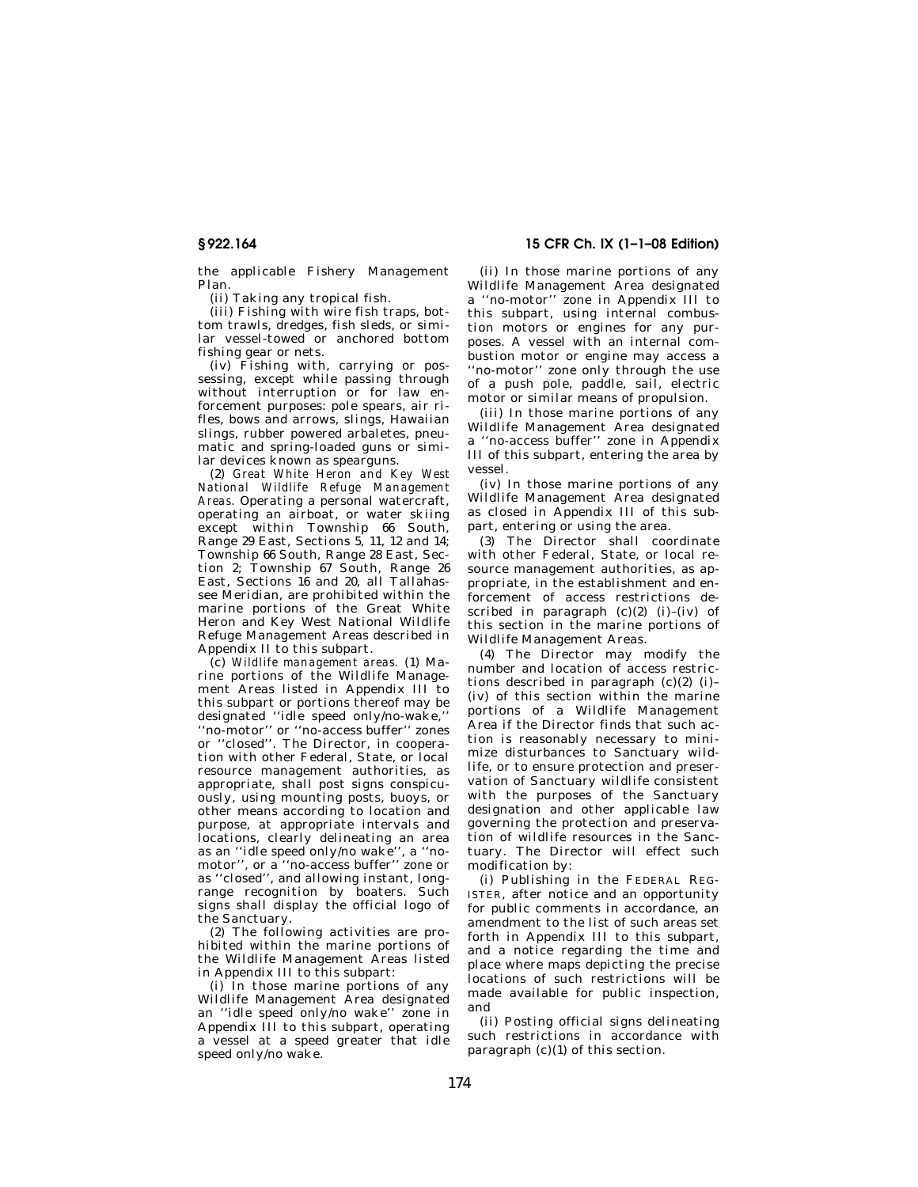**§ 922.164 15 CFR Ch. IX (1–1–08 Edition)** 

the applicable Fishery Management Plan.

(ii) Taking any tropical fish.

(iii) Fishing with wire fish traps, bottom trawls, dredges, fish sleds, or similar vessel-towed or anchored bottom fishing gear or nets.

(iv) Fishing with, carrying or possessing, except while passing through without interruption or for law enforcement purposes: pole spears, air rifles, bows and arrows, slings, Hawaiian slings, rubber powered arbaletes, pneumatic and spring-loaded guns or similar devices known as spearguns.

(2) *Great White Heron and Key West National Wildlife Refuge Management Areas.* Operating a personal watercraft, operating an airboat, or water skiing except within Township 66 South, Range 29 East, Sections 5, 11, 12 and 14; Township 66 South, Range 28 East, Section 2; Township 67 South, Range 26 East, Sections 16 and 20, all Tallahassee Meridian, are prohibited within the marine portions of the Great White Heron and Key West National Wildlife Refuge Management Areas described in Appendix II to this subpart.

(c) *Wildlife management areas.* (1) Marine portions of the Wildlife Management Areas listed in Appendix III to this subpart or portions thereof may be designated ''idle speed only/no-wake,'' ''no-motor'' or ''no-access buffer'' zones or ''closed''. The Director, in cooperation with other Federal, State, or local resource management authorities, as appropriate, shall post signs conspicuously, using mounting posts, buoys, or other means according to location and purpose, at appropriate intervals and locations, clearly delineating an area as an ''idle speed only/no wake'', a ''nomotor'', or a ''no-access buffer'' zone or as ''closed'', and allowing instant, longrange recognition by boaters. Such signs shall display the official logo of the Sanctuary.

(2) The following activities are prohibited within the marine portions of the Wildlife Management Areas listed in Appendix III to this subpart:

(i) In those marine portions of any Wildlife Management Area designated an ''idle speed only/no wake'' zone in Appendix III to this subpart, operating a vessel at a speed greater that idle speed only/no wake.

(ii) In those marine portions of any Wildlife Management Area designated a ''no-motor'' zone in Appendix III to this subpart, using internal combustion motors or engines for any purposes. A vessel with an internal combustion motor or engine may access a ''no-motor'' zone only through the use of a push pole, paddle, sail, electric motor or similar means of propulsion.

(iii) In those marine portions of any Wildlife Management Area designated a ''no-access buffer'' zone in Appendix III of this subpart, entering the area by vessel.

(iv) In those marine portions of any Wildlife Management Area designated as closed in Appendix III of this subpart, entering or using the area.

(3) The Director shall coordinate with other Federal, State, or local resource management authorities, as appropriate, in the establishment and enforcement of access restrictions described in paragraph (c)(2) (i)–(iv) of this section in the marine portions of Wildlife Management Areas.

(4) The Director may modify the number and location of access restrictions described in paragraph (c)(2) (i)– (iv) of this section within the marine portions of a Wildlife Management Area if the Director finds that such action is reasonably necessary to minimize disturbances to Sanctuary wildlife, or to ensure protection and preservation of Sanctuary wildlife consistent with the purposes of the Sanctuary designation and other applicable law governing the protection and preservation of wildlife resources in the Sanctuary. The Director will effect such modification by:

(i) Publishing in the FEDERAL REG-ISTER, after notice and an opportunity for public comments in accordance, an amendment to the list of such areas set forth in Appendix III to this subpart, and a notice regarding the time and place where maps depicting the precise locations of such restrictions will be made available for public inspection, and

(ii) Posting official signs delineating such restrictions in accordance with paragraph  $(c)(1)$  of this section.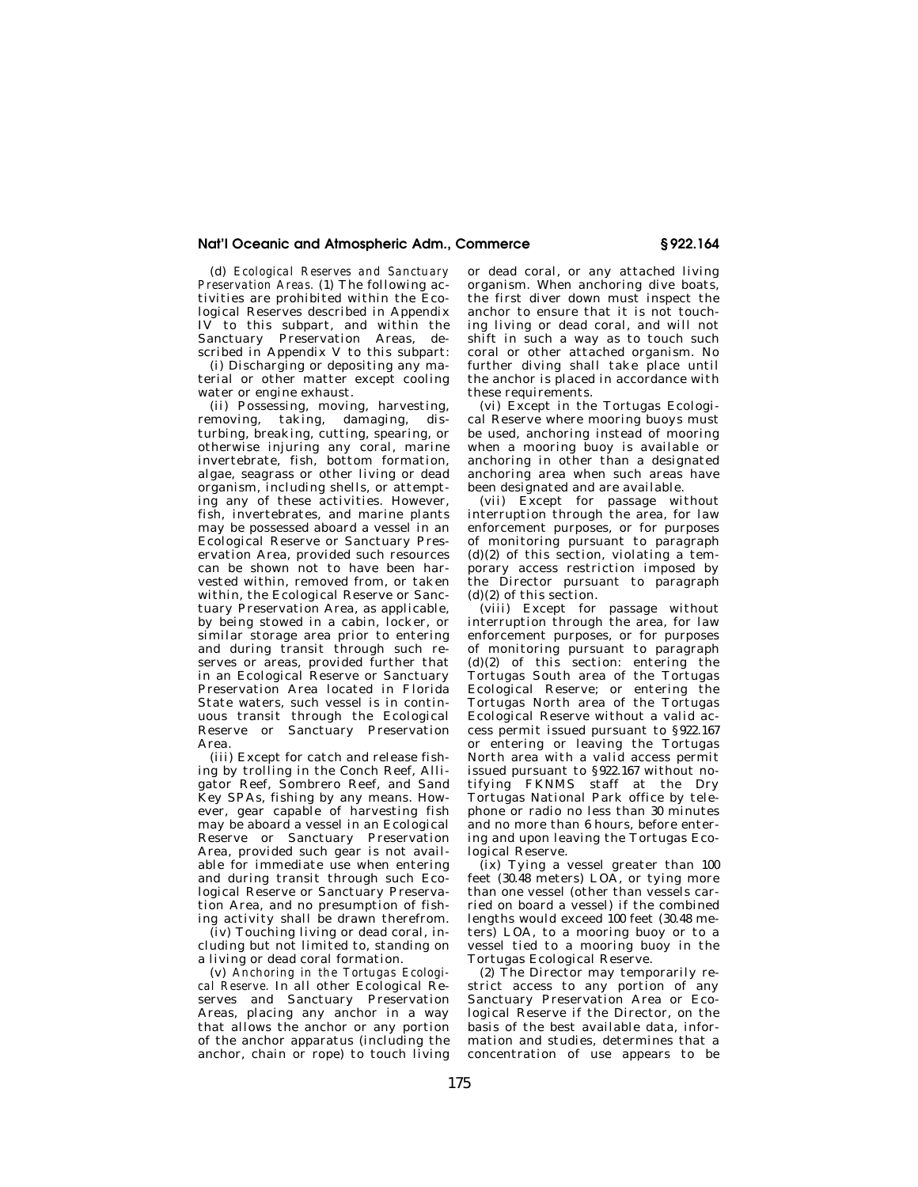(d) *Ecological Reserves and Sanctuary Preservation Areas.* (1) The following activities are prohibited within the Ecological Reserves described in Appendix IV to this subpart, and within the Sanctuary Preservation Areas, described in Appendix V to this subpart:

(i) Discharging or depositing any material or other matter except cooling water or engine exhaust.

(ii) Possessing, moving, harvesting, removing, taking, damaging, disturbing, breaking, cutting, spearing, or otherwise injuring any coral, marine invertebrate, fish, bottom formation, algae, seagrass or other living or dead organism, including shells, or attempting any of these activities. However, fish, invertebrates, and marine plants may be possessed aboard a vessel in an Ecological Reserve or Sanctuary Preservation Area, provided such resources can be shown not to have been harvested within, removed from, or taken within, the Ecological Reserve or Sanctuary Preservation Area, as applicable, by being stowed in a cabin, locker, or similar storage area prior to entering and during transit through such reserves or areas, provided further that in an Ecological Reserve or Sanctuary Preservation Area located in Florida State waters, such vessel is in continuous transit through the Ecological Reserve or Sanctuary Preservation Area.

(iii) Except for catch and release fishing by trolling in the Conch Reef, Alligator Reef, Sombrero Reef, and Sand Key SPAs, fishing by any means. However, gear capable of harvesting fish may be aboard a vessel in an Ecological Reserve or Sanctuary Preservation Area, provided such gear is not available for immediate use when entering and during transit through such Ecological Reserve or Sanctuary Preservation Area, and no presumption of fishing activity shall be drawn therefrom.

(iv) Touching living or dead coral, including but not limited to, standing on a living or dead coral formation.

(v) *Anchoring in the Tortugas Ecological Reserve.* In all other Ecological Reserves and Sanctuary Preservation Areas, placing any anchor in a way that allows the anchor or any portion of the anchor apparatus (including the anchor, chain or rope) to touch living

or dead coral, or any attached living organism. When anchoring dive boats, the first diver down must inspect the anchor to ensure that it is not touching living or dead coral, and will not shift in such a way as to touch such coral or other attached organism. No further diving shall take place until the anchor is placed in accordance with these requirements.

(vi) Except in the Tortugas Ecological Reserve where mooring buoys must be used, anchoring instead of mooring when a mooring buoy is available or anchoring in other than a designated anchoring area when such areas have been designated and are available.

(vii) Except for passage without interruption through the area, for law enforcement purposes, or for purposes of monitoring pursuant to paragraph  $(d)(2)$  of this section, violating a temporary access restriction imposed by the Director pursuant to paragraph (d)(2) of this section.

(viii) Except for passage without interruption through the area, for law enforcement purposes, or for purposes of monitoring pursuant to paragraph (d)(2) of this section: entering the Tortugas South area of the Tortugas Ecological Reserve; or entering the Tortugas North area of the Tortugas Ecological Reserve without a valid access permit issued pursuant to §922.167 or entering or leaving the Tortugas North area with a valid access permit issued pursuant to §922.167 without notifying FKNMS staff at the Dry Tortugas National Park office by telephone or radio no less than 30 minutes and no more than 6 hours, before entering and upon leaving the Tortugas Ecological Reserve.

(ix) Tying a vessel greater than 100 feet (30.48 meters) LOA, or tying more than one vessel (other than vessels carried on board a vessel) if the combined lengths would exceed 100 feet (30.48 meters) LOA, to a mooring buoy or to a vessel tied to a mooring buoy in the Tortugas Ecological Reserve.

(2) The Director may temporarily restrict access to any portion of any Sanctuary Preservation Area or Ecological Reserve if the Director, on the basis of the best available data, information and studies, determines that a concentration of use appears to be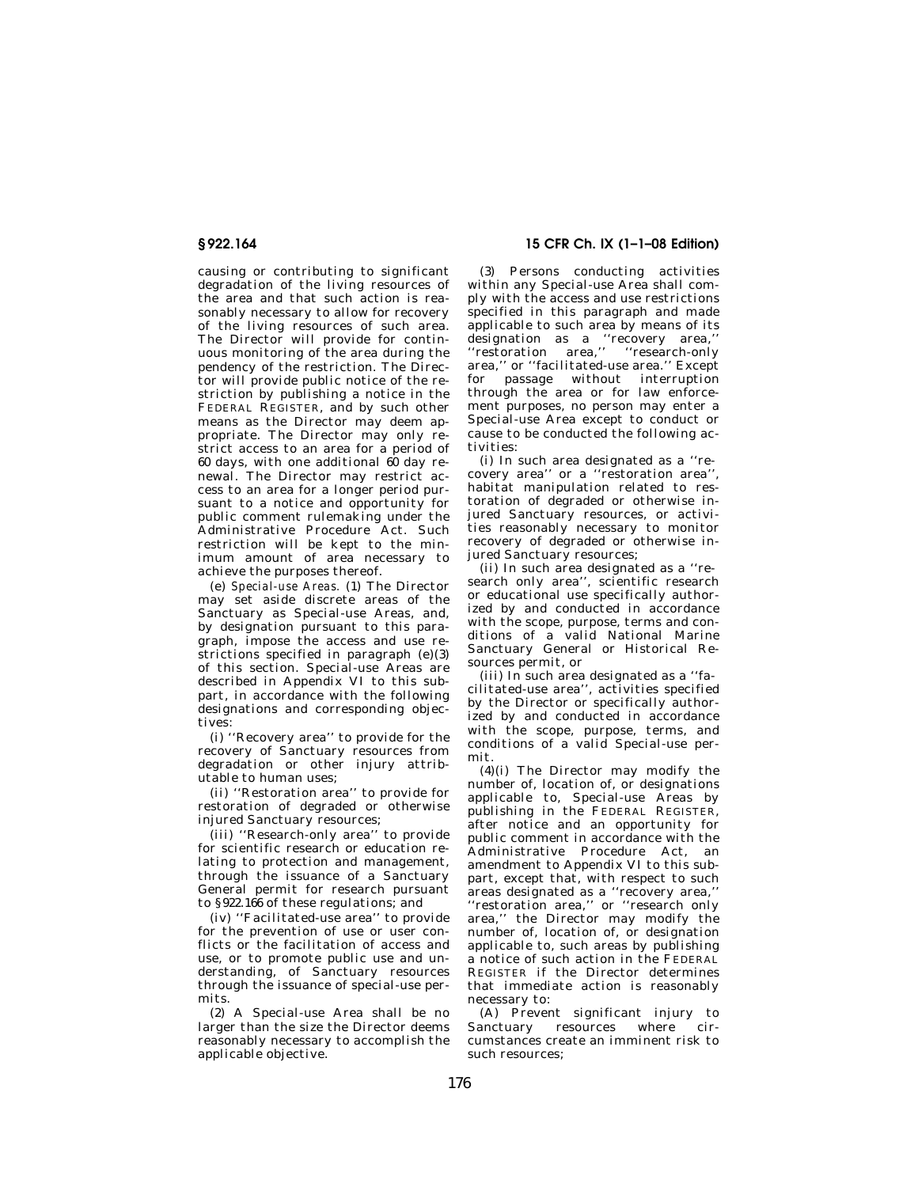causing or contributing to significant degradation of the living resources of the area and that such action is reasonably necessary to allow for recovery of the living resources of such area. The Director will provide for continuous monitoring of the area during the pendency of the restriction. The Director will provide public notice of the restriction by publishing a notice in the FEDERAL REGISTER, and by such other means as the Director may deem appropriate. The Director may only restrict access to an area for a period of 60 days, with one additional 60 day renewal. The Director may restrict access to an area for a longer period pursuant to a notice and opportunity for public comment rulemaking under the Administrative Procedure Act. Such restriction will be kept to the minimum amount of area necessary to achieve the purposes thereof.

(e) *Special-use Areas.* (1) The Director may set aside discrete areas of the Sanctuary as Special-use Areas, and, by designation pursuant to this paragraph, impose the access and use restrictions specified in paragraph (e)(3) of this section. Special-use Areas are described in Appendix VI to this subpart, in accordance with the following designations and corresponding objectives:

(i) ''Recovery area'' to provide for the recovery of Sanctuary resources from degradation or other injury attributable to human uses;

(ii) ''Restoration area'' to provide for restoration of degraded or otherwise injured Sanctuary resources;

(iii) ''Research-only area'' to provide for scientific research or education relating to protection and management, through the issuance of a Sanctuary General permit for research pursuant to §922.166 of these regulations; and

(iv) ''Facilitated-use area'' to provide for the prevention of use or user conflicts or the facilitation of access and use, or to promote public use and understanding, of Sanctuary resources through the issuance of special-use permits.

(2) A Special-use Area shall be no larger than the size the Director deems reasonably necessary to accomplish the applicable objective.

**§ 922.164 15 CFR Ch. IX (1–1–08 Edition)** 

(3) Persons conducting activities within any Special-use Area shall comply with the access and use restrictions specified in this paragraph and made applicable to such area by means of its designation as a ''recovery area,'' ''restoration area,'' ''research-only area,'' or ''facilitated-use area.'' Except for passage without interruption through the area or for law enforcement purposes, no person may enter a Special-use Area except to conduct or cause to be conducted the following activities:

(i) In such area designated as a ''recovery area'' or a ''restoration area'', habitat manipulation related to restoration of degraded or otherwise injured Sanctuary resources, or activities reasonably necessary to monitor recovery of degraded or otherwise injured Sanctuary resources;

(ii) In such area designated as a ''research only area'', scientific research or educational use specifically authorized by and conducted in accordance with the scope, purpose, terms and conditions of a valid National Marine Sanctuary General or Historical Resources permit, or

(iii) In such area designated as a ''facilitated-use area'', activities specified by the Director or specifically authorized by and conducted in accordance with the scope, purpose, terms, and conditions of a valid Special-use permit.

(4)(i) The Director may modify the number of, location of, or designations applicable to, Special-use Areas by publishing in the FEDERAL REGISTER, after notice and an opportunity for public comment in accordance with the Administrative Procedure Act, an amendment to Appendix VI to this subpart, except that, with respect to such areas designated as a ''recovery area,''

''restoration area,'' or ''research only area,'' the Director may modify the number of, location of, or designation applicable to, such areas by publishing a notice of such action in the FEDERAL REGISTER if the Director determines that immediate action is reasonably necessary to:

(A) Prevent significant injury to Sanctuary resources where circumstances create an imminent risk to such resources;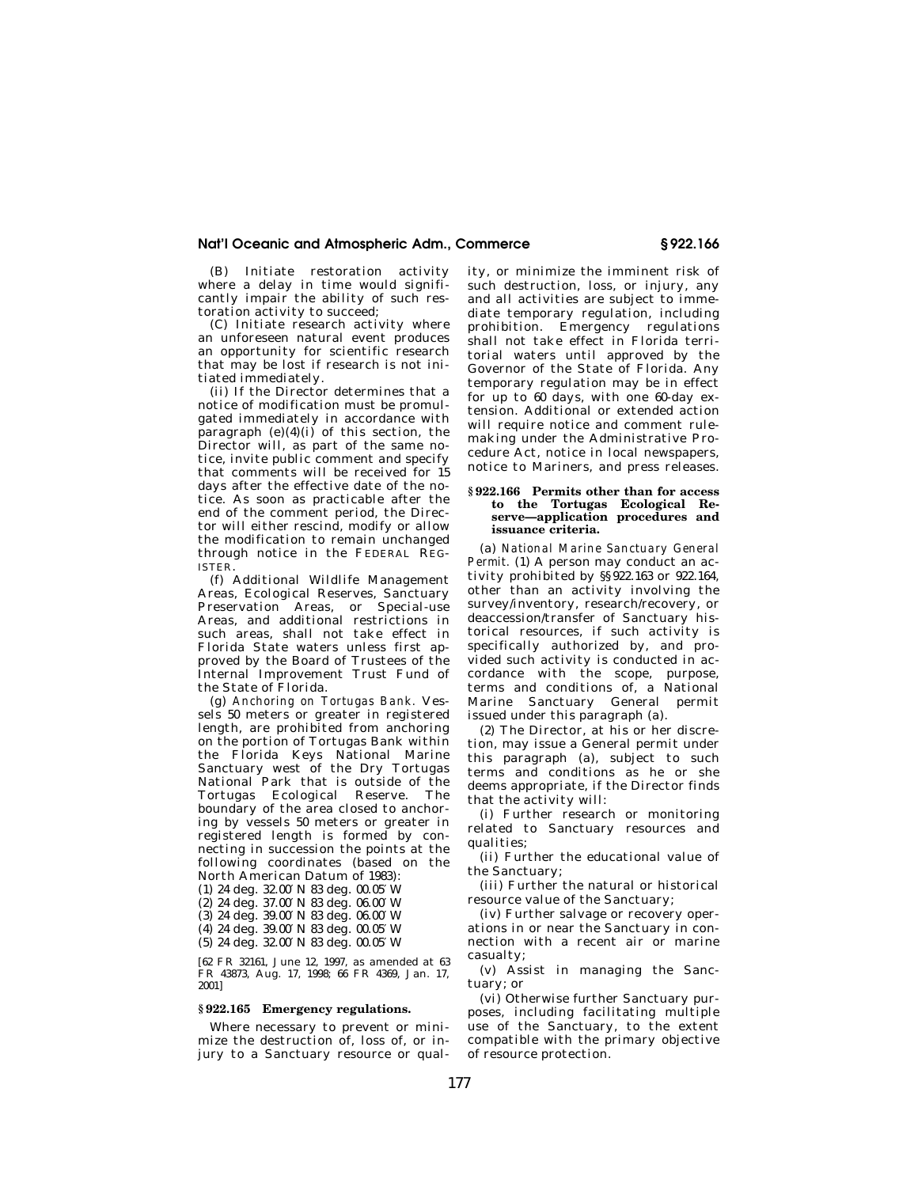(B) Initiate restoration activity where a delay in time would significantly impair the ability of such restoration activity to succeed;

(C) Initiate research activity where an unforeseen natural event produces an opportunity for scientific research that may be lost if research is not initiated immediately.

(ii) If the Director determines that a notice of modification must be promulgated immediately in accordance with paragraph  $(e)(4)(i)$  of this section, the Director will, as part of the same notice, invite public comment and specify that comments will be received for 15 days after the effective date of the notice. As soon as practicable after the end of the comment period, the Director will either rescind, modify or allow the modification to remain unchanged through notice in the FEDERAL REG-ISTER.

(f) Additional Wildlife Management Areas, Ecological Reserves, Sanctuary Preservation Areas, or Special-use Areas, and additional restrictions in such areas, shall not take effect in Florida State waters unless first approved by the Board of Trustees of the Internal Improvement Trust Fund of the State of Florida.

(g) *Anchoring on Tortugas Bank.* Vessels 50 meters or greater in registered length, are prohibited from anchoring on the portion of Tortugas Bank within the Florida Keys National Marine Sanctuary west of the Dry Tortugas National Park that is outside of the Tortugas Ecological Reserve. The boundary of the area closed to anchoring by vessels 50 meters or greater in registered length is formed by connecting in succession the points at the following coordinates (based on the North American Datum of 1983):

(1) 24 deg. 32.00′ N 83 deg. 00.05′ W (2) 24 deg. 37.00′ N 83 deg. 06.00′ W (3) 24 deg. 39.00′ N 83 deg. 06.00′ W

(4) 24 deg. 39.00′ N 83 deg. 00.05′ W

(5) 24 deg. 32.00′ N 83 deg. 00.05′ W

[62 FR 32161, June 12, 1997, as amended at 63 FR 43873, Aug. 17, 1998; 66 FR 4369, Jan. 17, 2001]

# **§ 922.165 Emergency regulations.**

Where necessary to prevent or minimize the destruction of, loss of, or injury to a Sanctuary resource or quality, or minimize the imminent risk of such destruction, loss, or injury, any and all activities are subject to immediate temporary regulation, including prohibition. Emergency regulations shall not take effect in Florida territorial waters until approved by the Governor of the State of Florida. Any temporary regulation may be in effect for up to 60 days, with one 60-day extension. Additional or extended action will require notice and comment rulemaking under the Administrative Procedure Act, notice in local newspapers, notice to Mariners, and press releases.

## **§ 922.166 Permits other than for access to the Tortugas Ecological Reserve—application procedures and issuance criteria.**

(a) *National Marine Sanctuary General Permit.* (1) A person may conduct an activity prohibited by §§922.163 or 922.164, other than an activity involving the survey/inventory, research/recovery, or deaccession/transfer of Sanctuary historical resources, if such activity is specifically authorized by, and provided such activity is conducted in accordance with the scope, purpose, terms and conditions of, a National Marine Sanctuary General permit issued under this paragraph (a).

(2) The Director, at his or her discretion, may issue a General permit under this paragraph (a), subject to such terms and conditions as he or she deems appropriate, if the Director finds that the activity will:

(i) Further research or monitoring related to Sanctuary resources and qualities;

(ii) Further the educational value of the Sanctuary;

(iii) Further the natural or historical resource value of the Sanctuary;

(iv) Further salvage or recovery operations in or near the Sanctuary in connection with a recent air or marine casualty;

(v) Assist in managing the Sanctuary; or

(vi) Otherwise further Sanctuary purposes, including facilitating multiple use of the Sanctuary, to the extent compatible with the primary objective of resource protection.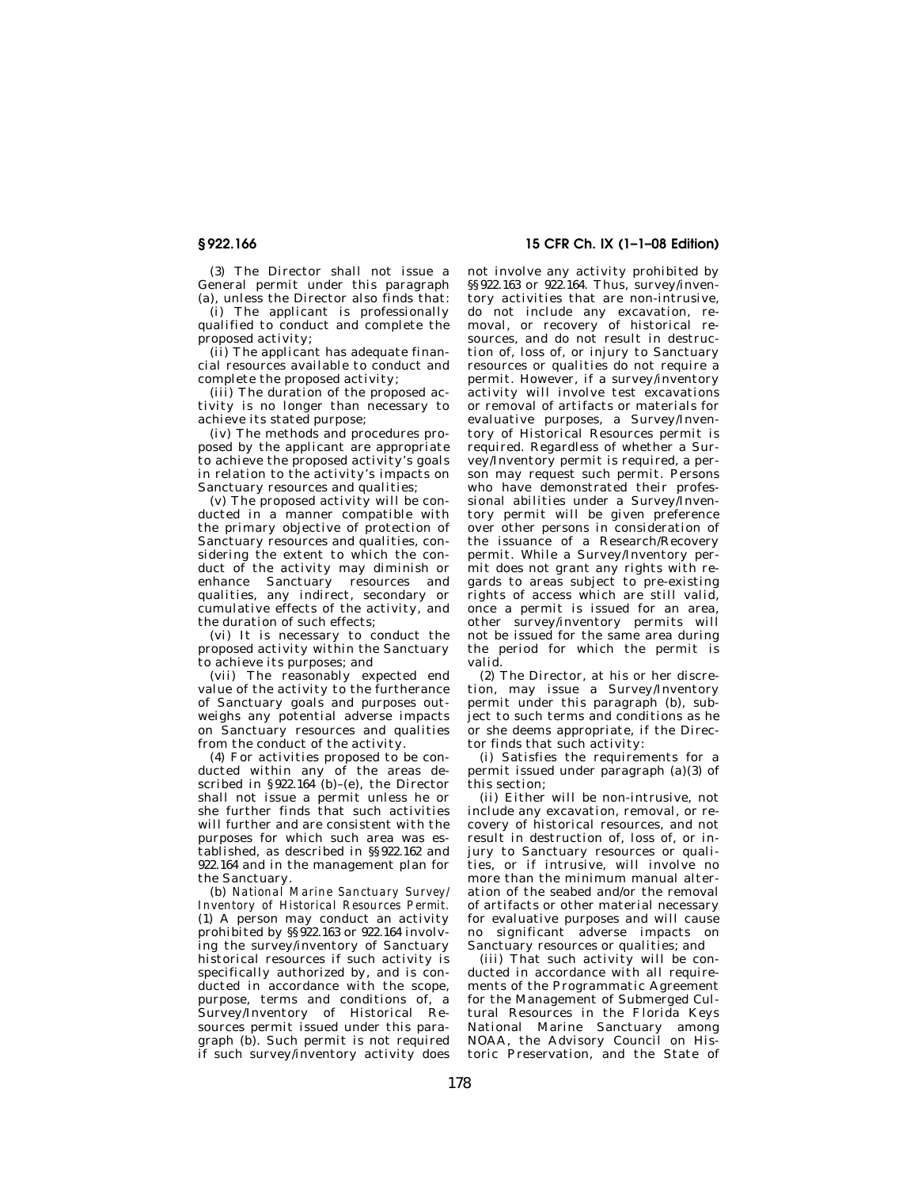(3) The Director shall not issue a General permit under this paragraph (a), unless the Director also finds that:

(i) The applicant is professionally qualified to conduct and complete the proposed activity;

(ii) The applicant has adequate financial resources available to conduct and complete the proposed activity;

(iii) The duration of the proposed activity is no longer than necessary to achieve its stated purpose;

(iv) The methods and procedures proposed by the applicant are appropriate to achieve the proposed activity's goals in relation to the activity's impacts on Sanctuary resources and qualities;

(v) The proposed activity will be conducted in a manner compatible with the primary objective of protection of Sanctuary resources and qualities, considering the extent to which the conduct of the activity may diminish or enhance Sanctuary resources and qualities, any indirect, secondary or cumulative effects of the activity, and the duration of such effects;

(vi) It is necessary to conduct the proposed activity within the Sanctuary to achieve its purposes; and

(vii) The reasonably expected end value of the activity to the furtherance of Sanctuary goals and purposes outweighs any potential adverse impacts on Sanctuary resources and qualities from the conduct of the activity.

(4) For activities proposed to be conducted within any of the areas described in  $§922.164$ <sup>(b)–(e)</sup>, the Director shall not issue a permit unless he or she further finds that such activities will further and are consistent with the purposes for which such area was established, as described in §§922.162 and 922.164 and in the management plan for the Sanctuary.

(b) *National Marine Sanctuary Survey/ Inventory of Historical Resources Permit.*  (1) A person may conduct an activity prohibited by §§922.163 or 922.164 involving the survey/inventory of Sanctuary historical resources if such activity is specifically authorized by, and is conducted in accordance with the scope. purpose, terms and conditions of, a .<br>Survey/Inventory of Historical Resources permit issued under this paragraph (b). Such permit is not required if such survey/inventory activity does

# **§ 922.166 15 CFR Ch. IX (1–1–08 Edition)**

not involve any activity prohibited by §§922.163 or 922.164. Thus, survey/inventory activities that are non-intrusive, do not include any excavation, removal, or recovery of historical resources, and do not result in destruction of, loss of, or injury to Sanctuary resources or qualities do not require a permit. However, if a survey/inventory activity will involve test excavations or removal of artifacts or materials for evaluative purposes, a Survey/Inventory of Historical Resources permit is required. Regardless of whether a Survey/Inventory permit is required, a person may request such permit. Persons who have demonstrated their professional abilities under a Survey/Inventory permit will be given preference over other persons in consideration of the issuance of a Research/Recovery permit. While a Survey/Inventory permit does not grant any rights with regards to areas subject to pre-existing rights of access which are still valid, once a permit is issued for an area, other survey/inventory permits will not be issued for the same area during the period for which the permit is valid.

(2) The Director, at his or her discretion, may issue a Survey/Inventory permit under this paragraph (b), subject to such terms and conditions as he or she deems appropriate, if the Director finds that such activity:

(i) Satisfies the requirements for a permit issued under paragraph (a)(3) of .<br>this section;

(ii) Either will be non-intrusive, not include any excavation, removal, or recovery of historical resources, and not result in destruction of, loss of, or injury to Sanctuary resources or qualities, or if intrusive, will involve no more than the minimum manual alteration of the seabed and/or the removal of artifacts or other material necessary for evaluative purposes and will cause no significant adverse impacts on Sanctuary resources or qualities; and

(iii) That such activity will be conducted in accordance with all requirements of the Programmatic Agreement for the Management of Submerged Cultural Resources in the Florida Keys National Marine Sanctuary among NOAA, the Advisory Council on Historic Preservation, and the State of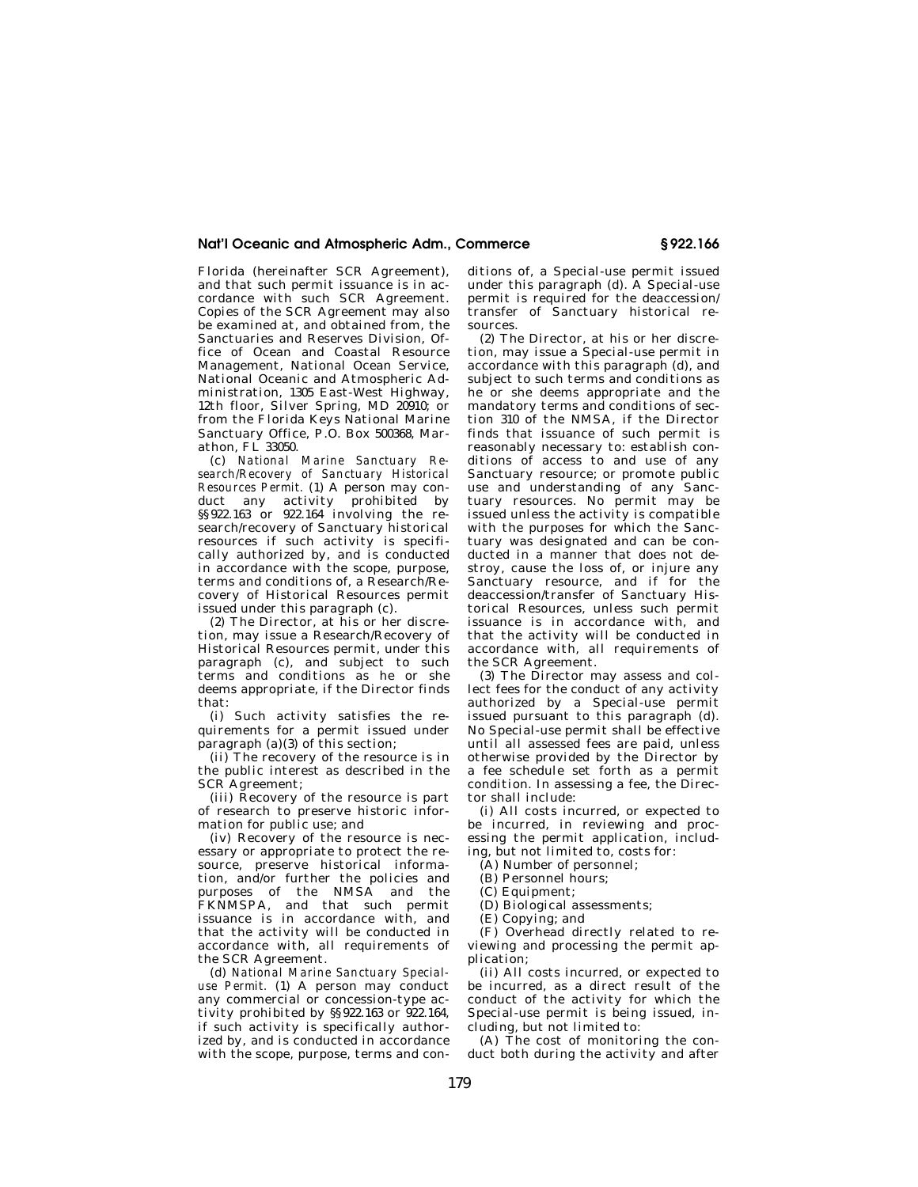Florida (hereinafter SCR Agreement), and that such permit issuance is in accordance with such SCR Agreement. Copies of the SCR Agreement may also be examined at, and obtained from, the Sanctuaries and Reserves Division, Office of Ocean and Coastal Resource Management, National Ocean Service, National Oceanic and Atmospheric Administration, 1305 East-West Highway, 12th floor, Silver Spring, MD 20910; or from the Florida Keys National Marine Sanctuary Office, P.O. Box 500368, Marathon, FL 33050.

(c) *National Marine Sanctuary Research/Recovery of Sanctuary Historical Resources Permit.* (1) A person may conduct any activity prohibited by §§922.163 or 922.164 involving the research/recovery of Sanctuary historical resources if such activity is specifically authorized by, and is conducted in accordance with the scope, purpose, terms and conditions of, a Research/Recovery of Historical Resources permit issued under this paragraph (c).

(2) The Director, at his or her discretion, may issue a Research/Recovery of Historical Resources permit, under this paragraph (c), and subject to such terms and conditions as he or she deems appropriate, if the Director finds that:

(i) Such activity satisfies the requirements for a permit issued under paragraph (a)(3) of this section;

(ii) The recovery of the resource is in the public interest as described in the SCR Agreement;

(iii) Recovery of the resource is part of research to preserve historic information for public use; and

(iv) Recovery of the resource is necessary or appropriate to protect the resource, preserve historical information, and/or further the policies and purposes of the NMSA and the FKNMSPA, and that such permit issuance is in accordance with, and that the activity will be conducted in accordance with, all requirements of the SCR Agreement.

(d) *National Marine Sanctuary Specialuse Permit.* (1) A person may conduct any commercial or concession-type activity prohibited by  $\S$ §922.163 or 922.164, if such activity is specifically authorized by, and is conducted in accordance with the scope, purpose, terms and con-

ditions of, a Special-use permit issued under this paragraph (d). A Special-use permit is required for the deaccession/ transfer of Sanctuary historical resources.

(2) The Director, at his or her discretion, may issue a Special-use permit in accordance with this paragraph (d), and subject to such terms and conditions as he or she deems appropriate and the mandatory terms and conditions of section 310 of the NMSA, if the Director finds that issuance of such permit is reasonably necessary to: establish conditions of access to and use of any Sanctuary resource; or promote public use and understanding of any Sanctuary resources. No permit may be issued unless the activity is compatible with the purposes for which the Sanctuary was designated and can be conducted in a manner that does not destroy, cause the loss of, or injure any Sanctuary resource, and if for the deaccession/transfer of Sanctuary Historical Resources, unless such permit issuance is in accordance with, and that the activity will be conducted in accordance with, all requirements of the SCR Agreement.

(3) The Director may assess and collect fees for the conduct of any activity authorized by a Special-use permit issued pursuant to this paragraph (d). No Special-use permit shall be effective until all assessed fees are paid, unless otherwise provided by the Director by a fee schedule set forth as a permit condition. In assessing a fee, the Director shall include:

(i) All costs incurred, or expected to be incurred, in reviewing and processing the permit application, including, but not limited to, costs for:

(A) Number of personnel;

(B) Personnel hours;

(C) Equipment;

(D) Biological assessments;

(E) Copying; and

(F) Overhead directly related to reviewing and processing the permit application;

(ii) All costs incurred, or expected to be incurred, as a direct result of the conduct of the activity for which the Special-use permit is being issued, including, but not limited to:

(A) The cost of monitoring the conduct both during the activity and after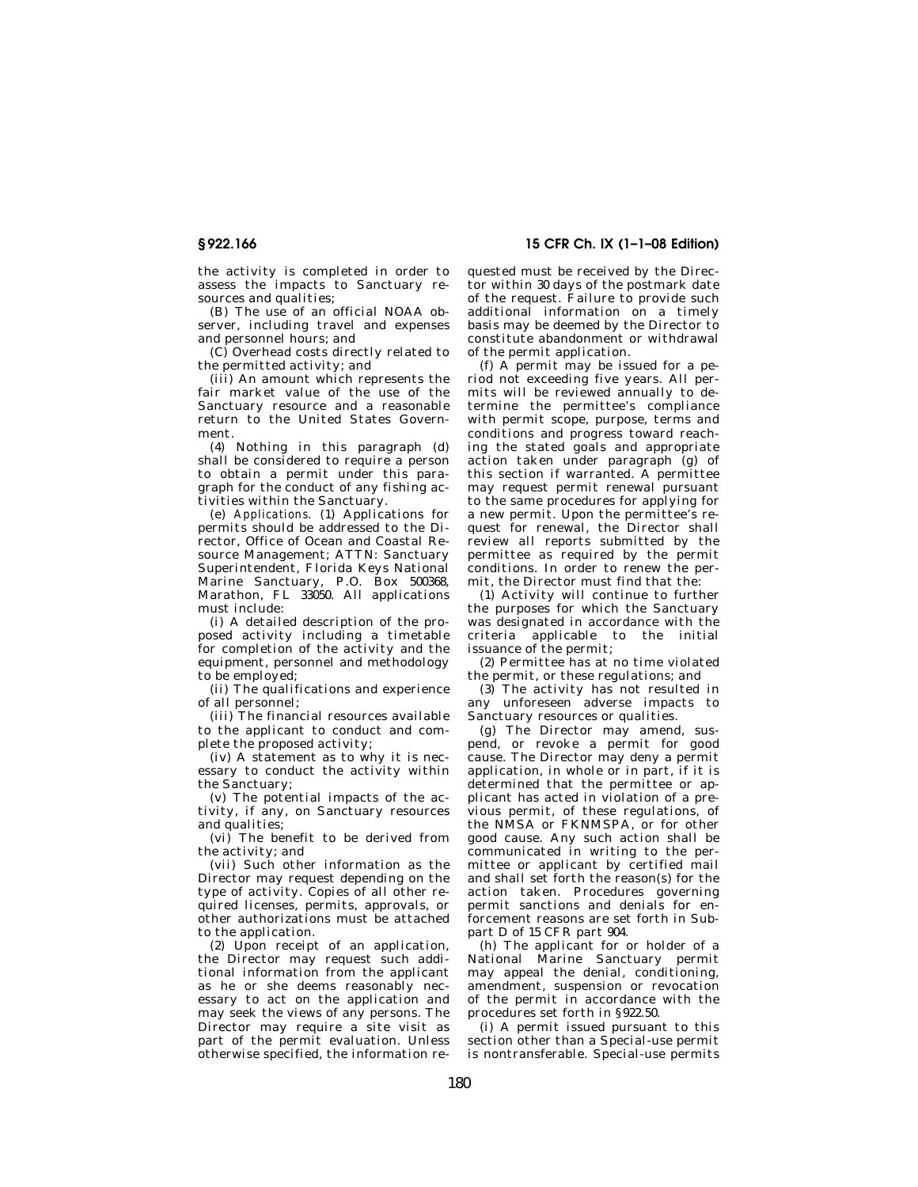the activity is completed in order to assess the impacts to Sanctuary resources and qualities;

(B) The use of an official NOAA observer, including travel and expenses and personnel hours; and

(C) Overhead costs directly related to the permitted activity; and

(iii) An amount which represents the fair market value of the use of the Sanctuary resource and a reasonable return to the United States Government.

(4) Nothing in this paragraph (d) shall be considered to require a person to obtain a permit under this paragraph for the conduct of any fishing activities within the Sanctuary.

(e) *Applications.* (1) Applications for permits should be addressed to the Director, Office of Ocean and Coastal Resource Management; ATTN: Sanctuary Superintendent, Florida Keys National Marine Sanctuary, P.O. Box 500368, Marathon, FL 33050. All applications must include:

(i) A detailed description of the proposed activity including a timetable for completion of the activity and the equipment, personnel and methodology to be employed;

(ii) The qualifications and experience of all personnel;

(iii) The financial resources available to the applicant to conduct and complete the proposed activity;

(iv) A statement as to why it is necessary to conduct the activity within the Sanctuary;

(v) The potential impacts of the activity, if any, on Sanctuary resources and qualities;

(vi) The benefit to be derived from the activity; and

(vii) Such other information as the Director may request depending on the type of activity. Copies of all other required licenses, permits, approvals, or other authorizations must be attached to the application.

(2) Upon receipt of an application, the Director may request such additional information from the applicant as he or she deems reasonably necessary to act on the application and may seek the views of any persons. The Director may require a site visit as part of the permit evaluation. Unless otherwise specified, the information re-

**§ 922.166 15 CFR Ch. IX (1–1–08 Edition)** 

quested must be received by the Director within 30 days of the postmark date of the request. Failure to provide such additional information on a timely basis may be deemed by the Director to constitute abandonment or withdrawal of the permit application.

(f) A permit may be issued for a period not exceeding five years. All permits will be reviewed annually to determine the permittee's compliance with permit scope, purpose, terms and conditions and progress toward reaching the stated goals and appropriate action taken under paragraph (g) of this section if warranted. A permittee may request permit renewal pursuant to the same procedures for applying for a new permit. Upon the permittee's request for renewal, the Director shall review all reports submitted by the permittee as required by the permit conditions. In order to renew the permit, the Director must find that the:

(1) Activity will continue to further the purposes for which the Sanctuary was designated in accordance with the criteria applicable to the initial issuance of the permit;

(2) Permittee has at no time violated the permit, or these regulations; and

(3) The activity has not resulted in any unforeseen adverse impacts to Sanctuary resources or qualities.

(g) The Director may amend, suspend, or revoke a permit for good cause. The Director may deny a permit application, in whole or in part, if it is determined that the permittee or applicant has acted in violation of a previous permit, of these regulations, of the NMSA or FKNMSPA, or for other good cause. Any such action shall be communicated in writing to the permittee or applicant by certified mail and shall set forth the reason(s) for the action taken. Procedures governing permit sanctions and denials for enforcement reasons are set forth in Subpart D of 15 CFR part 904.

(h) The applicant for or holder of a National Marine Sanctuary permit may appeal the denial, conditioning, amendment, suspension or revocation of the permit in accordance with the procedures set forth in §922.50.

(i) A permit issued pursuant to this section other than a Special-use permit is nontransferable. Special-use permits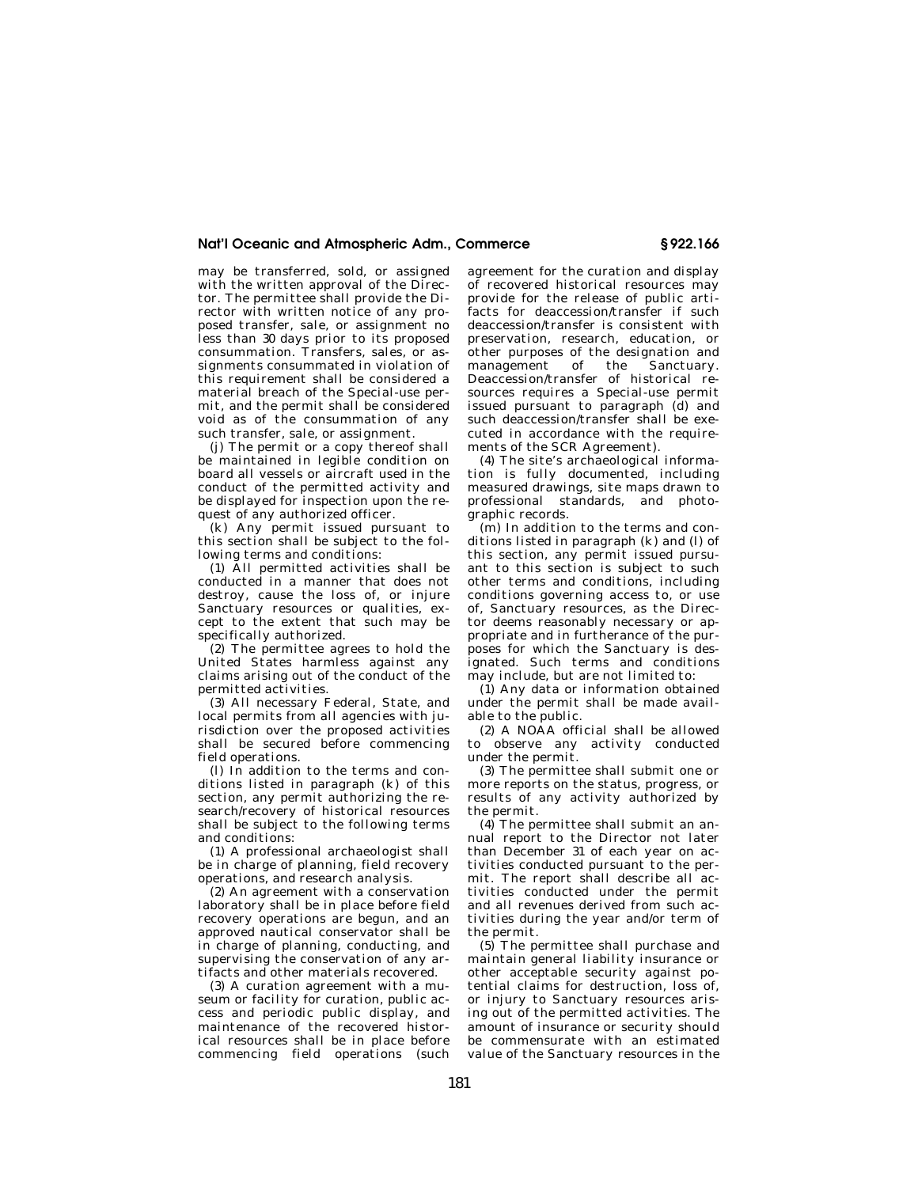may be transferred, sold, or assigned with the written approval of the Director. The permittee shall provide the Director with written notice of any proposed transfer, sale, or assignment no less than 30 days prior to its proposed consummation. Transfers, sales, or assignments consummated in violation of this requirement shall be considered a material breach of the Special-use permit, and the permit shall be considered void as of the consummation of any such transfer, sale, or assignment.

(j) The permit or a copy thereof shall be maintained in legible condition on board all vessels or aircraft used in the conduct of the permitted activity and be displayed for inspection upon the request of any authorized officer.

(k) Any permit issued pursuant to this section shall be subject to the following terms and conditions:

(1) All permitted activities shall be conducted in a manner that does not destroy, cause the loss of, or injure Sanctuary resources or qualities, except to the extent that such may be specifically authorized.

(2) The permittee agrees to hold the United States harmless against any claims arising out of the conduct of the permitted activities.

(3) All necessary Federal, State, and local permits from all agencies with jurisdiction over the proposed activities shall be secured before commencing field operations.

(l) In addition to the terms and conditions listed in paragraph (k) of this section, any permit authorizing the research/recovery of historical resources shall be subject to the following terms and conditions:

(1) A professional archaeologist shall be in charge of planning, field recovery operations, and research analysis.

(2) An agreement with a conservation laboratory shall be in place before field recovery operations are begun, and an approved nautical conservator shall be in charge of planning, conducting, and supervising the conservation of any artifacts and other materials recovered.

(3) A curation agreement with a museum or facility for curation, public access and periodic public display, and maintenance of the recovered historical resources shall be in place before commencing field operations (such agreement for the curation and display of recovered historical resources may provide for the release of public artifacts for deaccession/transfer if such deaccession/transfer is consistent with preservation, research, education, or other purposes of the designation and<br>management of the Sanctuary. management of the Deaccession/transfer of historical resources requires a Special-use permit issued pursuant to paragraph (d) and such deaccession/transfer shall be executed in accordance with the requirements of the SCR Agreement).

(4) The site's archaeological information is fully documented, including measured drawings, site maps drawn to professional standards, and photo-.<br>graphic records.

(m) In addition to the terms and conditions listed in paragraph (k) and (l) of this section, any permit issued pursuant to this section is subject to such other terms and conditions, including conditions governing access to, or use of, Sanctuary resources, as the Director deems reasonably necessary or appropriate and in furtherance of the purposes for which the Sanctuary is designated. Such terms and conditions may include, but are not limited to:

(1) Any data or information obtained under the permit shall be made available to the public.

(2) A NOAA official shall be allowed to observe any activity conducted under the permit.

(3) The permittee shall submit one or more reports on the status, progress, or results of any activity authorized by the permit.

(4) The permittee shall submit an annual report to the Director not later than December 31 of each year on activities conducted pursuant to the permit. The report shall describe all activities conducted under the permit and all revenues derived from such activities during the year and/or term of the permit.

(5) The permittee shall purchase and maintain general liability insurance or other acceptable security against potential claims for destruction, loss of, or injury to Sanctuary resources arising out of the permitted activities. The amount of insurance or security should be commensurate with an estimated value of the Sanctuary resources in the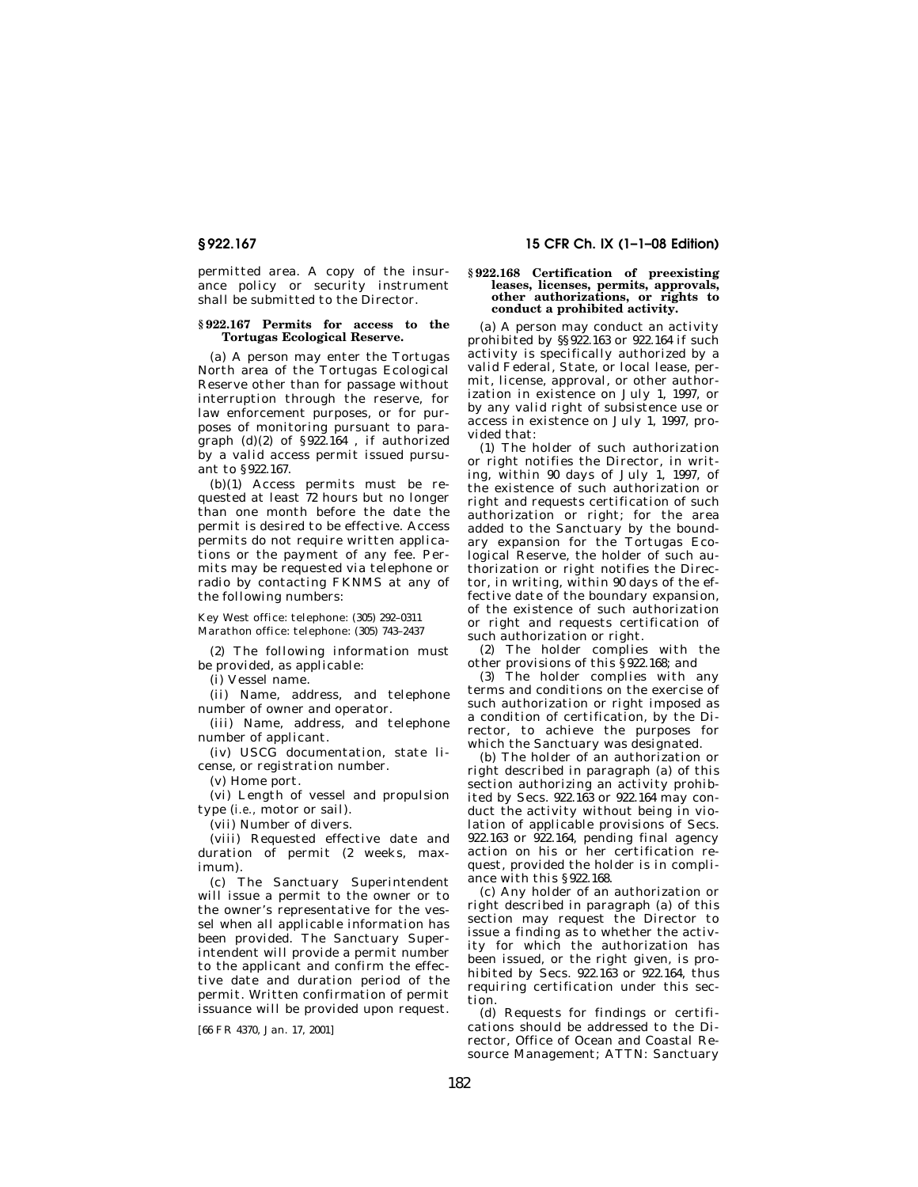permitted area. A copy of the insurance policy or security instrument shall be submitted to the Director.

### **§ 922.167 Permits for access to the Tortugas Ecological Reserve.**

(a) A person may enter the Tortugas North area of the Tortugas Ecological Reserve other than for passage without interruption through the reserve, for law enforcement purposes, or for purposes of monitoring pursuant to paragraph (d)(2) of §922.164 , if authorized by a valid access permit issued pursuant to §922.167.

(b)(1) Access permits must be requested at least 72 hours but no longer than one month before the date the permit is desired to be effective. Access permits do not require written applications or the payment of any fee. Permits may be requested via telephone or radio by contacting FKNMS at any of the following numbers:

Key West office: telephone: (305) 292–0311 Marathon office: telephone: (305) 743–2437

(2) The following information must be provided, as applicable:

(i) Vessel name.

(ii) Name, address, and telephone number of owner and operator.

(iii) Name, address, and telephone number of applicant.

(iv) USCG documentation, state license, or registration number.

(v) Home port.

(vi) Length of vessel and propulsion type (*i.e.,* motor or sail).

(vii) Number of divers.

(viii) Requested effective date and duration of permit (2 weeks, maximum).

(c) The Sanctuary Superintendent will issue a permit to the owner or to the owner's representative for the vessel when all applicable information has been provided. The Sanctuary Superintendent will provide a permit number to the applicant and confirm the effective date and duration period of the permit. Written confirmation of permit issuance will be provided upon request.

[66 FR 4370, Jan. 17, 2001]

# **§ 922.167 15 CFR Ch. IX (1–1–08 Edition)**

### **§ 922.168 Certification of preexisting leases, licenses, permits, approvals, other authorizations, or rights to conduct a prohibited activity.**

(a) A person may conduct an activity prohibited by §§922.163 or 922.164 if such activity is specifically authorized by a valid Federal, State, or local lease, permit, license, approval, or other authorization in existence on July 1, 1997, or by any valid right of subsistence use or access in existence on July 1, 1997, provided that:

(1) The holder of such authorization or right notifies the Director, in writing, within 90 days of July 1, 1997, of the existence of such authorization or right and requests certification of such authorization or right; for the area added to the Sanctuary by the boundary expansion for the Tortugas Ecological Reserve, the holder of such authorization or right notifies the Director, in writing, within 90 days of the effective date of the boundary expansion, of the existence of such authorization or right and requests certification of such authorization or right.

(2) The holder complies with the other provisions of this §922.168; and

(3) The holder complies with any terms and conditions on the exercise of such authorization or right imposed as a condition of certification, by the Director, to achieve the purposes for which the Sanctuary was designated.

(b) The holder of an authorization or right described in paragraph (a) of this section authorizing an activity prohibited by Secs. 922.163 or 922.164 may conduct the activity without being in violation of applicable provisions of Secs. 922.163 or 922.164, pending final agency action on his or her certification request, provided the holder is in compliance with this §922.168.

(c) Any holder of an authorization or right described in paragraph (a) of this section may request the Director to issue a finding as to whether the activity for which the authorization has been issued, or the right given, is prohibited by Secs. 922.163 or 922.164, thus requiring certification under this section.

(d) Requests for findings or certifications should be addressed to the Director, Office of Ocean and Coastal Resource Management; ATTN: Sanctuary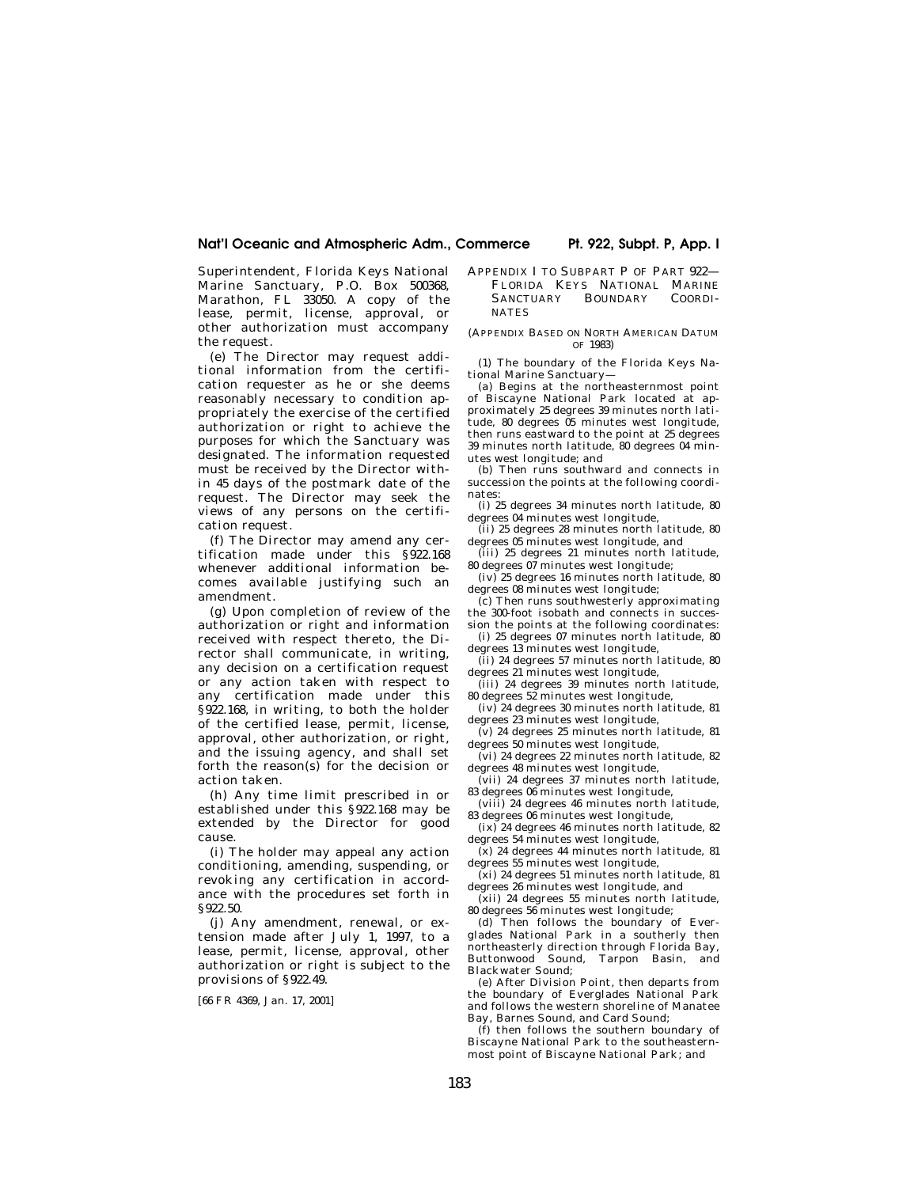Superintendent, Florida Keys National Marine Sanctuary, P.O. Box 500368, Marathon, FL 33050. A copy of the lease, permit, license, approval, or other authorization must accompany the request.

(e) The Director may request additional information from the certification requester as he or she deems reasonably necessary to condition appropriately the exercise of the certified authorization or right to achieve the purposes for which the Sanctuary was designated. The information requested must be received by the Director within 45 days of the postmark date of the request. The Director may seek the views of any persons on the certification request.

(f) The Director may amend any certification made under this §922.168 whenever additional information becomes available justifying such an amendment.

(g) Upon completion of review of the authorization or right and information received with respect thereto, the Director shall communicate, in writing, any decision on a certification request or any action taken with respect to any certification made under this §922.168, in writing, to both the holder of the certified lease, permit, license, approval, other authorization, or right, and the issuing agency, and shall set forth the reason(s) for the decision or action taken.

(h) Any time limit prescribed in or established under this §922.168 may be extended by the Director for good cause.

(i) The holder may appeal any action conditioning, amending, suspending, or revoking any certification in accordance with the procedures set forth in §922.50.

(j) Any amendment, renewal, or extension made after July 1, 1997, to a lease, permit, license, approval, other authorization or right is subject to the provisions of §922.49.

[66 FR 4369, Jan. 17, 2001]

APPENDIX I TO SUBPART P OF PART 922— FLORIDA KEYS NATIONAL MARINE SANCTUARY BOUNDARY COORDI-NATES

### (APPENDIX BASED ON NORTH AMERICAN DATUM OF 1983)

(1) The boundary of the Florida Keys National Marine Sanctuary—

(a) Begins at the northeasternmost point of Biscayne National Park located at approximately 25 degrees 39 minutes north latitude, 80 degrees 05 minutes west longitude, then runs eastward to the point at 25 degrees 39 minutes north latitude, 80 degrees 04 minutes west longitude; and

(b) Then runs southward and connects in succession the points at the following coordinates:

(i) 25 degrees 34 minutes north latitude, 80 degrees 04 minutes west longitude,

(ii) 25 degrees 28 minutes north latitude, 80 degrees 05 minutes west longitude, and

(iii) 25 degrees 21 minutes north latitude, 80 degrees 07 minutes west longitude;

(iv) 25 degrees 16 minutes north latitude, 80 degrees 08 minutes west longitude;

(c) Then runs southwesterly approximating the 300-foot isobath and connects in succession the points at the following coordinates:

(i) 25 degrees 07 minutes north latitude, 80 degrees 13 minutes west longitude,

(ii) 24 degrees 57 minutes north latitude, 80 degrees 21 minutes west longitude,

(iii) 24 degrees 39 minutes north latitude, 80 degrees 52 minutes west longitude,

(iv) 24 degrees 30 minutes north latitude, 81 degrees 23 minutes west longitude,

(v) 24 degrees 25 minutes north latitude, 81 degrees 50 minutes west longitude,

(vi) 24 degrees 22 minutes north latitude, 82 degrees 48 minutes west longitude,

(vii) 24 degrees 37 minutes north latitude, 83 degrees 06 minutes west longitude,

(viii) 24 degrees 46 minutes north latitude, 83 degrees 06 minutes west longitude,

(ix) 24 degrees 46 minutes north latitude, 82 degrees 54 minutes west longitude,

 $(x)$  24 degrees 44 minutes north latitude, 81 degrees 55 minutes west longitude,

(xi) 24 degrees 51 minutes north latitude, 81 degrees 26 minutes west longitude, and

(xii) 24 degrees 55 minutes north latitude, 80 degrees 56 minutes west longitude;

(d) Then follows the boundary of Everglades National Park in a southerly then northeasterly direction through Florida Bay, Buttonwood Sound, Tarpon Basin, and Blackwater Sound;

(e) After Division Point, then departs from the boundary of Everglades National Park and follows the western shoreline of Manatee Bay, Barnes Sound, and Card Sound;

(f) then follows the southern boundary of Biscayne National Park to the southeasternmost point of Biscayne National Park; and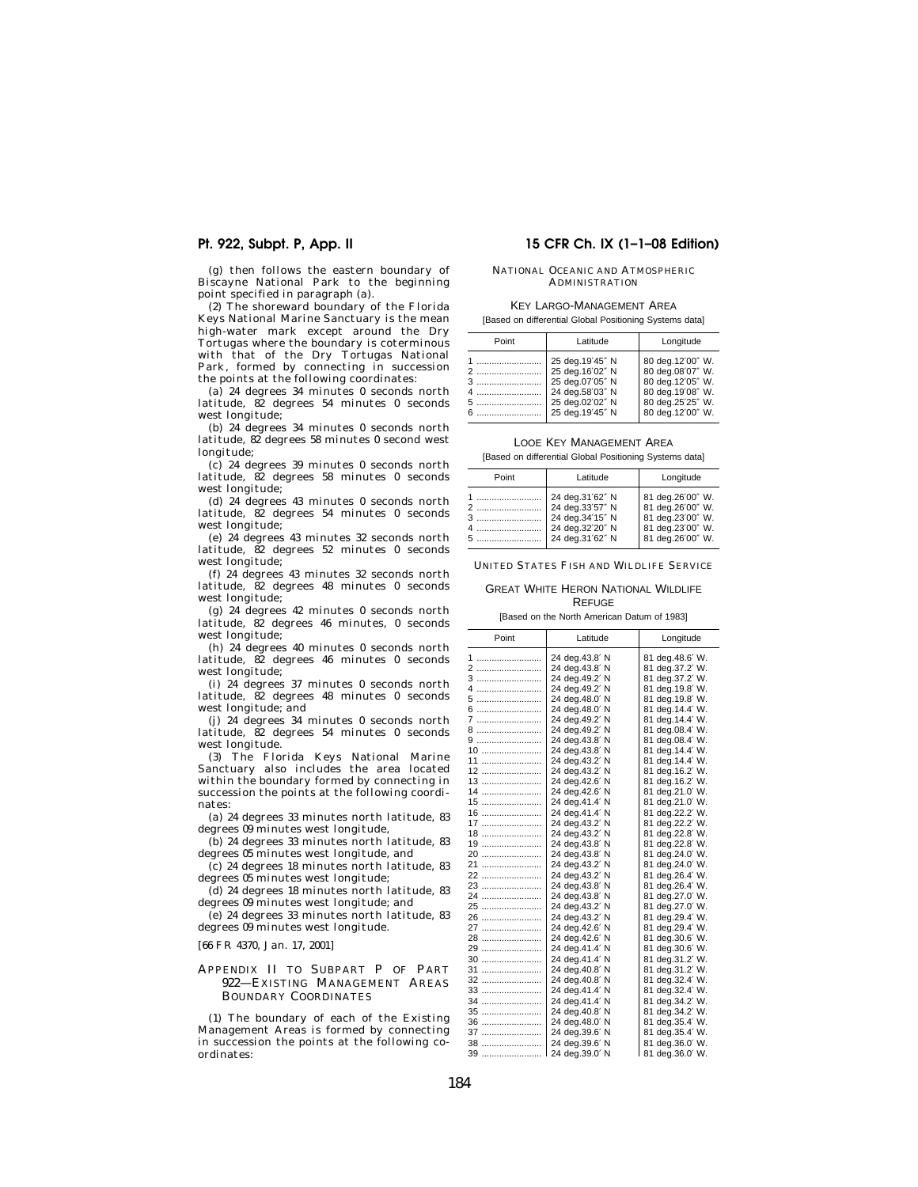(g) then follows the eastern boundary of Biscayne National Park to the beginning point specified in paragraph (a).

(2) The shoreward boundary of the Florida Keys National Marine Sanctuary is the mean high-water mark except around the Dry Tortugas where the boundary is coterminous with that of the Dry Tortugas National Park, formed by connecting in succession the points at the following coordinates:

(a) 24 degrees 34 minutes 0 seconds north latitude, 82 degrees 54 minutes 0 seconds west longitude;

(b) 24 degrees 34 minutes 0 seconds north latitude, 82 degrees 58 minutes 0 second west longitude;

(c) 24 degrees 39 minutes 0 seconds north latitude, 82 degrees 58 minutes 0 seconds west longitude;

(d) 24 degrees 43 minutes 0 seconds north latitude, 82 degrees 54 minutes 0 seconds west longitude;

(e) 24 degrees 43 minutes 32 seconds north latitude, 82 degrees 52 minutes 0 seconds west longitude;

(f) 24 degrees 43 minutes 32 seconds north latitude, 82 degrees 48 minutes 0 seconds west longitude;

(g) 24 degrees 42 minutes 0 seconds north latitude, 82 degrees 46 minutes, 0 seconds west longitude;

(h) 24 degrees 40 minutes 0 seconds north latitude, 82 degrees 46 minutes 0 seconds west longitude;

(i) 24 degrees 37 minutes 0 seconds north latitude, 82 degrees 48 minutes 0 seconds west longitude; and

(j) 24 degrees 34 minutes 0 seconds north latitude, 82 degrees 54 minutes 0 seconds west longitude.

(3) The Florida Keys National Marine Sanctuary also includes the area located within the boundary formed by connecting in succession the points at the following coordinates:

(a) 24 degrees 33 minutes north latitude, 83 degrees 09 minutes west longitude,

(b) 24 degrees 33 minutes north latitude, 83 degrees 05 minutes west longitude, and

(c) 24 degrees 18 minutes north latitude, 83 degrees 05 minutes west longitude;

(d) 24 degrees 18 minutes north latitude, 83 degrees 09 minutes west longitude; and

(e) 24 degrees 33 minutes north latitude, 83 degrees 09 minutes west longitude.

[66 FR 4370, Jan. 17, 2001]

# APPENDIX II TO SUBPART P OF PART 922—EXISTING MANAGEMENT AREAS BOUNDARY COORDINATES

(1) The boundary of each of the Existing Management Areas is formed by connecting in succession the points at the following coordinates:

# **Pt. 922, Subpt. P, App. II 15 CFR Ch. IX (1–1–08 Edition)**

### NATIONAL OCEANIC AND ATMOSPHERIC ADMINISTRATION

## KEY LARGO-MANAGEMENT AREA [Based on differential Global Positioning Systems data]

| Point | Latitude        | Longitude        |
|-------|-----------------|------------------|
|       | 25 deg.19'45" N | 80 deg.12'00" W. |
| 2     | 25 deg.16'02" N | 80 deg.08'07" W. |
| 3     | 25 deg.07'05" N | 80 deg.12'05" W. |
| 4     | 24 deg.58'03" N | 80 deg.19'08" W. |
| 5     | 25 deg.02'02" N | 80 deg.25'25" W. |
| 6     | 25 deg.19'45" N | 80 deg.12'00" W. |

LOOE KEY MANAGEMENT AREA

[Based on differential Global Positioning Systems data]

| Point | Latitude        | Longitude        |
|-------|-----------------|------------------|
|       | 24 deg.31'62" N | 81 deg.26'00" W. |
| 2     | 24 deg.33'57" N | 81 deg.26'00" W. |
| 3     | 24 deg.34'15" N | 81 deg.23'00" W. |
| 4     | 24 deg.32'20" N | 81 deg.23'00" W. |
| 5     | 24 deg.31'62" N | 81 deg.26'00" W. |

UNITED STATES FISH AND WILDLIFE SERVICE

### GREAT WHITE HERON NATIONAL WILDLIFE **REFUGE**

[Based on the North American Datum of 1983]

| Point | Latitude       | Longitude       |
|-------|----------------|-----------------|
|       | 24 deg.43.8' N | 81 deg.48.6' W. |
| 2     | 24 deg.43.8' N | 81 deg.37.2' W. |
| 3     | 24 deg.49.2' N | 81 deg.37.2' W. |
| 4     | 24 deg.49.2' N | 81 deg.19.8' W. |
| 5     | 24 deg.48.0' N | 81 deg.19.8' W. |
| 6     | 24 deg.48.0' N | 81 deg.14.4' W. |
| 7     | 24 deg.49.2' N | 81 deg.14.4' W. |
| 8     | 24 deg.49.2' N | 81 deg.08.4' W. |
| 9     | 24 deg.43.8' N | 81 deg.08.4' W. |
| 10    | 24 deg.43.8' N | 81 deg.14.4' W. |
| 11    | 24 deg.43.2' N | 81 deg.14.4' W. |
| 12    | 24 deg.43.2' N | 81 deg.16.2' W. |
| 13    | 24 deg.42.6' N | 81 deg.16.2' W. |
| 14    | 24 deg.42.6' N | 81 deg.21.0' W. |
| 15    | 24 deg.41.4' N | 81 deg.21.0' W. |
| 16    | 24 deg.41.4' N | 81 deg.22.2' W. |
| 17    | 24 deg.43.2' N | 81 deg.22.2' W. |
| 18    | 24 deg.43.2' N | 81 deg.22.8' W. |
| 19    | 24 deg.43.8' N | 81 deg.22.8' W. |
| 20    | 24 deg.43.8' N | 81 deg.24.0' W. |
| 21    | 24 deg.43.2' N | 81 deg.24.0' W. |
| 22    | 24 deg.43.2' N | 81 deg.26.4' W. |
| 23    | 24 deg.43.8' N | 81 deg.26.4' W. |
| 24    | 24 deg.43.8' N | 81 deg.27.0' W. |
| 25    | 24 deg.43.2' N | 81 deg.27.0' W. |
| 26    | 24 deg.43.2' N | 81 deg.29.4' W. |
| 27    | 24 deg.42.6' N | 81 deg.29.4' W. |
| 28    | 24 deg.42.6' N | 81 deg.30.6' W. |
| 29    | 24 deg.41.4' N | 81 deg.30.6' W. |
| 30    | 24 deg.41.4' N | 81 deg.31.2' W. |
| 31    | 24 deg.40.8' N | 81 deg.31.2' W. |
| 32    | 24 deg.40.8' N | 81 deg.32.4' W. |
| 33    | 24 deg.41.4' N | 81 deg.32.4' W. |
| 34    | 24 deg.41.4' N | 81 deg.34.2' W. |
| 35    | 24 deg.40.8' N | 81 deg.34.2' W. |
| 36    | 24 deg.48.0' N | 81 deg.35.4' W. |
| 37    | 24 deg.39.6' N | 81 deg.35.4' W. |
| 38    | 24 deg.39.6' N | 81 deg.36.0' W. |
| 39    | 24 deg.39.0' N | 81 deg.36.0' W. |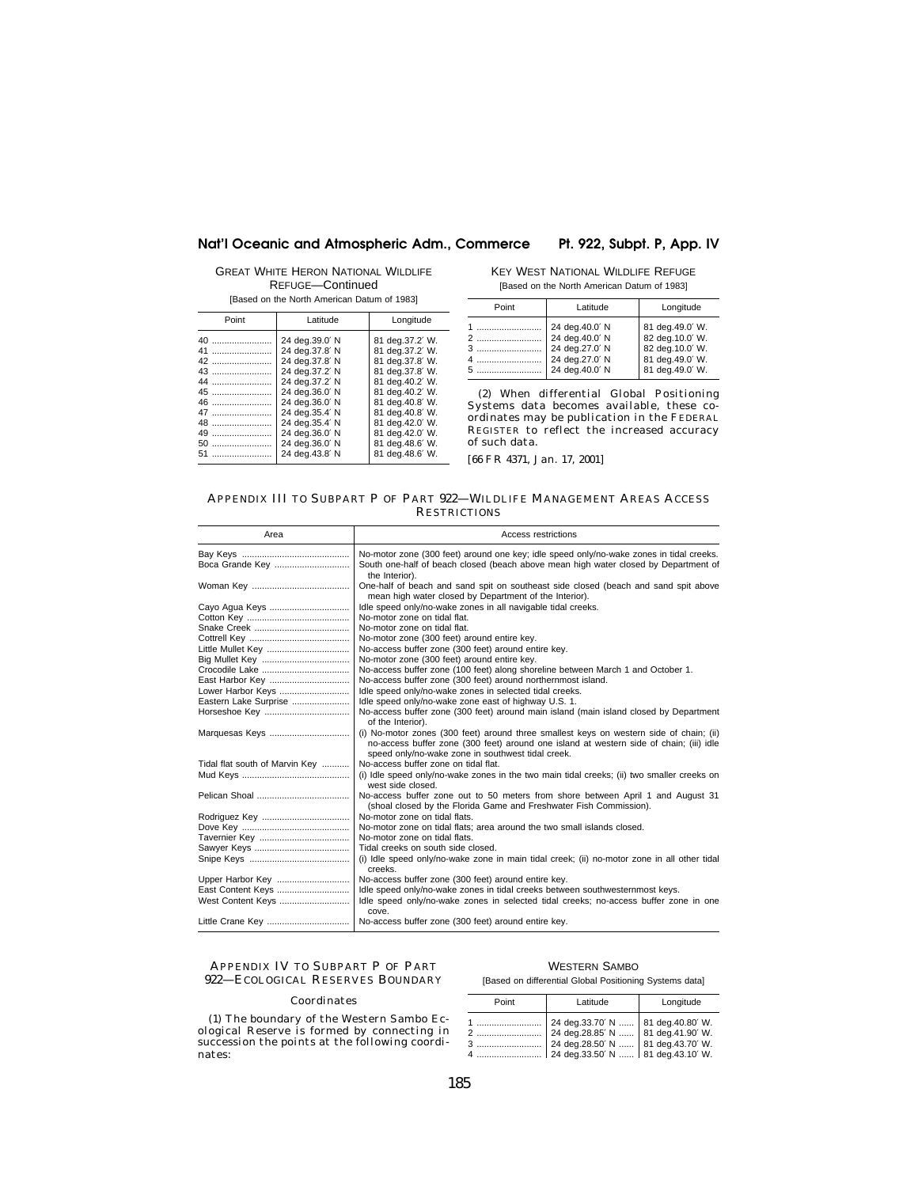# Nat'l Oceanic and Atmospheric Adm., Commerce Pt. 922, Subpt. P, App. IV

# GREAT WHITE HERON NATIONAL WILDLIFE REFUGE—Continued

[Based on the North American Datum of 1983]

| Point                                                                | Latitude                                                                                                                                                                                                             | Longitude                                                                                                                                                                                                                        |
|----------------------------------------------------------------------|----------------------------------------------------------------------------------------------------------------------------------------------------------------------------------------------------------------------|----------------------------------------------------------------------------------------------------------------------------------------------------------------------------------------------------------------------------------|
| 40<br>41<br>42<br>43<br>44<br>45<br>46<br>47<br>48<br>49<br>50<br>51 | 24 deg.39.0' N<br>24 deg.37.8' N<br>24 deg.37.8' N<br>24 deg.37.2' N<br>24 deg.37.2' N<br>24 deg.36.0' N<br>24 deg.36.0' N<br>24 deg.35.4' N<br>24 deg.35.4' N<br>24 deg.36.0' N<br>24 deg.36.0' N<br>24 deg.43.8' N | 81 deg.37.2' W.<br>81 deg.37.2' W.<br>81 deg.37.8' W.<br>81 deg.37.8' W.<br>81 deg.40.2' W.<br>81 deg.40.2' W.<br>81 deg.40.8' W.<br>81 deg.40.8' W.<br>81 deg.42.0' W.<br>81 deg.42.0' W.<br>81 deg.48.6' W.<br>81 deg.48.6' W. |
|                                                                      |                                                                                                                                                                                                                      |                                                                                                                                                                                                                                  |

# KEY WEST NATIONAL WILDLIFE REFUGE [Based on the North American Datum of 1983]

| Point | Latitude        | Longitude        |
|-------|-----------------|------------------|
|       | 24 deg. 40.0' N | 81 deg. 49.0' W. |
| 2     | 24 deg.40.0' N  | 82 deg.10.0' W.  |
|       | 24 deg.27.0' N  | 82 deg.10.0' W.  |
| 4     | 24 deg.27.0' N  | 81 deg.49.0' W.  |
| 5     | 24 deg. 40.0' N | 81 deg.49.0' W.  |

(2) When differential Global Positioning Systems data becomes available, these coordinates may be publication in the FEDERAL REGISTER to reflect the increased accuracy of such data.

[66 FR 4371, Jan. 17, 2001]

# APPENDIX III TO SUBPART P OF PART 922—WILDLIFE MANAGEMENT AREAS ACCESS RESTRICTIONS

| Area                           | Access restrictions                                                                                                                                                                                                                     |  |
|--------------------------------|-----------------------------------------------------------------------------------------------------------------------------------------------------------------------------------------------------------------------------------------|--|
|                                | No-motor zone (300 feet) around one key; idle speed only/no-wake zones in tidal creeks.                                                                                                                                                 |  |
| Boca Grande Key                | South one-half of beach closed (beach above mean high water closed by Department of<br>the Interior).                                                                                                                                   |  |
|                                | One-half of beach and sand spit on southeast side closed (beach and sand spit above<br>mean high water closed by Department of the Interior).                                                                                           |  |
| Cayo Agua Keys                 | Idle speed only/no-wake zones in all navigable tidal creeks.                                                                                                                                                                            |  |
|                                | No-motor zone on tidal flat.                                                                                                                                                                                                            |  |
|                                | No-motor zone on tidal flat.                                                                                                                                                                                                            |  |
|                                | No-motor zone (300 feet) around entire key.                                                                                                                                                                                             |  |
|                                | No-access buffer zone (300 feet) around entire key.                                                                                                                                                                                     |  |
|                                | No-motor zone (300 feet) around entire key.                                                                                                                                                                                             |  |
|                                | No-access buffer zone (100 feet) along shoreline between March 1 and October 1.                                                                                                                                                         |  |
|                                | No-access buffer zone (300 feet) around northernmost island.                                                                                                                                                                            |  |
| Lower Harbor Keys              | Idle speed only/no-wake zones in selected tidal creeks.                                                                                                                                                                                 |  |
| Eastern Lake Surprise          | Idle speed only/no-wake zone east of highway U.S. 1.                                                                                                                                                                                    |  |
|                                | No-access buffer zone (300 feet) around main island (main island closed by Department<br>of the Interior).                                                                                                                              |  |
| Marquesas Keys                 | (i) No-motor zones (300 feet) around three smallest keys on western side of chain; (ii)<br>no-access buffer zone (300 feet) around one island at western side of chain; (iii) idle<br>speed only/no-wake zone in southwest tidal creek. |  |
| Tidal flat south of Marvin Key | No-access buffer zone on tidal flat.                                                                                                                                                                                                    |  |
|                                | (i) Idle speed only/no-wake zones in the two main tidal creeks; (ii) two smaller creeks on                                                                                                                                              |  |
|                                | west side closed.                                                                                                                                                                                                                       |  |
|                                | No-access buffer zone out to 50 meters from shore between April 1 and August 31<br>(shoal closed by the Florida Game and Freshwater Fish Commission).                                                                                   |  |
|                                | No-motor zone on tidal flats.                                                                                                                                                                                                           |  |
|                                | No-motor zone on tidal flats; area around the two small islands closed.                                                                                                                                                                 |  |
|                                | No-motor zone on tidal flats.                                                                                                                                                                                                           |  |
|                                | Tidal creeks on south side closed.                                                                                                                                                                                                      |  |
|                                | (i) Idle speed only/no-wake zone in main tidal creek; (ii) no-motor zone in all other tidal<br>creeks.                                                                                                                                  |  |
| Upper Harbor Key               | No-access buffer zone (300 feet) around entire key.                                                                                                                                                                                     |  |
| East Content Keys              | Idle speed only/no-wake zones in tidal creeks between southwesternmost keys.                                                                                                                                                            |  |
| West Content Keys              | Idle speed only/no-wake zones in selected tidal creeks; no-access buffer zone in one<br>cove.                                                                                                                                           |  |
|                                | No-access buffer zone (300 feet) around entire key.                                                                                                                                                                                     |  |

APPENDIX IV TO SUBPART P OF PART 922—ECOLOGICAL RESERVES BOUNDARY

## Coordinates

(1) The boundary of the Western Sambo Ec-ological Reserve is formed by connecting in succession the points at the following coordinates:

# WESTERN SAMBO

[Based on differential Global Positioning Systems data]

| Point | Latitude | Longitude |
|-------|----------|-----------|
|       |          |           |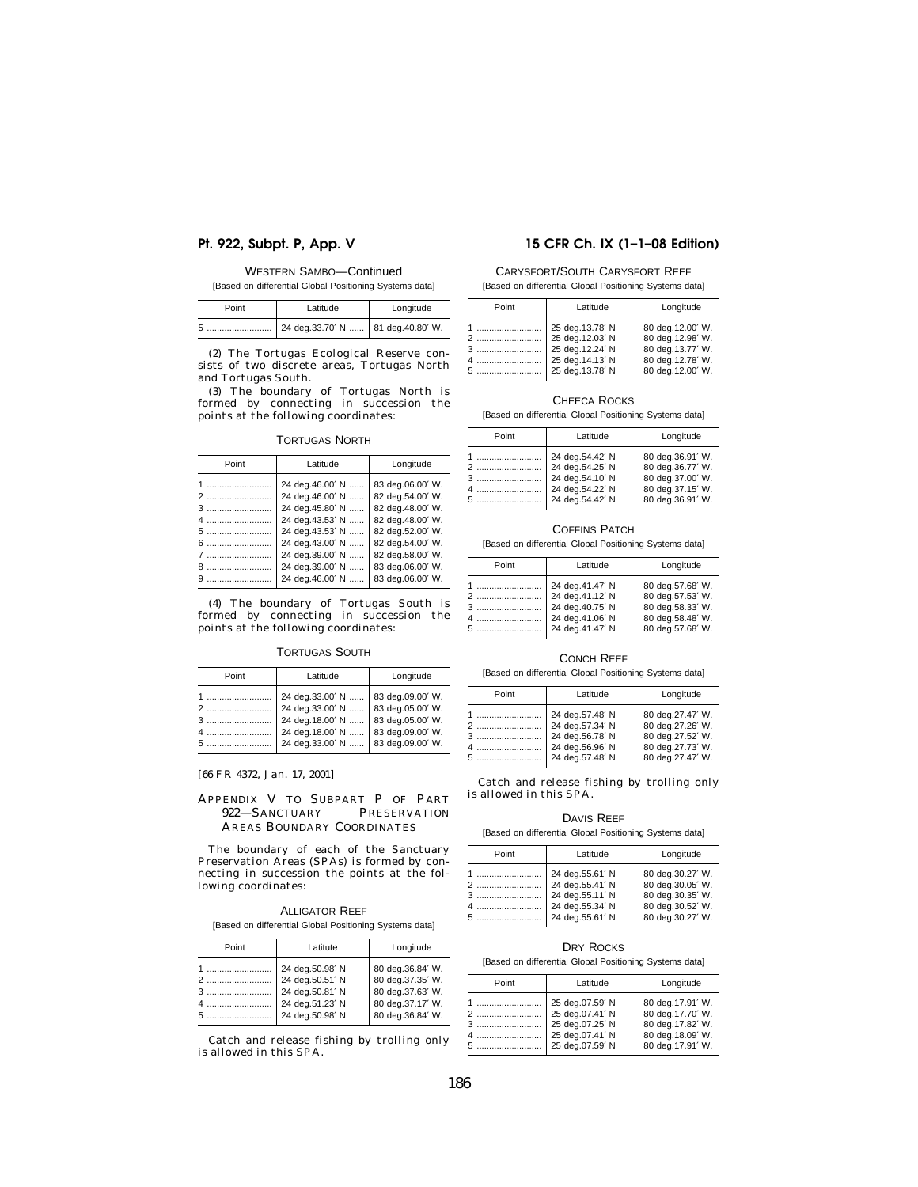WESTERN SAMBO—Continued [Based on differential Global Positioning Systems data]

| Point | Latitude                          | Longitude |
|-------|-----------------------------------|-----------|
|       | 24 deg.33.70' N  81 deg.40.80' W. |           |

(2) The Tortugas Ecological Reserve consists of two discrete areas, Tortugas North and Tortugas South.

(3) The boundary of Tortugas North is formed by connecting in succession the points at the following coordinates:

### TORTUGAS NORTH

| Point                             | Latitude                                                                                                                                             | Longitude                                                                                                                                                    |
|-----------------------------------|------------------------------------------------------------------------------------------------------------------------------------------------------|--------------------------------------------------------------------------------------------------------------------------------------------------------------|
| $1$<br>2<br>3<br>4<br>5<br>7<br>8 | 24 deg.46.00' N<br>24 deg.46.00' N<br>24 deg.45.80' N<br>24 deg.43.53' N<br>24 deg.43.53' N<br>24 deg.43.00' N<br>24 deg.39.00' N<br>24 deg.39.00' N | 83 deg.06.00' W.<br>82 deg.54.00' W.<br>82 deg.48.00' W.<br>82 deg.48.00' W.<br>82 deg.52.00' W.<br>82 deg.54.00' W.<br>82 deg.58.00' W.<br>83 deg.06.00' W. |
| 9                                 | 24 deg.46.00' N                                                                                                                                      | 83 deg.06.00' W.                                                                                                                                             |

(4) The boundary of Tortugas South is formed by connecting in succession the points at the following coordinates:

# TORTUGAS SOUTH

| Point | Latitude                                                                                                        | Longitude |
|-------|-----------------------------------------------------------------------------------------------------------------|-----------|
|       | 24 deg.33.00' N    83 deg.09.00' W.<br>24 deg.33.00' N  83 deg.05.00' W.<br>24 deg.18.00' N    83 deg.09.00' W. |           |

[66 FR 4372, Jan. 17, 2001]

# APPENDIX V TO SUBPART P OF PART 922—SANCTUARY PRESERVATION AREAS BOUNDARY COORDINATES

The boundary of each of the Sanctuary Preservation Areas (SPAs) is formed by connecting in succession the points at the following coordinates:

ALLIGATOR REEF [Based on differential Global Positioning Systems data]

| Point | Latitute        | Longitude        |
|-------|-----------------|------------------|
|       | 24 deg.50.98' N | 80 deg.36.84' W. |
| 2     | 24 deg.50.51' N | 80 deg.37.35' W. |
| 3     | 24 deg.50.81' N | 80 deg.37.63' W. |
| 4     | 24 deg.51.23' N | 80 deg.37.17' W. |
| 5     | 24 deg.50.98' N | 80 deg.36.84' W. |

Catch and release fishing by trolling only is allowed in this SPA.

# **Pt. 922, Subpt. P, App. V 15 CFR Ch. IX (1–1–08 Edition)**

# CARYSFORT/SOUTH CARYSFORT REEF

[Based on differential Global Positioning Systems data]

| Point | Latitude        | Longitude        |
|-------|-----------------|------------------|
|       | 25 deg.13.78' N | 80 deg.12.00' W. |
| 2     | 25 deg.12.03' N | 80 deg.12.98' W. |
| 3     | 25 deg.12.24' N | 80 deg.13.77' W. |
|       | 25 deg.14.13' N | 80 deg.12.78' W. |
|       | 25 deg.13.78' N | 80 deg.12.00' W. |

### CHEECA ROCKS

[Based on differential Global Positioning Systems data]

| Point                 | Latitude                                                                                    | Longitude                                                                                        |
|-----------------------|---------------------------------------------------------------------------------------------|--------------------------------------------------------------------------------------------------|
| 1<br>2<br>3<br>4<br>5 | 24 deg.54.42' N<br>24 deg.54.25' N<br>24 deg.54.10' N<br>24 deg.54.22' N<br>24 deg.54.42' N | 80 deg.36.91' W.<br>80 deg.36.77' W.<br>80 deg.37.00' W.<br>80 deg.37.15' W.<br>80 deg.36.91' W. |

# COFFINS PATCH

[Based on differential Global Positioning Systems data]

| Point | Latitude         | Longitude        |
|-------|------------------|------------------|
|       | 24 deg.41.47' N  | 80 deg.57.68' W. |
| 2     | 24 deg.41.12' N  | 80 deg.57.53' W. |
| 3     | 24 deg. 40.75' N | 80 deg.58.33' W. |
| 4     | 24 deg.41.06' N  | 80 deg.58.48' W. |
| 5     | 24 deg. 41.47' N | 80 deg.57.68' W. |

### CONCH REEF

[Based on differential Global Positioning Systems data]

| Point                 | Latitude                                                                                    | Longitude                                                                                        |
|-----------------------|---------------------------------------------------------------------------------------------|--------------------------------------------------------------------------------------------------|
| 1<br>2<br>3<br>4<br>5 | 24 deg.57.48' N<br>24 deg.57.34' N<br>24 deg.56.78' N<br>24 deg.56.96' N<br>24 deg.57.48' N | 80 deg.27.47' W.<br>80 deg.27.26' W.<br>80 deg.27.52' W.<br>80 deg.27.73' W.<br>80 deg.27.47' W. |

Catch and release fishing by trolling only is allowed in this SPA.

DAVIS REEF

[Based on differential Global Positioning Systems data]

| Point | Latitude                                                                                    | Longitude                                                                                        |
|-------|---------------------------------------------------------------------------------------------|--------------------------------------------------------------------------------------------------|
|       | 24 deg.55.61' N<br>24 deg.55.41' N<br>24 deg.55.11' N<br>24 deg.55.34' N<br>24 deg.55.61' N | 80 deg.30.27' W.<br>80 deg.30.05' W.<br>80 deg.30.35' W.<br>80 deg.30.52' W.<br>80 deg.30.27' W. |

# DRY ROCKS

[Based on differential Global Positioning Systems data]

| Point            | Latitude                                                                                    | Longitude                                                                                        |
|------------------|---------------------------------------------------------------------------------------------|--------------------------------------------------------------------------------------------------|
| 2<br>3<br>4<br>5 | 25 deg.07.59' N<br>25 deg.07.41' N<br>25 deg.07.25' N<br>25 deg.07.41' N<br>25 deg.07.59' N | 80 deg.17.91' W.<br>80 deg.17.70' W.<br>80 deg.17.82' W.<br>80 deg.18.09' W.<br>80 deg.17.91' W. |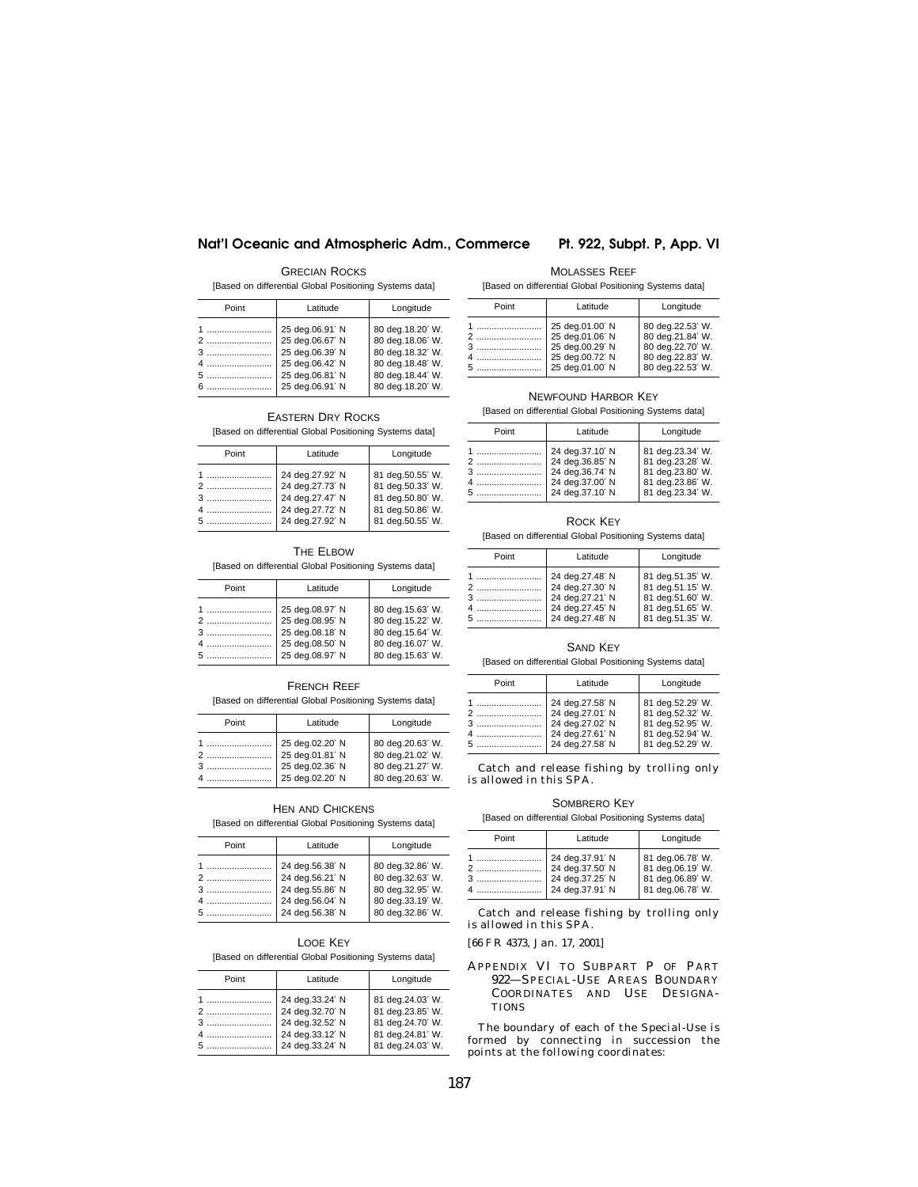# Nat'l Oceanic and Atmospheric Adm., Commerce Pt. 922, Subpt. P, App. VI

# GRECIAN ROCKS

[Based on differential Global Positioning Systems data]

# MOLASSES REEF

[Based on differential Global Positioning Systems data]

| Point                 | Latitude                                                                                                       | Longitude                                                                                                            |
|-----------------------|----------------------------------------------------------------------------------------------------------------|----------------------------------------------------------------------------------------------------------------------|
| 2<br>3<br>4<br>5<br>6 | 25 deg.06.91' N<br>25 deg.06.67' N<br>25 deg.06.39' N<br>25 deg.06.42' N<br>25 deg.06.81' N<br>25 deg.06.91' N | 80 deg.18.20' W.<br>80 deg.18.06' W.<br>80 deg.18.32' W.<br>80 deg.18.48' W.<br>80 deg.18.44' W.<br>80 deg.18.20' W. |

# EASTERN DRY ROCKS

[Based on differential Global Positioning Systems data]

| Point | Latitude        | Longitude        |
|-------|-----------------|------------------|
|       | 24 deg.27.92' N | 81 deg.50.55' W. |
| 2     | 24 deg.27.73' N | 81 deg.50.33' W. |
| 3     | 24 deg.27.47' N | 81 deg.50.80' W. |
| 4     | 24 deg.27.72' N | 81 deg.50.86' W. |
| 5     | 24 deg.27.92' N | 81 deg.50.55' W. |

# THE ELBOW

# [Based on differential Global Positioning Systems data]

| Point | Latitude        | Longitude        |
|-------|-----------------|------------------|
| 1     | 25 deg.08.97' N | 80 deg.15.63' W. |
| 2     | 25 deg.08.95' N | 80 deg.15.22' W. |
| 3     | 25 deg.08.18' N | 80 deg.15.64' W. |
| 4     | 25 deg.08.50' N | 80 deg.16.07' W. |
| 5     | 25 deg.08.97' N | 80 deg.15.63' W. |

# FRENCH REEF

[Based on differential Global Positioning Systems data]

| Point | Latitude        | Longitude        |
|-------|-----------------|------------------|
|       | 25 deg.02.20' N | 80 deg.20.63' W. |
|       | 25 deg.01.81' N | 80 deg.21.02' W. |
|       | 25 deg.02.36' N | 80 deg.21.27' W. |
|       | 25 deg.02.20' N | 80 deg.20.63' W. |

# HEN AND CHICKENS

[Based on differential Global Positioning Systems data]

| 2<br>4<br>5<br> | 24 deg.56.38' N<br>24 deg.56.21' N<br>24 deg.55.86' N<br>24 deg.56.04' N<br>24 deg.56.38' N | 80 deg.32.86' W.<br>80 deg.32.63' W.<br>80 deg.32.95' W.<br>80 deg.33.19' W.<br>80 deg.32.86' W. |
|-----------------|---------------------------------------------------------------------------------------------|--------------------------------------------------------------------------------------------------|

### LOOE KEY

[Based on differential Global Positioning Systems data]

| Point | Latitude        | Longitude        |
|-------|-----------------|------------------|
|       | 24 deg.33.24' N | 81 deg.24.03' W. |
| 2     | 24 deg.32.70' N | 81 deg.23.85' W. |
| 3     | 24 deg.32.52' N | 81 deg.24.70' W. |
| 4     | 24 deg.33.12' N | 81 deg.24.81' W. |
| 5     | 24 deg.33.24' N | 81 deg.24.03' W. |

| Point       | Latitude                                                                                    | Longitude                                                                                        |
|-------------|---------------------------------------------------------------------------------------------|--------------------------------------------------------------------------------------------------|
| 3<br>4<br>5 | 25 deg.01.00' N<br>25 deg.01.06' N<br>25 deg.00.29' N<br>25 deg.00.72' N<br>25 deg.01.00' N | 80 deg.22.53' W.<br>80 deg.21.84' W.<br>80 deg.22.70' W.<br>80 deg.22.83' W.<br>80 deg.22.53' W. |

# NEWFOUND HARBOR KEY

[Based on differential Global Positioning Systems data]

| Point             | Latitude                                                                                    | Longitude                                                                                        |
|-------------------|---------------------------------------------------------------------------------------------|--------------------------------------------------------------------------------------------------|
| 2<br>3<br>$5 - 1$ | 24 deg.37.10' N<br>24 deg.36.85' N<br>24 deg.36.74' N<br>24 deg.37.00' N<br>24 deg.37.10' N | 81 deg.23.34' W.<br>81 deg.23.28' W.<br>81 deg.23.80' W.<br>81 deg.23.86' W.<br>81 deg.23.34' W. |

ROCK KEY

[Based on differential Global Positioning Systems data]

| Point            | Latitude                                                                                    | Longitude                                                                                        |
|------------------|---------------------------------------------------------------------------------------------|--------------------------------------------------------------------------------------------------|
| 2<br>3<br>4<br>5 | 24 deg.27.48' N<br>24 deg.27.30' N<br>24 deg.27.21' N<br>24 deg.27.45' N<br>24 deg.27.48' N | 81 deg.51.35' W.<br>81 deg.51.15' W.<br>81 deg.51.60' W.<br>81 deg.51.65' W.<br>81 deg.51.35' W. |

# SAND KEY

# [Based on differential Global Positioning Systems data]

| Point                          | Latitude        | Longitude        |
|--------------------------------|-----------------|------------------|
|                                | 24 deg.27.58' N | 81 deg.52.29' W. |
|                                | 24 deg.27.01' N | 81 deg.52.32' W. |
| 3                              | 24 deg.27.02' N | 81 deg.52.95' W. |
| 4                              | 24 deg.27.61' N | 81 deg.52.94' W. |
| $5$ ,,,,,,,,,,,,,,,,,,,,,,,,,, | 24 deg.27.58' N | 81 deg.52.29' W. |

Catch and release fishing by trolling only is allowed in this SPA.

SOMBRERO KEY

[Based on differential Global Positioning Systems data]

| Point | Latitude                                                                   | Longitude                                                                    |
|-------|----------------------------------------------------------------------------|------------------------------------------------------------------------------|
|       | 24 deg.37.91' N<br>24 deg.37.50' N<br>24 deg. 37.25' N<br>24 deg. 37.91' N | 81 deg.06.78' W.<br>81 deg.06.19' W.<br>81 deg.06.89' W.<br>81 deg.06.78' W. |

Catch and release fishing by trolling only is allowed in this SPA.

[66 FR 4373, Jan. 17, 2001]

APPENDIX VI TO SUBPART P OF PART 922—SPECIAL-USE AREAS BOUNDARY COORDINATES AND USE DESIGNA-TIONS

The boundary of each of the Special-Use is formed by connecting in succession the points at the following coordinates: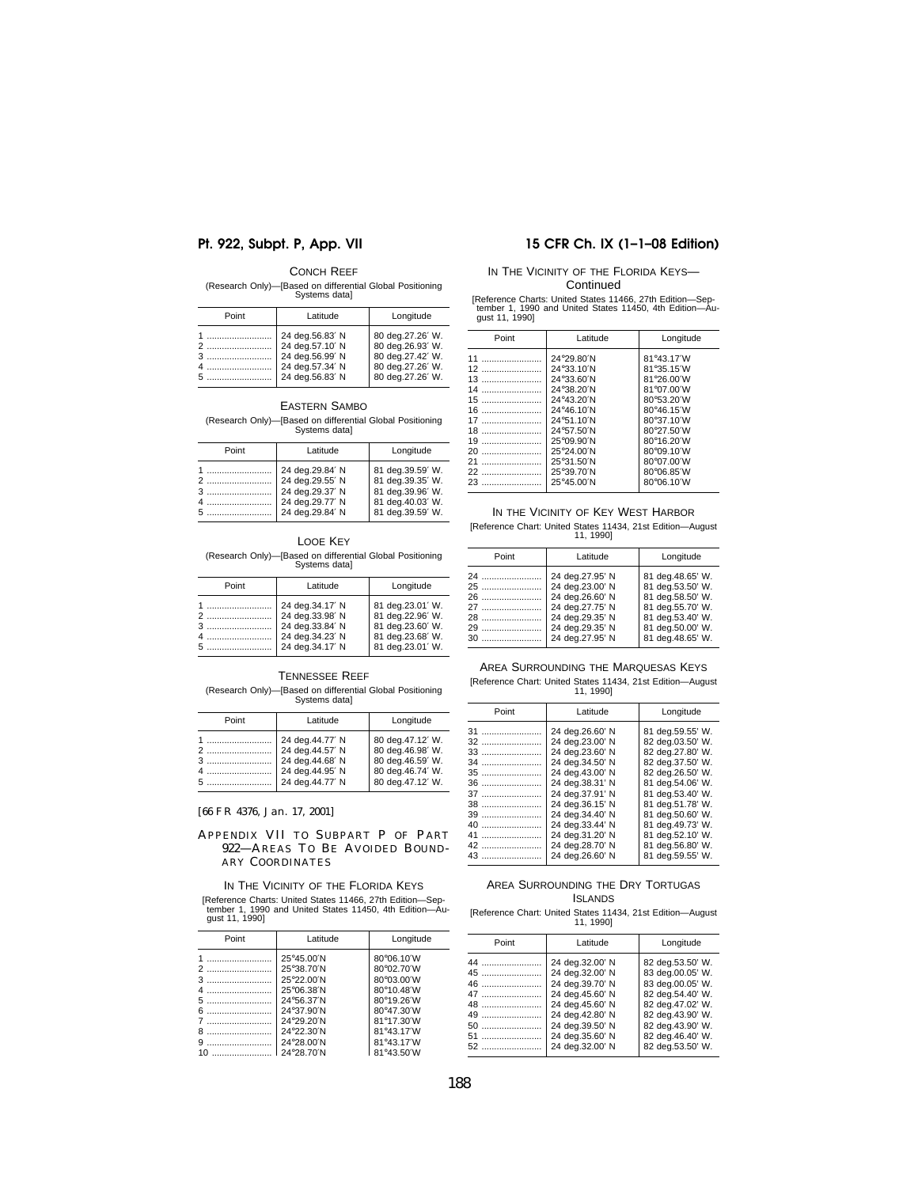# CONCH REEF

(Research Only)—[Based on differential Global Positioning Systems data]

| Point            | Latitude                                                                                    | Longitude                                                                                        |
|------------------|---------------------------------------------------------------------------------------------|--------------------------------------------------------------------------------------------------|
| 2<br>3<br>4<br>5 | 24 deg.56.83' N<br>24 deg.57.10' N<br>24 deg.56.99' N<br>24 deg.57.34' N<br>24 deg.56.83' N | 80 deg.27.26' W.<br>80 deg.26.93' W.<br>80 deg.27.42' W.<br>80 deg.27.26' W.<br>80 deg.27.26' W. |

### EASTERN SAMBO

(Research Only)—[Based on differential Global Positioning Systems data]

| Point       | Latitude                                                                                    | Longitude                                                                                        |
|-------------|---------------------------------------------------------------------------------------------|--------------------------------------------------------------------------------------------------|
| 3<br>4<br>5 | 24 deg.29.84' N<br>24 deg.29.55' N<br>24 deg.29.37' N<br>24 deg.29.77' N<br>24 deg.29.84' N | 81 deg.39.59' W.<br>81 deg.39.35' W.<br>81 deg.39.96' W.<br>81 deg.40.03' W.<br>81 deg.39.59' W. |

### LOOE KEY

(Research Only)—[Based on differential Global Positioning Systems data]

| Point              | Latitude                                                                                    | Longitude                                                                                        |
|--------------------|---------------------------------------------------------------------------------------------|--------------------------------------------------------------------------------------------------|
| 2<br>3<br>4<br>$5$ | 24 deg.34.17' N<br>24 deg.33.98' N<br>24 deg.33.84' N<br>24 deg.34.23' N<br>24 deg.34.17' N | 81 deg.23.01' W.<br>81 deg.22.96' W.<br>81 deg.23.60' W.<br>81 deg.23.68' W.<br>81 deg.23.01' W. |

# TENNESSEE REEF

(Research Only)—[Based on differential Global Positioning Systems data]

| Point | Latitude        | Longitude         |
|-------|-----------------|-------------------|
|       | 24 deg.44.77' N | 80 deg.47.12' W.  |
| 2     | 24 deg.44.57' N | 80 deg.46.98' W.  |
| 3     | 24 deg.44.68' N | 80 deg.46.59' W.  |
| 4     | 24 deg.44.95' N | 80 deg.46.74' W.  |
| 5     | 24 deg.44.77' N | 80 deg. 47.12' W. |

[66 FR 4376, Jan. 17, 2001]

# APPENDIX VII TO SUBPART P OF PART 922—AREAS TO BE AVOIDED BOUND-ARY COORDINATES

IN THE VICINITY OF THE FLORIDA KEYS [Reference Charts: United States 11466, 27th Edition—Sep-tember 1, 1990 and United States 11450, 4th Edition—Au-gust 11, 1990]

| Point             | Latitude                                                                     | Longitude                                                          |
|-------------------|------------------------------------------------------------------------------|--------------------------------------------------------------------|
| 3<br>5            | 25°45.00'N<br>25°38.70'N<br>25°22.00'N<br>$25^{\circ}$ 06.38'N<br>24°56.37'N | 80°06.10'W<br>80°02.70'W<br>80°03.00'W<br>80°10.48'W<br>80°19.26'W |
| 6<br>8<br>9<br>10 | 24°37.90'N<br>24°29.20'N<br>24°22.30'N<br>24°28.00'N<br>24°28.70'N           | 80°47.30'W<br>81°17.30'W<br>81°43.17'W<br>81°43.17'W<br>81°43.50'W |

# **Pt. 922, Subpt. P, App. VII 15 CFR Ch. IX (1-1-08 Edition)**

# IN THE VICINITY OF THE FLORIDA KEYS-**Continued**

[Reference Charts: United States 11466, 27th Edition—Sep-tember 1, 1990 and United States 11450, 4th Edition—Au-gust 11, 1990]

| Point  | Latitude   | Longitude  |
|--------|------------|------------|
| 11     | 24°29.80'N | 81°43.17'W |
| $12$   | 24°33.10'N | 81°35.15'W |
| 13     | 24°33.60'N | 81°26.00'W |
| 14     | 24°38.20'N | 81°07.00'W |
| $15$   | 24°43.20'N | 80°53.20'W |
| $16$   | 24°46.10'N | 80°46.15'W |
| 17     | 24°51.10'N | 80°37.10'W |
| 18     | 24°57.50'N | 80°27.50'W |
| 19<br> | 25°09.90'N | 80°16.20'W |
| 20     | 25°24.00'N | 80°09.10'W |
| 21     | 25°31.50'N | 80°07.00'W |
|        | 25°39.70'N | 80°06.85'W |
| 23     | 25°45.00'N | 80°06.10'W |
|        |            |            |

# IN THE VICINITY OF KEY WEST HARBOR [Reference Chart: United States 11434, 21st Edition—August 11, 1990]

| Point                            | Latitude                                                                                                                          | Longitude                                                                                                                                 |
|----------------------------------|-----------------------------------------------------------------------------------------------------------------------------------|-------------------------------------------------------------------------------------------------------------------------------------------|
| 24<br>25<br>26<br>27<br>28<br>29 | 24 deg.27.95' N<br>24 deg.23.00' N<br>24 deg.26.60' N<br>24 deg.27.75' N<br>24 deg.29.35' N<br>24 deg.29.35' N<br>24 deg.27.95' N | 81 deg. 48.65' W.<br>81 deg.53.50' W.<br>81 deg.58.50' W.<br>81 deg.55.70' W.<br>81 deg.53.40' W.<br>81 deg.50.00' W.<br>81 deg.48.65' W. |

# AREA SURROUNDING THE MARQUESAS KEYS

[Reference Chart: United States 11434, 21st Edition—August 11, 1990]

| Point | Latitude        | Longitude        |
|-------|-----------------|------------------|
| 31    | 24 deg.26.60' N | 81 deg.59.55' W. |
| 32    | 24 deg.23.00' N | 82 deg.03.50' W. |
| 33    | 24 deg.23.60' N | 82 deg.27.80' W. |
| 34    | 24 deg.34.50' N | 82 deg.37.50' W. |
| 35    | 24 deg.43.00' N | 82 deg.26.50' W. |
| 36    | 24 deg.38.31' N | 81 deg.54.06' W. |
| 37    | 24 deg.37.91' N | 81 deg.53.40' W. |
| 38    | 24 deg.36.15' N | 81 deg.51.78' W. |
| $39$  | 24 deg.34.40' N | 81 deg.50.60' W. |
| 40    | 24 deg.33.44' N | 81 deg.49.73' W. |
| 41    | 24 deg.31.20' N | 81 deg.52.10' W. |
| 42    | 24 deg.28.70' N | 81 deg.56.80' W. |
| 43    | 24 deg.26.60' N | 81 deg.59.55' W. |

## AREA SURROUNDING THE DRY TORTUGAS ISLANDS

[Reference Chart: United States 11434, 21st Edition—August 11, 1990]

| Point                            | Latitude                                                                                                                                                                | Longitude                                                                                                                                                                        |
|----------------------------------|-------------------------------------------------------------------------------------------------------------------------------------------------------------------------|----------------------------------------------------------------------------------------------------------------------------------------------------------------------------------|
| 45<br>46<br>48<br>50<br>51<br>52 | 24 deg.32.00' N<br>24 deg.32.00' N<br>24 deg.39.70' N<br>24 deg.45.60' N<br>24 deg.45.60' N<br>24 deg.42.80' N<br>24 deg.39.50' N<br>24 deg.35.60' N<br>24 deg.32.00' N | 82 deg.53.50' W.<br>83 deg.00.05' W.<br>83 deg.00.05' W.<br>82 deg.54.40' W.<br>82 deg.47.02' W.<br>82 deg.43.90' W.<br>82 deg.43.90' W.<br>82 deg.46.40' W.<br>82 deg.53.50' W. |
|                                  |                                                                                                                                                                         |                                                                                                                                                                                  |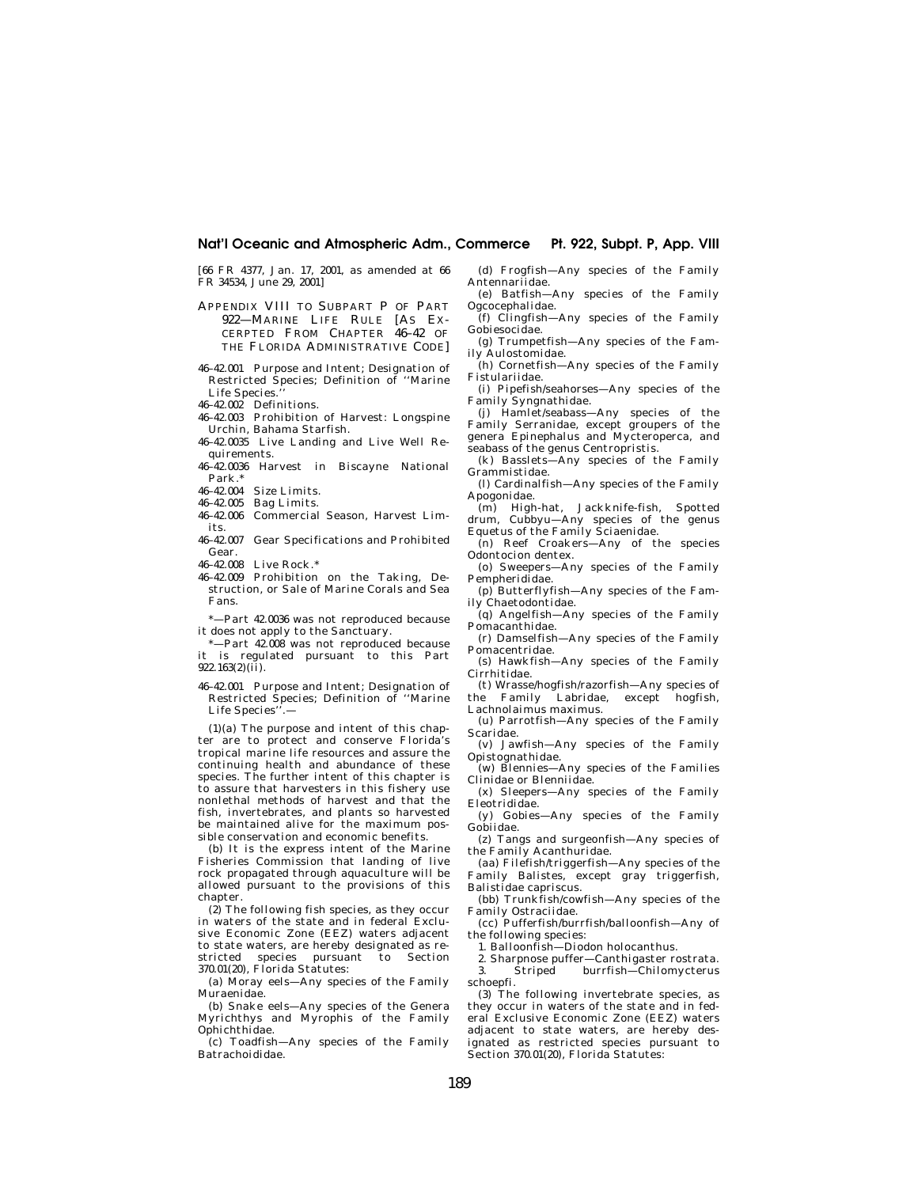## **Nat'l Oceanic and Atmospheric Adm., Commerce Pt. 922, Subpt. P, App. VIII**

[66 FR 4377, Jan. 17, 2001, as amended at 66 FR 34534, June 29, 2001]

- APPENDIX VIII TO SUBPART P OF PART 922—MARINE LIFE RULE [AS EX-CERPTED FROM CHAPTER 46–42 OF THE FLORIDA ADMINISTRATIVE CODE]
- 46–42.001 Purpose and Intent; Designation of Restricted Species; Definition of ''Marine Life Species.
- 46–42.002 Definitions.
- 46–42.003 Prohibition of Harvest: Longspine Urchin, Bahama Starfish.
- 46–42.0035 Live Landing and Live Well Requirements.
- 46–42.0036 Harvest in Biscayne National Park.\*
- 46–42.004 Size Limits.
- 46–42.005 Bag Limits.
- 46–42.006 Commercial Season, Harvest Limits.
- 46–42.007 Gear Specifications and Prohibited Gear.
- 46–42.008 Live Rock.\*
- 46–42.009 Prohibition on the Taking, Destruction, or Sale of Marine Corals and Sea Fans.

\*—Part 42.0036 was not reproduced because it does not apply to the Sanctuary.

\*—Part 42.008 was not reproduced because it is regulated pursuant to this Part 922.163(2)(ii).

46–42.001 Purpose and Intent; Designation of Restricted Species; Definition of ''Marine Life Species'

(1)(a) The purpose and intent of this chapter are to protect and conserve Florida's tropical marine life resources and assure the continuing health and abundance of these species. The further intent of this chapter is to assure that harvesters in this fishery use nonlethal methods of harvest and that the fish, invertebrates, and plants so harvested be maintained alive for the maximum possible conservation and economic benefits.

(b) It is the express intent of the Marine Fisheries Commission that landing of live rock propagated through aquaculture will be allowed pursuant to the provisions of this chapter.

(2) The following fish species, as they occur in waters of the state and in federal Exclusive Economic Zone (EEZ) waters adjacent to state waters, are hereby designated as restricted species pursuant to Section species pursuant 370.01(20), Florida Statutes:

(a) Moray eels—Any species of the Family Muraenidae.

(b) Snake eels—Any species of the Genera Myrichthys and Myrophis of the Family Ophichthidae.

(c) Toadfish—Any species of the Family Batrachoididae.

(d) Frogfish—Any species of the Family Antennariidae. (e) Batfish—Any species of the Family

- Ogcocephalidae. (f) Clingfish—Any species of the Family
- Gobiesocidae. (g) Trumpetfish—Any species of the Fam-
- ily Aulostomidae. (h) Cornetfish—Any species of the Family Fistulariidae.
- (i) Pipefish/seahorses—Any species of the Family Syngnathidae.

(j) Hamlet/seabass—Any species of the Family Serranidae, except groupers of the genera Epinephalus and Mycteroperca, and seabass of the genus Centropristis.

(k) Basslets—Any species of the Family Grammistidae.

(l) Cardinalfish—Any species of the Family Apogonidae.

High-hat, Jackknife-fish, Spotted drum, Cubbyu—Any species of the genus Equetus of the Family Sciaenidae.

- (n) Reef Croakers—Any of the species Odontocion dentex.
- (o) Sweepers—Any species of the Family Pempherididae.
- (p) Butterflyfish—Any species of the Family Chaetodontidae. (q) Angelfish—Any species of the Family
- Pomacanthidae. (r) Damselfish—Any species of the Family
- Pomacentridae. (s) Hawkfish—Any species of the Family
- Cirrhitidae. (t) Wrasse/hogfish/razorfish—Any species of
- the Family Labridae, except hogfish, Lachnolaimus maximus.
- (u) Parrotfish—Any species of the Family Scaridae.
- (v) Jawfish—Any species of the Family Opistognathidae.
- (w) Blennies—Any species of the Families Clinidae or Blenniidae.
- (x) Sleepers—Any species of the Family Eleotrididae.
- (y) Gobies—Any species of the Family Gobiidae.

(z) Tangs and surgeonfish—Any species of the Family Acanthuridae.

(aa) Filefish/triggerfish—Any species of the Family Balistes, except gray triggerfish, Balistidae capriscus.

(bb) Trunkfish/cowfish—Any species of the Family Ostraciidae.

(cc) Pufferfish/burrfish/balloonfish—Any of the following species:

1. Balloonfish—Diodon holocanthus.

2. Sharpnose puffer—Canthigaster rostrata. 3. Striped burrfish—Chilomycterus schoepfi.

(3) The following invertebrate species, as they occur in waters of the state and in federal Exclusive Economic Zone (EEZ) waters adjacent to state waters, are hereby designated as restricted species pursuant to Section 370.01(20), Florida Statutes: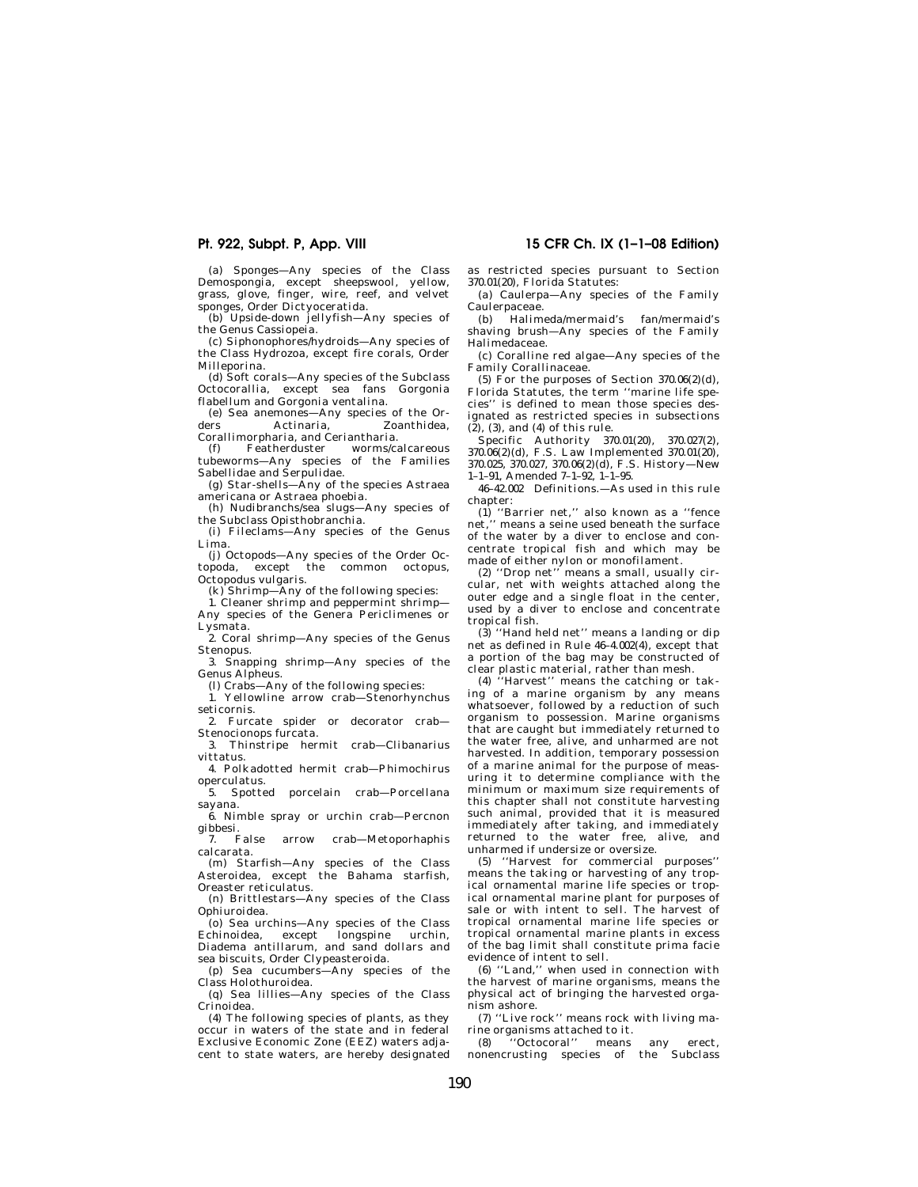**Pt. 922, Subpt. P, App. VIII 15 CFR Ch. IX (1–1–08 Edition)** 

(a) Sponges—Any species of the Class Demospongia, except sheepswool, yellow, grass, glove, finger, wire, reef, and velvet sponges, Order Dictyoceratida.

(b) Upside-down jellyfish—Any species of the Genus Cassiopeia.

(c) Siphonophores/hydroids—Any species of the Class Hydrozoa, except fire corals, Order Milleporina.

(d) Soft corals—Any species of the Subclass Octocorallia, except sea fans Gorgonia flabellum and Gorgonia ventalina.

(e) Sea anemones—Any species of the Orders Actinaria, Zoanthidea, Corallimorpharia, and Ceriantharia.

(f) Featherduster worms/calcareous tubeworms—Any species of the Families Sabellidae and Serpulidae.

(g) Star-shells—Any of the species Astraea americana or Astraea phoebia.

(h) Nudibranchs/sea slugs—Any species of the Subclass Opisthobranchia.

(i) Fileclams—Any species of the Genus Lima.

(j) Octopods—Any species of the Order Octopoda, except the common octopus, Octopodus vulgaris.

(k) Shrimp—Any of the following species:

1. Cleaner shrimp and peppermint shrimp— Any species of the Genera Periclimenes or Lysmata.

2. Coral shrimp—Any species of the Genus Stenopus.

3. Snapping shrimp—Any species of the Genus Alpheus.

(l) Crabs—Any of the following species:

1. Yellowline arrow crab—Stenorhynchus seticornis.

2. Furcate spider or decorator crab— Stenocionops furcata.

3. Thinstripe hermit crab—Clibanarius vittatus.

4. Polkadotted hermit crab—Phimochirus operculatus.

5. Spotted porcelain crab—Porcellana sayana.

6. Nimble spray or urchin crab—Percnon gibbesi.<br>7. False

arrow crab—Metoporhaphis calcarata.

(m) Starfish—Any species of the Class Asteroidea, except the Bahama starfish, Oreaster reticulatus.

(n) Brittlestars—Any species of the Class Ophiuroidea.

(o) Sea urchins—Any species of the Class except longspine urchin, Diadema antillarum, and sand dollars and sea biscuits, Order Clypeasteroida.

(p) Sea cucumbers—Any species of the Class Holothuroidea.

(q) Sea lillies—Any species of the Class Crinoidea.

(4) The following species of plants, as they occur in waters of the state and in federal Exclusive Economic Zone (EEZ) waters adjacent to state waters, are hereby designated

as restricted species pursuant to Section 370.01(20), Florida Statutes:

(a) Caulerpa—Any species of the Family Caulerpaceae.

(b) Halimeda/mermaid's fan/mermaid's shaving brush—Any species of the Family Halimedaceae.

(c) Coralline red algae—Any species of the Family Corallinaceae.

(5) For the purposes of Section  $370.06(2)(d)$ , Florida Statutes, the term ''marine life species'' is defined to mean those species designated as restricted species in subsections  $(2)$ ,  $(3)$ , and  $(4)$  of this rule.

Specific Authority 370.01(20), 370.027(2), 370.06(2)(d), F.S. Law Implemented 370.01(20), 370.025, 370.027, 370.06(2)(d), F.S. History—New 1–1–91, Amended 7–1–92, 1–1–95.

46–42.002 Definitions.—As used in this rule chapter:

(1) ''Barrier net,'' also known as a ''fence net,'' means a seine used beneath the surface of the water by a diver to enclose and concentrate tropical fish and which may be made of either nylon or monofilament.

(2) ''Drop net'' means a small, usually circular, net with weights attached along the outer edge and a single float in the center, used by a diver to enclose and concentrate tropical fish.

(3) ''Hand held net'' means a landing or dip net as defined in Rule 46–4.002(4), except that a portion of the bag may be constructed of clear plastic material, rather than mesh.

(4) ''Harvest'' means the catching or taking of a marine organism by any means whatsoever, followed by a reduction of such organism to possession. Marine organisms that are caught but immediately returned to the water free, alive, and unharmed are not harvested. In addition, temporary possession of a marine animal for the purpose of measuring it to determine compliance with the minimum or maximum size requirements of this chapter shall not constitute harvesting such animal, provided that it is measured immediately after taking, and immediately returned to the water free, alive, and unharmed if undersize or oversize.

(5) ''Harvest for commercial purposes'' means the taking or harvesting of any tropical ornamental marine life species or tropical ornamental marine plant for purposes of sale or with intent to sell. The harvest of tropical ornamental marine life species or tropical ornamental marine plants in excess of the bag limit shall constitute prima facie evidence of intent to sell.

(6) ''Land,'' when used in connection with the harvest of marine organisms, means the physical act of bringing the harvested organism ashore.

(7) ''Live rock'' means rock with living marine organisms attached to it.

(8) ''Octocoral'' means any erect, nonencrusting species of the Subclass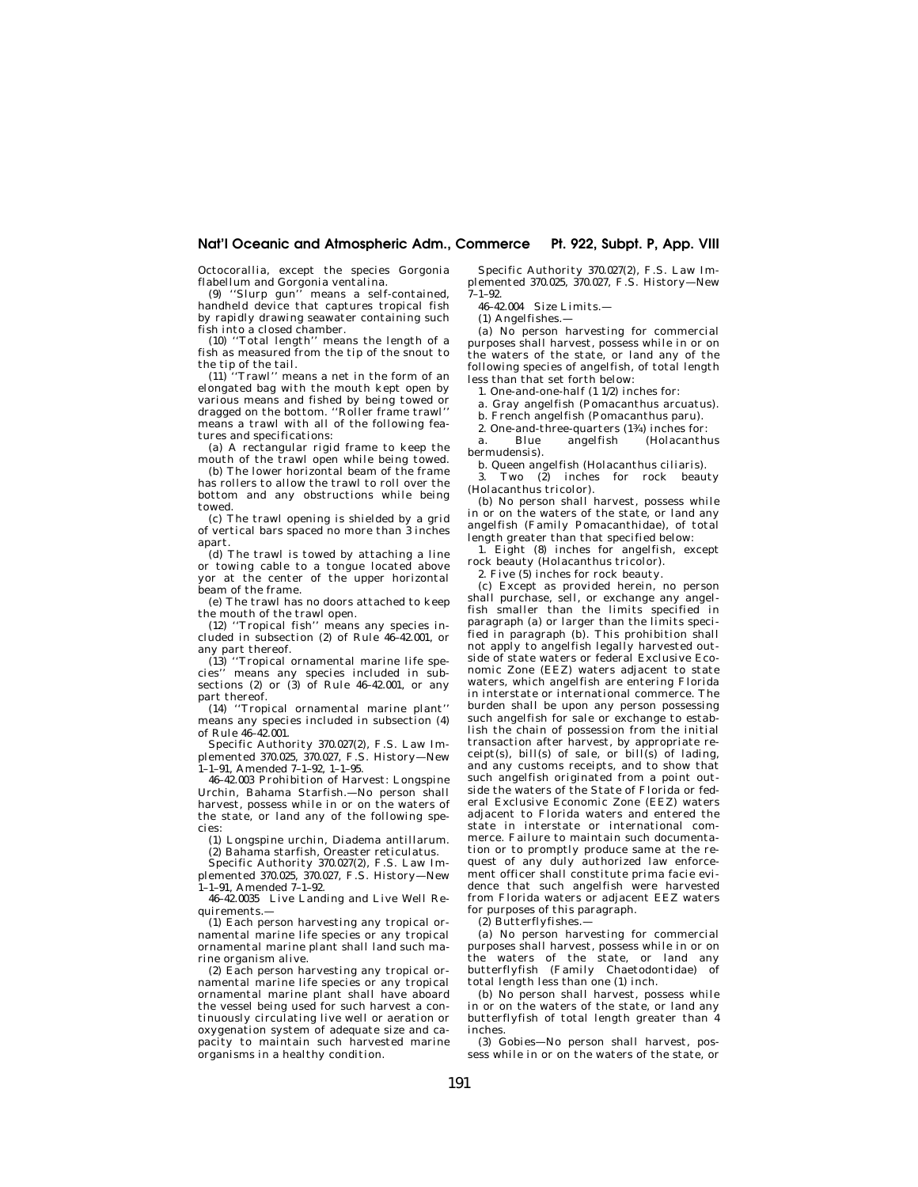# **Nat'l Oceanic and Atmospheric Adm., Commerce Pt. 922, Subpt. P, App. VIII**

Octocorallia, except the species Gorgonia flabellum and Gorgonia ventalina.

(9) ''Slurp gun'' means a self-contained, handheld device that captures tropical fish by rapidly drawing seawater containing such fish into a closed chamber.

(10) ''Total length'' means the length of a fish as measured from the tip of the snout to the tip of the tail. (11) ''Trawl'' means a net in the form of an

elongated bag with the mouth kept open by various means and fished by being towed or dragged on the bottom. ''Roller frame trawl'' means a trawl with all of the following features and specifications:

(a) A rectangular rigid frame to keep the mouth of the trawl open while being towed.

(b) The lower horizontal beam of the frame has rollers to allow the trawl to roll over the bottom and any obstructions while being towed.

(c) The trawl opening is shielded by a grid of vertical bars spaced no more than 3 inches apart.

(d) The trawl is towed by attaching a line or towing cable to a tongue located above yor at the center of the upper horizontal beam of the frame.

(e) The trawl has no doors attached to keep the mouth of the trawl open.

(12) ''Tropical fish'' means any species included in subsection (2) of Rule 46–42.001, or any part thereof.

(13) ''Tropical ornamental marine life species'' means any species included in subsections (2) or (3) of Rule 46–42.001, or any part thereof.

(14) ''Tropical ornamental marine plant'' means any species included in subsection (4) of Rule 46–42.001.

Specific Authority 370.027(2), F.S. Law Implemented 370.025, 370.027, F.S. History—New 1–1–91, Amended 7–1–92, 1–1–95.

46–42.003 Prohibition of Harvest: Longspine Urchin, Bahama Starfish.—No person shall harvest, possess while in or on the waters of the state, or land any of the following species:

(1) Longspine urchin, Diadema antillarum. (2) Bahama starfish, Oreaster reticulatus.

Specific Authority 370.027(2), F.S. Law Implemented 370.025, 370.027, F.S. History—New 1–1–91, Amended 7–1–92.

46–42.0035 Live Landing and Live Well Requirements.—

(1) Each person harvesting any tropical ornamental marine life species or any tropical ornamental marine plant shall land such marine organism alive.

(2) Each person harvesting any tropical ornamental marine life species or any tropical ornamental marine plant shall have aboard the vessel being used for such harvest a continuously circulating live well or aeration or oxygenation system of adequate size and capacity to maintain such harvested marine organisms in a healthy condition.

Specific Authority 370.027(2), F.S. Law Implemented 370.025, 370.027, F.S. History—New  $7 - 1 - 92$ .

46–42.004 Size Limits.—

(1) Angelfishes.—

(a) No person harvesting for commercial purposes shall harvest, possess while in or on the waters of the state, or land any of the following species of angelfish, of total length less than that set forth below:

1. One-and-one-half (1 1/2) inches for:

a. Gray angelfish (Pomacanthus arcuatus). b. French angelfish (Pomacanthus paru).

2. One-and-three-quarters (1<sup>3</sup>/<sub>4</sub>) inches for:<br>a. Blue angelfish (Holacanthi a. Blue angelfish (Holacanthus bermudensis).

b. Queen angelfish (Holacanthus ciliaris). 3. Two (2) inches for rock beauty

(Holacanthus tricolor).

(b) No person shall harvest, possess while in or on the waters of the state, or land any angelfish (Family Pomacanthidae), of total length greater than that specified below:

1. Eight (8) inches for angelfish, except rock beauty (Holacanthus tricolor).

2. Five (5) inches for rock beauty.

(c) Except as provided herein, no person shall purchase, sell, or exchange any angelfish smaller than the limits specified in paragraph (a) or larger than the limits specified in paragraph (b). This prohibition shall not apply to angelfish legally harvested outside of state waters or federal Exclusive Economic Zone (EEZ) waters adjacent to state waters, which angelfish are entering Florida in interstate or international commerce. The burden shall be upon any person possessing such angelfish for sale or exchange to establish the chain of possession from the initial transaction after harvest, by appropriate re $c$ eipt(s), bill(s) of sale, or bill(s) of lading, and any customs receipts, and to show that such angelfish originated from a point outside the waters of the State of Florida or federal Exclusive Economic Zone (EEZ) waters adjacent to Florida waters and entered the state in interstate or international commerce. Failure to maintain such documentation or to promptly produce same at the request of any duly authorized law enforcement officer shall constitute prima facie evidence that such angelfish were harvested from Florida waters or adjacent EEZ waters for purposes of this paragraph.

(2) Butterflyfishes.—

(a) No person harvesting for commercial purposes shall harvest, possess while in or on the waters of the state, or land any butterflyfish (Family Chaetodontidae) of total length less than one (1) inch.

(b) No person shall harvest, possess while in or on the waters of the state, or land any butterflyfish of total length greater than 4 inches.

(3) Gobies—No person shall harvest, possess while in or on the waters of the state, or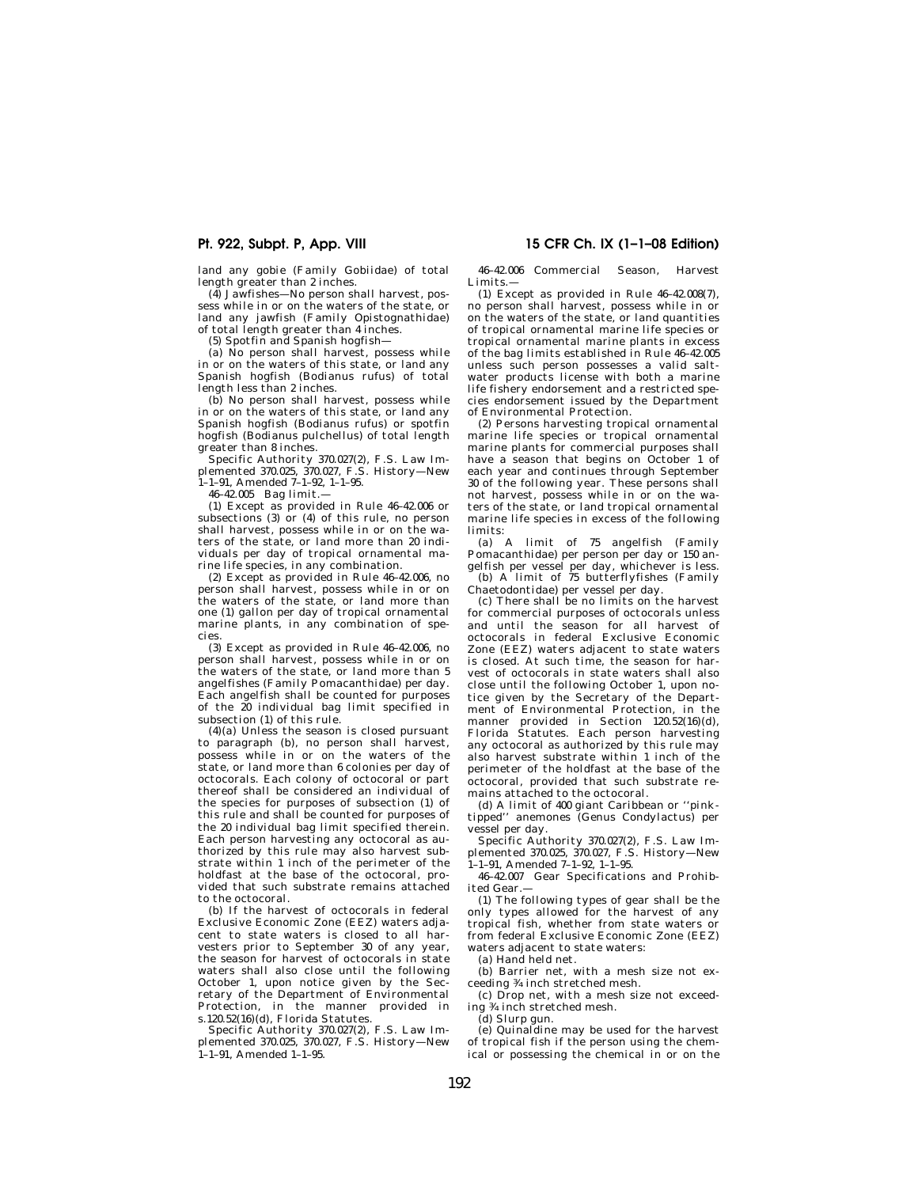**Pt. 922, Subpt. P, App. VIII 15 CFR Ch. IX (1–1–08 Edition)** 

land any gobie (Family Gobiidae) of total length greater than 2 inches.

(4) Jawfishes—No person shall harvest, pos-sess while in or on the waters of the state, or land any jawfish (Family Opistognathidae) of total length greater than 4 inches.

(5) Spotfin and Spanish hogfish—

(a) No person shall harvest, possess while in or on the waters of this state, or land any Spanish hogfish (Bodianus rufus) of total length less than 2 inches.

(b) No person shall harvest, possess while in or on the waters of this state, or land any Spanish hogfish (Bodianus rufus) or spotfin hogfish (Bodianus pulchellus) of total length greater than 8 inches.

Specific Authority 370.027(2), F.S. Law Implemented 370.025, 370.027, F.S. History—New 1–1–91, Amended 7–1–92, 1–1–95.

46–42.005 Bag limit.—

(1) Except as provided in Rule 46–42.006 or subsections (3) or (4) of this rule, no person shall harvest, possess while in or on the waters of the state, or land more than 20 individuals per day of tropical ornamental marine life species, in any combination.

(2) Except as provided in Rule 46–42.006, no person shall harvest, possess while in or on the waters of the state, or land more than one (1) gallon per day of tropical ornamental marine plants, in any combination of species.

(3) Except as provided in Rule 46–42.006, no person shall harvest, possess while in or on the waters of the state, or land more than 5 angelfishes (Family Pomacanthidae) per day. Each angelfish shall be counted for purposes of the 20 individual bag limit specified in subsection (1) of this rule.

(4)(a) Unless the season is closed pursuant to paragraph (b), no person shall harvest, possess while in or on the waters of the state, or land more than 6 colonies per day of octocorals. Each colony of octocoral or part thereof shall be considered an individual of the species for purposes of subsection (1) of this rule and shall be counted for purposes of the 20 individual bag limit specified therein. Each person harvesting any octocoral as authorized by this rule may also harvest substrate within 1 inch of the perimeter of the holdfast at the base of the octocoral, provided that such substrate remains attached to the octocoral.

(b) If the harvest of octocorals in federal Exclusive Economic Zone (EEZ) waters adjacent to state waters is closed to all harvesters prior to September 30 of any year, the season for harvest of octocorals in state waters shall also close until the following October 1, upon notice given by the Secretary of the Department of Environmental Protection, in the manner provided in s.120.52(16)(d), Florida Statutes.

Specific Authority 370.027(2), F.S. Law Implemented 370.025, 370.027, F.S. History—New 1–1–91, Amended 1–1–95.

46–42.006 Commercial Season, Harvest Limits.

(1) Except as provided in Rule 46–42.008(7), no person shall harvest, possess while in or on the waters of the state, or land quantities of tropical ornamental marine life species or tropical ornamental marine plants in excess of the bag limits established in Rule 46–42.005 unless such person possesses a valid saltwater products license with both a marine life fishery endorsement and a restricted species endorsement issued by the Department of Environmental Protection.

(2) Persons harvesting tropical ornamental marine life species or tropical ornamental marine plants for commercial purposes shall have a season that begins on October 1 of each year and continues through September 30 of the following year. These persons shall not harvest, possess while in or on the waters of the state, or land tropical ornamental marine life species in excess of the following  $\lim$ its:<br>(a) A

limit of 75 angelfish (Family Pomacanthidae) per person per day or 150 angelfish per vessel per day, whichever is less. (b) A limit of 75 butterflyfishes (Family Chaetodontidae) per vessel per day.

(c) There shall be no limits on the harvest for commercial purposes of octocorals unless and until the season for all harvest of octocorals in federal Exclusive Economic Zone (EEZ) waters adjacent to state waters is closed. At such time, the season for harvest of octocorals in state waters shall also close until the following October 1, upon notice given by the Secretary of the Department of Environmental Protection, in the manner provided in Section 120.52(16)(d), Florida Statutes. Each person harvesting any octocoral as authorized by this rule may also harvest substrate within 1 inch of the perimeter of the holdfast at the base of the octocoral, provided that such substrate remains attached to the octocoral.

(d) A limit of 400 giant Caribbean or ''pinktipped'' anemones (Genus Condylactus) per vessel per day.

Specific Authority 370.027(2), F.S. Law Implemented 370.025, 370.027, F.S. History—New 1–1–91, Amended 7–1–92, 1–1–95.

46–42.007 Gear Specifications and Prohibited Gear.—

(1) The following types of gear shall be the only types allowed for the harvest of any tropical fish, whether from state waters or from federal Exclusive Economic Zone (EEZ) waters adjacent to state waters: (a) Hand held net.

(b) Barrier net, with a mesh size not exceeding 3⁄4 inch stretched mesh.

(c) Drop net, with a mesh size not exceeding 3⁄4 inch stretched mesh.

(d) Slurp gun.

(e) Quinaldine may be used for the harvest of tropical fish if the person using the chemical or possessing the chemical in or on the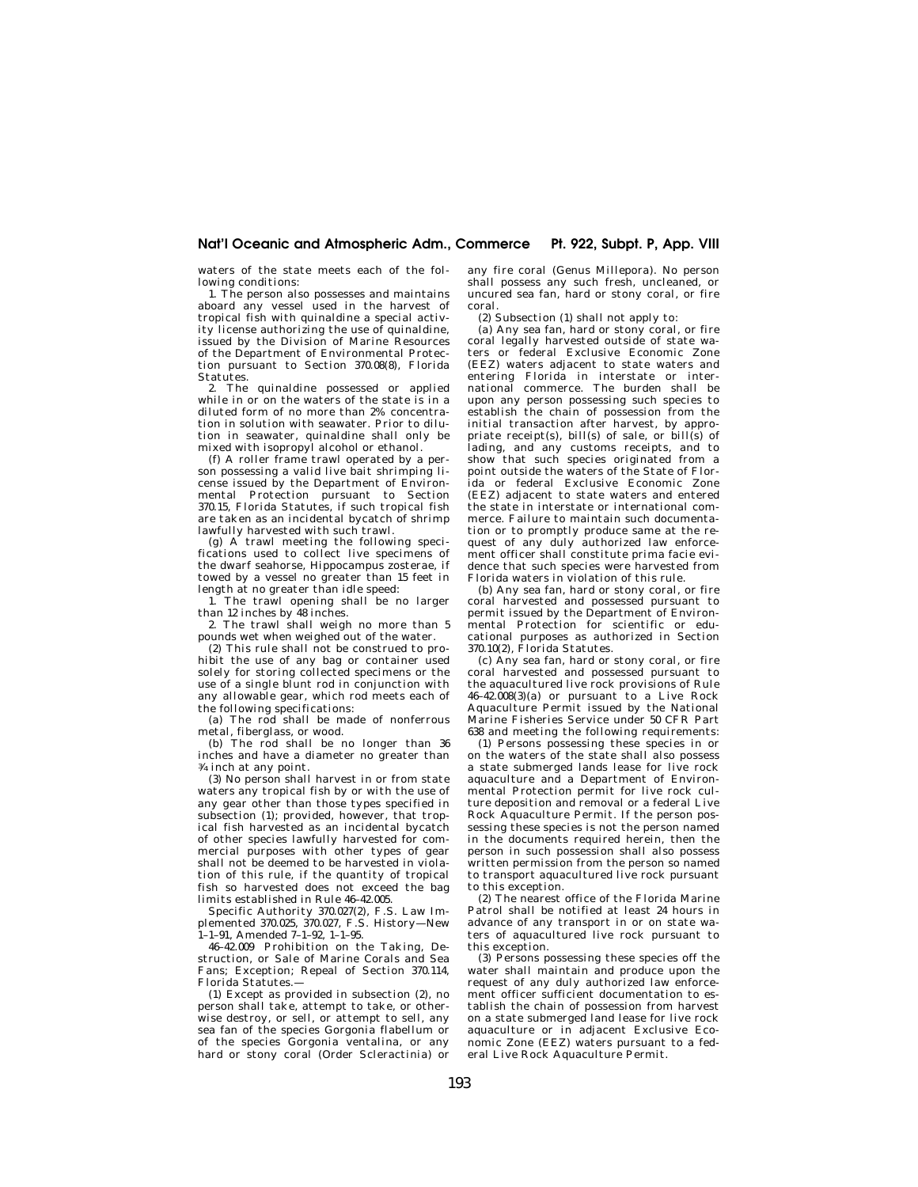# **Nat'l Oceanic and Atmospheric Adm., Commerce Pt. 922, Subpt. P, App. VIII**

waters of the state meets each of the following conditions:

1. The person also possesses and maintains aboard any vessel used in the harvest of tropical fish with quinaldine a special activity license authorizing the use of quinaldine, issued by the Division of Marine Resources of the Department of Environmental Protection pursuant to Section 370.08(8), Florida Statutes.

2. The quinaldine possessed or applied while in or on the waters of the state is in a diluted form of no more than 2% concentration in solution with seawater. Prior to dilution in seawater, quinaldine shall only be mixed with isopropyl alcohol or ethanol.

(f) A roller frame trawl operated by a person possessing a valid live bait shrimping license issued by the Department of Environmental Protection pursuant to Section 370.15, Florida Statutes, if such tropical fish are taken as an incidental bycatch of shrimp lawfully harvested with such trawl.

(g)  $A$  trawl meeting the following specifications used to collect live specimens of the dwarf seahorse, Hippocampus zosterae, if towed by a vessel no greater than 15 feet in length at no greater than idle speed:

1. The trawl opening shall be no larger than 12 inches by 48 inches.

2. The trawl shall weigh no more than 5 pounds wet when weighed out of the water.

(2) This rule shall not be construed to prohibit the use of any bag or container used solely for storing collected specimens or the use of a single blunt rod in conjunction with any allowable gear, which rod meets each of

the following specifications: (a) The rod shall be made of nonferrous metal, fiberglass, or wood.

(b) The rod shall be no longer than 36 inches and have a diameter no greater than 3⁄4 inch at any point.

(3) No person shall harvest in or from state waters any tropical fish by or with the use of any gear other than those types specified in subsection (1); provided, however, that tropical fish harvested as an incidental bycatch of other species lawfully harvested for commercial purposes with other types of gear shall not be deemed to be harvested in violation of this rule, if the quantity of tropical fish so harvested does not exceed the bag limits established in Rule 46–42.005.

Specific Authority 370.027(2), F.S. Law Implemented 370.025, 370.027, F.S. History—New 1–1–91, Amended 7–1–92, 1–1–95.

46–42.009 Prohibition on the Taking, Destruction, or Sale of Marine Corals and Sea Fans; Exception; Repeal of Section 370.114, Florida Statutes.—

(1) Except as provided in subsection (2), no person shall take, attempt to take, or otherwise destroy, or sell, or attempt to sell, any sea fan of the species Gorgonia flabellum or of the species Gorgonia ventalina, or any hard or stony coral (Order Scleractinia) or any fire coral (Genus Millepora). No person shall possess any such fresh, uncleaned, or uncured sea fan, hard or stony coral, or fire coral.

(2) Subsection (1) shall not apply to:

(a) Any sea fan, hard or stony coral, or fire coral legally harvested outside of state waters or federal Exclusive Economic Zone (EEZ) waters adjacent to state waters and entering Florida in interstate or inter-national commerce. The burden shall be upon any person possessing such species to establish the chain of possession from the initial transaction after harvest, by appropriate receipt(s), bill(s) of sale, or  $\text{bill}(\mathbf{s})$  of lading, and any customs receipts, and to show that such species originated from a point outside the waters of the State of Florida or federal Exclusive Economic Zone (EEZ) adjacent to state waters and entered the state in interstate or international commerce. Failure to maintain such documentation or to promptly produce same at the request of any duly authorized law enforcement officer shall constitute prima facie evidence that such species were harvested from Florida waters in violation of this rule.

(b) Any sea fan, hard or stony coral, or fire coral harvested and possessed pursuant to permit issued by the Department of Environmental Protection for scientific or educational purposes as authorized in Section 370.10(2), Florida Statutes.

(c) Any sea fan, hard or stony coral, or fire coral harvested and possessed pursuant to the aquacultured live rock provisions of Rule  $46-42.008(3)(a)$  or pursuant to a Live Rock Aquaculture Permit issued by the National Marine Fisheries Service under 50 CFR Part 638 and meeting the following requirements:

(1) Persons possessing these species in or on the waters of the state shall also possess a state submerged lands lease for live rock aquaculture and a Department of Environmental Protection permit for live rock culture deposition and removal or a federal Live Rock Aquaculture Permit. If the person possessing these species is not the person named in the documents required herein, then the person in such possession shall also possess written permission from the person so named to transport aquacultured live rock pursuant to this exception.

(2) The nearest office of the Florida Marine Patrol shall be notified at least 24 hours in advance of any transport in or on state waters of aquacultured live rock pursuant to this exception.

(3) Persons possessing these species off the water shall maintain and produce upon the request of any duly authorized law enforcement officer sufficient documentation to establish the chain of possession from harvest on a state submerged land lease for live rock aquaculture or in adjacent Exclusive Economic Zone (EEZ) waters pursuant to a federal Live Rock Aquaculture Permit.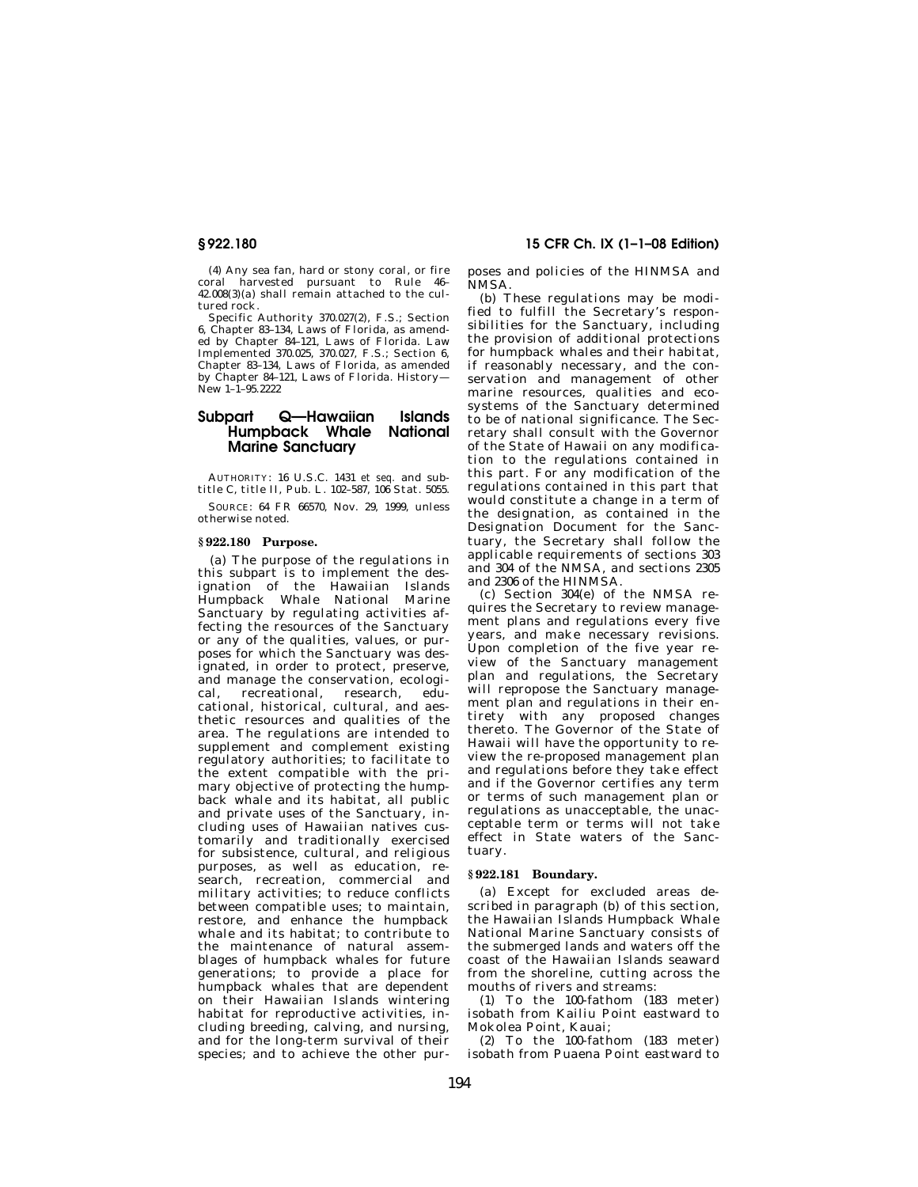(4) Any sea fan, hard or stony coral, or fire coral harvested pursuant to Rule 46– 42.008(3)(a) shall remain attached to the cultured rock.

Specific Authority 370.027(2), F.S.; Section 6, Chapter 83–134, Laws of Florida, as amended by Chapter 84–121, Laws of Florida. Law Implemented 370.025, 370.027, F.S.; Section 6, Chapter 83–134, Laws of Florida, as amended by Chapter 84–121, Laws of Florida. History— New 1–1–95.2222

# **Subpart Q—Hawaiian Islands Humpback Whale Marine Sanctuary**

AUTHORITY: 16 U.S.C. 1431 *et seq.* and subtitle C, title II, Pub. L. 102–587, 106 Stat. 5055.

SOURCE: 64 FR 66570, Nov. 29, 1999, unless otherwise noted.

# **§ 922.180 Purpose.**

(a) The purpose of the regulations in this subpart is to implement the designation of the Hawaiian Islands Humpback Whale National Marine Sanctuary by regulating activities affecting the resources of the Sanctuary or any of the qualities, values, or purposes for which the Sanctuary was designated, in order to protect, preserve, and manage the conservation, ecological, recreational, research, educational, historical, cultural, and aesthetic resources and qualities of the area. The regulations are intended to supplement and complement existing regulatory authorities; to facilitate to the extent compatible with the primary objective of protecting the humpback whale and its habitat, all public and private uses of the Sanctuary, including uses of Hawaiian natives customarily and traditionally exercised for subsistence, cultural, and religious purposes, as well as education, research, recreation, commercial and military activities; to reduce conflicts between compatible uses; to maintain, restore, and enhance the humpback whale and its habitat; to contribute to the maintenance of natural assemblages of humpback whales for future generations; to provide a place for humpback whales that are dependent on their Hawaiian Islands wintering habitat for reproductive activities, including breeding, calving, and nursing, and for the long-term survival of their species; and to achieve the other pur-

# **§ 922.180 15 CFR Ch. IX (1–1–08 Edition)**

poses and policies of the HINMSA and NMSA.

(b) These regulations may be modified to fulfill the Secretary's responsibilities for the Sanctuary, including the provision of additional protections for humpback whales and their habitat, if reasonably necessary, and the conservation and management of other marine resources, qualities and ecosystems of the Sanctuary determined to be of national significance. The Secretary shall consult with the Governor of the State of Hawaii on any modification to the regulations contained in this part. For any modification of the regulations contained in this part that would constitute a change in a term of the designation, as contained in the Designation Document for the Sanctuary, the Secretary shall follow the applicable requirements of sections 303 and 304 of the NMSA, and sections 2305 and 2306 of the HINMSA.

(c) Section 304(e) of the NMSA requires the Secretary to review management plans and regulations every five years, and make necessary revisions. Upon completion of the five year review of the Sanctuary management plan and regulations, the Secretary will repropose the Sanctuary management plan and regulations in their entirety with any proposed changes thereto. The Governor of the State of Hawaii will have the opportunity to review the re-proposed management plan and regulations before they take effect and if the Governor certifies any term or terms of such management plan or regulations as unacceptable, the unacceptable term or terms will not take effect in State waters of the Sanctuary.

## **§ 922.181 Boundary.**

(a) Except for excluded areas described in paragraph (b) of this section, the Hawaiian Islands Humpback Whale National Marine Sanctuary consists of the submerged lands and waters off the coast of the Hawaiian Islands seaward from the shoreline, cutting across the mouths of rivers and streams:

(1) To the 100-fathom (183 meter) isobath from Kailiu Point eastward to Mokolea Point, Kauai;

(2) To the 100-fathom (183 meter) isobath from Puaena Point eastward to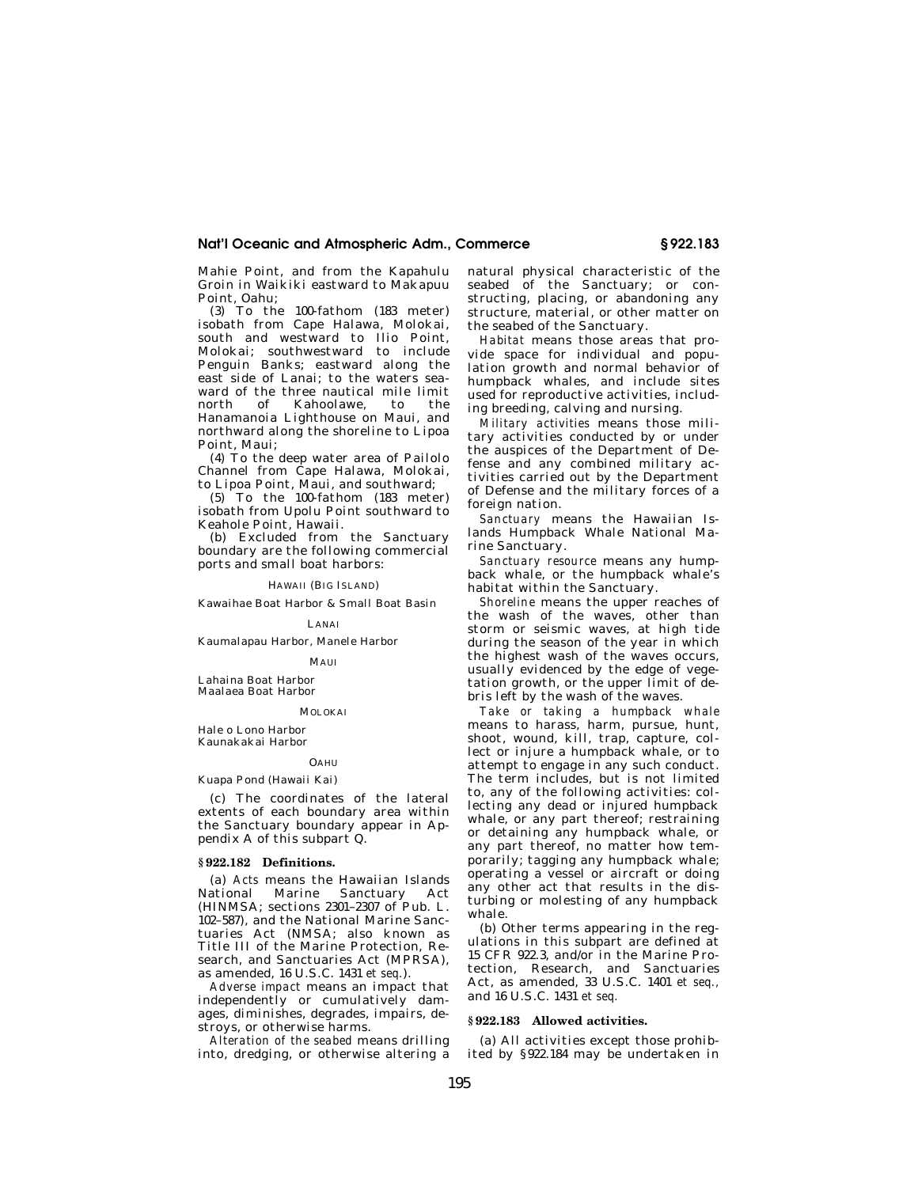Mahie Point, and from the Kapahulu Groin in Waikiki eastward to Makapuu Point, Oahu;

(3) To the 100-fathom (183 meter) isobath from Cape Halawa, Molokai, south and westward to Ilio Point, Molokai; southwestward to include Penguin Banks; eastward along the east side of Lanai; to the waters seaward of the three nautical mile limit north of Kahoolawe, to the Hanamanoia Lighthouse on Maui, and northward along the shoreline to Lipoa Point, Maui;

(4) To the deep water area of Pailolo Channel from Cape Halawa, Molokai, to Lipoa Point, Maui, and southward;

(5) To the 100-fathom (183 meter) isobath from Upolu Point southward to Keahole Point, Hawaii.

(b) Excluded from the Sanctuary boundary are the following commercial ports and small boat harbors:

### HAWAII (BIG ISLAND)

# Kawaihae Boat Harbor & Small Boat Basin

### LANAI

Kaumalapau Harbor, Manele Harbor

### MAUI

Lahaina Boat Harbor

### Maalaea Boat Harbor

MOLOKAI

### Hale o Lono Harbor

Kaunakakai Harbor

### **OAHU**

Kuapa Pond (Hawaii Kai)

(c) The coordinates of the lateral extents of each boundary area within the Sanctuary boundary appear in Appendix A of this subpart Q.

### **§ 922.182 Definitions.**

(a) *Acts* means the Hawaiian Islands National Marine Sanctuary Act (HINMSA; sections 2301–2307 of Pub. L. 102–587), and the National Marine Sanctuaries Act (NMSA; also known as Title III of the Marine Protection, Research, and Sanctuaries Act (MPRSA), as amended, 16 U.S.C. 1431 *et seq.*).

*Adverse impact* means an impact that independently or cumulatively damages, diminishes, degrades, impairs, destroys, or otherwise harms.

*Alteration of the seabed* means drilling into, dredging, or otherwise altering a

natural physical characteristic of the seabed of the Sanctuary; or constructing, placing, or abandoning any structure, material, or other matter on the seabed of the Sanctuary.

*Habitat* means those areas that provide space for individual and population growth and normal behavior of humpback whales, and include sites used for reproductive activities, including breeding, calving and nursing.

*Military activities* means those military activities conducted by or under the auspices of the Department of Defense and any combined military activities carried out by the Department of Defense and the military forces of a foreign nation.

*Sanctuary* means the Hawaiian Islands Humpback Whale National Marine Sanctuary.

*Sanctuary resource* means any humpback whale, or the humpback whale's habitat within the Sanctuary.

*Shoreline* means the upper reaches of the wash of the waves, other than storm or seismic waves, at high tide during the season of the year in which the highest wash of the waves occurs, usually evidenced by the edge of vegetation growth, or the upper limit of debris left by the wash of the waves.

*Take or taking a humpback whale*  means to harass, harm, pursue, hunt, shoot, wound, kill, trap, capture, collect or injure a humpback whale, or to attempt to engage in any such conduct. The term includes, but is not limited to, any of the following activities: collecting any dead or injured humpback whale, or any part thereof; restraining or detaining any humpback whale, or any part thereof, no matter how temporarily; tagging any humpback whale: operating a vessel or aircraft or doing any other act that results in the disturbing or molesting of any humpback whale.

(b) Other terms appearing in the regulations in this subpart are defined at 15 CFR 922.3, and/or in the Marine Protection, Research, and Sanctuaries Act, as amended, 33 U.S.C. 1401 *et seq.,*  and 16 U.S.C. 1431 *et seq.* 

## **§ 922.183 Allowed activities.**

(a) All activities except those prohibited by §922.184 may be undertaken in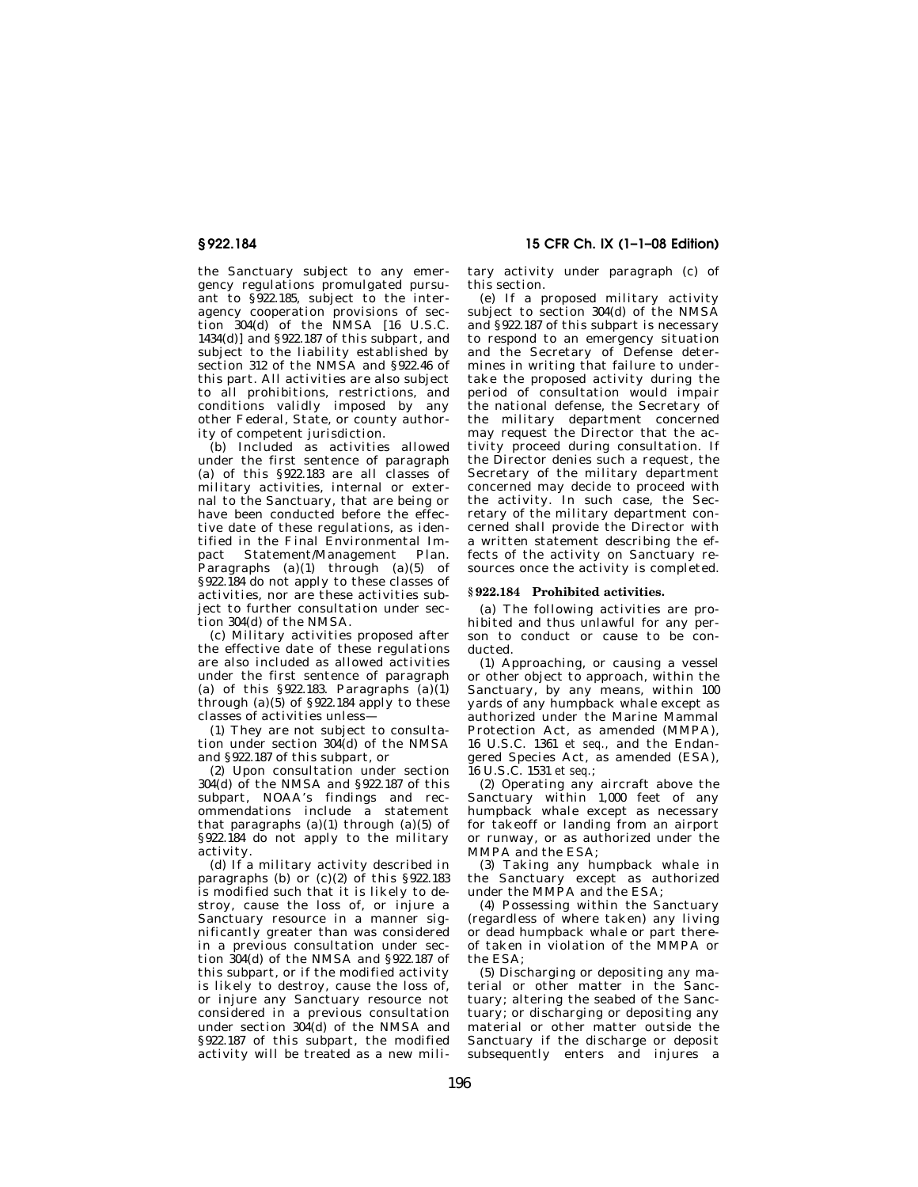the Sanctuary subject to any emergency regulations promulgated pursuant to §922.185, subject to the interagency cooperation provisions of section 304(d) of the NMSA [16 U.S.C. 1434(d)] and §922.187 of this subpart, and subject to the liability established by section 312 of the NMSA and §922.46 of this part. All activities are also subject to all prohibitions, restrictions, and conditions validly imposed by any other Federal, State, or county authority of competent jurisdiction.

(b) Included as activities allowed under the first sentence of paragraph (a) of this §922.183 are all classes of military activities, internal or external to the Sanctuary, that are being or have been conducted before the effective date of these regulations, as identified in the Final Environmental Impact Statement/Management Plan. Paragraphs (a)(1) through (a)(5) of §922.184 do not apply to these classes of activities, nor are these activities subject to further consultation under section 304(d) of the NMSA.

(c) Military activities proposed after the effective date of these regulations are also included as allowed activities under the first sentence of paragraph (a) of this §922.183. Paragraphs  $(a)(1)$ through (a)(5) of  $\S 922.184$  apply to these classes of activities unless—

(1) They are not subject to consultation under section 304(d) of the NMSA and §922.187 of this subpart, or

(2) Upon consultation under section 304(d) of the NMSA and §922.187 of this subpart, NOAA's findings and recommendations include a statement that paragraphs  $(a)(1)$  through  $(a)(5)$  of §922.184 do not apply to the military activity.

(d) If a military activity described in paragraphs (b) or (c)(2) of this §922.183 is modified such that it is likely to destroy, cause the loss of, or injure a Sanctuary resource in a manner significantly greater than was considered in a previous consultation under section 304(d) of the NMSA and §922.187 of this subpart, or if the modified activity is likely to destroy, cause the loss of, or injure any Sanctuary resource not considered in a previous consultation under section 304(d) of the NMSA and §922.187 of this subpart, the modified activity will be treated as a new mili-

**§ 922.184 15 CFR Ch. IX (1–1–08 Edition)** 

tary activity under paragraph (c) of this section.

(e) If a proposed military activity subject to section 304(d) of the NMSA and §922.187 of this subpart is necessary to respond to an emergency situation and the Secretary of Defense determines in writing that failure to undertake the proposed activity during the period of consultation would impair the national defense, the Secretary of the military department concerned may request the Director that the activity proceed during consultation. If the Director denies such a request, the Secretary of the military department concerned may decide to proceed with the activity. In such case, the Secretary of the military department concerned shall provide the Director with a written statement describing the effects of the activity on Sanctuary resources once the activity is completed.

## **§ 922.184 Prohibited activities.**

(a) The following activities are prohibited and thus unlawful for any person to conduct or cause to be conducted.

(1) Approaching, or causing a vessel or other object to approach, within the Sanctuary, by any means, within 100 yards of any humpback whale except as authorized under the Marine Mammal Protection Act, as amended (MMPA), 16 U.S.C. 1361 *et seq.,* and the Endangered Species Act, as amended (ESA), 16 U.S.C. 1531 *et seq.*;

(2) Operating any aircraft above the Sanctuary within 1,000 feet of any humpback whale except as necessary for takeoff or landing from an airport or runway, or as authorized under the MMPA and the ESA;

(3) Taking any humpback whale in the Sanctuary except as authorized under the MMPA and the ESA;

(4) Possessing within the Sanctuary (regardless of where taken) any living or dead humpback whale or part thereof taken in violation of the MMPA or the  $ESA$ 

(5) Discharging or depositing any material or other matter in the Sanctuary; altering the seabed of the Sanctuary; or discharging or depositing any material or other matter outside the Sanctuary if the discharge or deposit subsequently enters and injures a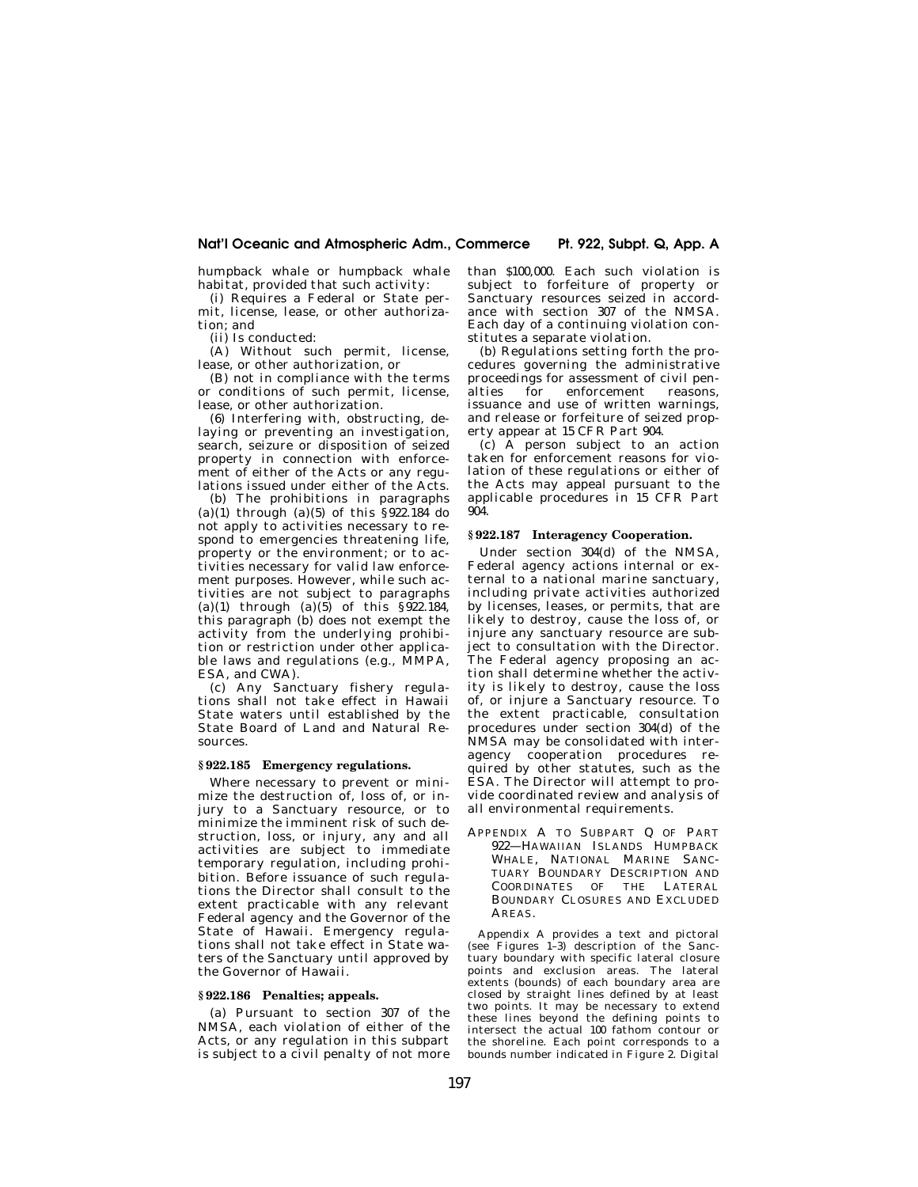## Nat'l Oceanic and Atmospheric Adm., Commerce Pt. 922, Subpt. Q, App. A

humpback whale or humpback whale habitat, provided that such activity:

(i) Requires a Federal or State permit, license, lease, or other authorization; and

(ii) Is conducted:

(A) Without such permit, license, lease, or other authorization, or

(B) not in compliance with the terms or conditions of such permit, license, lease, or other authorization.

(6) Interfering with, obstructing, delaying or preventing an investigation, search, seizure or disposition of seized property in connection with enforcement of either of the Acts or any regulations issued under either of the Acts.

(b) The prohibitions in paragraphs (a)(1) through (a)(5) of this §922.184 do not apply to activities necessary to respond to emergencies threatening life, property or the environment; or to activities necessary for valid law enforcement purposes. However, while such activities are not subject to paragraphs (a)(1) through (a)(5) of this  $\S 922.184$ , this paragraph (b) does not exempt the activity from the underlying prohibition or restriction under other applicable laws and regulations (e.g., MMPA, ESA, and CWA).

(c) Any Sanctuary fishery regulations shall not take effect in Hawaii State waters until established by the State Board of Land and Natural Resources.

## **§ 922.185 Emergency regulations.**

Where necessary to prevent or minimize the destruction of, loss of, or injury to a Sanctuary resource, or to minimize the imminent risk of such destruction, loss, or injury, any and all activities are subject to immediate temporary regulation, including prohibition. Before issuance of such regulations the Director shall consult to the extent practicable with any relevant Federal agency and the Governor of the State of Hawaii. Emergency regulations shall not take effect in State waters of the Sanctuary until approved by the Governor of Hawaii.

## **§ 922.186 Penalties; appeals.**

(a) Pursuant to section 307 of the NMSA, each violation of either of the Acts, or any regulation in this subpart is subject to a civil penalty of not more than \$100,000. Each such violation is subject to forfeiture of property or Sanctuary resources seized in accordance with section 307 of the NMSA. Each day of a continuing violation constitutes a separate violation.

(b) Regulations setting forth the procedures governing the administrative proceedings for assessment of civil penalties for enforcement reasons, issuance and use of written warnings, and release or forfeiture of seized property appear at 15 CFR Part 904.

(c) A person subject to an action taken for enforcement reasons for violation of these regulations or either of the Acts may appeal pursuant to the applicable procedures in 15 CFR Part 904.

## **§ 922.187 Interagency Cooperation.**

Under section 304(d) of the NMSA, Federal agency actions internal or external to a national marine sanctuary, including private activities authorized by licenses, leases, or permits, that are likely to destroy, cause the loss of, or injure any sanctuary resource are subject to consultation with the Director. The Federal agency proposing an action shall determine whether the activity is likely to destroy, cause the loss of, or injure a Sanctuary resource. To the extent practicable, consultation procedures under section 304(d) of the NMSA may be consolidated with interagency cooperation procedures required by other statutes, such as the ESA. The Director will attempt to provide coordinated review and analysis of all environmental requirements.

APPENDIX A TO SUBPART Q OF PART 922—HAWAIIAN ISLANDS HUMPBACK WHALE, NATIONAL MARINE SANC-TUARY BOUNDARY DESCRIPTION AND COORDINATES OF THE LATERAL BOUNDARY CLOSURES AND EXCLUDED AREAS.

Appendix A provides a text and pictoral (see Figures 1–3) description of the Sanctuary boundary with specific lateral closure points and exclusion areas. The lateral extents (bounds) of each boundary area are closed by straight lines defined by at least two points. It may be necessary to extend these lines beyond the defining points to intersect the actual 100 fathom contour or the shoreline. Each point corresponds to a bounds number indicated in Figure 2. Digital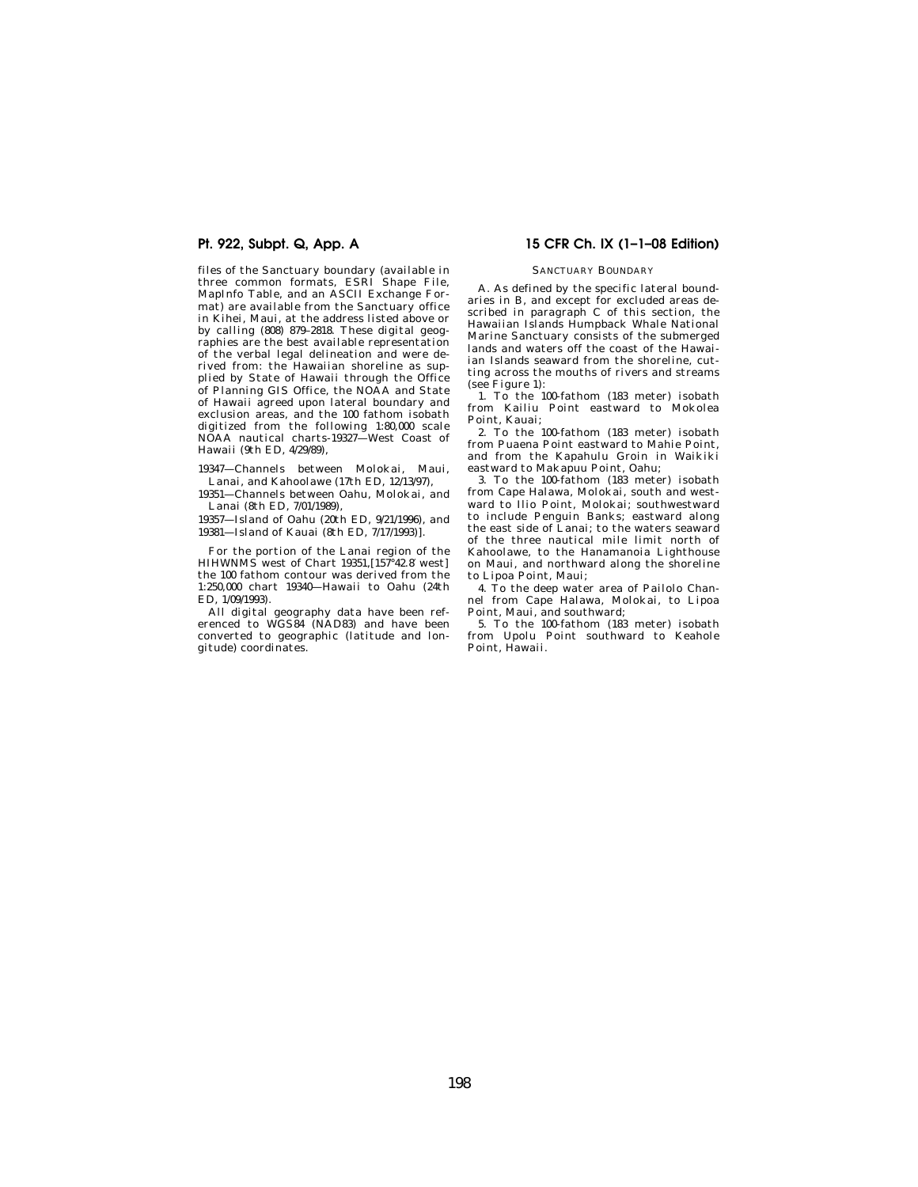files of the Sanctuary boundary (available in three common formats, ESRI Shape File, MapInfo Table, and an ASCII Exchange Format) are available from the Sanctuary office in Kihei, Maui, at the address listed above or by calling (808) 879–2818. These digital geographies are the best available representation of the verbal legal delineation and were derived from: the Hawaiian shoreline as supplied by State of Hawaii through the Office of Planning GIS Office, the NOAA and State of Hawaii agreed upon lateral boundary and exclusion areas, and the 100 fathom isobath digitized from the following 1:80,000 scale NOAA nautical charts-19327—West Coast of Hawaii (9th ED, 4/29/89),

19347—Channels between Molokai, Maui, Lanai, and Kahoolawe (17th ED, 12/13/97),

19351—Channels between Oahu, Molokai, and Lanai (8th ED, 7/01/1989),

19357—Island of Oahu (20th ED, 9/21/1996), and 19381—Island of Kauai (8th ED, 7/17/1993)].

For the portion of the Lanai region of the HIHWNMS west of Chart 19351,[157°42.8′ west] the 100 fathom contour was derived from the 1:250,000 chart 19340—Hawaii to Oahu (24th ED, 1/09/1993).

All digital geography data have been referenced to WGS84 (NAD83) and have been converted to geographic (latitude and longitude) coordinates.

## **Pt. 922, Subpt. Q, App. A 15 CFR Ch. IX (1–1–08 Edition)**

#### SANCTUARY BOUNDARY

A. As defined by the specific lateral boundaries in B, and except for excluded areas described in paragraph C of this section, the Hawaiian Islands Humpback Whale National Marine Sanctuary consists of the submerged lands and waters off the coast of the Hawaiian Islands seaward from the shoreline, cutting across the mouths of rivers and streams (see Figure 1):

1. To the 100-fathom (183 meter) isobath from Kailiu Point eastward to Mokolea Point, Kauai;

2. To the 100-fathom (183 meter) isobath from Puaena Point eastward to Mahie Point, and from the Kapahulu Groin in Waikiki eastward to Makapuu Point, Oahu;

3. To the 100-fathom (183 meter) isobath from Cape Halawa, Molokai, south and westward to Ilio Point, Molokai; southwestward to include Penguin Banks; eastward along the east side of Lanai; to the waters seaward of the three nautical mile limit north of Kahoolawe, to the Hanamanoia Lighthouse on Maui, and northward along the shoreline to Lipoa Point, Maui;

4. To the deep water area of Pailolo Channel from Cape Halawa, Molokai, to Lipoa Point, Maui, and southward;

5. To the 100-fathom (183 meter) isobath from Upolu Point southward to Keahole Point, Hawaii.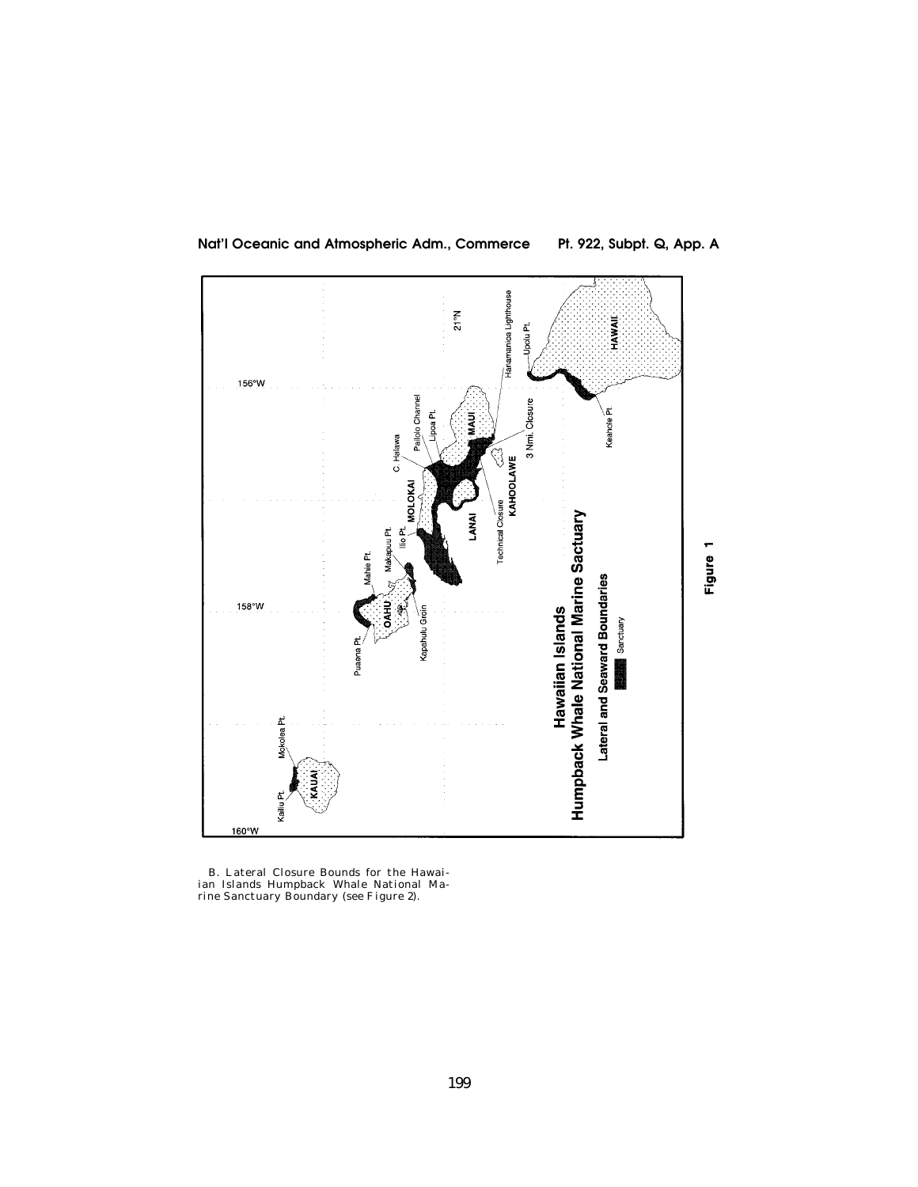

# Nat'l Oceanic and Atmospheric Adm., Commerce Pt. 922, Subpt. Q, App. A

B. Lateral Closure Bounds for the Hawai-ian Islands Humpback Whale National Ma-rine Sanctuary Boundary (see Figure 2).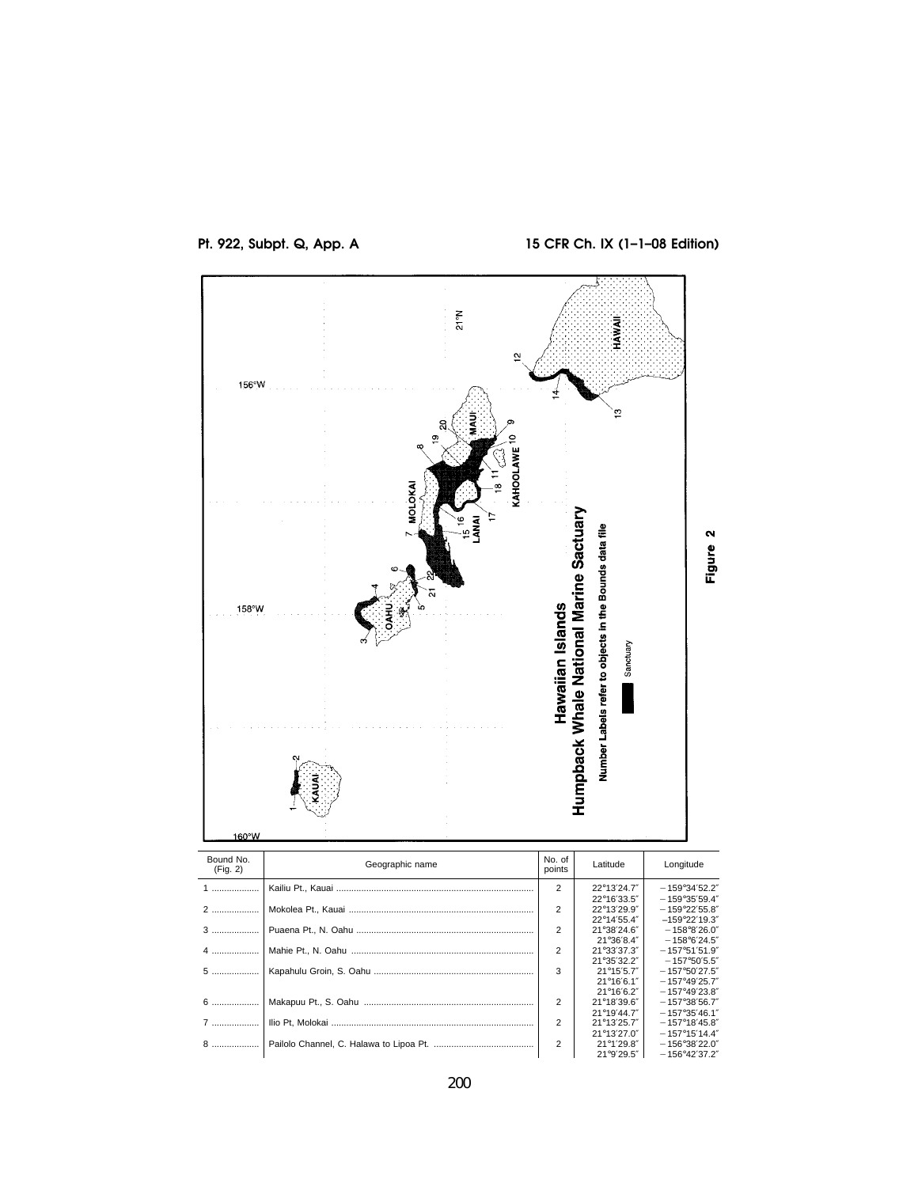

**Pt. 922, Subpt. Q, App. A 15 CFR Ch. IX (1–1–08 Edition)**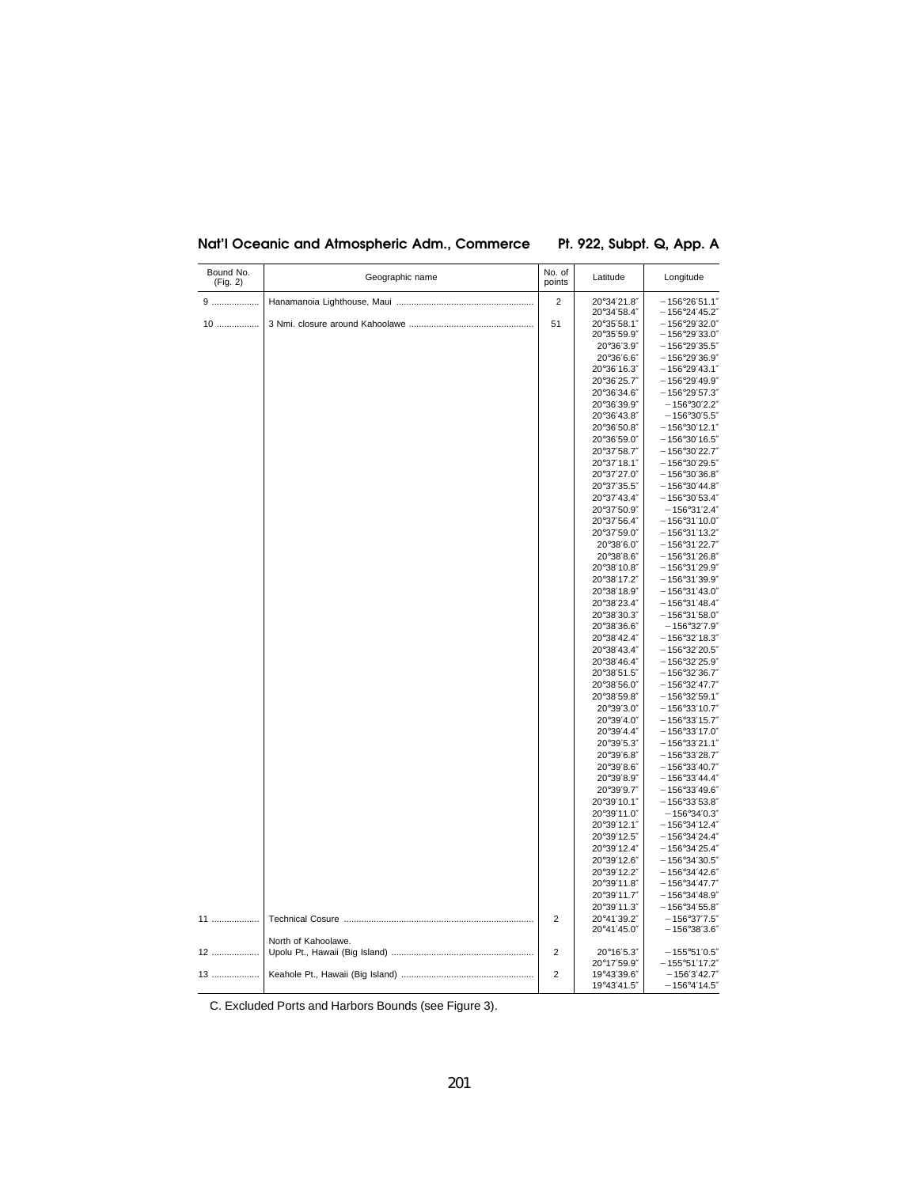| Bound No.<br>(Fig. 2) | Geographic name     | No. of<br>points | Latitude                   | Longitude                                                               |
|-----------------------|---------------------|------------------|----------------------------|-------------------------------------------------------------------------|
| 9                     |                     | 2                | 20°34′21.8″<br>20°34'58.4" | $-156^{\circ}26'51.1''$<br>$-156^{\circ}24'45.2''$                      |
| 10                    |                     | 51               | 20°35'58.1"<br>20°35'59.9" | $-156^{\circ}29'32.0''$<br>$-$ 156°29′33.0″                             |
|                       |                     |                  | 20°36'3.9"                 | $-156^{\circ}29'35.5''$                                                 |
|                       |                     |                  | $20^{\circ}36'6.6''$       | $-$ 156°29′36.9″                                                        |
|                       |                     |                  | 20°36'16.3"                | $-$ 156°29′43.1″                                                        |
|                       |                     |                  | 20°36′25.7″                | $-156^{\circ}29'49.9''$                                                 |
|                       |                     |                  | 20°36'34.6"                | $-156^{\circ}29'57.3''$                                                 |
|                       |                     |                  | 20°36′39.9″                | $-156^{\circ}30^{\prime}2.2^{\prime\prime}$                             |
|                       |                     |                  | 20°36'43.8"                | $-156^{\circ}30^{\prime}5.5^{\prime\prime}$                             |
|                       |                     |                  | 20°36'50.8"                | $-156^{\circ}30'12.1''$                                                 |
|                       |                     |                  | 20°36'59.0"                | $-156^{\circ}30'16.5''$                                                 |
|                       |                     |                  | 20°37'58.7"                | $-156^{\circ}30^{\prime}22.7^{\prime\prime}$                            |
|                       |                     |                  | 20°37'18.1"                | $-$ 156°30′29.5″                                                        |
|                       |                     |                  | 20°37'27.0"                | $-156^{\circ}30'36.8''$                                                 |
|                       |                     |                  | 20°37'35.5"                | $-156^{\circ}30'44.8''$                                                 |
|                       |                     |                  | 20°37'43.4"                | $-156^{\circ}30'53.4''$                                                 |
|                       |                     |                  | 20°37'50.9"                | $-156^\circ31^\prime2.4^{\prime\prime}$                                 |
|                       |                     |                  | 20°37'56.4"                | $-156^\circ31'10.0''$                                                   |
|                       |                     |                  | 20°37'59.0"<br>20°38'6.0"  | $-156^{\circ}31'13.2''$<br>$-156^{\circ}31^{\prime}22.7^{\prime\prime}$ |
|                       |                     |                  | 20°38'8.6"                 | $-$ 156°31′26.8″                                                        |
|                       |                     |                  | 20°38'10.8"                | $-156^{\circ}31^{\prime}29.9^{\prime\prime}$                            |
|                       |                     |                  | 20°38′17.2″                | – 156°31′39.9″                                                          |
|                       |                     |                  | 20°38′18.9″                | $-156^\circ31^\prime43.0^{\prime\prime}$                                |
|                       |                     |                  | 20°38'23.4"                | $-156^{\circ}31'48.4''$                                                 |
|                       |                     |                  | 20°38'30.3"                | $-156^{\circ}31'58.0''$                                                 |
|                       |                     |                  | 20°38'36.6"                | $-156^{\circ}32'7.9''$                                                  |
|                       |                     |                  | 20°38'42.4"                | $-$ 156°32′18.3″                                                        |
|                       |                     |                  | 20°38'43.4"                | $-156^\circ32^\prime20.5^{\prime\prime}$                                |
|                       |                     |                  | 20°38'46.4"                | $-156^{\circ}32^{\prime}25.9^{\prime\prime}$                            |
|                       |                     |                  | 20°38'51.5"                | $-156^{\circ}32'36.7''$                                                 |
|                       |                     |                  | 20°38'56.0"                | $-156^{\circ}32'47.7''$                                                 |
|                       |                     |                  | 20°38'59.8"                | $-156^\circ$ 32′59.1″                                                   |
|                       |                     |                  | 20°39'3.0"                 | $-156^\circ33'10.7''$                                                   |
|                       |                     |                  | 20°39'4.0"<br>20°39'4.4"   | $-156^{\circ}33'15.7''$<br>$-156^{\circ}33'17.0''$                      |
|                       |                     |                  | 20°39'5.3"                 | $-156^\circ33^\prime21.1^{\prime\prime}$                                |
|                       |                     |                  | 20°39'6.8"                 | $-156^{\circ}33'28.7''$                                                 |
|                       |                     |                  | 20°39'8.6"                 | $-156^{\circ}33'40.7''$                                                 |
|                       |                     |                  | 20°39'8.9"                 | $-156^{\circ}33'44.4''$                                                 |
|                       |                     |                  | 20°39'9.7"                 | $-156^{\circ}33'49.6''$                                                 |
|                       |                     |                  | 20°39'10.1″                | $-156^{\circ}33'53.8''$                                                 |
|                       |                     |                  | 20°39′11.0″                | $-156^\circ34^\prime0.3^{\prime\prime}$                                 |
|                       |                     |                  | 20°39'12.1"                | $-156^{\circ}34'12.4''$                                                 |
|                       |                     |                  | 20°39'12.5"                | – 156°34′24.4″                                                          |
|                       |                     |                  | 20°39'12.4"                | $-156^{\circ}34^{\prime}25.4^{\prime\prime}$                            |
|                       |                     |                  | 20°39'12.6"                | $-156^{\circ}34'30.5''$                                                 |
|                       |                     |                  | 20°39′12.2″                | – 156°34′42.6″                                                          |
|                       |                     |                  | 20°39'11.8"<br>20°39'11.7" | $-156^{\circ}34'47.7''$<br>$-156^{\circ}34'48.9''$                      |
|                       |                     |                  | 20°39'11.3"                | $-156^{\circ}34'55.8''$                                                 |
| 11                    |                     | 2                | 20°41'39.2"                | $-156^{\circ}37'7.5''$                                                  |
|                       |                     |                  | 20°41'45.0"                | $-$ 156°38′3.6″                                                         |
| 12                    | North of Kahoolawe. | 2                | 20°16'5.3"                 | $-155^{\circ}51'0.5''$                                                  |
|                       |                     |                  | 20°17′59.9″                | $-$ 155°51′17.2″                                                        |
| 13                    |                     | $\overline{2}$   | 19°43'39.6"                | $-156'3'42.7''$                                                         |
|                       |                     |                  | 19°43'41.5"                | $-156^{\circ}4'14.5''$                                                  |

# Nat'l Oceanic and Atmospheric Adm., Commerce Pt. 922, Subpt. Q, App. A

C. Excluded Ports and Harbors Bounds (see Figure 3).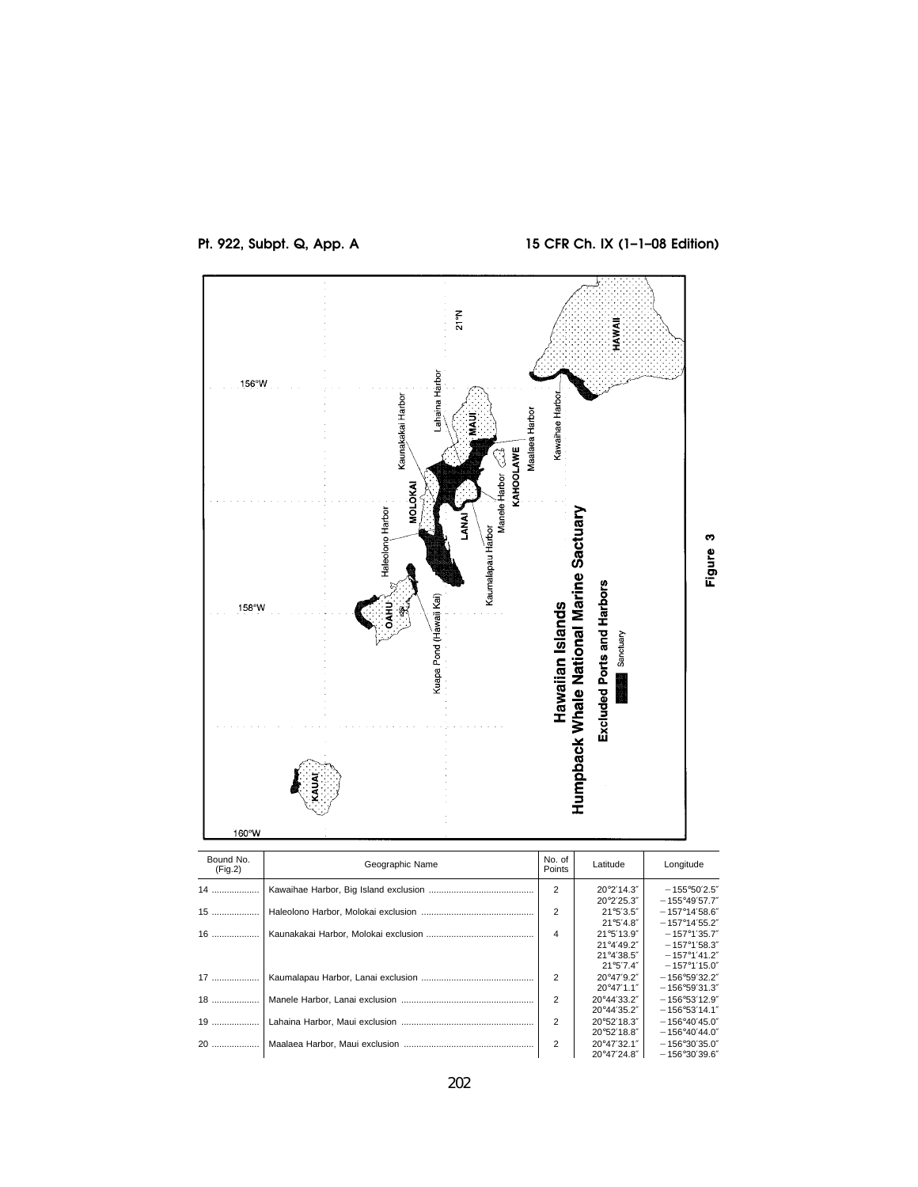

**Pt. 922, Subpt. Q, App. A 15 CFR Ch. IX (1–1–08 Edition)** 

21°4′49.2″ 21°4′38.5″ 21°5′7.4″

 $20^{\circ}47'9.2''$ <br> $20^{\circ}47'1.1''$ 

20°44'33.2"<br>20°44'35.2"<br>20°52'18.3"

20°52′18.8″

20°47'32.1"<br>20°47'24.8"

 $-156^{\circ}59'32.2''$  $-156^{\circ}59'31.3''$ <br>-156°53′12.9″<br>-156°53′14.1″

 $-156^{\circ}40'45.0''$  $-156^{\circ}40'44.0''$ 

 $-156^{\circ}30^{\prime}35.0^{\prime\prime}$ <br>-156°30'39.6″

17 ................... Kaumalapau Harbor, Lanai exclusion ............................................. 2 20°47′9.2″

18 ................... Manele Harbor, Lanai exclusion ..................................................... 2 20°44′33.2″

19 ................... Lahaina Harbor, Maui exclusion ..................................................... 2 20°52′18.3″

20 ................... Maalaea Harbor, Maui exclusion .................................................... 2 20°47′32.1″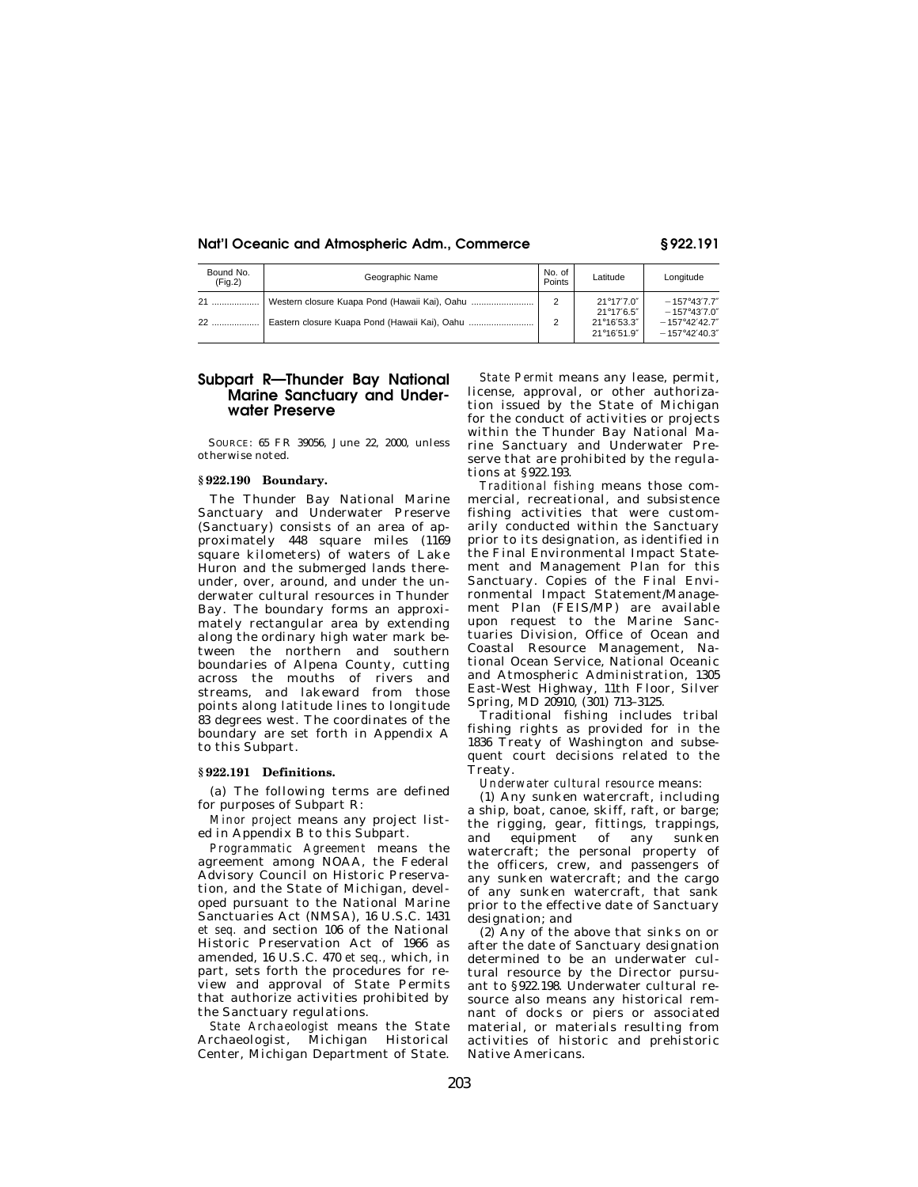## **Nat'l Oceanic and Atmospheric Adm., Commerce § 922.191**

| Bound No.<br>(Fig.2) | Geographic Name | No. of<br>Points | Latitude                           | Longitude                                          |
|----------------------|-----------------|------------------|------------------------------------|----------------------------------------------------|
| 21                   |                 |                  | 21°17'7.0"<br>$21^{\circ}17'6.5''$ | $-157^{\circ}43'7.7''$<br>$-157^{\circ}43'7.0''$   |
| 22                   |                 |                  | 21°16'53.3"<br>21°16'51.9"         | $-157^{\circ}42'42.7''$<br>$-157^{\circ}42'40.3''$ |

## **Subpart R—Thunder Bay National Marine Sanctuary and Underwater Preserve**

SOURCE: 65 FR 39056, June 22, 2000, unless otherwise noted.

## **§ 922.190 Boundary.**

The Thunder Bay National Marine Sanctuary and Underwater Preserve (Sanctuary) consists of an area of approximately 448 square miles (1169 square kilometers) of waters of Lake Huron and the submerged lands thereunder, over, around, and under the underwater cultural resources in Thunder Bay. The boundary forms an approximately rectangular area by extending along the ordinary high water mark between the northern and southern boundaries of Alpena County, cutting across the mouths of rivers and streams, and lakeward from those points along latitude lines to longitude 83 degrees west. The coordinates of the boundary are set forth in Appendix A to this Subpart.

## **§ 922.191 Definitions.**

(a) The following terms are defined for purposes of Subpart R:

*Minor project* means any project listed in Appendix B to this Subpart.

*Programmatic Agreement* means the agreement among NOAA, the Federal Advisory Council on Historic Preservation, and the State of Michigan, developed pursuant to the National Marine Sanctuaries Act (NMSA), 16 U.S.C. 1431 *et seq.* and section 106 of the National Historic Preservation Act of 1966 as amended, 16 U.S.C. 470 *et seq.,* which, in part, sets forth the procedures for review and approval of State Permits that authorize activities prohibited by the Sanctuary regulations.

*State Archaeologist* means the State Archaeologist, Michigan Historical Center, Michigan Department of State.

*State Permit* means any lease, permit, license, approval, or other authorization issued by the State of Michigan for the conduct of activities or projects within the Thunder Bay National Marine Sanctuary and Underwater Preserve that are prohibited by the regulations at §922.193.

*Traditional fishing* means those commercial, recreational, and subsistence fishing activities that were customarily conducted within the Sanctuary prior to its designation, as identified in the Final Environmental Impact Statement and Management Plan for this Sanctuary. Copies of the Final Environmental Impact Statement/Management Plan (FEIS/MP) are available upon request to the Marine Sanctuaries Division, Office of Ocean and Coastal Resource Management, National Ocean Service, National Oceanic and Atmospheric Administration, 1305 East-West Highway, 11th Floor, Silver Spring, MD 20910, (301) 713–3125.

Traditional fishing includes tribal fishing rights as provided for in the 1836 Treaty of Washington and subsequent court decisions related to the Treaty.

*Underwater cultural resource* means:

(1) Any sunken watercraft, including a ship, boat, canoe, skiff, raft, or barge; the rigging, gear, fittings, trappings, and equipment of any sunken watercraft; the personal property of the officers, crew, and passengers of any sunken watercraft; and the cargo of any sunken watercraft, that sank prior to the effective date of Sanctuary designation; and

(2) Any of the above that sinks on or after the date of Sanctuary designation determined to be an underwater cultural resource by the Director pursuant to §922.198. Underwater cultural resource also means any historical remnant of docks or piers or associated material, or materials resulting from activities of historic and prehistoric Native Americans.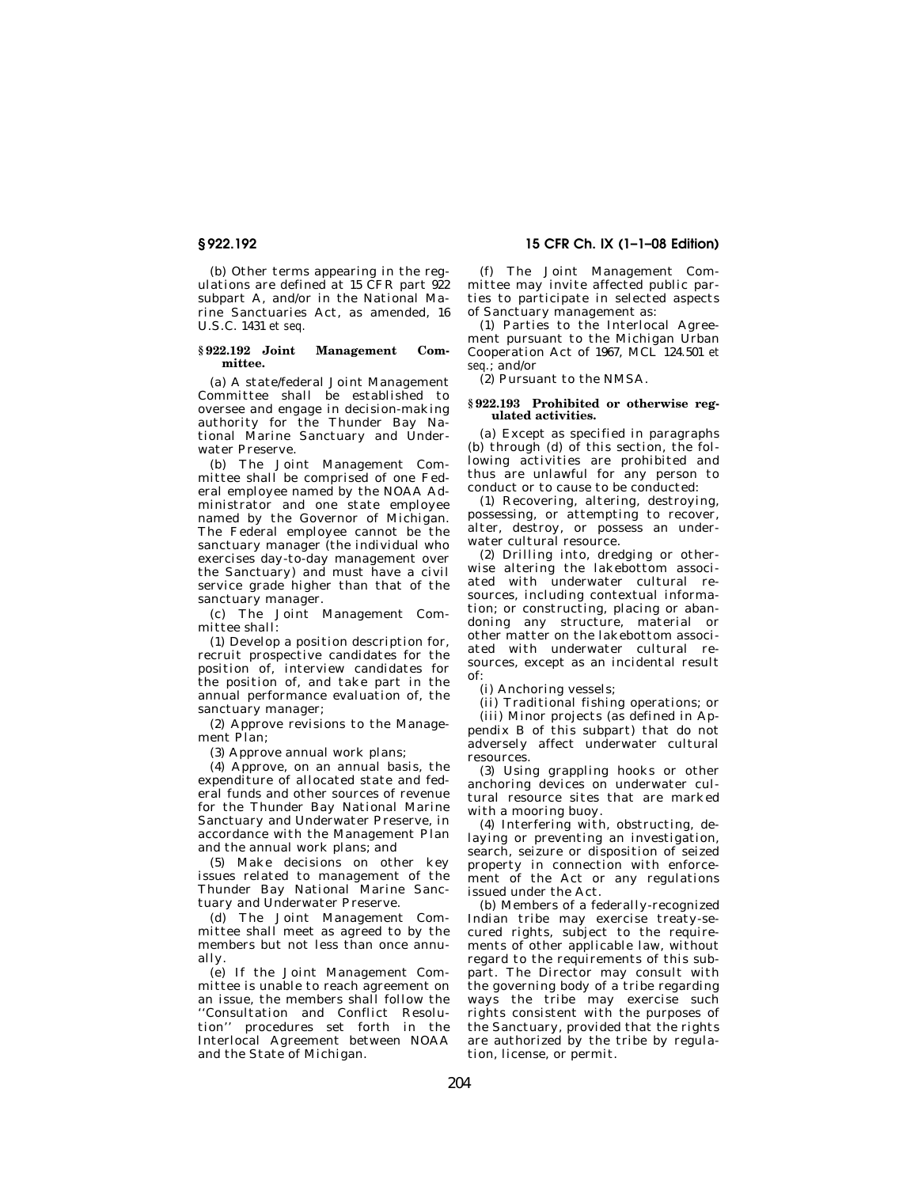(b) Other terms appearing in the regulations are defined at 15 CFR part 922 subpart A, and/or in the National Marine Sanctuaries Act, as amended, 16 U.S.C. 1431 *et seq.* 

### **§ 922.192 Joint Management Committee.**

(a) A state/federal Joint Management Committee shall be established to oversee and engage in decision-making authority for the Thunder Bay National Marine Sanctuary and Underwater Preserve.

(b) The Joint Management Committee shall be comprised of one Federal employee named by the NOAA Administrator and one state employee named by the Governor of Michigan. The Federal employee cannot be the sanctuary manager (the individual who exercises day-to-day management over the Sanctuary) and must have a civil service grade higher than that of the sanctuary manager.

(c) The Joint Management Committee shall:

(1) Develop a position description for, recruit prospective candidates for the position of, interview candidates for the position of, and take part in the annual performance evaluation of, the sanctuary manager;

(2) Approve revisions to the Management Plan;

(3) Approve annual work plans;

(4) Approve, on an annual basis, the expenditure of allocated state and federal funds and other sources of revenue for the Thunder Bay National Marine Sanctuary and Underwater Preserve, in accordance with the Management Plan and the annual work plans; and

(5) Make decisions on other key issues related to management of the Thunder Bay National Marine Sanctuary and Underwater Preserve.

(d) The Joint Management Committee shall meet as agreed to by the members but not less than once annually.

(e) If the Joint Management Committee is unable to reach agreement on an issue, the members shall follow the ''Consultation and Conflict Resolution'' procedures set forth in the Interlocal Agreement between NOAA and the State of Michigan.

## **§ 922.192 15 CFR Ch. IX (1–1–08 Edition)**

(f) The Joint Management Committee may invite affected public parties to participate in selected aspects of Sanctuary management as:

(1) Parties to the Interlocal Agreement pursuant to the Michigan Urban Cooperation Act of 1967, MCL 124.501 *et seq.*; and/or

(2) Pursuant to the NMSA.

## **§ 922.193 Prohibited or otherwise regulated activities.**

(a) Except as specified in paragraphs (b) through (d) of this section, the following activities are prohibited and thus are unlawful for any person to conduct or to cause to be conducted:

(1) Recovering, altering, destroying, possessing, or attempting to recover, alter, destroy, or possess an underwater cultural resource.

(2) Drilling into, dredging or otherwise altering the lakebottom associated with underwater cultural resources, including contextual information; or constructing, placing or abandoning any structure, material or other matter on the lakebottom associated with underwater cultural resources, except as an incidental result of:

(i) Anchoring vessels;

(ii) Traditional fishing operations; or (iii) Minor projects (as defined in Appendix B of this subpart) that do not adversely affect underwater cultural resources.

(3) Using grappling hooks or other anchoring devices on underwater cultural resource sites that are marked with a mooring buoy.

(4) Interfering with, obstructing, delaying or preventing an investigation, search, seizure or disposition of seized property in connection with enforcement of the Act or any regulations issued under the Act.

(b) Members of a federally-recognized Indian tribe may exercise treaty-secured rights, subject to the requirements of other applicable law, without regard to the requirements of this subpart. The Director may consult with the governing body of a tribe regarding ways the tribe may exercise such rights consistent with the purposes of the Sanctuary, provided that the rights are authorized by the tribe by regulation, license, or permit.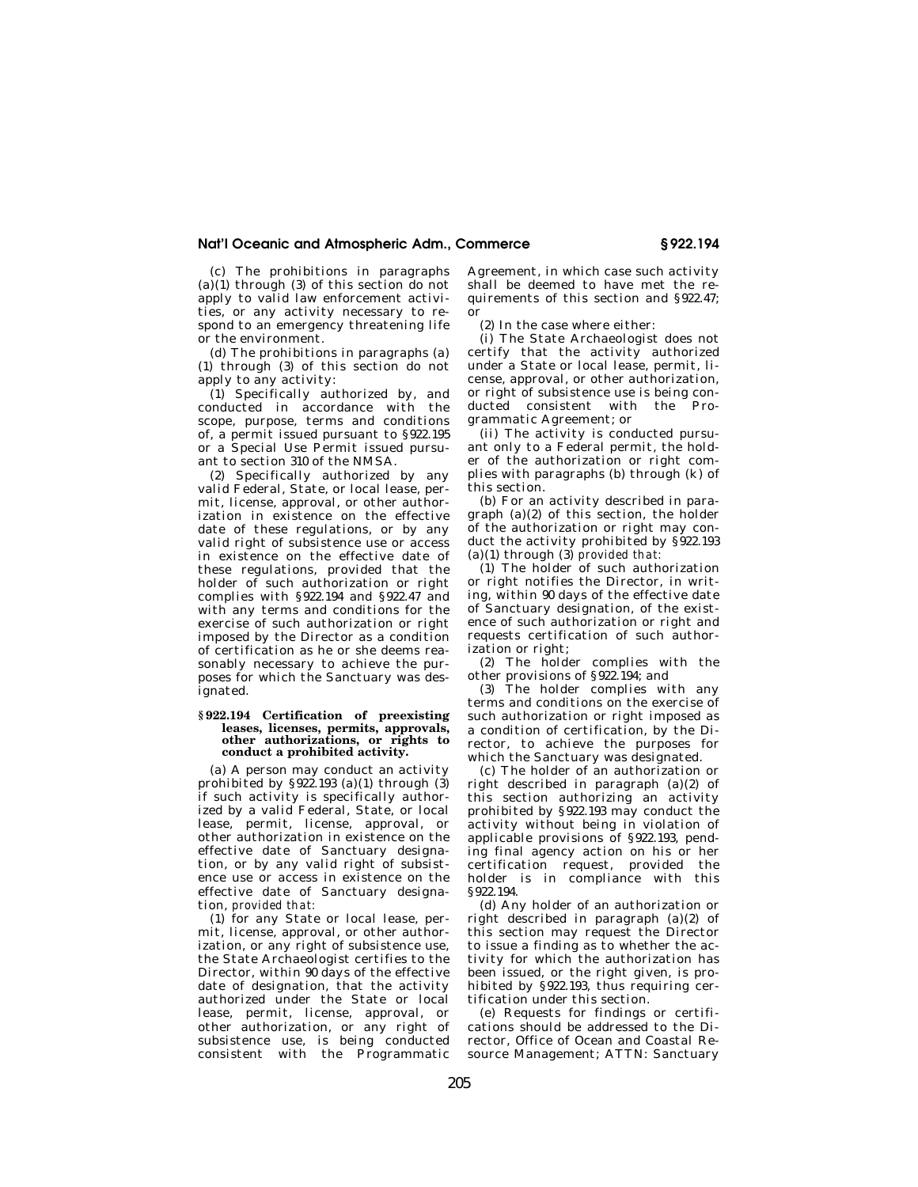## **Nat'l Oceanic and Atmospheric Adm., Commerce § 922.194**

(c) The prohibitions in paragraphs  $(a)(1)$  through  $(3)$  of this section do not apply to valid law enforcement activities, or any activity necessary to respond to an emergency threatening life or the environment.

(d) The prohibitions in paragraphs (a) (1) through (3) of this section do not apply to any activity:

(1) Specifically authorized by, and conducted in accordance with the scope, purpose, terms and conditions of, a permit issued pursuant to §922.195 or a Special Use Permit issued pursuant to section 310 of the NMSA.

(2) Specifically authorized by any valid Federal, State, or local lease, permit, license, approval, or other authorization in existence on the effective date of these regulations, or by any valid right of subsistence use or access in existence on the effective date of these regulations, provided that the holder of such authorization or right complies with §922.194 and §922.47 and with any terms and conditions for the exercise of such authorization or right imposed by the Director as a condition of certification as he or she deems reasonably necessary to achieve the purposes for which the Sanctuary was designated.

#### **§ 922.194 Certification of preexisting leases, licenses, permits, approvals, other authorizations, or rights to conduct a prohibited activity.**

(a) A person may conduct an activity prohibited by  $\S 922.193$  (a)(1) through (3) if such activity is specifically authorized by a valid Federal, State, or local lease, permit, license, approval, or other authorization in existence on the effective date of Sanctuary designation, or by any valid right of subsistence use or access in existence on the effective date of Sanctuary designation, *provided that:* 

(1) for any State or local lease, permit, license, approval, or other authorization, or any right of subsistence use, the State Archaeologist certifies to the Director, within 90 days of the effective date of designation, that the activity authorized under the State or local lease, permit, license, approval, or other authorization, or any right of subsistence use, is being conducted consistent with the Programmatic Agreement, in which case such activity shall be deemed to have met the requirements of this section and §922.47; or

(2) In the case where either:

(i) The State Archaeologist does not certify that the activity authorized under a State or local lease, permit, license, approval, or other authorization, or right of subsistence use is being conducted consistent with the Programmatic Agreement; or

(ii) The activity is conducted pursuant only to a Federal permit, the holder of the authorization or right complies with paragraphs (b) through (k) of this section.

(b) For an activity described in paragraph  $(a)(2)$  of this section, the holder of the authorization or right may conduct the activity prohibited by §922.193 (a)(1) through (3) *provided that:* 

(1) The holder of such authorization or right notifies the Director, in writing, within 90 days of the effective date of Sanctuary designation, of the existence of such authorization or right and requests certification of such authorization or right;

(2) The holder complies with the other provisions of §922.194; and

(3) The holder complies with any terms and conditions on the exercise of such authorization or right imposed as a condition of certification, by the Director, to achieve the purposes for which the Sanctuary was designated.

(c) The holder of an authorization or right described in paragraph (a)(2) of this section authorizing an activity prohibited by §922.193 may conduct the activity without being in violation of applicable provisions of §922.193, pending final agency action on his or her certification request, provided the holder is in compliance with this §922.194.

(d) Any holder of an authorization or right described in paragraph (a)(2) of this section may request the Director to issue a finding as to whether the activity for which the authorization has been issued, or the right given, is prohibited by §922.193, thus requiring certification under this section.

(e) Requests for findings or certifications should be addressed to the Director, Office of Ocean and Coastal Resource Management; ATTN: Sanctuary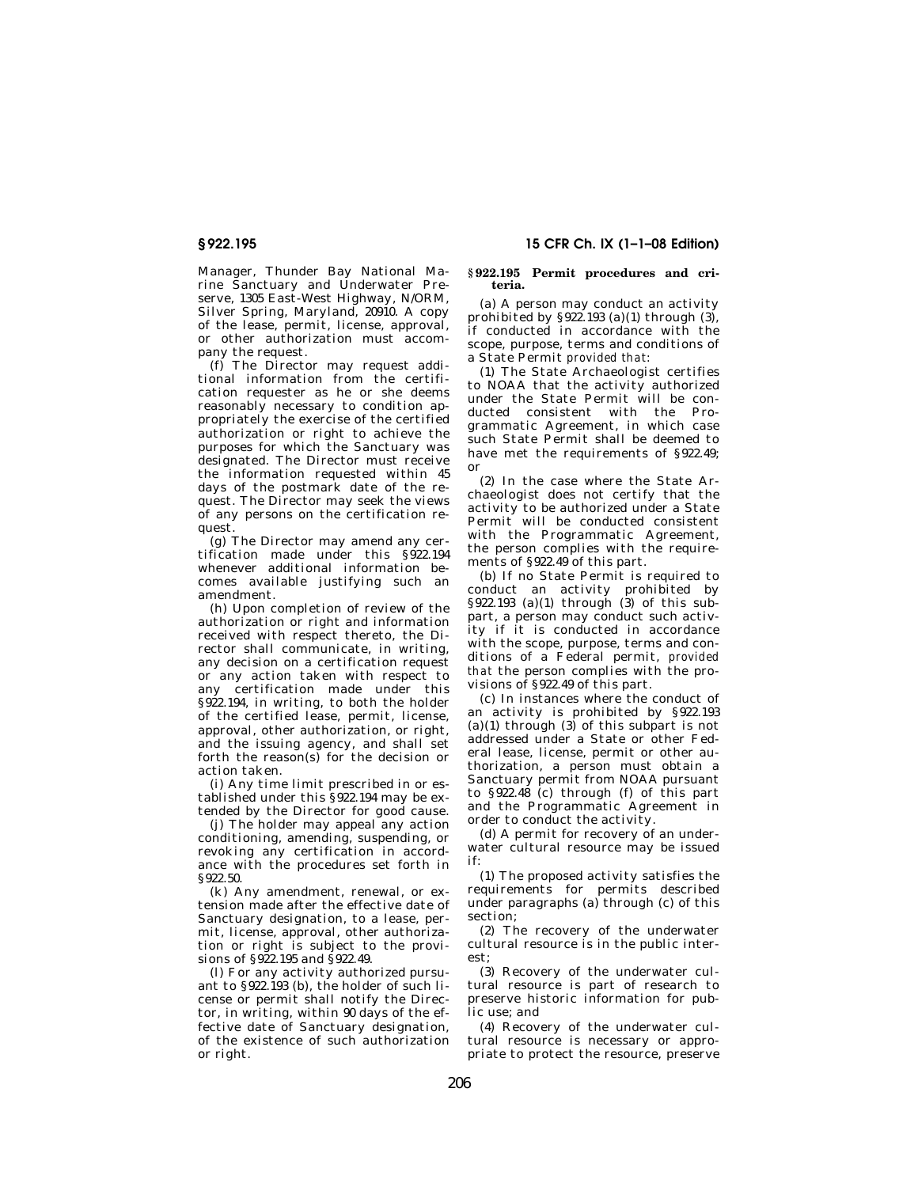Manager, Thunder Bay National Marine Sanctuary and Underwater Preserve, 1305 East-West Highway, N/ORM, Silver Spring, Maryland, 20910. A copy of the lease, permit, license, approval, or other authorization must accompany the request.

(f) The Director may request additional information from the certification requester as he or she deems reasonably necessary to condition appropriately the exercise of the certified authorization or right to achieve the purposes for which the Sanctuary was designated. The Director must receive the information requested within 45 days of the postmark date of the request. The Director may seek the views of any persons on the certification request.

(g) The Director may amend any certification made under this §922.194 whenever additional information becomes available justifying such an amendment.

(h) Upon completion of review of the authorization or right and information received with respect thereto, the Director shall communicate, in writing, any decision on a certification request or any action taken with respect to any certification made under this §922.194, in writing, to both the holder of the certified lease, permit, license, approval, other authorization, or right, and the issuing agency, and shall set forth the reason(s) for the decision or action taken.

(i) Any time limit prescribed in or established under this §922.194 may be extended by the Director for good cause.

(j) The holder may appeal any action conditioning, amending, suspending, or revoking any certification in accordance with the procedures set forth in §922.50.

(k) Any amendment, renewal, or extension made after the effective date of Sanctuary designation, to a lease, permit, license, approval, other authorization or right is subject to the provisions of §922.195 and §922.49.

(l) For any activity authorized pursuant to §922.193 (b), the holder of such license or permit shall notify the Director, in writing, within 90 days of the effective date of Sanctuary designation, of the existence of such authorization or right.

## **§ 922.195 Permit procedures and criteria.**

(a) A person may conduct an activity prohibited by  $\S 922.193$  (a)(1) through (3), if conducted in accordance with the scope, purpose, terms and conditions of a State Permit *provided that*:

(1) The State Archaeologist certifies to NOAA that the activity authorized under the State Permit will be conducted consistent with the Programmatic Agreement, in which case such State Permit shall be deemed to have met the requirements of §922.49; or

(2) In the case where the State Archaeologist does not certify that the activity to be authorized under a State Permit will be conducted consistent with the Programmatic Agreement, the person complies with the requirements of §922.49 of this part.

(b) If no State Permit is required to conduct an activity prohibited by §922.193 (a)(1) through (3) of this subpart, a person may conduct such activity if it is conducted in accordance with the scope, purpose, terms and conditions of a Federal permit, *provided that* the person complies with the provisions of §922.49 of this part.

(c) In instances where the conduct of an activity is prohibited by §922.193 (a)(1) through  $(3)$  of this subpart is not addressed under a State or other Federal lease, license, permit or other authorization, a person must obtain a Sanctuary permit from NOAA pursuant to §922.48 (c) through (f) of this part and the Programmatic Agreement in order to conduct the activity.

(d) A permit for recovery of an underwater cultural resource may be issued if:

(1) The proposed activity satisfies the requirements for permits described under paragraphs (a) through (c) of this section;

(2) The recovery of the underwater cultural resource is in the public interest;

(3) Recovery of the underwater cultural resource is part of research to preserve historic information for public use; and

(4) Recovery of the underwater cultural resource is necessary or appropriate to protect the resource, preserve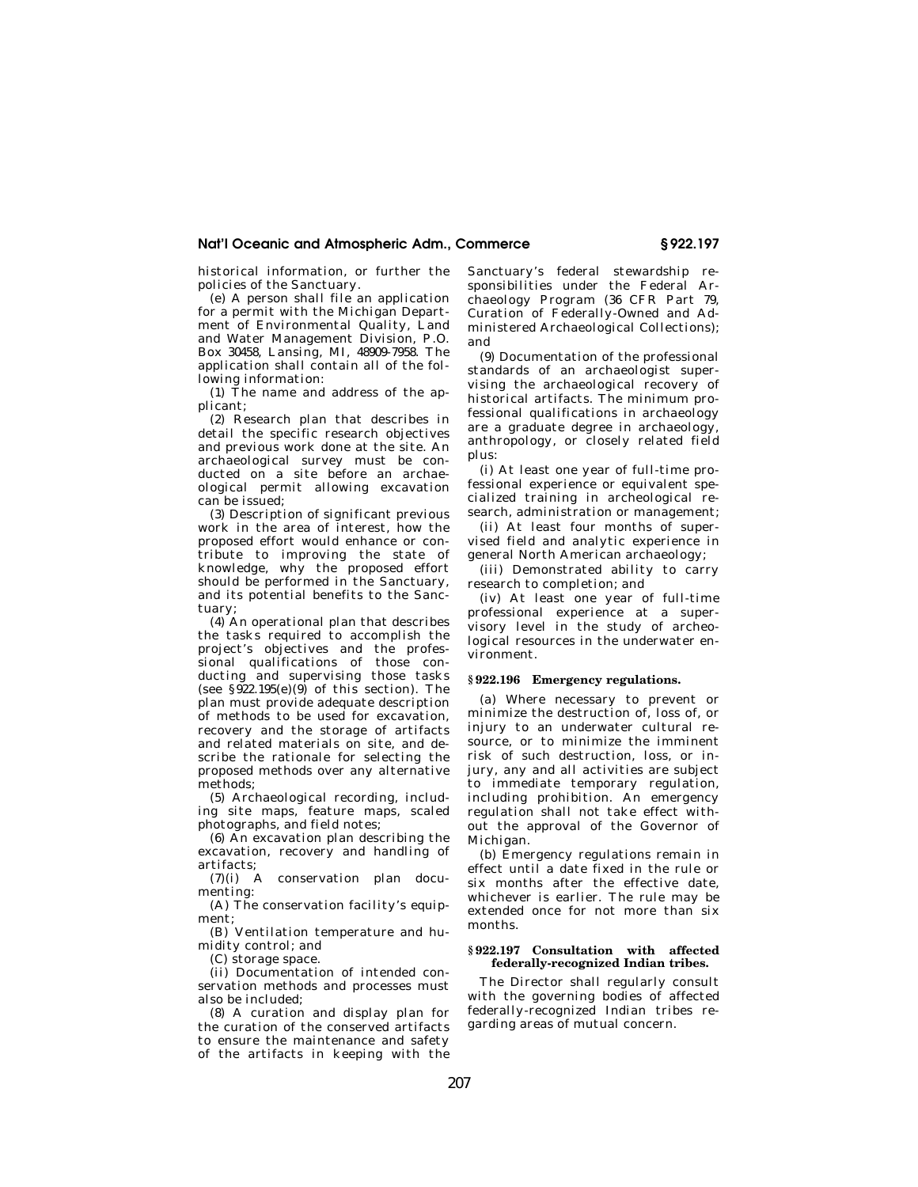## **Nat'l Oceanic and Atmospheric Adm., Commerce § 922.197**

historical information, or further the policies of the Sanctuary.

(e) A person shall file an application for a permit with the Michigan Department of Environmental Quality, Land and Water Management Division, P.O. Box 30458, Lansing, MI, 48909-7958. The application shall contain all of the following information:

(1) The name and address of the applicant;

(2) Research plan that describes in detail the specific research objectives and previous work done at the site. An archaeological survey must be conducted on a site before an archaeological permit allowing excavation can be issued;

(3) Description of significant previous work in the area of interest, how the proposed effort would enhance or contribute to improving the state of knowledge, why the proposed effort should be performed in the Sanctuary, and its potential benefits to the Sanctuary;

(4) An operational plan that describes the tasks required to accomplish the project's objectives and the professional qualifications of those conducting and supervising those tasks (see  $\S 922.195(e)(9)$  of this section). The plan must provide adequate description of methods to be used for excavation, recovery and the storage of artifacts and related materials on site, and describe the rationale for selecting the proposed methods over any alternative methods;

(5) Archaeological recording, including site maps, feature maps, scaled photographs, and field notes;

(6) An excavation plan describing the excavation, recovery and handling of artifacts;

(7)(i) A conservation plan documenting:

(A) The conservation facility's equipment;

(B) Ventilation temperature and humidity control; and

(C) storage space.

(ii) Documentation of intended conservation methods and processes must also be included;

(8) A curation and display plan for the curation of the conserved artifacts to ensure the maintenance and safety of the artifacts in keeping with the Sanctuary's federal stewardship responsibilities under the Federal Archaeology Program (36 CFR Part 79, Curation of Federally-Owned and Administered Archaeological Collections); and

(9) Documentation of the professional standards of an archaeologist supervising the archaeological recovery of historical artifacts. The minimum professional qualifications in archaeology are a graduate degree in archaeology, anthropology, or closely related field plus:

(i) At least one year of full-time professional experience or equivalent specialized training in archeological research, administration or management;

(ii) At least four months of supervised field and analytic experience in general North American archaeology;

(iii) Demonstrated ability to carry research to completion; and

(iv) At least one year of full-time professional experience at a supervisory level in the study of archeological resources in the underwater environment.

### **§ 922.196 Emergency regulations.**

(a) Where necessary to prevent or minimize the destruction of, loss of, or injury to an underwater cultural resource, or to minimize the imminent risk of such destruction, loss, or injury, any and all activities are subject to immediate temporary regulation, including prohibition. An emergency regulation shall not take effect without the approval of the Governor of Michigan.

(b) Emergency regulations remain in effect until a date fixed in the rule or six months after the effective date, whichever is earlier. The rule may be extended once for not more than six months.

## **§ 922.197 Consultation with affected federally-recognized Indian tribes.**

The Director shall regularly consult with the governing bodies of affected federally-recognized Indian tribes regarding areas of mutual concern.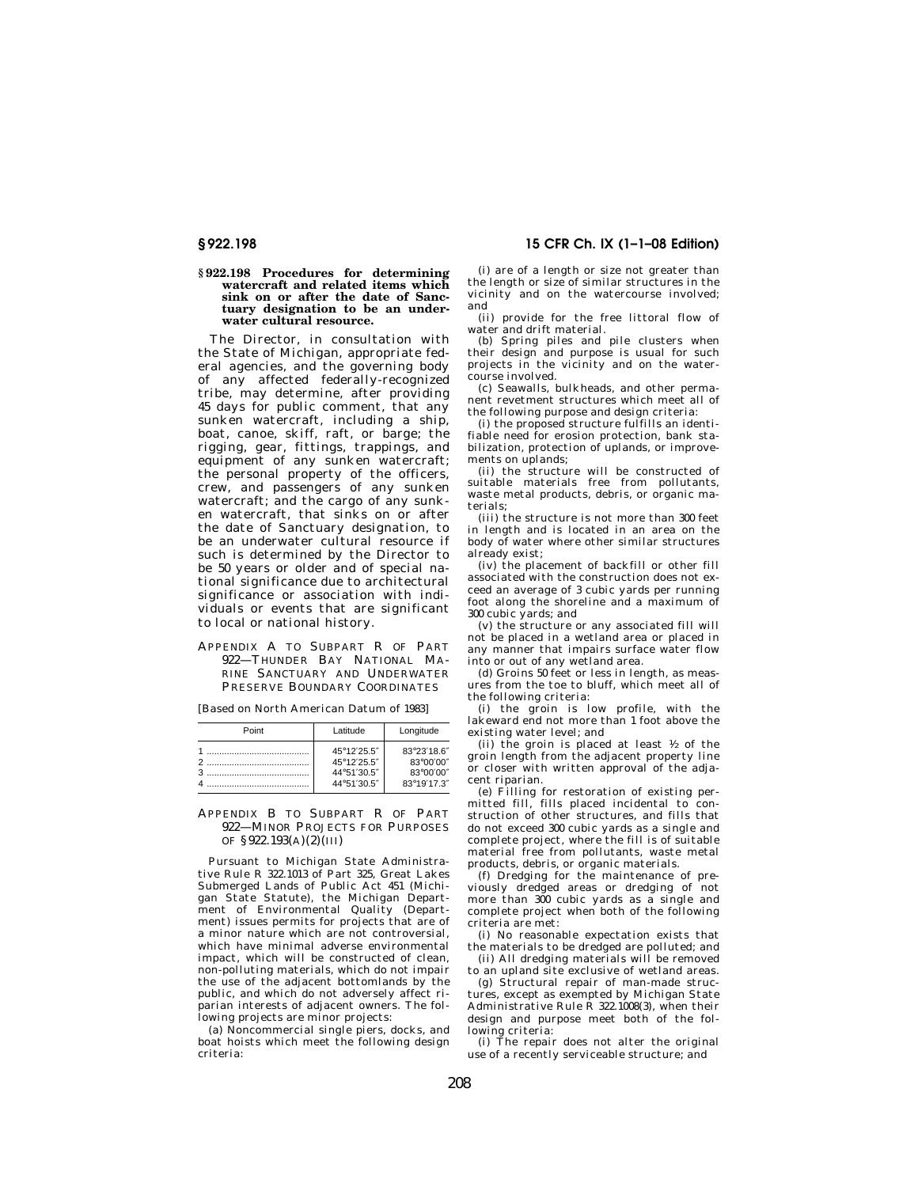### **§ 922.198 Procedures for determining watercraft and related items which sink on or after the date of Sanctuary designation to be an underwater cultural resource.**

The Director, in consultation with the State of Michigan, appropriate federal agencies, and the governing body of any affected federally-recognized tribe, may determine, after providing 45 days for public comment, that any sunken watercraft, including a ship, boat, canoe, skiff, raft, or barge; the rigging, gear, fittings, trappings, and equipment of any sunken watercraft; the personal property of the officers, crew, and passengers of any sunken watercraft; and the cargo of any sunken watercraft, that sinks on or after the date of Sanctuary designation, to be an underwater cultural resource if such is determined by the Director to be 50 years or older and of special national significance due to architectural significance or association with individuals or events that are significant to local or national history.

APPENDIX A TO SUBPART R OF PART 922—THUNDER BAY NATIONAL MA-RINE SANCTUARY AND UNDERWATER PRESERVE BOUNDARY COORDINATES

[Based on North American Datum of 1983]

| Point | Latitude    | Longitude   |
|-------|-------------|-------------|
|       | 45°12'25.5" | 83°23'18.6" |
|       | 45°12'25.5" | 83°00'00"   |
|       | 44°51'30.5" | 83°00'00"   |
|       | 44°51'30.5" | 83°19'17.3" |

## APPENDIX B TO SUBPART R OF PART 922—MINOR PROJECTS FOR PURPOSES OF §922.193(A)(2)(III)

Pursuant to Michigan State Administrative Rule R 322.1013 of Part 325, Great Lakes Submerged Lands of Public Act 451 (Michigan State Statute), the Michigan Department of Environmental Quality (Department) issues permits for projects that are of a minor nature which are not controversial, which have minimal adverse environmental impact, which will be constructed of clean, non-polluting materials, which do not impair the use of the adjacent bottomlands by the public, and which do not adversely affect riparian interests of adjacent owners. The following projects are minor projects:

(a) Noncommercial single piers, docks, and boat hoists which meet the following design criteria:

## **§ 922.198 15 CFR Ch. IX (1–1–08 Edition)**

(i) are of a length or size not greater than the length or size of similar structures in the vicinity and on the watercourse involved; and

(ii) provide for the free littoral flow of water and drift material.

(b) Spring piles and pile clusters when their design and purpose is usual for such projects in the vicinity and on the watercourse involved.

(c) Seawalls, bulkheads, and other permanent revetment structures which meet all of the following purpose and design criteria:

(i) the proposed structure fulfills an identifiable need for erosion protection, bank sta-bilization, protection of uplands, or improvements on uplands;

(ii) the structure will be constructed of suitable materials free from pollutants, waste metal products, debris, or organic materials;

(iii) the structure is not more than 300 feet in length and is located in an area on the body of water where other similar structures already exist;

(iv) the placement of backfill or other fill associated with the construction does not exceed an average of 3 cubic yards per running foot along the shoreline and a maximum of 300 cubic yards; and

(v) the structure or any associated fill will not be placed in a wetland area or placed in any manner that impairs surface water flow into or out of any wetland area.

(d) Groins 50 feet or less in length, as measures from the toe to bluff, which meet all of the following criteria:

(i) the groin is low profile, with the lakeward end not more than 1 foot above the existing water level; and

(ii) the groin is placed at least  $\frac{1}{2}$  of the groin length from the adjacent property line or closer with written approval of the adjacent riparian.

(e) Filling for restoration of existing permitted fill, fills placed incidental to construction of other structures, and fills that do not exceed 300 cubic yards as a single and complete project, where the fill is of suitable material free from pollutants, waste metal products, debris, or organic materials.

(f) Dredging for the maintenance of previously dredged areas or dredging of not more than 300 cubic yards as a single and complete project when both of the following criteria are met:

(i) No reasonable expectation exists that the materials to be dredged are polluted; and (ii) All dredging materials will be removed

to an upland site exclusive of wetland areas. (g) Structural repair of man-made structures, except as exempted by Michigan State Administrative Rule  $\dot{R}$  322.1008(3), when their design and purpose meet both of the following criteria:

(i) The repair does not alter the original use of a recently serviceable structure; and